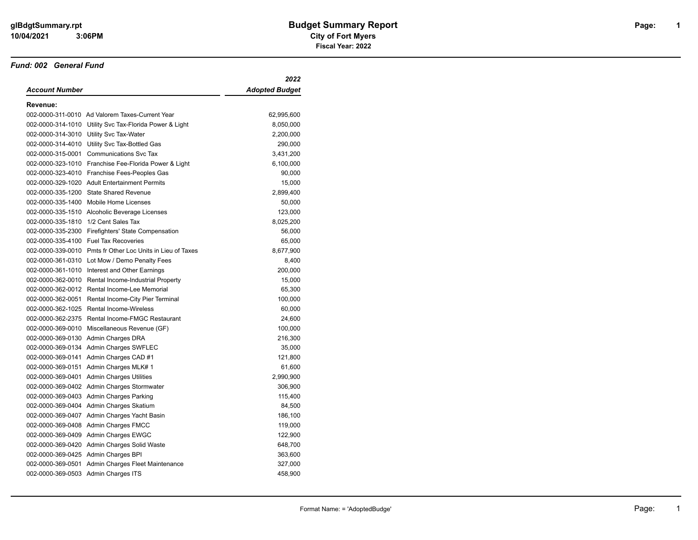#### *Fund: 002 General Fund*

|                                      |                                                            | 2022                  |
|--------------------------------------|------------------------------------------------------------|-----------------------|
| Account Number                       |                                                            | <b>Adopted Budget</b> |
| Revenue:                             |                                                            |                       |
|                                      | 002-0000-311-0010 Ad Valorem Taxes-Current Year            | 62,995,600            |
|                                      | 002-0000-314-1010 Utility Svc Tax-Florida Power & Light    | 8,050,000             |
|                                      | 002-0000-314-3010 Utility Svc Tax-Water                    | 2,200,000             |
|                                      | 002-0000-314-4010 Utility Svc Tax-Bottled Gas              | 290,000               |
|                                      | 002-0000-315-0001 Communications Svc Tax                   | 3,431,200             |
|                                      | 002-0000-323-1010 Franchise Fee-Florida Power & Light      | 6,100,000             |
|                                      | 002-0000-323-4010 Franchise Fees-Peoples Gas               | 90,000                |
|                                      | 002-0000-329-1020 Adult Entertainment Permits              | 15,000                |
| 002-0000-335-1200                    | <b>State Shared Revenue</b>                                | 2,899,400             |
| 002-0000-335-1400                    | Mobile Home Licenses                                       | 50,000                |
|                                      | 002-0000-335-1510 Alcoholic Beverage Licenses              | 123,000               |
| 002-0000-335-1810 1/2 Cent Sales Tax |                                                            | 8,025,200             |
|                                      | 002-0000-335-2300 Firefighters' State Compensation         | 56,000                |
|                                      | 002-0000-335-4100 Fuel Tax Recoveries                      | 65,000                |
|                                      | 002-0000-339-0010 Pmts fr Other Loc Units in Lieu of Taxes | 8,677,900             |
|                                      | 002-0000-361-0310 Lot Mow / Demo Penalty Fees              | 8,400                 |
|                                      | 002-0000-361-1010 Interest and Other Earnings              | 200,000               |
|                                      | 002-0000-362-0010 Rental Income-Industrial Property        | 15,000                |
|                                      | 002-0000-362-0012 Rental Income-Lee Memorial               | 65,300                |
|                                      | 002-0000-362-0051 Rental Income-City Pier Terminal         | 100,000               |
|                                      | 002-0000-362-1025 Rental Income-Wireless                   | 60,000                |
|                                      | 002-0000-362-2375 Rental Income-FMGC Restaurant            | 24,600                |
|                                      | 002-0000-369-0010 Miscellaneous Revenue (GF)               | 100,000               |
|                                      | 002-0000-369-0130 Admin Charges DRA                        | 216,300               |
|                                      | 002-0000-369-0134 Admin Charges SWFLEC                     | 35,000                |
|                                      | 002-0000-369-0141 Admin Charges CAD #1                     | 121,800               |
|                                      | 002-0000-369-0151 Admin Charges MLK# 1                     | 61,600                |
|                                      | 002-0000-369-0401 Admin Charges Utilities                  | 2,990,900             |
|                                      | 002-0000-369-0402 Admin Charges Stormwater                 | 306,900               |
|                                      | 002-0000-369-0403 Admin Charges Parking                    | 115,400               |
|                                      | 002-0000-369-0404 Admin Charges Skatium                    | 84,500                |
|                                      | 002-0000-369-0407 Admin Charges Yacht Basin                | 186,100               |
|                                      | 002-0000-369-0408 Admin Charges FMCC                       | 119,000               |
|                                      | 002-0000-369-0409 Admin Charges EWGC                       | 122,900               |
|                                      | 002-0000-369-0420 Admin Charges Solid Waste                | 648,700               |
|                                      | 002-0000-369-0425 Admin Charges BPI                        | 363,600               |
|                                      | 002-0000-369-0501 Admin Charges Fleet Maintenance          | 327,000               |
| 002-0000-369-0503 Admin Charges ITS  |                                                            | 458,900               |

**1**

1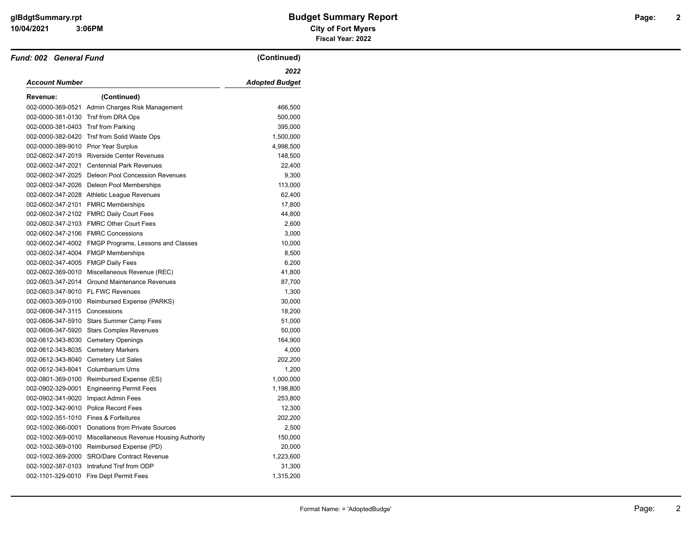$\overline{\phantom{0}}$ 

 **3:06PM**

| Fund: 002 General Fund                |                                                      | (Continued)           |
|---------------------------------------|------------------------------------------------------|-----------------------|
|                                       |                                                      | 2022                  |
| <b>Account Number</b>                 |                                                      | <b>Adopted Budget</b> |
| Revenue:                              | (Continued)                                          |                       |
|                                       | 002-0000-369-0521 Admin Charges Risk Management      | 466,500               |
| 002-0000-381-0130 Trsf from DRA Ops   |                                                      | 500,000               |
| 002-0000-381-0403 Trsf from Parking   |                                                      | 395,000               |
|                                       | 002-0000-382-0420 Trsf from Solid Waste Ops          | 1,500,000             |
| 002-0000-389-9010 Prior Year Surplus  |                                                      | 4,998,500             |
|                                       | 002-0602-347-2019 Riverside Center Revenues          | 148,500               |
|                                       | 002-0602-347-2021 Centennial Park Revenues           | 22,400                |
|                                       | 002-0602-347-2025 Deleon Pool Concession Revenues    | 9,300                 |
|                                       | 002-0602-347-2026 Deleon Pool Memberships            | 113,000               |
|                                       | 002-0602-347-2028 Athletic League Revenues           | 62,400                |
|                                       | 002-0602-347-2101 FMRC Memberships                   | 17,800                |
|                                       | 002-0602-347-2102 FMRC Daily Court Fees              | 44,800                |
|                                       | 002-0602-347-2103 FMRC Other Court Fees              | 2,600                 |
|                                       | 002-0602-347-2106 FMRC Concessions                   | 3,000                 |
|                                       | 002-0602-347-4002 FMGP Programs, Lessons and Classes | 10,000                |
|                                       | 002-0602-347-4004 FMGP Memberships                   | 8,500                 |
| 002-0602-347-4005 FMGP Daily Fees     |                                                      | 6,200                 |
|                                       | 002-0602-369-0010 Miscellaneous Revenue (REC)        | 41,800                |
|                                       | 002-0603-347-2014 Ground Maintenance Revenues        | 87,700                |
|                                       | 002-0603-347-9010 FL FWC Revenues                    | 1,300                 |
|                                       | 002-0603-369-0100 Reimbursed Expense (PARKS)         | 30,000                |
| 002-0606-347-3115 Concessions         |                                                      | 18,200                |
|                                       | 002-0606-347-5910 Stars Summer Camp Fees             | 51,000                |
|                                       | 002-0606-347-5920 Stars Complex Revenues             | 50,000                |
|                                       | 002-0612-343-8030 Cemetery Openings                  | 164,900               |
| 002-0612-343-8035 Cemetery Markers    |                                                      | 4,000                 |
|                                       | 002-0612-343-8040 Cemetery Lot Sales                 | 202,200               |
| 002-0612-343-8041 Columbarium Urns    |                                                      | 1,200                 |
|                                       | 002-0801-369-0100 Reimbursed Expense (ES)            | 1,000,000             |
| 002-0902-329-0001                     | <b>Engineering Permit Fees</b>                       | 1,198,800             |
|                                       | 002-0902-341-9020 Impact Admin Fees                  | 253,800               |
| 002-1002-342-9010                     | <b>Police Record Fees</b>                            | 12,300                |
| 002-1002-351-1010 Fines & Forfeitures |                                                      | 202,200               |
|                                       | 002-1002-366-0001 Donations from Private Sources     | 2,500                 |
| 002-1002-369-0010                     | Miscellaneous Revenue Housing Authority              | 150,000               |
|                                       | 002-1002-369-0100 Reimbursed Expense (PD)            | 20,000                |
|                                       | 002-1002-369-2000 SRO/Dare Contract Revenue          | 1,223,600             |
|                                       | 002-1002-387-0103 Intrafund Trsf from ODP            | 31,300                |
|                                       | 002-1101-329-0010 Fire Dept Permit Fees              | 1,315,200             |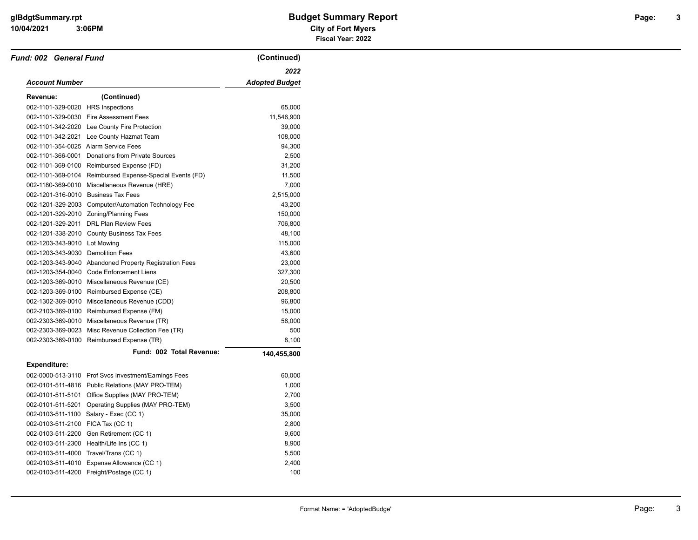#### **10/04/2021 City of Fort Myers 3:06PM**

# **glBdgtSummary.rpt Budget Summary Report Page: Fiscal Year: 2022**

| Fund: 002 General Fund              |                                                          | (Continued)           |
|-------------------------------------|----------------------------------------------------------|-----------------------|
|                                     |                                                          | 2022                  |
| Account Number                      |                                                          | <b>Adopted Budget</b> |
| Revenue:                            | (Continued)                                              |                       |
| 002-1101-329-0020 HRS Inspections   |                                                          | 65,000                |
|                                     | 002-1101-329-0030 Fire Assessment Fees                   | 11,546,900            |
|                                     | 002-1101-342-2020 Lee County Fire Protection             | 39,000                |
|                                     | 002-1101-342-2021 Lee County Hazmat Team                 | 108,000               |
|                                     | 002-1101-354-0025 Alarm Service Fees                     | 94,300                |
|                                     | 002-1101-366-0001 Donations from Private Sources         | 2,500                 |
|                                     | 002-1101-369-0100 Reimbursed Expense (FD)                | 31,200                |
|                                     | 002-1101-369-0104 Reimbursed Expense-Special Events (FD) | 11,500                |
|                                     | 002-1180-369-0010 Miscellaneous Revenue (HRE)            | 7,000                 |
| 002-1201-316-0010 Business Tax Fees |                                                          | 2,515,000             |
|                                     | 002-1201-329-2003 Computer/Automation Technology Fee     | 43,200                |
|                                     | 002-1201-329-2010 Zoning/Planning Fees                   | 150,000               |
|                                     | 002-1201-329-2011 DRL Plan Review Fees                   | 706,800               |
|                                     | 002-1201-338-2010 County Business Tax Fees               | 48,100                |
| 002-1203-343-9010 Lot Mowing        |                                                          | 115,000               |
| 002-1203-343-9030 Demolition Fees   |                                                          | 43,600                |
|                                     | 002-1203-343-9040 Abandoned Property Registration Fees   | 23,000                |
|                                     | 002-1203-354-0040 Code Enforcement Liens                 | 327,300               |
|                                     | 002-1203-369-0010 Miscellaneous Revenue (CE)             | 20,500                |
|                                     | 002-1203-369-0100 Reimbursed Expense (CE)                | 208,800               |
|                                     | 002-1302-369-0010 Miscellaneous Revenue (CDD)            | 96,800                |
|                                     | 002-2103-369-0100 Reimbursed Expense (FM)                | 15,000                |
|                                     | 002-2303-369-0010 Miscellaneous Revenue (TR)             | 58,000                |
|                                     | 002-2303-369-0023 Misc Revenue Collection Fee (TR)       | 500                   |
|                                     | 002-2303-369-0100 Reimbursed Expense (TR)                | 8,100                 |
|                                     | Fund: 002 Total Revenue:                                 | 140,455,800           |
| <b>Expenditure:</b>                 |                                                          |                       |
|                                     | 002-0000-513-3110 Prof Svcs Investment/Earnings Fees     | 60,000                |
|                                     | 002-0101-511-4816 Public Relations (MAY PRO-TEM)         | 1,000                 |
|                                     | 002-0101-511-5101 Office Supplies (MAY PRO-TEM)          | 2,700                 |
|                                     | 002-0101-511-5201 Operating Supplies (MAY PRO-TEM)       | 3,500                 |
|                                     | 002-0103-511-1100 Salary - Exec (CC 1)                   | 35,000                |
| 002-0103-511-2100 FICA Tax (CC 1)   |                                                          | 2,800                 |
|                                     | 002-0103-511-2200 Gen Retirement (CC 1)                  | 9,600                 |
|                                     | 002-0103-511-2300 Health/Life Ins (CC 1)                 | 8,900                 |
|                                     | 002-0103-511-4000 Travel/Trans (CC 1)                    | 5,500                 |
|                                     | 002-0103-511-4010 Expense Allowance (CC 1)               | 2,400                 |
|                                     | 002-0103-511-4200 Freight/Postage (CC 1)                 | 100                   |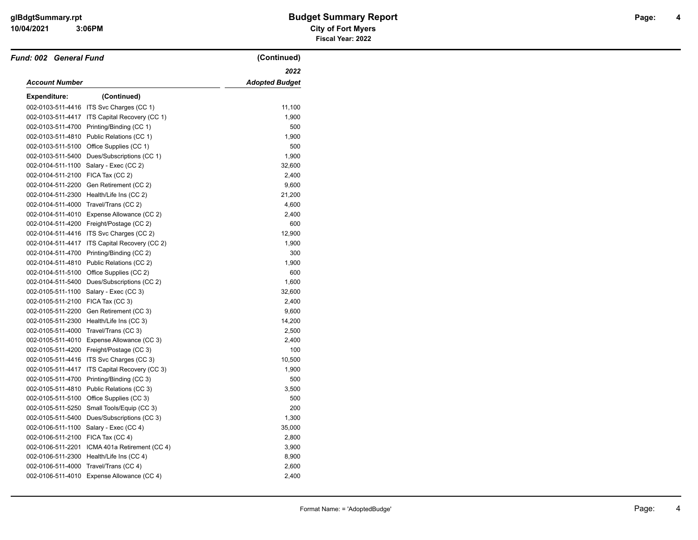#### **10/04/2021 City of Fort Myers glBdgtSummary.rpt Budget Summary Report Page: Fiscal Year: 2022**

| <b>Fund: 002 General Fund</b>     |                                             | (Continued)           |
|-----------------------------------|---------------------------------------------|-----------------------|
|                                   |                                             | 2022                  |
| Account Number                    |                                             | <b>Adopted Budget</b> |
| Expenditure:                      | (Continued)                                 |                       |
|                                   | 002-0103-511-4416 ITS Svc Charges (CC 1)    | 11,100                |
| 002-0103-511-4417                 | ITS Capital Recovery (CC 1)                 | 1,900                 |
| 002-0103-511-4700                 | Printing/Binding (CC 1)                     | 500                   |
| 002-0103-511-4810                 | Public Relations (CC 1)                     | 1,900                 |
|                                   | 002-0103-511-5100 Office Supplies (CC 1)    | 500                   |
| 002-0103-511-5400                 | Dues/Subscriptions (CC 1)                   | 1,900                 |
| 002-0104-511-1100                 | Salary - Exec (CC 2)                        | 32,600                |
| 002-0104-511-2100 FICA Tax (CC 2) |                                             | 2,400                 |
| 002-0104-511-2200                 | Gen Retirement (CC 2)                       | 9,600                 |
| 002-0104-511-2300                 | Health/Life Ins (CC 2)                      | 21,200                |
|                                   | 002-0104-511-4000 Travel/Trans (CC 2)       | 4,600                 |
| 002-0104-511-4010                 | Expense Allowance (CC 2)                    | 2,400                 |
|                                   | 002-0104-511-4200 Freight/Postage (CC 2)    | 600                   |
|                                   | 002-0104-511-4416 ITS Svc Charges (CC 2)    | 12,900                |
| 002-0104-511-4417                 | ITS Capital Recovery (CC 2)                 | 1,900                 |
| 002-0104-511-4700                 | Printing/Binding (CC 2)                     | 300                   |
| 002-0104-511-4810                 | Public Relations (CC 2)                     | 1,900                 |
|                                   | 002-0104-511-5100 Office Supplies (CC 2)    | 600                   |
|                                   | 002-0104-511-5400 Dues/Subscriptions (CC 2) | 1,600                 |
| 002-0105-511-1100                 | Salary - Exec (CC 3)                        | 32,600                |
| 002-0105-511-2100                 | FICA Tax (CC 3)                             | 2,400                 |
| 002-0105-511-2200                 | Gen Retirement (CC 3)                       | 9,600                 |
| 002-0105-511-2300                 | Health/Life Ins (CC 3)                      | 14,200                |
| 002-0105-511-4000                 | Travel/Trans (CC 3)                         | 2,500                 |
|                                   | 002-0105-511-4010 Expense Allowance (CC 3)  | 2,400                 |
| 002-0105-511-4200                 | Freight/Postage (CC 3)                      | 100                   |
|                                   | 002-0105-511-4416 ITS Svc Charges (CC 3)    | 10,500                |
| 002-0105-511-4417                 | ITS Capital Recovery (CC 3)                 | 1,900                 |
| 002-0105-511-4700                 | Printing/Binding (CC 3)                     | 500                   |
|                                   | 002-0105-511-4810 Public Relations (CC 3)   | 3,500                 |
| 002-0105-511-5100                 | Office Supplies (CC 3)                      | 500                   |
| 002-0105-511-5250                 | Small Tools/Equip (CC 3)                    | 200                   |
| 002-0105-511-5400                 | Dues/Subscriptions (CC 3)                   | 1,300                 |
| 002-0106-511-1100                 | Salary - Exec (CC 4)                        | 35,000                |
| 002-0106-511-2100                 | FICA Tax (CC 4)                             | 2,800                 |
| 002-0106-511-2201                 | ICMA 401a Retirement (CC 4)                 | 3,900                 |
| 002-0106-511-2300                 | Health/Life Ins (CC 4)                      | 8,900                 |
| 002-0106-511-4000                 | Travel/Trans (CC 4)                         | 2,600                 |
|                                   | 002-0106-511-4010 Expense Allowance (CC 4)  | 2,400                 |

**4**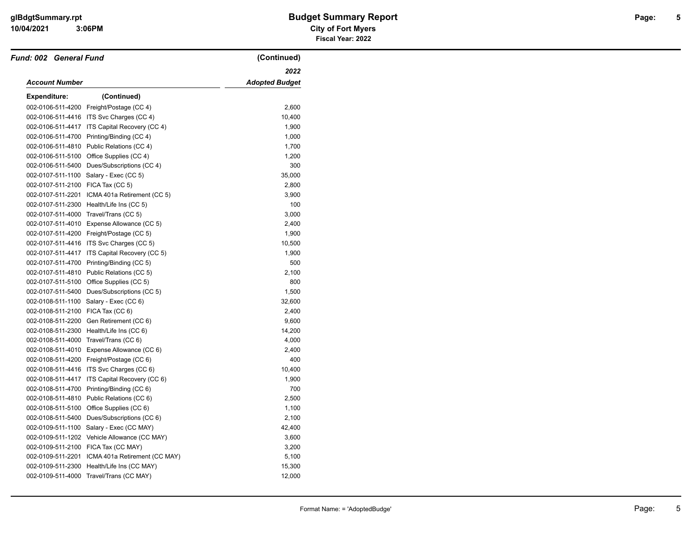| Fund: 002 General Fund            |                                              | (Continued)           |
|-----------------------------------|----------------------------------------------|-----------------------|
|                                   |                                              | 2022                  |
| <b>Account Number</b>             |                                              | <b>Adopted Budget</b> |
| <b>Expenditure:</b>               | (Continued)                                  |                       |
| 002-0106-511-4200                 | Freight/Postage (CC 4)                       | 2,600                 |
|                                   | 002-0106-511-4416 ITS Svc Charges (CC 4)     | 10,400                |
| 002-0106-511-4417                 | ITS Capital Recovery (CC 4)                  | 1,900                 |
| 002-0106-511-4700                 | Printing/Binding (CC 4)                      | 1,000                 |
| 002-0106-511-4810                 | Public Relations (CC 4)                      | 1,700                 |
| 002-0106-511-5100                 | Office Supplies (CC 4)                       | 1,200                 |
|                                   | 002-0106-511-5400 Dues/Subscriptions (CC 4)  | 300                   |
|                                   | 002-0107-511-1100 Salary - Exec (CC 5)       | 35,000                |
| 002-0107-511-2100 FICA Tax (CC 5) |                                              | 2,800                 |
| 002-0107-511-2201                 | ICMA 401a Retirement (CC 5)                  | 3,900                 |
| 002-0107-511-2300                 | Health/Life Ins (CC 5)                       | 100                   |
| 002-0107-511-4000                 | Travel/Trans (CC 5)                          | 3,000                 |
|                                   | 002-0107-511-4010 Expense Allowance (CC 5)   | 2,400                 |
|                                   | 002-0107-511-4200 Freight/Postage (CC 5)     | 1,900                 |
|                                   | 002-0107-511-4416 ITS Svc Charges (CC 5)     | 10,500                |
| 002-0107-511-4417                 | ITS Capital Recovery (CC 5)                  | 1,900                 |
| 002-0107-511-4700                 | Printing/Binding (CC 5)                      | 500                   |
| 002-0107-511-4810                 | Public Relations (CC 5)                      | 2,100                 |
|                                   | 002-0107-511-5100 Office Supplies (CC 5)     | 800                   |
| 002-0107-511-5400                 | Dues/Subscriptions (CC 5)                    | 1,500                 |
| 002-0108-511-1100                 | Salary - Exec (CC 6)                         | 32,600                |
| 002-0108-511-2100 FICA Tax (CC 6) |                                              | 2,400                 |
| 002-0108-511-2200                 | Gen Retirement (CC 6)                        | 9,600                 |
| 002-0108-511-2300                 | Health/Life Ins (CC 6)                       | 14,200                |
|                                   | 002-0108-511-4000 Travel/Trans (CC 6)        | 4,000                 |
| 002-0108-511-4010                 | Expense Allowance (CC 6)                     | 2,400                 |
|                                   | 002-0108-511-4200 Freight/Postage (CC 6)     | 400                   |
|                                   | 002-0108-511-4416 ITS Svc Charges (CC 6)     | 10,400                |
| 002-0108-511-4417                 | ITS Capital Recovery (CC 6)                  | 1,900                 |
| 002-0108-511-4700                 | Printing/Binding (CC 6)                      | 700                   |
| 002-0108-511-4810                 | Public Relations (CC 6)                      | 2,500                 |
| 002-0108-511-5100                 | Office Supplies (CC 6)                       | 1,100                 |
| 002-0108-511-5400                 | Dues/Subscriptions (CC 6)                    | 2,100                 |
| 002-0109-511-1100                 | Salary - Exec (CC MAY)                       | 42,400                |
|                                   | 002-0109-511-1202 Vehicle Allowance (CC MAY) | 3,600                 |
|                                   | 002-0109-511-2100 FICA Tax (CC MAY)          | 3,200                 |
| 002-0109-511-2201                 | ICMA 401a Retirement (CC MAY)                | 5,100                 |
| 002-0109-511-2300                 | Health/Life Ins (CC MAY)                     | 15,300                |
|                                   | 002-0109-511-4000 Travel/Trans (CC MAY)      | 12,000                |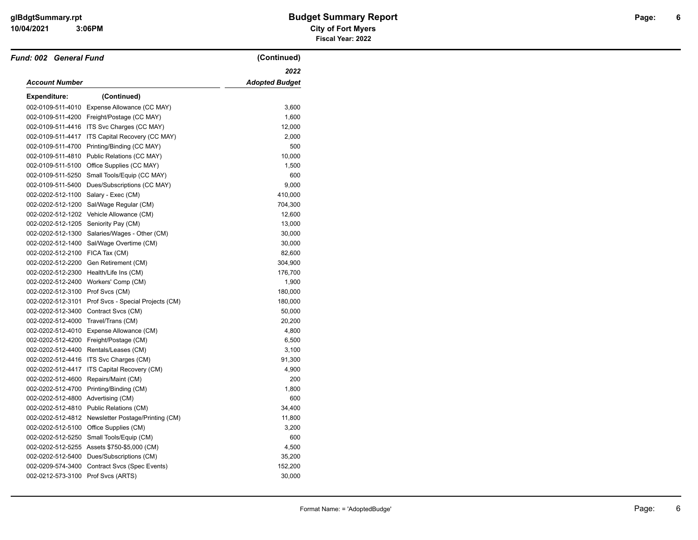| Fund: 002 General Fund              |                                                    | (Continued)           |
|-------------------------------------|----------------------------------------------------|-----------------------|
|                                     |                                                    | 2022                  |
| Account Number                      |                                                    | <b>Adopted Budget</b> |
| Expenditure:                        | (Continued)                                        |                       |
| 002-0109-511-4010                   | Expense Allowance (CC MAY)                         | 3,600                 |
|                                     | 002-0109-511-4200 Freight/Postage (CC MAY)         | 1,600                 |
|                                     | 002-0109-511-4416 ITS Svc Charges (CC MAY)         | 12,000                |
| 002-0109-511-4417                   | ITS Capital Recovery (CC MAY)                      | 2,000                 |
|                                     | 002-0109-511-4700 Printing/Binding (CC MAY)        | 500                   |
|                                     | 002-0109-511-4810 Public Relations (CC MAY)        | 10,000                |
| 002-0109-511-5100                   | Office Supplies (CC MAY)                           | 1,500                 |
| 002-0109-511-5250                   | Small Tools/Equip (CC MAY)                         | 600                   |
|                                     | 002-0109-511-5400 Dues/Subscriptions (CC MAY)      | 9,000                 |
| 002-0202-512-1100                   | Salary - Exec (CM)                                 | 410,000               |
|                                     | 002-0202-512-1200 Sal/Wage Regular (CM)            | 704,300               |
|                                     | 002-0202-512-1202 Vehicle Allowance (CM)           | 12,600                |
|                                     | 002-0202-512-1205 Seniority Pay (CM)               | 13,000                |
|                                     | 002-0202-512-1300 Salaries/Wages - Other (CM)      | 30,000                |
| 002-0202-512-1400                   | Sal/Wage Overtime (CM)                             | 30,000                |
| 002-0202-512-2100 FICA Tax (CM)     |                                                    | 82,600                |
|                                     | 002-0202-512-2200 Gen Retirement (CM)              | 304,900               |
|                                     | 002-0202-512-2300 Health/Life Ins (CM)             | 176,700               |
|                                     | 002-0202-512-2400 Workers' Comp (CM)               | 1,900                 |
| 002-0202-512-3100 Prof Svcs (CM)    |                                                    | 180,000               |
| 002-0202-512-3101                   | Prof Svcs - Special Projects (CM)                  | 180,000               |
|                                     | 002-0202-512-3400 Contract Svcs (CM)               | 50,000                |
| 002-0202-512-4000 Travel/Trans (CM) |                                                    | 20,200                |
|                                     | 002-0202-512-4010 Expense Allowance (CM)           | 4,800                 |
|                                     | 002-0202-512-4200 Freight/Postage (CM)             | 6,500                 |
|                                     | 002-0202-512-4400 Rentals/Leases (CM)              | 3,100                 |
| 002-0202-512-4416                   | ITS Svc Charges (CM)                               | 91,300                |
| 002-0202-512-4417                   | ITS Capital Recovery (CM)                          | 4,900                 |
| 002-0202-512-4600                   | Repairs/Maint (CM)                                 | 200                   |
| 002-0202-512-4700                   | Printing/Binding (CM)                              | 1,800                 |
| 002-0202-512-4800 Advertising (CM)  |                                                    | 600                   |
|                                     | 002-0202-512-4810 Public Relations (CM)            | 34,400                |
|                                     | 002-0202-512-4812 Newsletter Postage/Printing (CM) | 11,800                |
|                                     | 002-0202-512-5100 Office Supplies (CM)             | 3,200                 |
|                                     | 002-0202-512-5250 Small Tools/Equip (CM)           | 600                   |
|                                     | 002-0202-512-5255 Assets \$750-\$5,000 (CM)        | 4,500                 |
|                                     | 002-0202-512-5400 Dues/Subscriptions (CM)          | 35,200                |
| 002-0209-574-3400                   | Contract Svcs (Spec Events)                        | 152,200               |
|                                     | 002-0212-573-3100 Prof Svcs (ARTS)                 | 30,000                |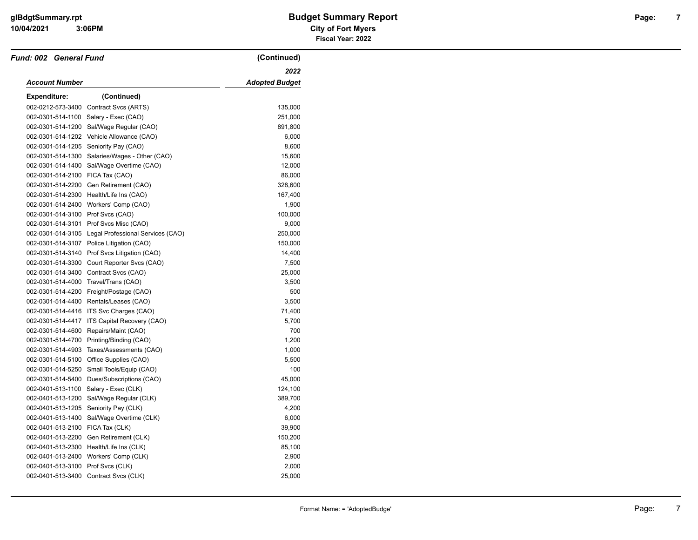| Fund: 002 General Fund            |                                                     | (Continued)           |
|-----------------------------------|-----------------------------------------------------|-----------------------|
|                                   |                                                     | 2022                  |
| Account Number                    |                                                     | <b>Adopted Budget</b> |
| <b>Expenditure:</b>               | (Continued)                                         |                       |
| 002-0212-573-3400                 | Contract Svcs (ARTS)                                | 135,000               |
| 002-0301-514-1100                 | Salary - Exec (CAO)                                 | 251,000               |
| 002-0301-514-1200                 | Sal/Wage Regular (CAO)                              | 891,800               |
| 002-0301-514-1202                 | Vehicle Allowance (CAO)                             | 6,000                 |
| 002-0301-514-1205                 | Seniority Pay (CAO)                                 | 8,600                 |
| 002-0301-514-1300                 | Salaries/Wages - Other (CAO)                        | 15,600                |
| 002-0301-514-1400                 | Sal/Wage Overtime (CAO)                             | 12,000                |
| 002-0301-514-2100 FICA Tax (CAO)  |                                                     | 86,000                |
| 002-0301-514-2200                 | Gen Retirement (CAO)                                | 328,600               |
| 002-0301-514-2300                 | Health/Life Ins (CAO)                               | 167,400               |
|                                   | 002-0301-514-2400 Workers' Comp (CAO)               | 1,900                 |
| 002-0301-514-3100 Prof Svcs (CAO) |                                                     | 100,000               |
| 002-0301-514-3101                 | Prof Svcs Misc (CAO)                                | 9,000                 |
|                                   | 002-0301-514-3105 Legal Professional Services (CAO) | 250,000               |
| 002-0301-514-3107                 | Police Litigation (CAO)                             | 150,000               |
| 002-0301-514-3140                 | Prof Svcs Litigation (CAO)                          | 14,400                |
| 002-0301-514-3300                 | Court Reporter Svcs (CAO)                           | 7,500                 |
| 002-0301-514-3400                 | Contract Svcs (CAO)                                 | 25,000                |
|                                   | 002-0301-514-4000 Travel/Trans (CAO)                | 3,500                 |
|                                   | 002-0301-514-4200 Freight/Postage (CAO)             | 500                   |
|                                   | 002-0301-514-4400 Rentals/Leases (CAO)              | 3,500                 |
|                                   | 002-0301-514-4416 ITS Svc Charges (CAO)             | 71,400                |
| 002-0301-514-4417                 | ITS Capital Recovery (CAO)                          | 5,700                 |
| 002-0301-514-4600                 | Repairs/Maint (CAO)                                 | 700                   |
| 002-0301-514-4700                 | Printing/Binding (CAO)                              | 1,200                 |
| 002-0301-514-4903                 | Taxes/Assessments (CAO)                             | 1,000                 |
| 002-0301-514-5100                 | Office Supplies (CAO)                               | 5,500                 |
| 002-0301-514-5250                 | Small Tools/Equip (CAO)                             | 100                   |
| 002-0301-514-5400                 | Dues/Subscriptions (CAO)                            | 45,000                |
| 002-0401-513-1100                 | Salary - Exec (CLK)                                 | 124,100               |
| 002-0401-513-1200                 | Sal/Wage Regular (CLK)                              | 389,700               |
| 002-0401-513-1205                 | Seniority Pay (CLK)                                 | 4,200                 |
| 002-0401-513-1400                 | Sal/Wage Overtime (CLK)                             | 6,000                 |
| 002-0401-513-2100                 | FICA Tax (CLK)                                      | 39,900                |
| 002-0401-513-2200                 | Gen Retirement (CLK)                                | 150,200               |
|                                   | 002-0401-513-2300 Health/Life Ins (CLK)             | 85,100                |
|                                   | 002-0401-513-2400 Workers' Comp (CLK)               | 2,900                 |
| 002-0401-513-3100                 | Prof Svcs (CLK)                                     | 2,000                 |
|                                   | 002-0401-513-3400 Contract Svcs (CLK)               | 25,000                |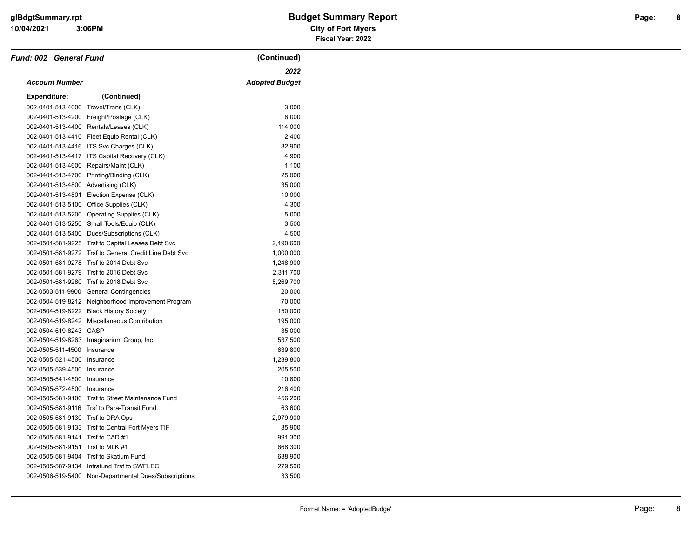| Fund: 002 General Fund              |                                                        | (Continued)           |
|-------------------------------------|--------------------------------------------------------|-----------------------|
|                                     |                                                        | 2022                  |
| Account Number                      |                                                        | <b>Adopted Budget</b> |
| <b>Expenditure:</b>                 | (Continued)                                            |                       |
| 002-0401-513-4000                   | Travel/Trans (CLK)                                     | 3,000                 |
|                                     | 002-0401-513-4200 Freight/Postage (CLK)                | 6,000                 |
|                                     | 002-0401-513-4400 Rentals/Leases (CLK)                 | 114,000               |
|                                     | 002-0401-513-4410 Fleet Equip Rental (CLK)             | 2,400                 |
|                                     | 002-0401-513-4416 ITS Svc Charges (CLK)                | 82,900                |
|                                     | 002-0401-513-4417 ITS Capital Recovery (CLK)           | 4,900                 |
|                                     | 002-0401-513-4600 Repairs/Maint (CLK)                  | 1,100                 |
|                                     | 002-0401-513-4700 Printing/Binding (CLK)               | 25,000                |
| 002-0401-513-4800 Advertising (CLK) |                                                        | 35,000                |
| 002-0401-513-4801                   | Election Expense (CLK)                                 | 10,000                |
|                                     | 002-0401-513-5100 Office Supplies (CLK)                | 4,300                 |
| 002-0401-513-5200                   | <b>Operating Supplies (CLK)</b>                        | 5,000                 |
|                                     | 002-0401-513-5250 Small Tools/Equip (CLK)              | 3,500                 |
|                                     | 002-0401-513-5400 Dues/Subscriptions (CLK)             | 4,500                 |
| 002-0501-581-9225                   | Trsf to Capital Leases Debt Svc                        | 2,190,600             |
|                                     | 002-0501-581-9272 Trsf to General Credit Line Debt Svc | 1,000,000             |
|                                     | 002-0501-581-9278 Trsf to 2014 Debt Svc                | 1,248,900             |
|                                     | 002-0501-581-9279 Trsf to 2016 Debt Svc                | 2,311,700             |
|                                     | 002-0501-581-9280 Trsf to 2018 Debt Svc                | 5,269,700             |
|                                     | 002-0503-511-9900 General Contingencies                | 20,000                |
|                                     | 002-0504-519-8212 Neighborhood Improvement Program     | 70,000                |
|                                     | 002-0504-519-8222 Black History Society                | 150,000               |
|                                     | 002-0504-519-8242 Miscellaneous Contribution           | 195,000               |
| 002-0504-519-8243 CASP              |                                                        | 35,000                |
| 002-0504-519-8263                   | Imaginarium Group, Inc.                                | 537,500               |
| 002-0505-511-4500                   | Insurance                                              | 639,800               |
| 002-0505-521-4500                   | Insurance                                              | 1,239,800             |
| 002-0505-539-4500                   | Insurance                                              | 205,500               |
| 002-0505-541-4500                   | Insurance                                              | 10,800                |
| 002-0505-572-4500 Insurance         |                                                        | 216,400               |
|                                     | 002-0505-581-9106 Trsf to Street Maintenance Fund      | 456,200               |
|                                     | 002-0505-581-9116 Trsf to Para-Transit Fund            | 63,600                |
| 002-0505-581-9130 Trsf to DRA Ops   |                                                        | 2,979,900             |
|                                     | 002-0505-581-9133 Trsf to Central Fort Myers TIF       | 35,900                |
| 002-0505-581-9141                   | Trsf to CAD #1                                         | 991,300               |
| 002-0505-581-9151                   | Trsf to MLK #1                                         | 668,300               |
|                                     | 002-0505-581-9404 Trsf to Skatium Fund                 | 638,900               |
| 002-0505-587-9134                   | Intrafund Trsf to SWFLEC                               | 279,500               |
|                                     | 002-0506-519-5400 Non-Departmental Dues/Subscriptions  | 33,500                |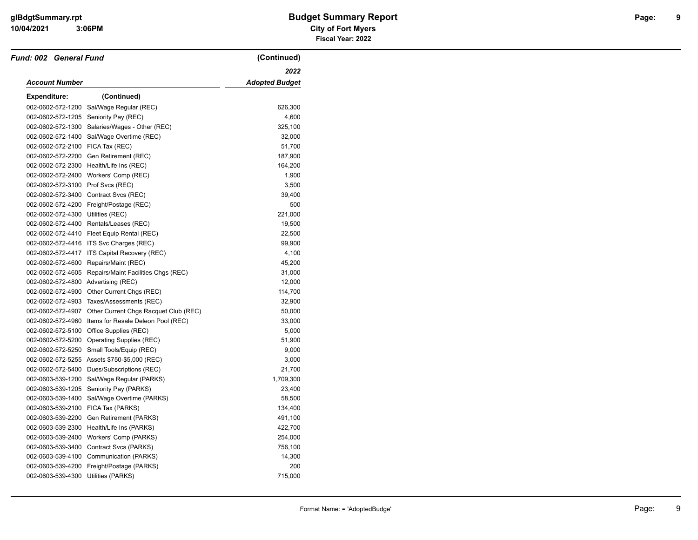#### **10/04/2021 City of Fort Myers glBdgtSummary.rpt Budget Summary Report Page: Fiscal Year: 2022**

| <b>Fund: 002 General Fund</b>       |                                              | (Continued)           |
|-------------------------------------|----------------------------------------------|-----------------------|
|                                     |                                              | 2022                  |
| Account Number                      |                                              | <b>Adopted Budget</b> |
| <b>Expenditure:</b>                 | (Continued)                                  |                       |
| 002-0602-572-1200                   | Sal/Wage Regular (REC)                       | 626,300               |
| 002-0602-572-1205                   | Seniority Pay (REC)                          | 4,600                 |
| 002-0602-572-1300                   | Salaries/Wages - Other (REC)                 | 325,100               |
| 002-0602-572-1400                   | Sal/Wage Overtime (REC)                      | 32,000                |
| 002-0602-572-2100 FICA Tax (REC)    |                                              | 51,700                |
|                                     | 002-0602-572-2200 Gen Retirement (REC)       | 187,900               |
|                                     | 002-0602-572-2300 Health/Life Ins (REC)      | 164,200               |
|                                     | 002-0602-572-2400 Workers' Comp (REC)        | 1,900                 |
| 002-0602-572-3100 Prof Svcs (REC)   |                                              | 3,500                 |
| 002-0602-572-3400                   | Contract Svcs (REC)                          | 39,400                |
|                                     | 002-0602-572-4200 Freight/Postage (REC)      | 500                   |
| 002-0602-572-4300 Utilities (REC)   |                                              | 221,000               |
|                                     | 002-0602-572-4400 Rentals/Leases (REC)       | 19,500                |
|                                     | 002-0602-572-4410 Fleet Equip Rental (REC)   | 22,500                |
|                                     | 002-0602-572-4416 ITS Svc Charges (REC)      | 99,900                |
| 002-0602-572-4417                   | ITS Capital Recovery (REC)                   | 4,100                 |
| 002-0602-572-4600                   | Repairs/Maint (REC)                          | 45,200                |
| 002-0602-572-4605                   | Repairs/Maint Facilities Chgs (REC)          | 31,000                |
| 002-0602-572-4800 Advertising (REC) |                                              | 12,000                |
| 002-0602-572-4900                   | Other Current Chgs (REC)                     | 114,700               |
| 002-0602-572-4903                   | Taxes/Assessments (REC)                      | 32,900                |
| 002-0602-572-4907                   | Other Current Chgs Racquet Club (REC)        | 50,000                |
| 002-0602-572-4960                   | Items for Resale Deleon Pool (REC)           | 33,000                |
| 002-0602-572-5100                   | Office Supplies (REC)                        | 5,000                 |
|                                     | 002-0602-572-5200 Operating Supplies (REC)   | 51,900                |
| 002-0602-572-5250                   | Small Tools/Equip (REC)                      | 9,000                 |
|                                     | 002-0602-572-5255 Assets \$750-\$5,000 (REC) | 3,000                 |
| 002-0602-572-5400                   | Dues/Subscriptions (REC)                     | 21,700                |
| 002-0603-539-1200                   | Sal/Wage Regular (PARKS)                     | 1,709,300             |
| 002-0603-539-1205                   | Seniority Pay (PARKS)                        | 23,400                |
| 002-0603-539-1400                   | Sal/Wage Overtime (PARKS)                    | 58,500                |
| 002-0603-539-2100                   | FICA Tax (PARKS)                             | 134,400               |
| 002-0603-539-2200                   | Gen Retirement (PARKS)                       | 491,100               |
| 002-0603-539-2300                   | Health/Life Ins (PARKS)                      | 422,700               |
| 002-0603-539-2400                   | Workers' Comp (PARKS)                        | 254,000               |
|                                     | 002-0603-539-3400 Contract Svcs (PARKS)      | 756,100               |
|                                     | 002-0603-539-4100 Communication (PARKS)      | 14,300                |
| 002-0603-539-4200                   | Freight/Postage (PARKS)                      | 200                   |
| 002-0603-539-4300 Utilities (PARKS) |                                              | 715,000               |

**9**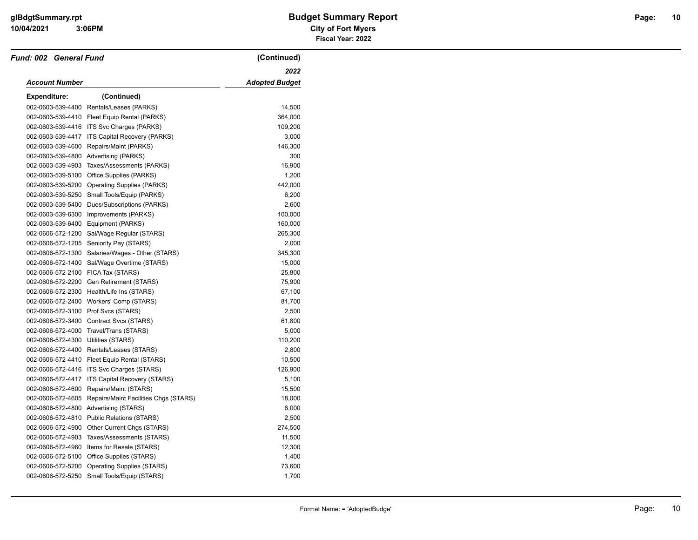| Fund: 002 General Fund              |                                              | (Continued)           |
|-------------------------------------|----------------------------------------------|-----------------------|
|                                     |                                              | 2022                  |
| Account Number                      |                                              | <b>Adopted Budget</b> |
| <b>Expenditure:</b>                 | (Continued)                                  |                       |
|                                     | 002-0603-539-4400 Rentals/Leases (PARKS)     | 14,500                |
| 002-0603-539-4410                   | Fleet Equip Rental (PARKS)                   | 364,000               |
|                                     | 002-0603-539-4416 ITS Svc Charges (PARKS)    | 109,200               |
| 002-0603-539-4417                   | ITS Capital Recovery (PARKS)                 | 3,000                 |
| 002-0603-539-4600                   | Repairs/Maint (PARKS)                        | 146,300               |
|                                     | 002-0603-539-4800 Advertising (PARKS)        | 300                   |
| 002-0603-539-4903                   | Taxes/Assessments (PARKS)                    | 16,900                |
| 002-0603-539-5100                   | Office Supplies (PARKS)                      | 1,200                 |
| 002-0603-539-5200                   | <b>Operating Supplies (PARKS)</b>            | 442,000               |
| 002-0603-539-5250                   | Small Tools/Equip (PARKS)                    | 6,200                 |
| 002-0603-539-5400                   | Dues/Subscriptions (PARKS)                   | 2,600                 |
| 002-0603-539-6300                   | Improvements (PARKS)                         | 100,000               |
|                                     | 002-0603-539-6400 Equipment (PARKS)          | 160,000               |
|                                     | 002-0606-572-1200 Sal/Wage Regular (STARS)   | 265,300               |
| 002-0606-572-1205                   | Seniority Pay (STARS)                        | 2,000                 |
| 002-0606-572-1300                   | Salaries/Wages - Other (STARS)               | 345,300               |
| 002-0606-572-1400                   | Sal/Wage Overtime (STARS)                    | 15,000                |
| 002-0606-572-2100 FICA Tax (STARS)  |                                              | 25,800                |
| 002-0606-572-2200                   | Gen Retirement (STARS)                       | 75,900                |
|                                     | 002-0606-572-2300 Health/Life Ins (STARS)    | 67,100                |
|                                     | 002-0606-572-2400 Workers' Comp (STARS)      | 81,700                |
| 002-0606-572-3100 Prof Svcs (STARS) |                                              | 2,500                 |
| 002-0606-572-3400                   | Contract Svcs (STARS)                        | 61,800                |
| 002-0606-572-4000                   | Travel/Trans (STARS)                         | 5,000                 |
| 002-0606-572-4300                   | Utilities (STARS)                            | 110,200               |
|                                     | 002-0606-572-4400 Rentals/Leases (STARS)     | 2,800                 |
|                                     | 002-0606-572-4410 Fleet Equip Rental (STARS) | 10,500                |
| 002-0606-572-4416                   | ITS Svc Charges (STARS)                      | 126,900               |
| 002-0606-572-4417                   | ITS Capital Recovery (STARS)                 | 5,100                 |
| 002-0606-572-4600                   | Repairs/Maint (STARS)                        | 15,500                |
| 002-0606-572-4605                   | Repairs/Maint Facilities Chgs (STARS)        | 18,000                |
| 002-0606-572-4800                   | Advertising (STARS)                          | 6,000                 |
| 002-0606-572-4810                   | <b>Public Relations (STARS)</b>              | 2,500                 |
| 002-0606-572-4900                   | Other Current Chgs (STARS)                   | 274,500               |
| 002-0606-572-4903                   | Taxes/Assessments (STARS)                    | 11,500                |
| 002-0606-572-4960                   | Items for Resale (STARS)                     | 12,300                |
|                                     | 002-0606-572-5100 Office Supplies (STARS)    | 1,400                 |
| 002-0606-572-5200                   | <b>Operating Supplies (STARS)</b>            | 73,600                |
|                                     | 002-0606-572-5250 Small Tools/Equip (STARS)  | 1,700                 |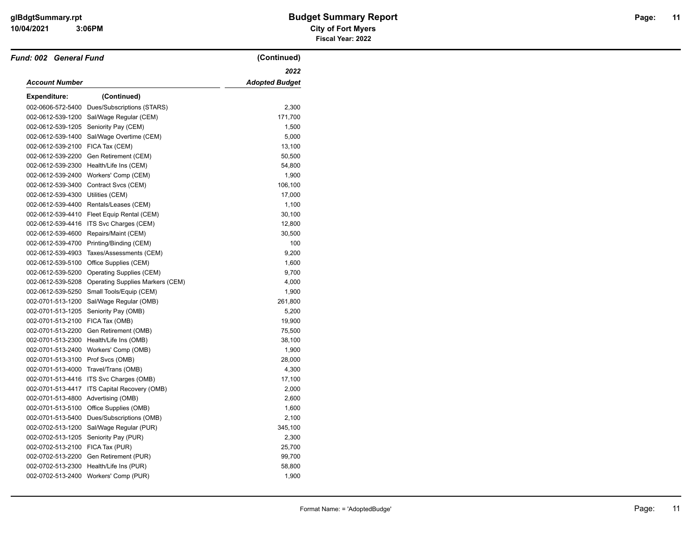| <b>Fund: 002 General Fund</b>       |                                                    | (Continued)           |
|-------------------------------------|----------------------------------------------------|-----------------------|
|                                     |                                                    | 2022                  |
| Account Number                      |                                                    | <b>Adopted Budget</b> |
| <b>Expenditure:</b>                 | (Continued)                                        |                       |
| 002-0606-572-5400                   | Dues/Subscriptions (STARS)                         | 2,300                 |
| 002-0612-539-1200                   | Sal/Wage Regular (CEM)                             | 171,700               |
| 002-0612-539-1205                   | Seniority Pay (CEM)                                | 1,500                 |
| 002-0612-539-1400                   | Sal/Wage Overtime (CEM)                            | 5,000                 |
| 002-0612-539-2100                   | FICA Tax (CEM)                                     | 13,100                |
| 002-0612-539-2200                   | Gen Retirement (CEM)                               | 50,500                |
| 002-0612-539-2300                   | Health/Life Ins (CEM)                              | 54,800                |
| 002-0612-539-2400                   | Workers' Comp (CEM)                                | 1,900                 |
| 002-0612-539-3400                   | Contract Svcs (CEM)                                | 106,100               |
| 002-0612-539-4300                   | Utilities (CEM)                                    | 17,000                |
| 002-0612-539-4400                   | Rentals/Leases (CEM)                               | 1,100                 |
|                                     | 002-0612-539-4410 Fleet Equip Rental (CEM)         | 30,100                |
| 002-0612-539-4416                   | ITS Svc Charges (CEM)                              | 12,800                |
| 002-0612-539-4600                   | Repairs/Maint (CEM)                                | 30,500                |
| 002-0612-539-4700                   | Printing/Binding (CEM)                             | 100                   |
| 002-0612-539-4903                   | Taxes/Assessments (CEM)                            | 9,200                 |
| 002-0612-539-5100                   | Office Supplies (CEM)                              | 1,600                 |
| 002-0612-539-5200                   | Operating Supplies (CEM)                           | 9,700                 |
|                                     | 002-0612-539-5208 Operating Supplies Markers (CEM) | 4,000                 |
| 002-0612-539-5250                   | Small Tools/Equip (CEM)                            | 1,900                 |
| 002-0701-513-1200                   | Sal/Wage Regular (OMB)                             | 261,800               |
| 002-0701-513-1205                   | Seniority Pay (OMB)                                | 5,200                 |
| 002-0701-513-2100 FICA Tax (OMB)    |                                                    | 19,900                |
| 002-0701-513-2200                   | Gen Retirement (OMB)                               | 75,500                |
|                                     | 002-0701-513-2300 Health/Life Ins (OMB)            | 38,100                |
| 002-0701-513-2400                   | Workers' Comp (OMB)                                | 1,900                 |
| 002-0701-513-3100 Prof Svcs (OMB)   |                                                    | 28,000                |
| 002-0701-513-4000                   | Travel/Trans (OMB)                                 | 4,300                 |
|                                     | 002-0701-513-4416 ITS Svc Charges (OMB)            | 17,100                |
| 002-0701-513-4417                   | ITS Capital Recovery (OMB)                         | 2,000                 |
| 002-0701-513-4800 Advertising (OMB) |                                                    | 2,600                 |
|                                     | 002-0701-513-5100 Office Supplies (OMB)            | 1,600                 |
| 002-0701-513-5400                   | Dues/Subscriptions (OMB)                           | 2,100                 |
| 002-0702-513-1200                   | Sal/Wage Regular (PUR)                             | 345,100               |
| 002-0702-513-1205                   | Seniority Pay (PUR)                                | 2,300                 |
| 002-0702-513-2100 FICA Tax (PUR)    |                                                    | 25,700                |
|                                     | 002-0702-513-2200 Gen Retirement (PUR)             | 99,700                |
| 002-0702-513-2300                   | Health/Life Ins (PUR)                              | 58,800                |
|                                     | 002-0702-513-2400 Workers' Comp (PUR)              | 1,900                 |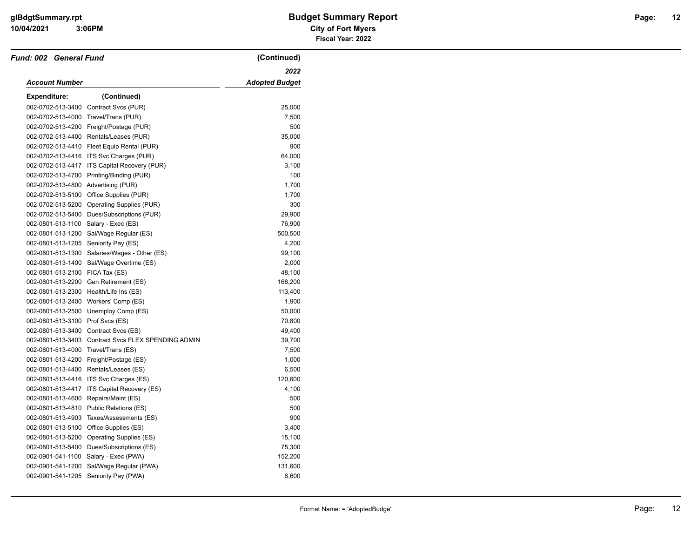| <b>Fund: 002 General Fund</b>       |                                                     | (Continued)    |
|-------------------------------------|-----------------------------------------------------|----------------|
|                                     |                                                     | 2022           |
| Account Number                      |                                                     | Adopted Budget |
| <b>Expenditure:</b>                 | (Continued)                                         |                |
| 002-0702-513-3400                   | Contract Svcs (PUR)                                 | 25,000         |
| 002-0702-513-4000                   | Travel/Trans (PUR)                                  | 7,500          |
| 002-0702-513-4200                   | Freight/Postage (PUR)                               | 500            |
|                                     | 002-0702-513-4400 Rentals/Leases (PUR)              | 35,000         |
|                                     | 002-0702-513-4410 Fleet Equip Rental (PUR)          | 900            |
| 002-0702-513-4416                   | ITS Svc Charges (PUR)                               | 64,000         |
| 002-0702-513-4417                   | ITS Capital Recovery (PUR)                          | 3,100          |
| 002-0702-513-4700                   | Printing/Binding (PUR)                              | 100            |
| 002-0702-513-4800 Advertising (PUR) |                                                     | 1,700          |
| 002-0702-513-5100                   | Office Supplies (PUR)                               | 1,700          |
| 002-0702-513-5200                   | Operating Supplies (PUR)                            | 300            |
|                                     | 002-0702-513-5400 Dues/Subscriptions (PUR)          | 29,900         |
| 002-0801-513-1100                   | Salary - Exec (ES)                                  | 76,900         |
| 002-0801-513-1200                   | Sal/Wage Regular (ES)                               | 500,500        |
| 002-0801-513-1205                   | Seniority Pay (ES)                                  | 4,200          |
| 002-0801-513-1300                   | Salaries/Wages - Other (ES)                         | 99,100         |
| 002-0801-513-1400                   | Sal/Wage Overtime (ES)                              | 2,000          |
| 002-0801-513-2100 FICA Tax (ES)     |                                                     | 48,100         |
|                                     | 002-0801-513-2200 Gen Retirement (ES)               | 168,200        |
| 002-0801-513-2300                   | Health/Life Ins (ES)                                | 113,400        |
| 002-0801-513-2400                   | Workers' Comp (ES)                                  | 1,900          |
|                                     | 002-0801-513-2500 Unemploy Comp (ES)                | 50,000         |
| 002-0801-513-3100 Prof Svcs (ES)    |                                                     | 70,800         |
| 002-0801-513-3400                   | Contract Svcs (ES)                                  | 49,400         |
|                                     | 002-0801-513-3403 Contract Svcs FLEX SPENDING ADMIN | 39,700         |
| 002-0801-513-4000                   | Travel/Trans (ES)                                   | 7,500          |
| 002-0801-513-4200                   | Freight/Postage (ES)                                | 1,000          |
|                                     | 002-0801-513-4400 Rentals/Leases (ES)               | 6,500          |
|                                     | 002-0801-513-4416 ITS Svc Charges (ES)              | 120,600        |
| 002-0801-513-4417                   | ITS Capital Recovery (ES)                           | 4,100          |
| 002-0801-513-4600                   | Repairs/Maint (ES)                                  | 500            |
| 002-0801-513-4810                   | Public Relations (ES)                               | 500            |
|                                     | 002-0801-513-4903 Taxes/Assessments (ES)            | 900            |
| 002-0801-513-5100                   | Office Supplies (ES)                                | 3,400          |
|                                     | 002-0801-513-5200 Operating Supplies (ES)           | 15,100         |
|                                     | 002-0801-513-5400 Dues/Subscriptions (ES)           | 75,300         |
| 002-0901-541-1100                   | Salary - Exec (PWA)                                 | 152,200        |
| 002-0901-541-1200                   | Sal/Wage Regular (PWA)                              | 131,600        |
|                                     | 002-0901-541-1205 Seniority Pay (PWA)               | 6,600          |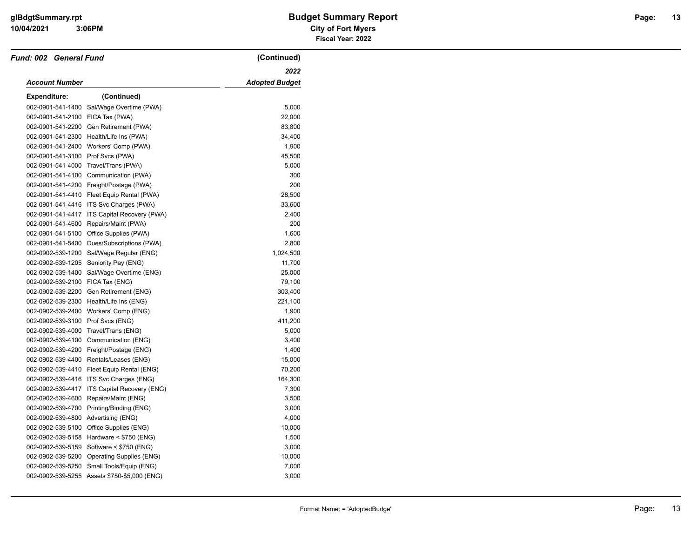| <b>Fund: 002 General Fund</b> |                                              | (Continued)           |
|-------------------------------|----------------------------------------------|-----------------------|
|                               |                                              | 2022                  |
| Account Number                |                                              | <b>Adopted Budget</b> |
| <b>Expenditure:</b>           | (Continued)                                  |                       |
| 002-0901-541-1400             | Sal/Wage Overtime (PWA)                      | 5,000                 |
| 002-0901-541-2100             | FICA Tax (PWA)                               | 22,000                |
| 002-0901-541-2200             | Gen Retirement (PWA)                         | 83,800                |
| 002-0901-541-2300             | Health/Life Ins (PWA)                        | 34,400                |
| 002-0901-541-2400             | Workers' Comp (PWA)                          | 1,900                 |
| 002-0901-541-3100             | Prof Svcs (PWA)                              | 45,500                |
| 002-0901-541-4000             | Travel/Trans (PWA)                           | 5,000                 |
| 002-0901-541-4100             | Communication (PWA)                          | 300                   |
| 002-0901-541-4200             | Freight/Postage (PWA)                        | 200                   |
| 002-0901-541-4410             | Fleet Equip Rental (PWA)                     | 28,500                |
| 002-0901-541-4416             | ITS Svc Charges (PWA)                        | 33,600                |
| 002-0901-541-4417             | ITS Capital Recovery (PWA)                   | 2,400                 |
| 002-0901-541-4600             | Repairs/Maint (PWA)                          | 200                   |
| 002-0901-541-5100             | Office Supplies (PWA)                        | 1,600                 |
| 002-0901-541-5400             | Dues/Subscriptions (PWA)                     | 2,800                 |
| 002-0902-539-1200             | Sal/Wage Regular (ENG)                       | 1,024,500             |
| 002-0902-539-1205             | Seniority Pay (ENG)                          | 11,700                |
| 002-0902-539-1400             | Sal/Wage Overtime (ENG)                      | 25,000                |
| 002-0902-539-2100             | FICA Tax (ENG)                               | 79,100                |
| 002-0902-539-2200             | Gen Retirement (ENG)                         | 303,400               |
| 002-0902-539-2300             | Health/Life Ins (ENG)                        | 221,100               |
| 002-0902-539-2400             | Workers' Comp (ENG)                          | 1,900                 |
| 002-0902-539-3100             | Prof Svcs (ENG)                              | 411,200               |
| 002-0902-539-4000             | Travel/Trans (ENG)                           | 5,000                 |
| 002-0902-539-4100             | Communication (ENG)                          | 3,400                 |
| 002-0902-539-4200             | Freight/Postage (ENG)                        | 1,400                 |
| 002-0902-539-4400             | Rentals/Leases (ENG)                         | 15,000                |
| 002-0902-539-4410             | Fleet Equip Rental (ENG)                     | 70,200                |
| 002-0902-539-4416             | ITS Svc Charges (ENG)                        | 164,300               |
| 002-0902-539-4417             | ITS Capital Recovery (ENG)                   | 7,300                 |
| 002-0902-539-4600             | Repairs/Maint (ENG)                          | 3,500                 |
| 002-0902-539-4700             | Printing/Binding (ENG)                       | 3,000                 |
| 002-0902-539-4800             | Advertising (ENG)                            | 4,000                 |
| 002-0902-539-5100             | Office Supplies (ENG)                        | 10,000                |
| 002-0902-539-5158             | Hardware < \$750 (ENG)                       | 1,500                 |
| 002-0902-539-5159             | Software < \$750 (ENG)                       | 3,000                 |
| 002-0902-539-5200             | <b>Operating Supplies (ENG)</b>              | 10,000                |
| 002-0902-539-5250             | Small Tools/Equip (ENG)                      | 7,000                 |
|                               | 002-0902-539-5255 Assets \$750-\$5,000 (ENG) | 3,000                 |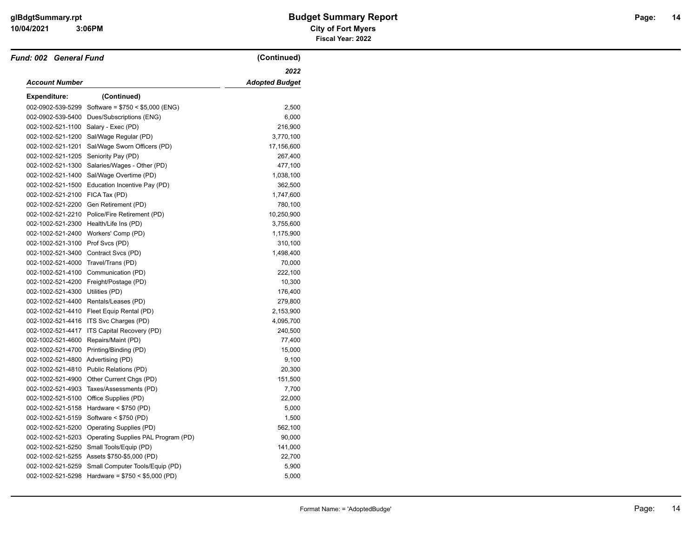| Fund: 002 General Fund             |                                                   | (Continued)           |
|------------------------------------|---------------------------------------------------|-----------------------|
|                                    |                                                   | 2022                  |
| Account Number                     |                                                   | <b>Adopted Budget</b> |
| <b>Expenditure:</b>                | (Continued)                                       |                       |
| 002-0902-539-5299                  | Software = $$750 < $5,000$ (ENG)                  | 2,500                 |
| 002-0902-539-5400                  | Dues/Subscriptions (ENG)                          | 6,000                 |
| 002-1002-521-1100                  | Salary - Exec (PD)                                | 216,900               |
| 002-1002-521-1200                  | Sal/Wage Regular (PD)                             | 3,770,100             |
| 002-1002-521-1201                  | Sal/Wage Sworn Officers (PD)                      | 17,156,600            |
| 002-1002-521-1205                  | Seniority Pay (PD)                                | 267,400               |
| 002-1002-521-1300                  | Salaries/Wages - Other (PD)                       | 477,100               |
| 002-1002-521-1400                  | Sal/Wage Overtime (PD)                            | 1,038,100             |
| 002-1002-521-1500                  | Education Incentive Pay (PD)                      | 362,500               |
| 002-1002-521-2100                  | FICA Tax (PD)                                     | 1,747,600             |
| 002-1002-521-2200                  | Gen Retirement (PD)                               | 780,100               |
| 002-1002-521-2210                  | Police/Fire Retirement (PD)                       | 10,250,900            |
|                                    | 002-1002-521-2300 Health/Life Ins (PD)            | 3,755,600             |
| 002-1002-521-2400                  | Workers' Comp (PD)                                | 1,175,900             |
| 002-1002-521-3100                  | Prof Svcs (PD)                                    | 310,100               |
| 002-1002-521-3400                  | Contract Svcs (PD)                                | 1,498,400             |
| 002-1002-521-4000                  | Travel/Trans (PD)                                 | 70,000                |
| 002-1002-521-4100                  | Communication (PD)                                | 222,100               |
| 002-1002-521-4200                  | Freight/Postage (PD)                              | 10,300                |
| 002-1002-521-4300                  | Utilities (PD)                                    | 176,400               |
| 002-1002-521-4400                  | Rentals/Leases (PD)                               | 279,800               |
|                                    | 002-1002-521-4410 Fleet Equip Rental (PD)         | 2,153,900             |
| 002-1002-521-4416                  | ITS Svc Charges (PD)                              | 4,095,700             |
| 002-1002-521-4417                  | ITS Capital Recovery (PD)                         | 240,500               |
| 002-1002-521-4600                  | Repairs/Maint (PD)                                | 77,400                |
| 002-1002-521-4700                  | Printing/Binding (PD)                             | 15,000                |
| 002-1002-521-4800 Advertising (PD) |                                                   | 9,100                 |
| 002-1002-521-4810                  | Public Relations (PD)                             | 20,300                |
| 002-1002-521-4900                  | Other Current Chgs (PD)                           | 151,500               |
| 002-1002-521-4903                  | Taxes/Assessments (PD)                            | 7,700                 |
| 002-1002-521-5100                  | Office Supplies (PD)                              | 22,000                |
| 002-1002-521-5158                  | Hardware $<$ \$750 (PD)                           | 5,000                 |
| 002-1002-521-5159                  | Software < \$750 (PD)                             | 1,500                 |
| 002-1002-521-5200                  | Operating Supplies (PD)                           | 562,100               |
| 002-1002-521-5203                  | Operating Supplies PAL Program (PD)               | 90,000                |
| 002-1002-521-5250                  | Small Tools/Equip (PD)                            | 141,000               |
|                                    | 002-1002-521-5255 Assets \$750-\$5,000 (PD)       | 22,700                |
| 002-1002-521-5259                  | Small Computer Tools/Equip (PD)                   | 5,900                 |
|                                    | 002-1002-521-5298 Hardware = $$750 < $5,000$ (PD) | 5,000                 |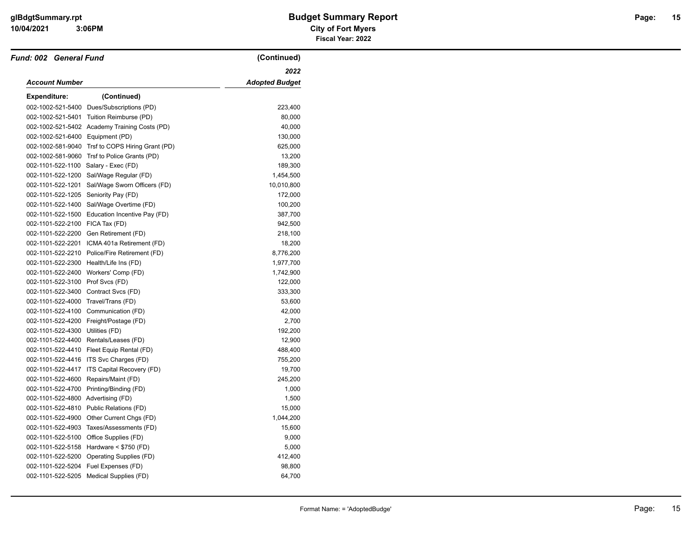| <b>Fund: 002 General Fund</b>      |                                                  | (Continued)           |
|------------------------------------|--------------------------------------------------|-----------------------|
|                                    |                                                  | 2022                  |
| <b>Account Number</b>              |                                                  | <b>Adopted Budget</b> |
| <b>Expenditure:</b>                | (Continued)                                      |                       |
|                                    | 002-1002-521-5400 Dues/Subscriptions (PD)        | 223,400               |
| 002-1002-521-5401                  | Tuition Reimburse (PD)                           | 80,000                |
|                                    | 002-1002-521-5402 Academy Training Costs (PD)    | 40,000                |
| 002-1002-521-6400 Equipment (PD)   |                                                  | 130,000               |
|                                    | 002-1002-581-9040 Trsf to COPS Hiring Grant (PD) | 625,000               |
| 002-1002-581-9060                  | Trsf to Police Grants (PD)                       | 13,200                |
| 002-1101-522-1100                  | Salary - Exec (FD)                               | 189,300               |
| 002-1101-522-1200                  | Sal/Wage Regular (FD)                            | 1,454,500             |
| 002-1101-522-1201                  | Sal/Wage Sworn Officers (FD)                     | 10,010,800            |
| 002-1101-522-1205                  | Seniority Pay (FD)                               | 172,000               |
| 002-1101-522-1400                  | Sal/Wage Overtime (FD)                           | 100,200               |
| 002-1101-522-1500                  | Education Incentive Pay (FD)                     | 387,700               |
| 002-1101-522-2100 FICA Tax (FD)    |                                                  | 942,500               |
|                                    | 002-1101-522-2200 Gen Retirement (FD)            | 218,100               |
| 002-1101-522-2201                  | ICMA 401a Retirement (FD)                        | 18,200                |
|                                    | 002-1101-522-2210 Police/Fire Retirement (FD)    | 8,776,200             |
|                                    | 002-1101-522-2300 Health/Life Ins (FD)           | 1,977,700             |
|                                    | 002-1101-522-2400 Workers' Comp (FD)             | 1,742,900             |
| 002-1101-522-3100 Prof Svcs (FD)   |                                                  | 122,000               |
| 002-1101-522-3400                  | Contract Svcs (FD)                               | 333,300               |
| 002-1101-522-4000                  | Travel/Trans (FD)                                | 53,600                |
| 002-1101-522-4100                  | Communication (FD)                               | 42,000                |
|                                    | 002-1101-522-4200 Freight/Postage (FD)           | 2,700                 |
| 002-1101-522-4300                  | Utilities (FD)                                   | 192,200               |
|                                    | 002-1101-522-4400 Rentals/Leases (FD)            | 12,900                |
|                                    | 002-1101-522-4410 Fleet Equip Rental (FD)        | 488,400               |
| 002-1101-522-4416                  | ITS Svc Charges (FD)                             | 755,200               |
| 002-1101-522-4417                  | ITS Capital Recovery (FD)                        | 19,700                |
| 002-1101-522-4600                  | Repairs/Maint (FD)                               | 245,200               |
|                                    | 002-1101-522-4700 Printing/Binding (FD)          | 1,000                 |
| 002-1101-522-4800 Advertising (FD) |                                                  | 1,500                 |
| 002-1101-522-4810                  | Public Relations (FD)                            | 15,000                |
|                                    | 002-1101-522-4900 Other Current Chgs (FD)        | 1,044,200             |
|                                    | 002-1101-522-4903 Taxes/Assessments (FD)         | 15,600                |
| 002-1101-522-5100                  | Office Supplies (FD)                             | 9,000                 |
|                                    | 002-1101-522-5158 Hardware < \$750 (FD)          | 5,000                 |
| 002-1101-522-5200                  | Operating Supplies (FD)                          | 412,400               |
| 002-1101-522-5204                  | Fuel Expenses (FD)                               | 98,800                |
|                                    | 002-1101-522-5205 Medical Supplies (FD)          | 64,700                |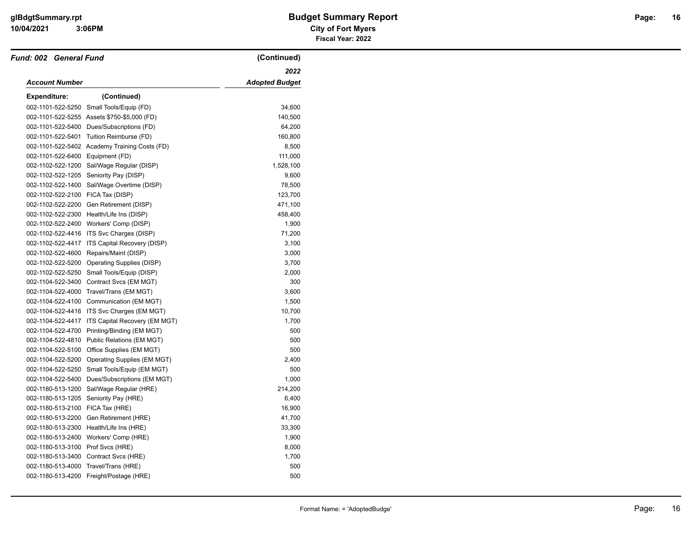| <b>Fund: 002 General Fund</b>     |                                               | (Continued)           |
|-----------------------------------|-----------------------------------------------|-----------------------|
|                                   |                                               | 2022                  |
| Account Number                    |                                               | <b>Adopted Budget</b> |
| <b>Expenditure:</b>               | (Continued)                                   |                       |
| 002-1101-522-5250                 | Small Tools/Equip (FD)                        | 34,600                |
|                                   | 002-1101-522-5255 Assets \$750-\$5,000 (FD)   | 140,500               |
| 002-1101-522-5400                 | Dues/Subscriptions (FD)                       | 64,200                |
| 002-1101-522-5401                 | Tuition Reimburse (FD)                        | 160,800               |
|                                   | 002-1101-522-5402 Academy Training Costs (FD) | 8,500                 |
| 002-1101-522-6400                 | Equipment (FD)                                | 111,000               |
| 002-1102-522-1200                 | Sal/Wage Regular (DISP)                       | 1,528,100             |
| 002-1102-522-1205                 | Seniority Pay (DISP)                          | 9,600                 |
| 002-1102-522-1400                 | Sal/Wage Overtime (DISP)                      | 78,500                |
| 002-1102-522-2100 FICA Tax (DISP) |                                               | 123,700               |
| 002-1102-522-2200                 | Gen Retirement (DISP)                         | 471,100               |
|                                   | 002-1102-522-2300 Health/Life Ins (DISP)      | 458,400               |
|                                   | 002-1102-522-2400 Workers' Comp (DISP)        | 1,900                 |
|                                   | 002-1102-522-4416 ITS Svc Charges (DISP)      | 71,200                |
| 002-1102-522-4417                 | <b>ITS Capital Recovery (DISP)</b>            | 3,100                 |
| 002-1102-522-4600                 | Repairs/Maint (DISP)                          | 3,000                 |
| 002-1102-522-5200                 | Operating Supplies (DISP)                     | 3,700                 |
| 002-1102-522-5250                 | Small Tools/Equip (DISP)                      | 2,000                 |
| 002-1104-522-3400                 | Contract Svcs (EM MGT)                        | 300                   |
| 002-1104-522-4000                 | Travel/Trans (EM MGT)                         | 3,600                 |
| 002-1104-522-4100                 | Communication (EM MGT)                        | 1,500                 |
|                                   | 002-1104-522-4416 ITS Svc Charges (EM MGT)    | 10,700                |
| 002-1104-522-4417                 | ITS Capital Recovery (EM MGT)                 | 1,700                 |
|                                   | 002-1104-522-4700 Printing/Binding (EM MGT)   | 500                   |
| 002-1104-522-4810                 | Public Relations (EM MGT)                     | 500                   |
| 002-1104-522-5100                 | Office Supplies (EM MGT)                      | 500                   |
| 002-1104-522-5200                 | Operating Supplies (EM MGT)                   | 2,400                 |
| 002-1104-522-5250                 | Small Tools/Equip (EM MGT)                    | 500                   |
| 002-1104-522-5400                 | Dues/Subscriptions (EM MGT)                   | 1,000                 |
| 002-1180-513-1200                 | Sal/Wage Regular (HRE)                        | 214,200               |
| 002-1180-513-1205                 | Seniority Pay (HRE)                           | 6,400                 |
| 002-1180-513-2100                 | FICA Tax (HRE)                                | 16,900                |
| 002-1180-513-2200                 | Gen Retirement (HRE)                          | 41,700                |
| 002-1180-513-2300                 | Health/Life Ins (HRE)                         | 33,300                |
| 002-1180-513-2400                 | Workers' Comp (HRE)                           | 1,900                 |
| 002-1180-513-3100 Prof Svcs (HRE) |                                               | 8,000                 |
| 002-1180-513-3400                 | Contract Svcs (HRE)                           | 1,700                 |
| 002-1180-513-4000                 | Travel/Trans (HRE)                            | 500                   |
|                                   | 002-1180-513-4200 Freight/Postage (HRE)       | 500                   |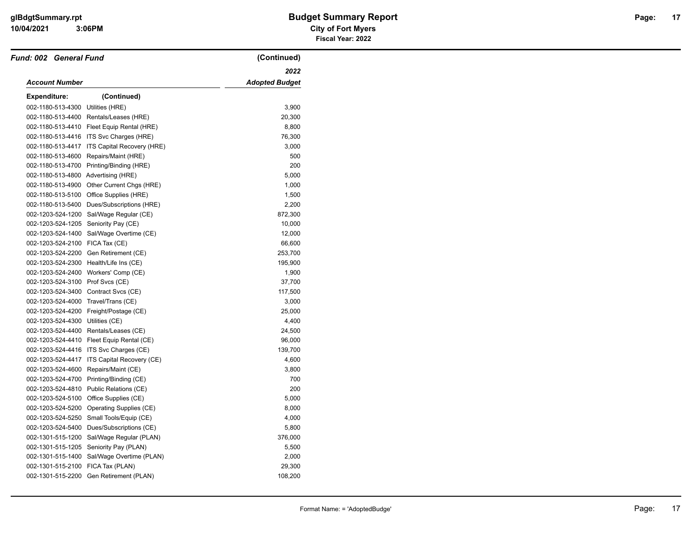#### **10/04/2021 City of Fort Myers glBdgtSummary.rpt Budget Summary Report Page: Fiscal Year: 2022**

| <b>Fund: 002 General Fund</b>        |                                            | (Continued)           |
|--------------------------------------|--------------------------------------------|-----------------------|
|                                      |                                            | 2022                  |
| <b>Account Number</b>                |                                            | <b>Adopted Budget</b> |
| Expenditure:                         | (Continued)                                |                       |
| 002-1180-513-4300                    | Utilities (HRE)                            | 3,900                 |
| 002-1180-513-4400                    | Rentals/Leases (HRE)                       | 20,300                |
|                                      | 002-1180-513-4410 Fleet Equip Rental (HRE) | 8,800                 |
| 002-1180-513-4416                    | ITS Svc Charges (HRE)                      | 76,300                |
| 002-1180-513-4417                    | ITS Capital Recovery (HRE)                 | 3,000                 |
| 002-1180-513-4600                    | Repairs/Maint (HRE)                        | 500                   |
| 002-1180-513-4700                    | Printing/Binding (HRE)                     | 200                   |
| 002-1180-513-4800 Advertising (HRE)  |                                            | 5,000                 |
| 002-1180-513-4900                    | Other Current Chgs (HRE)                   | 1,000                 |
| 002-1180-513-5100                    | Office Supplies (HRE)                      | 1,500                 |
| 002-1180-513-5400                    | Dues/Subscriptions (HRE)                   | 2,200                 |
| 002-1203-524-1200                    | Sal/Wage Regular (CE)                      | 872,300               |
| 002-1203-524-1205 Seniority Pay (CE) |                                            | 10,000                |
|                                      | 002-1203-524-1400 Sal/Wage Overtime (CE)   | 12,000                |
| 002-1203-524-2100 FICA Tax (CE)      |                                            | 66,600                |
| 002-1203-524-2200                    | Gen Retirement (CE)                        | 253,700               |
|                                      | 002-1203-524-2300 Health/Life Ins (CE)     | 195,900               |
|                                      | 002-1203-524-2400 Workers' Comp (CE)       | 1,900                 |
| 002-1203-524-3100 Prof Svcs (CE)     |                                            | 37,700                |
|                                      | 002-1203-524-3400 Contract Svcs (CE)       | 117,500               |
| 002-1203-524-4000                    | Travel/Trans (CE)                          | 3,000                 |
| 002-1203-524-4200                    | Freight/Postage (CE)                       | 25,000                |
| 002-1203-524-4300                    | Utilities (CE)                             | 4,400                 |
|                                      | 002-1203-524-4400 Rentals/Leases (CE)      | 24,500                |
|                                      | 002-1203-524-4410 Fleet Equip Rental (CE)  | 96,000                |
|                                      | 002-1203-524-4416 ITS Svc Charges (CE)     | 139,700               |
| 002-1203-524-4417                    | ITS Capital Recovery (CE)                  | 4,600                 |
| 002-1203-524-4600                    | Repairs/Maint (CE)                         | 3,800                 |
| 002-1203-524-4700                    | Printing/Binding (CE)                      | 700                   |
| 002-1203-524-4810                    | Public Relations (CE)                      | 200                   |
|                                      | 002-1203-524-5100 Office Supplies (CE)     | 5,000                 |
| 002-1203-524-5200                    | Operating Supplies (CE)                    | 8,000                 |
| 002-1203-524-5250                    | Small Tools/Equip (CE)                     | 4,000                 |
| 002-1203-524-5400                    | Dues/Subscriptions (CE)                    | 5,800                 |
| 002-1301-515-1200                    | Sal/Wage Regular (PLAN)                    | 376,000               |
| 002-1301-515-1205                    | Seniority Pay (PLAN)                       | 5,500                 |
| 002-1301-515-1400                    | Sal/Wage Overtime (PLAN)                   | 2,000                 |
| 002-1301-515-2100                    | FICA Tax (PLAN)                            | 29,300                |
|                                      | 002-1301-515-2200 Gen Retirement (PLAN)    | 108,200               |

**17**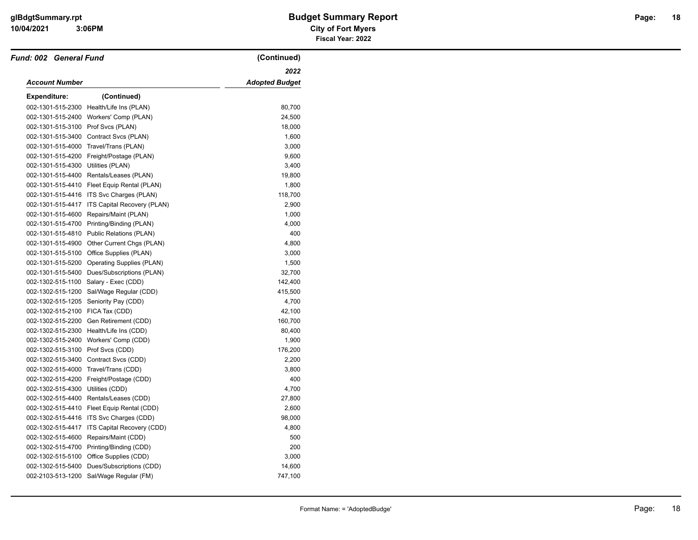$\overline{\phantom{0}}$ 

#### **3:06PM**

| Fund: 002 General Fund               |                                              | (Continued)           |
|--------------------------------------|----------------------------------------------|-----------------------|
|                                      |                                              | 2022                  |
| <b>Account Number</b>                |                                              | <b>Adopted Budget</b> |
| <b>Expenditure:</b>                  | (Continued)                                  |                       |
|                                      | 002-1301-515-2300 Health/Life Ins (PLAN)     | 80,700                |
|                                      | 002-1301-515-2400 Workers' Comp (PLAN)       | 24,500                |
| 002-1301-515-3100                    | Prof Svcs (PLAN)                             | 18,000                |
|                                      | 002-1301-515-3400 Contract Svcs (PLAN)       | 1,600                 |
| 002-1301-515-4000                    | Travel/Trans (PLAN)                          | 3,000                 |
| 002-1301-515-4200                    | Freight/Postage (PLAN)                       | 9,600                 |
| 002-1301-515-4300 Utilities (PLAN)   |                                              | 3,400                 |
|                                      | 002-1301-515-4400 Rentals/Leases (PLAN)      | 19,800                |
| 002-1301-515-4410                    | Fleet Equip Rental (PLAN)                    | 1,800                 |
|                                      | 002-1301-515-4416 ITS Svc Charges (PLAN)     | 118,700               |
| 002-1301-515-4417                    | ITS Capital Recovery (PLAN)                  | 2,900                 |
| 002-1301-515-4600                    | Repairs/Maint (PLAN)                         | 1,000                 |
|                                      | 002-1301-515-4700 Printing/Binding (PLAN)    | 4,000                 |
| 002-1301-515-4810                    | Public Relations (PLAN)                      | 400                   |
| 002-1301-515-4900                    | Other Current Chgs (PLAN)                    | 4,800                 |
|                                      | 002-1301-515-5100 Office Supplies (PLAN)     | 3,000                 |
|                                      | 002-1301-515-5200 Operating Supplies (PLAN)  | 1,500                 |
|                                      | 002-1301-515-5400 Dues/Subscriptions (PLAN)  | 32,700                |
| 002-1302-515-1100                    | Salary - Exec (CDD)                          | 142,400               |
| 002-1302-515-1200                    | Sal/Wage Regular (CDD)                       | 415,500               |
| 002-1302-515-1205                    | Seniority Pay (CDD)                          | 4,700                 |
| 002-1302-515-2100 FICA Tax (CDD)     |                                              | 42,100                |
| 002-1302-515-2200                    | Gen Retirement (CDD)                         | 160,700               |
|                                      | 002-1302-515-2300 Health/Life Ins (CDD)      | 80,400                |
|                                      | 002-1302-515-2400 Workers' Comp (CDD)        | 1,900                 |
| 002-1302-515-3100                    | Prof Svcs (CDD)                              | 176,200               |
|                                      | 002-1302-515-3400 Contract Svcs (CDD)        | 2,200                 |
| 002-1302-515-4000 Travel/Trans (CDD) |                                              | 3,800                 |
| 002-1302-515-4200                    | Freight/Postage (CDD)                        | 400                   |
| 002-1302-515-4300 Utilities (CDD)    |                                              | 4,700                 |
|                                      | 002-1302-515-4400 Rentals/Leases (CDD)       | 27,800                |
| 002-1302-515-4410                    | Fleet Equip Rental (CDD)                     | 2,600                 |
|                                      | 002-1302-515-4416 ITS Svc Charges (CDD)      | 98,000                |
|                                      | 002-1302-515-4417 ITS Capital Recovery (CDD) | 4,800                 |
| 002-1302-515-4600                    | Repairs/Maint (CDD)                          | 500                   |
|                                      | 002-1302-515-4700 Printing/Binding (CDD)     | 200                   |
|                                      | 002-1302-515-5100 Office Supplies (CDD)      | 3,000                 |
| 002-1302-515-5400                    | Dues/Subscriptions (CDD)                     | 14,600                |
| 002-2103-513-1200                    | Sal/Wage Regular (FM)                        | 747,100               |
|                                      |                                              |                       |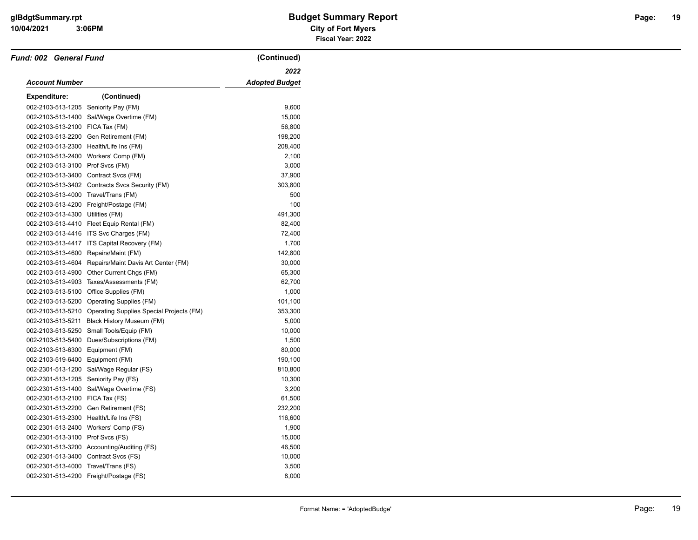| Fund: 002 General Fund               |                                                            | (Continued)           |
|--------------------------------------|------------------------------------------------------------|-----------------------|
|                                      |                                                            | 2022                  |
| <b>Account Number</b>                |                                                            | <b>Adopted Budget</b> |
| <b>Expenditure:</b>                  | (Continued)                                                |                       |
| 002-2103-513-1205 Seniority Pay (FM) |                                                            | 9,600                 |
| 002-2103-513-1400                    | Sal/Wage Overtime (FM)                                     | 15,000                |
| 002-2103-513-2100 FICA Tax (FM)      |                                                            | 56,800                |
|                                      | 002-2103-513-2200 Gen Retirement (FM)                      | 198,200               |
| 002-2103-513-2300                    | Health/Life Ins (FM)                                       | 208,400               |
|                                      | 002-2103-513-2400 Workers' Comp (FM)                       | 2,100                 |
| 002-2103-513-3100 Prof Svcs (FM)     |                                                            | 3,000                 |
|                                      | 002-2103-513-3400 Contract Svcs (FM)                       | 37,900                |
|                                      | 002-2103-513-3402 Contracts Svcs Security (FM)             | 303,800               |
| 002-2103-513-4000                    | Travel/Trans (FM)                                          | 500                   |
|                                      | 002-2103-513-4200 Freight/Postage (FM)                     | 100                   |
| 002-2103-513-4300 Utilities (FM)     |                                                            | 491,300               |
|                                      | 002-2103-513-4410 Fleet Equip Rental (FM)                  | 82,400                |
|                                      | 002-2103-513-4416 ITS Svc Charges (FM)                     | 72,400                |
|                                      | 002-2103-513-4417 ITS Capital Recovery (FM)                | 1,700                 |
| 002-2103-513-4600                    | Repairs/Maint (FM)                                         | 142,800               |
| 002-2103-513-4604                    | Repairs/Maint Davis Art Center (FM)                        | 30,000                |
|                                      | 002-2103-513-4900 Other Current Chgs (FM)                  | 65,300                |
|                                      | 002-2103-513-4903 Taxes/Assessments (FM)                   | 62,700                |
|                                      | 002-2103-513-5100 Office Supplies (FM)                     | 1,000                 |
|                                      | 002-2103-513-5200 Operating Supplies (FM)                  | 101,100               |
|                                      | 002-2103-513-5210 Operating Supplies Special Projects (FM) | 353,300               |
| 002-2103-513-5211                    | Black History Museum (FM)                                  | 5,000                 |
|                                      | 002-2103-513-5250 Small Tools/Equip (FM)                   | 10,000                |
| 002-2103-513-5400                    | Dues/Subscriptions (FM)                                    | 1,500                 |
| 002-2103-513-6300 Equipment (FM)     |                                                            | 80,000                |
| 002-2103-519-6400                    | Equipment (FM)                                             | 190,100               |
| 002-2301-513-1200                    | Sal/Wage Regular (FS)                                      | 810,800               |
| 002-2301-513-1205 Seniority Pay (FS) |                                                            | 10,300                |
|                                      | 002-2301-513-1400 Sal/Wage Overtime (FS)                   | 3,200                 |
| 002-2301-513-2100 FICA Tax (FS)      |                                                            | 61,500                |
| 002-2301-513-2200                    | Gen Retirement (FS)                                        | 232,200               |
|                                      | 002-2301-513-2300 Health/Life Ins (FS)                     | 116,600               |
|                                      | 002-2301-513-2400 Workers' Comp (FS)                       | 1,900                 |
| 002-2301-513-3100 Prof Svcs (FS)     |                                                            | 15,000                |
|                                      | 002-2301-513-3200 Accounting/Auditing (FS)                 | 46,500                |
| 002-2301-513-3400 Contract Svcs (FS) |                                                            | 10,000                |
| 002-2301-513-4000                    | Travel/Trans (FS)                                          | 3,500                 |
|                                      | 002-2301-513-4200 Freight/Postage (FS)                     | 8,000                 |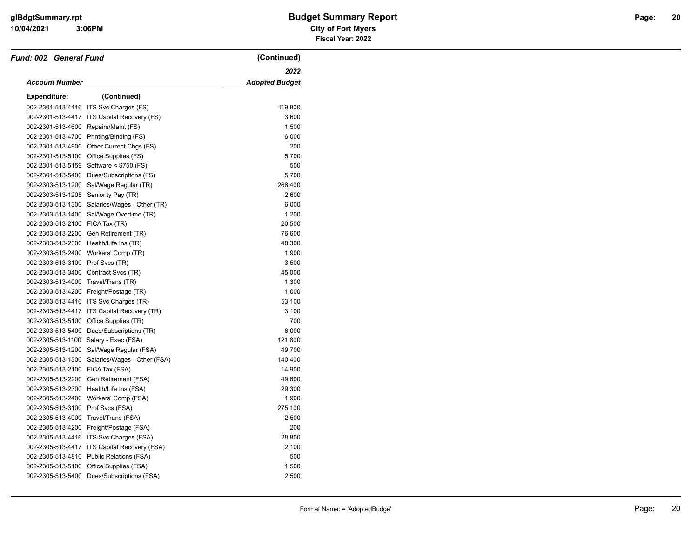| Fund: 002 General Fund               |                                            | (Continued)           |
|--------------------------------------|--------------------------------------------|-----------------------|
|                                      |                                            | 2022                  |
| Account Number                       |                                            | <b>Adopted Budget</b> |
| <b>Expenditure:</b>                  | (Continued)                                |                       |
| 002-2301-513-4416                    | ITS Svc Charges (FS)                       | 119,800               |
| 002-2301-513-4417                    | ITS Capital Recovery (FS)                  | 3,600                 |
| 002-2301-513-4600                    | Repairs/Maint (FS)                         | 1,500                 |
| 002-2301-513-4700                    | Printing/Binding (FS)                      | 6,000                 |
| 002-2301-513-4900                    | Other Current Chgs (FS)                    | 200                   |
| 002-2301-513-5100                    | Office Supplies (FS)                       | 5,700                 |
| 002-2301-513-5159                    | Software $<$ \$750 (FS)                    | 500                   |
| 002-2301-513-5400                    | Dues/Subscriptions (FS)                    | 5,700                 |
| 002-2303-513-1200                    | Sal/Wage Regular (TR)                      | 268,400               |
| 002-2303-513-1205                    | Seniority Pay (TR)                         | 2,600                 |
| 002-2303-513-1300                    | Salaries/Wages - Other (TR)                | 6,000                 |
| 002-2303-513-1400                    | Sal/Wage Overtime (TR)                     | 1,200                 |
| 002-2303-513-2100 FICA Tax (TR)      |                                            | 20,500                |
| 002-2303-513-2200                    | Gen Retirement (TR)                        | 76,600                |
| 002-2303-513-2300                    | Health/Life Ins (TR)                       | 48,300                |
| 002-2303-513-2400                    | Workers' Comp (TR)                         | 1,900                 |
| 002-2303-513-3100                    | Prof Svcs (TR)                             | 3,500                 |
| 002-2303-513-3400 Contract Svcs (TR) |                                            | 45,000                |
| 002-2303-513-4000 Travel/Trans (TR)  |                                            | 1,300                 |
|                                      | 002-2303-513-4200 Freight/Postage (TR)     | 1,000                 |
| 002-2303-513-4416                    | ITS Svc Charges (TR)                       | 53,100                |
| 002-2303-513-4417                    | ITS Capital Recovery (TR)                  | 3,100                 |
| 002-2303-513-5100                    | Office Supplies (TR)                       | 700                   |
| 002-2303-513-5400                    | Dues/Subscriptions (TR)                    | 6,000                 |
| 002-2305-513-1100                    | Salary - Exec (FSA)                        | 121,800               |
| 002-2305-513-1200                    | Sal/Wage Regular (FSA)                     | 49,700                |
| 002-2305-513-1300                    | Salaries/Wages - Other (FSA)               | 140,400               |
| 002-2305-513-2100                    | FICA Tax (FSA)                             | 14,900                |
| 002-2305-513-2200                    | Gen Retirement (FSA)                       | 49,600                |
|                                      | 002-2305-513-2300 Health/Life Ins (FSA)    | 29,300                |
| 002-2305-513-2400                    | Workers' Comp (FSA)                        | 1,900                 |
| 002-2305-513-3100                    | Prof Svcs (FSA)                            | 275,100               |
| 002-2305-513-4000                    | Travel/Trans (FSA)                         | 2,500                 |
|                                      | 002-2305-513-4200 Freight/Postage (FSA)    | 200                   |
|                                      | 002-2305-513-4416 ITS Svc Charges (FSA)    | 28,800                |
| 002-2305-513-4417                    | ITS Capital Recovery (FSA)                 | 2,100                 |
|                                      | 002-2305-513-4810 Public Relations (FSA)   | 500                   |
| 002-2305-513-5100                    | Office Supplies (FSA)                      | 1,500                 |
|                                      | 002-2305-513-5400 Dues/Subscriptions (FSA) | 2,500                 |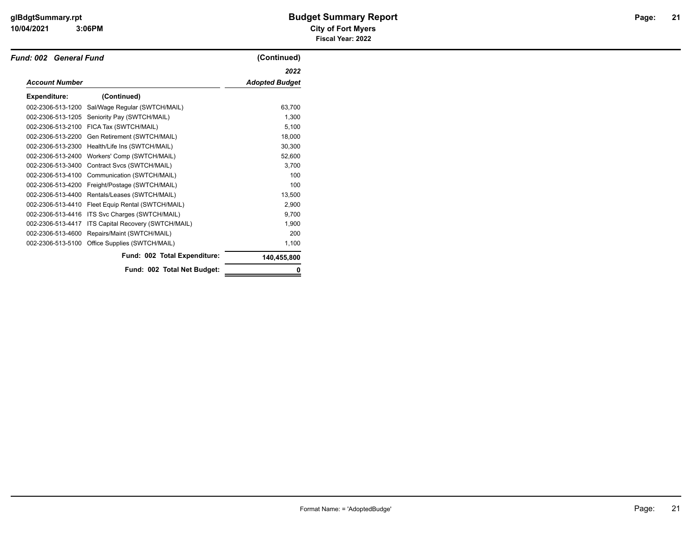|                       | Fund: 002 General Fund            |                       |
|-----------------------|-----------------------------------|-----------------------|
|                       |                                   | 2022                  |
| <b>Account Number</b> |                                   | <b>Adopted Budget</b> |
| <b>Expenditure:</b>   | (Continued)                       |                       |
| 002-2306-513-1200     | Sal/Wage Regular (SWTCH/MAIL)     | 63,700                |
| 002-2306-513-1205     | Seniority Pay (SWTCH/MAIL)        | 1,300                 |
| 002-2306-513-2100     | FICA Tax (SWTCH/MAIL)             | 5,100                 |
| 002-2306-513-2200     | Gen Retirement (SWTCH/MAIL)       | 18,000                |
| 002-2306-513-2300     | Health/Life Ins (SWTCH/MAIL)      | 30,300                |
| 002-2306-513-2400     | Workers' Comp (SWTCH/MAIL)        | 52,600                |
| 002-2306-513-3400     | Contract Svcs (SWTCH/MAIL)        | 3,700                 |
| 002-2306-513-4100     | Communication (SWTCH/MAIL)        | 100                   |
| 002-2306-513-4200     | Freight/Postage (SWTCH/MAIL)      | 100                   |
| 002-2306-513-4400     | Rentals/Leases (SWTCH/MAIL)       | 13,500                |
| 002-2306-513-4410     | Fleet Equip Rental (SWTCH/MAIL)   | 2,900                 |
| 002-2306-513-4416     | ITS Svc Charges (SWTCH/MAIL)      | 9,700                 |
| 002-2306-513-4417     | ITS Capital Recovery (SWTCH/MAIL) | 1,900                 |
| 002-2306-513-4600     | Repairs/Maint (SWTCH/MAIL)        | 200                   |
| 002-2306-513-5100     | Office Supplies (SWTCH/MAIL)      | 1,100                 |
|                       | Fund: 002 Total Expenditure:      | 140,455,800           |
|                       | Fund: 002 Total Net Budget:       | 0                     |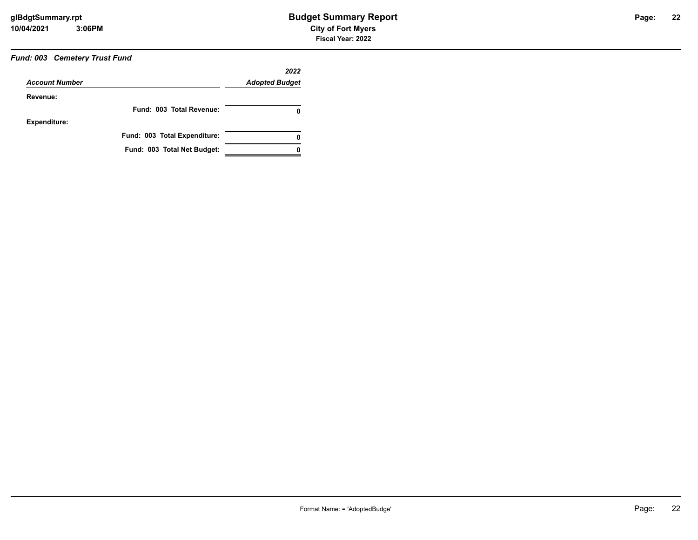#### *Fund: 003 Cemetery Trust Fund*

|                       | 2022                         |                       |
|-----------------------|------------------------------|-----------------------|
| <b>Account Number</b> |                              | <b>Adopted Budget</b> |
| Revenue:              |                              |                       |
|                       | Fund: 003 Total Revenue:     | 0                     |
| <b>Expenditure:</b>   |                              |                       |
|                       | Fund: 003 Total Expenditure: | 0                     |
|                       | Fund: 003 Total Net Budget:  |                       |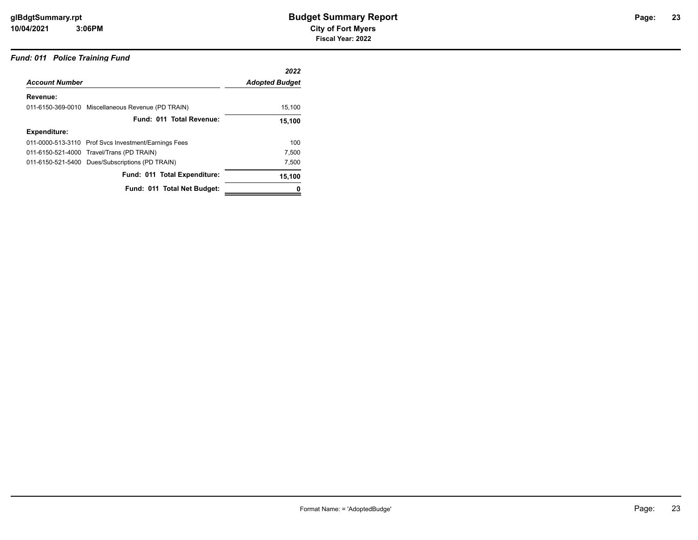#### *Fund: 011 Police Training Fund*

|                                                      | 2022                  |
|------------------------------------------------------|-----------------------|
|                                                      | <b>Adopted Budget</b> |
|                                                      |                       |
| 011-6150-369-0010 Miscellaneous Revenue (PD TRAIN)   | 15,100                |
| Fund: 011 Total Revenue:                             | 15,100                |
|                                                      |                       |
| 011-0000-513-3110 Prof Svcs Investment/Earnings Fees | 100                   |
| 011-6150-521-4000 Travel/Trans (PD TRAIN)            | 7,500                 |
| 011-6150-521-5400 Dues/Subscriptions (PD TRAIN)      | 7,500                 |
| Fund: 011 Total Expenditure:                         | 15,100                |
| Fund: 011 Total Net Budget:                          |                       |
|                                                      |                       |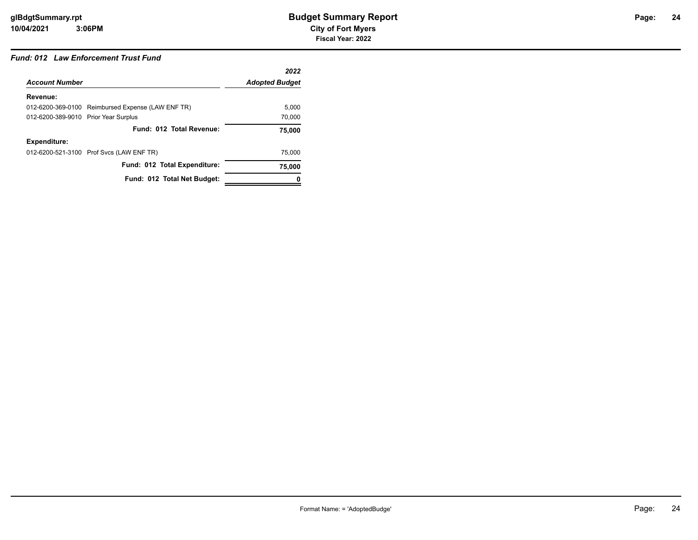#### *Fund: 012 Law Enforcement Trust Fund*

|                                      |                                                   | 2022                  |
|--------------------------------------|---------------------------------------------------|-----------------------|
| <b>Account Number</b>                |                                                   | <b>Adopted Budget</b> |
| Revenue:                             |                                                   |                       |
|                                      | 012-6200-369-0100 Reimbursed Expense (LAW ENF TR) | 5.000                 |
| 012-6200-389-9010 Prior Year Surplus |                                                   | 70,000                |
|                                      | Fund: 012 Total Revenue:                          | 75.000                |
| Expenditure:                         |                                                   |                       |
|                                      | 012-6200-521-3100 Prof Svcs (LAW ENF TR)          | 75.000                |
|                                      | Fund: 012 Total Expenditure:                      | 75,000                |
|                                      | Fund: 012 Total Net Budget:                       |                       |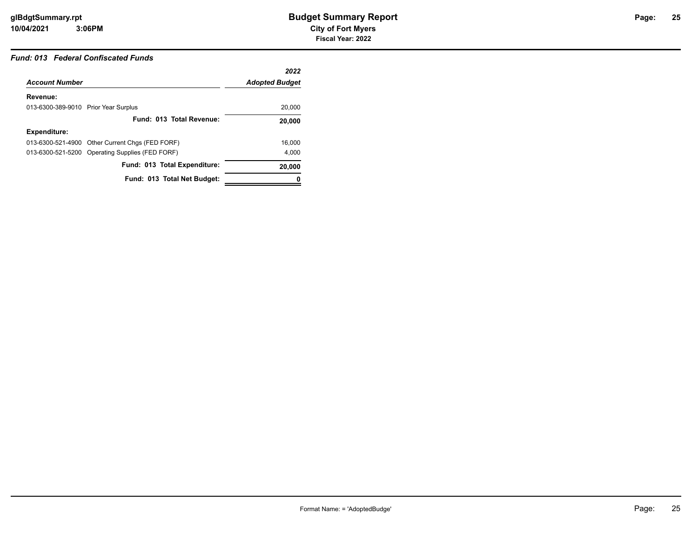#### *Fund: 013 Federal Confiscated Funds*

|                                      |                                                 | 2022                  |
|--------------------------------------|-------------------------------------------------|-----------------------|
| <b>Account Number</b>                |                                                 | <b>Adopted Budget</b> |
| Revenue:                             |                                                 |                       |
| 013-6300-389-9010 Prior Year Surplus |                                                 | 20,000                |
|                                      | Fund: 013 Total Revenue:                        | 20,000                |
| Expenditure:                         |                                                 |                       |
|                                      | 013-6300-521-4900 Other Current Chgs (FED FORF) | 16.000                |
|                                      | 013-6300-521-5200 Operating Supplies (FED FORF) | 4,000                 |
|                                      | Fund: 013 Total Expenditure:                    | 20,000                |
|                                      | Fund: 013 Total Net Budget:                     |                       |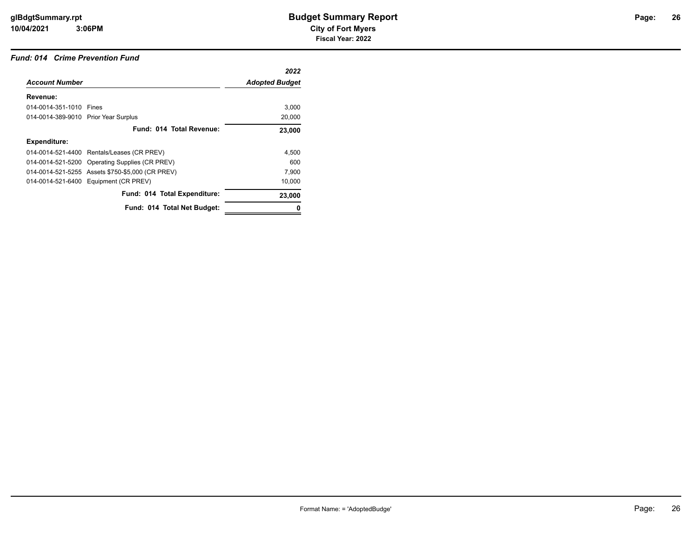#### *Fund: 014 Crime Prevention Fund*

|                                      |                                                  | 2022                  |
|--------------------------------------|--------------------------------------------------|-----------------------|
| <b>Account Number</b>                |                                                  | <b>Adopted Budget</b> |
| Revenue:                             |                                                  |                       |
| 014-0014-351-1010 Fines              |                                                  | 3,000                 |
| 014-0014-389-9010 Prior Year Surplus |                                                  | 20,000                |
|                                      | Fund: 014 Total Revenue:                         | 23,000                |
| <b>Expenditure:</b>                  |                                                  |                       |
|                                      | 014-0014-521-4400 Rentals/Leases (CR PREV)       | 4,500                 |
|                                      | 014-0014-521-5200 Operating Supplies (CR PREV)   | 600                   |
|                                      | 014-0014-521-5255 Assets \$750-\$5,000 (CR PREV) | 7,900                 |
|                                      | 014-0014-521-6400 Equipment (CR PREV)            | 10,000                |
|                                      | Fund: 014 Total Expenditure:                     | 23,000                |
|                                      | Fund: 014 Total Net Budget:                      |                       |
|                                      |                                                  |                       |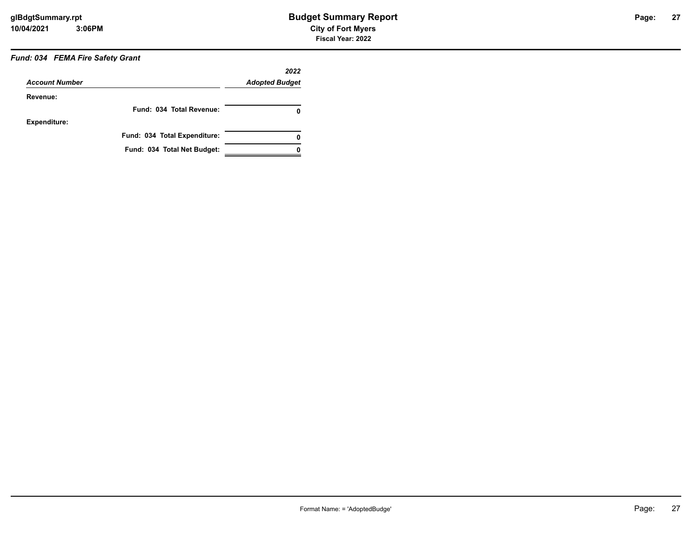### *Fund: 034 FEMA Fire Safety Grant*

| <b>Account Number</b> |                              | 2022                  |  |
|-----------------------|------------------------------|-----------------------|--|
|                       |                              | <b>Adopted Budget</b> |  |
| Revenue:              |                              |                       |  |
|                       | Fund: 034 Total Revenue:     | 0                     |  |
| Expenditure:          |                              |                       |  |
|                       | Fund: 034 Total Expenditure: | 0                     |  |
|                       | Fund: 034 Total Net Budget:  |                       |  |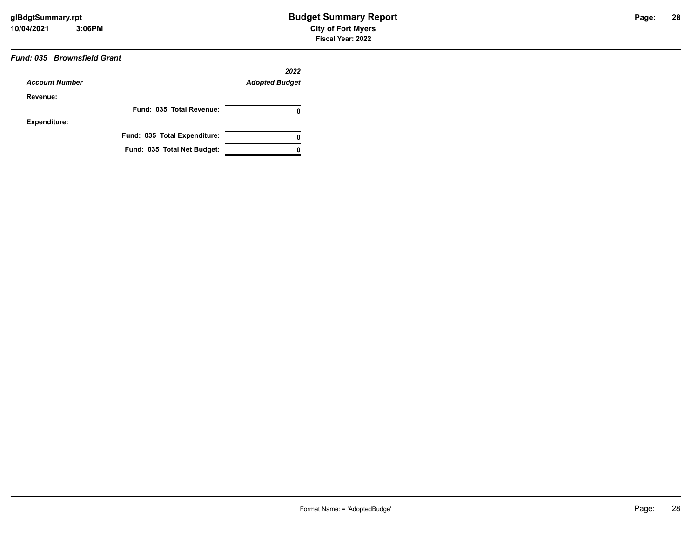#### *Fund: 035 Brownsfield Grant*

|                       |                              | 2022                  |
|-----------------------|------------------------------|-----------------------|
| <b>Account Number</b> |                              | <b>Adopted Budget</b> |
| Revenue:              |                              |                       |
|                       | Fund: 035 Total Revenue:     | 0                     |
| <b>Expenditure:</b>   |                              |                       |
|                       | Fund: 035 Total Expenditure: | 0                     |
|                       | Fund: 035 Total Net Budget:  |                       |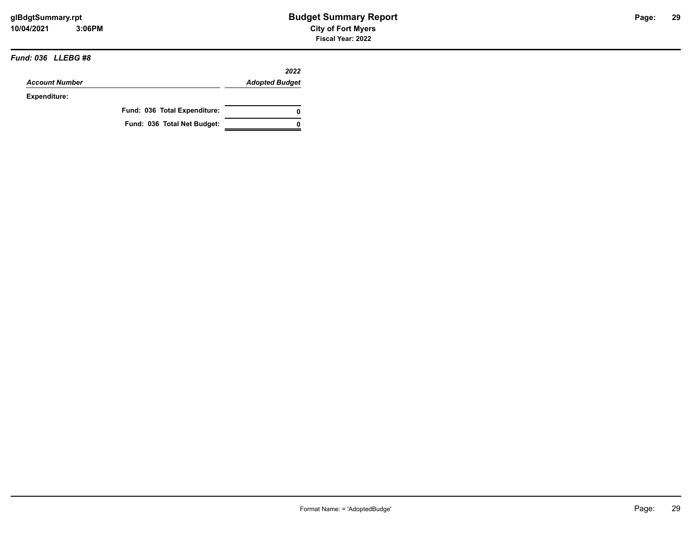#### *Fund: 036 LLEBG #8*

|                       |                              | 2022                  |
|-----------------------|------------------------------|-----------------------|
| <b>Account Number</b> |                              | <b>Adopted Budget</b> |
| <b>Expenditure:</b>   |                              |                       |
|                       | Fund: 036 Total Expenditure: |                       |
|                       | Fund: 036 Total Net Budget:  |                       |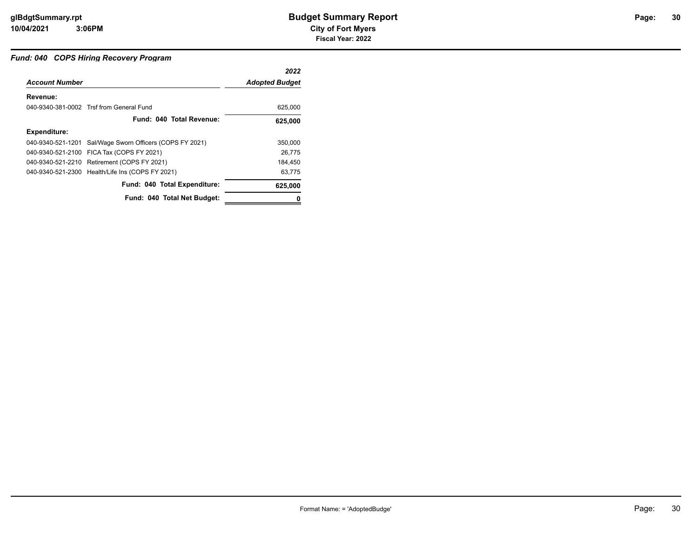#### *Fund: 040 COPS Hiring Recovery Program*

|                       |                                                          | 2022                  |
|-----------------------|----------------------------------------------------------|-----------------------|
| <b>Account Number</b> |                                                          | <b>Adopted Budget</b> |
| Revenue:              |                                                          |                       |
|                       | 040-9340-381-0002 Trsf from General Fund                 | 625,000               |
|                       | Fund: 040 Total Revenue:                                 | 625,000               |
| <b>Expenditure:</b>   |                                                          |                       |
|                       | 040-9340-521-1201 Sal/Wage Sworn Officers (COPS FY 2021) | 350,000               |
|                       | 040-9340-521-2100 FICA Tax (COPS FY 2021)                | 26.775                |
|                       | 040-9340-521-2210 Retirement (COPS FY 2021)              | 184.450               |
|                       | 040-9340-521-2300 Health/Life Ins (COPS FY 2021)         | 63.775                |
|                       | Fund: 040 Total Expenditure:                             | 625,000               |
|                       | Fund: 040 Total Net Budget:                              |                       |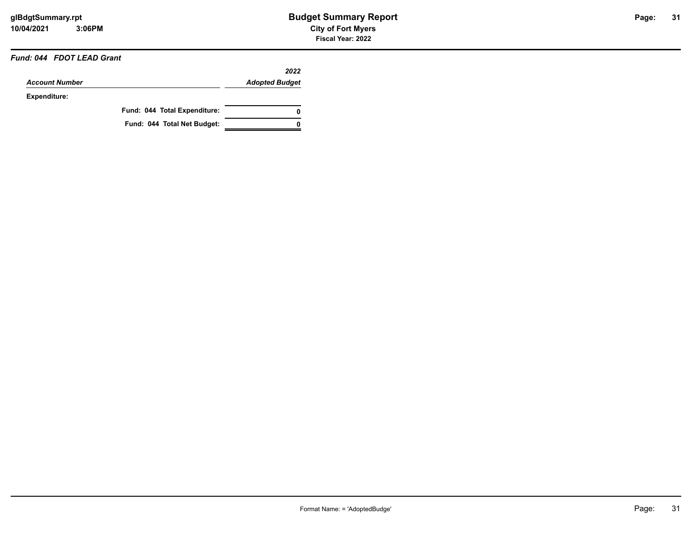#### *Fund: 044 FDOT LEAD Grant*

|                       |                              | 2022                  |
|-----------------------|------------------------------|-----------------------|
| <b>Account Number</b> |                              | <b>Adopted Budget</b> |
| Expenditure:          |                              |                       |
|                       | Fund: 044 Total Expenditure: | 0                     |
|                       | Fund: 044 Total Net Budget:  | Ω                     |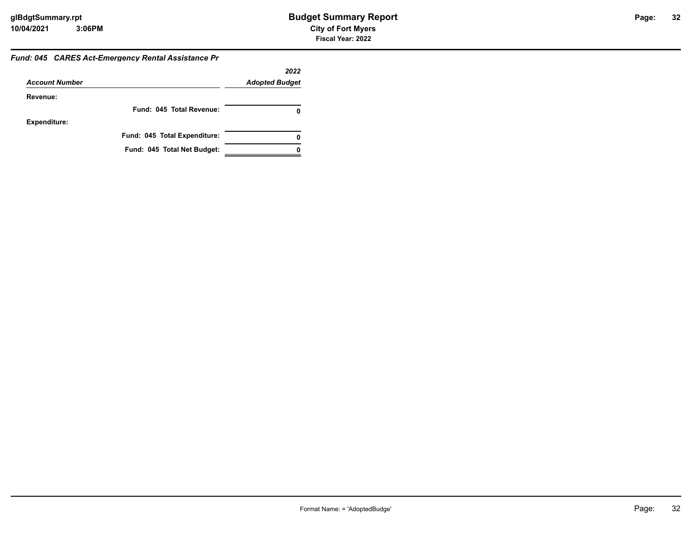#### *Fund: 045 CARES Act-Emergency Rental Assistance Pr*

|                       |                              | 2022                  |
|-----------------------|------------------------------|-----------------------|
| <b>Account Number</b> |                              | <b>Adopted Budget</b> |
| Revenue:              |                              |                       |
|                       | Fund: 045 Total Revenue:     |                       |
| <b>Expenditure:</b>   |                              |                       |
|                       | Fund: 045 Total Expenditure: | 0                     |
|                       | Fund: 045 Total Net Budget:  |                       |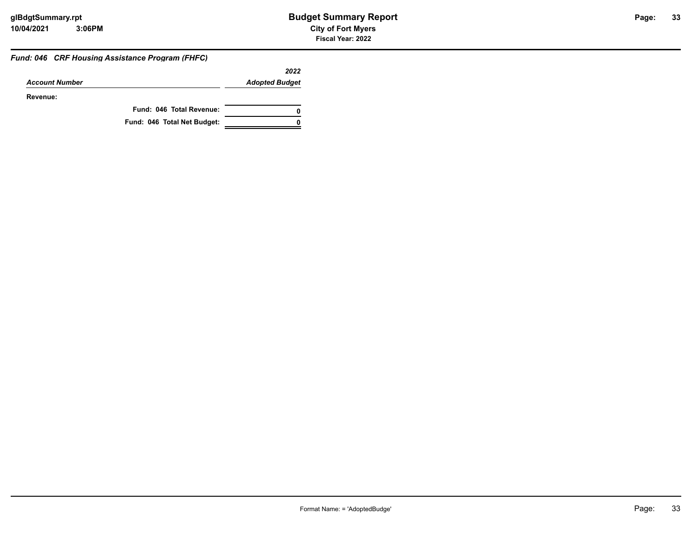#### *Fund: 046 CRF Housing Assistance Program (FHFC)*

|                       |                             | 2022                  |
|-----------------------|-----------------------------|-----------------------|
| <b>Account Number</b> |                             | <b>Adopted Budget</b> |
| Revenue:              |                             |                       |
|                       | Fund: 046 Total Revenue:    | 0                     |
|                       | Fund: 046 Total Net Budget: | 0                     |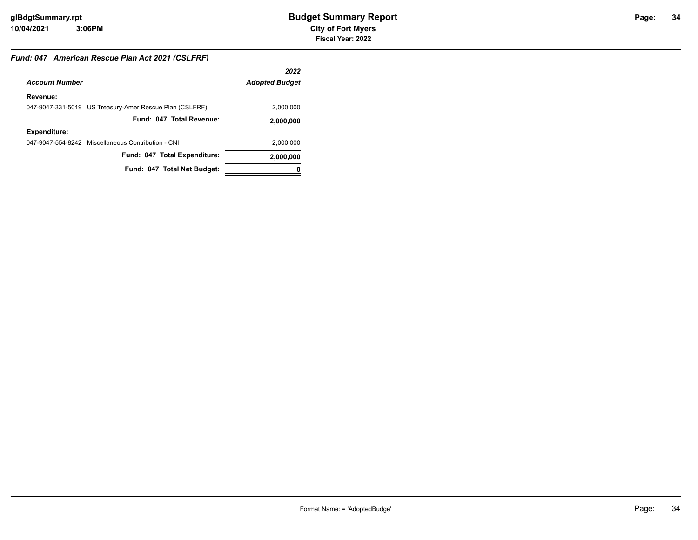## **34**

#### *Fund: 047 American Rescue Plan Act 2021 (CSLFRF)*

|                       |                                                         | 2022                  |
|-----------------------|---------------------------------------------------------|-----------------------|
| <b>Account Number</b> |                                                         | <b>Adopted Budget</b> |
| Revenue:              |                                                         |                       |
|                       | 047-9047-331-5019 US Treasury-Amer Rescue Plan (CSLFRF) | 2,000,000             |
|                       | Fund: 047 Total Revenue:                                | 2,000,000             |
| <b>Expenditure:</b>   |                                                         |                       |
|                       | 047-9047-554-8242 Miscellaneous Contribution - CNI      | 2,000,000             |
|                       | Fund: 047 Total Expenditure:                            | 2,000,000             |
|                       | Fund: 047 Total Net Budget:                             | o                     |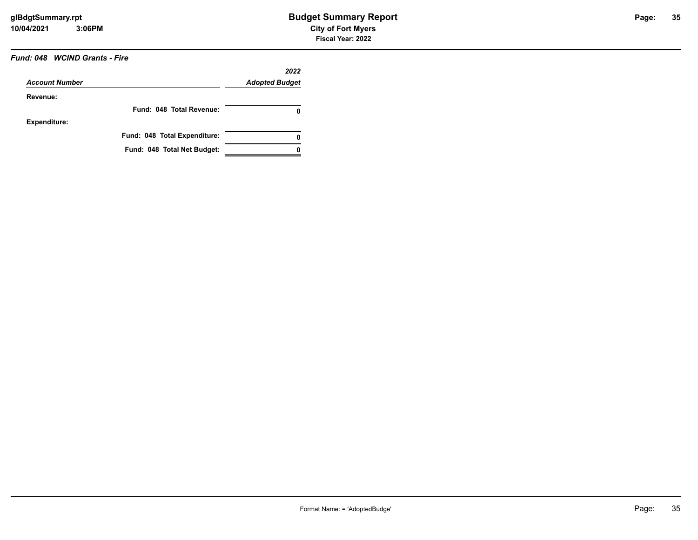#### *Fund: 048 WCIND Grants - Fire*

| <b>Account Number</b> |                              | 2022<br><b>Adopted Budget</b> |
|-----------------------|------------------------------|-------------------------------|
| Revenue:              |                              |                               |
|                       | Fund: 048 Total Revenue:     | 0                             |
| <b>Expenditure:</b>   |                              |                               |
|                       | Fund: 048 Total Expenditure: | 0                             |
|                       | Fund: 048 Total Net Budget:  |                               |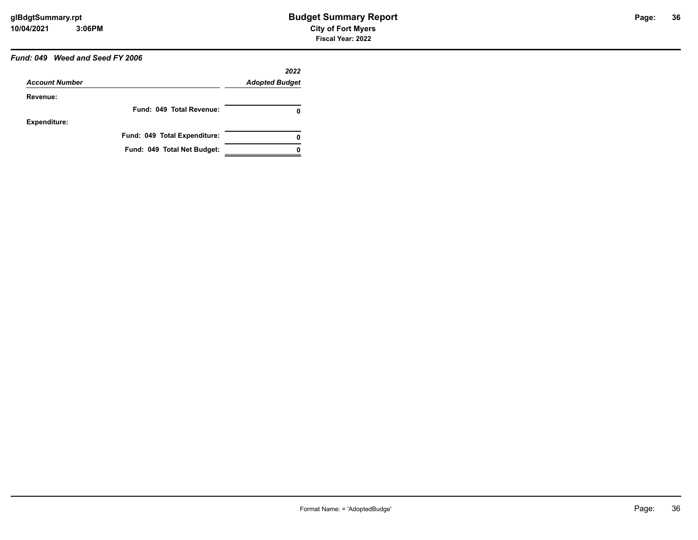### *Fund: 049 Weed and Seed FY 2006*

|                       |                              | 2022                  |
|-----------------------|------------------------------|-----------------------|
| <b>Account Number</b> |                              | <b>Adopted Budget</b> |
| Revenue:              |                              |                       |
|                       | Fund: 049 Total Revenue:     | 0                     |
| <b>Expenditure:</b>   |                              |                       |
|                       | Fund: 049 Total Expenditure: | 0                     |
|                       | Fund: 049 Total Net Budget:  |                       |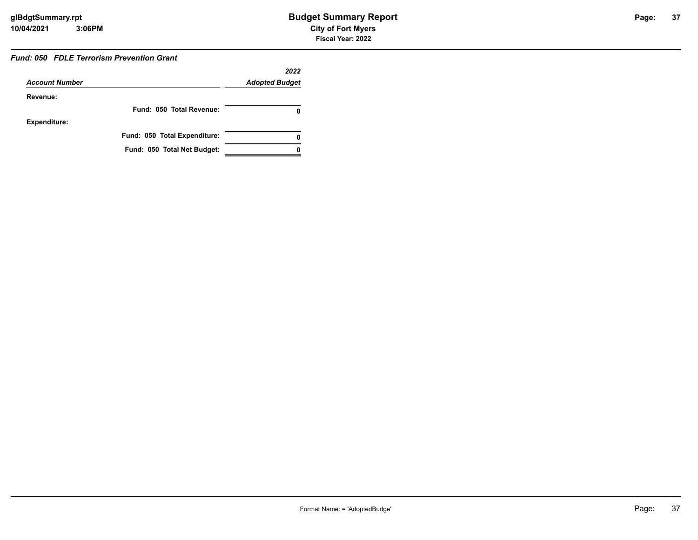### *Fund: 050 FDLE Terrorism Prevention Grant*

|                       |                              | 2022                  |
|-----------------------|------------------------------|-----------------------|
| <b>Account Number</b> |                              | <b>Adopted Budget</b> |
| Revenue:              |                              |                       |
|                       | Fund: 050 Total Revenue:     | 0                     |
| <b>Expenditure:</b>   |                              |                       |
|                       | Fund: 050 Total Expenditure: | 0                     |
|                       | Fund: 050 Total Net Budget:  |                       |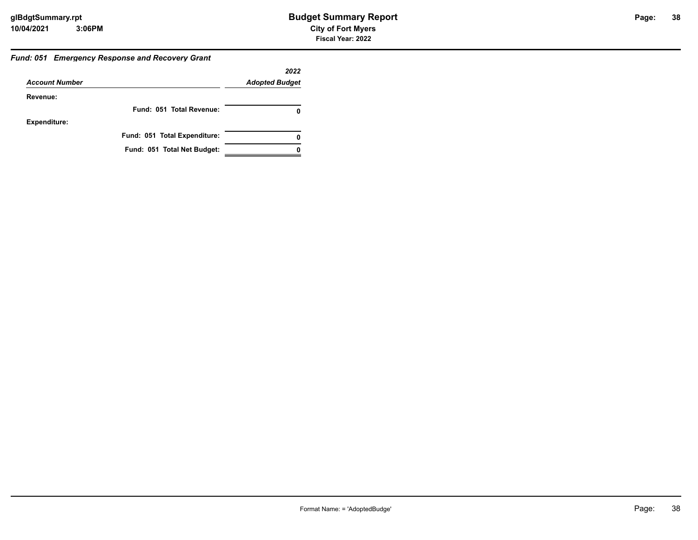#### *Fund: 051 Emergency Response and Recovery Grant*

|                       |                              | 2022                  |
|-----------------------|------------------------------|-----------------------|
| <b>Account Number</b> |                              | <b>Adopted Budget</b> |
| Revenue:              |                              |                       |
|                       | Fund: 051 Total Revenue:     | 0                     |
| <b>Expenditure:</b>   |                              |                       |
|                       | Fund: 051 Total Expenditure: | 0                     |
|                       | Fund: 051 Total Net Budget:  |                       |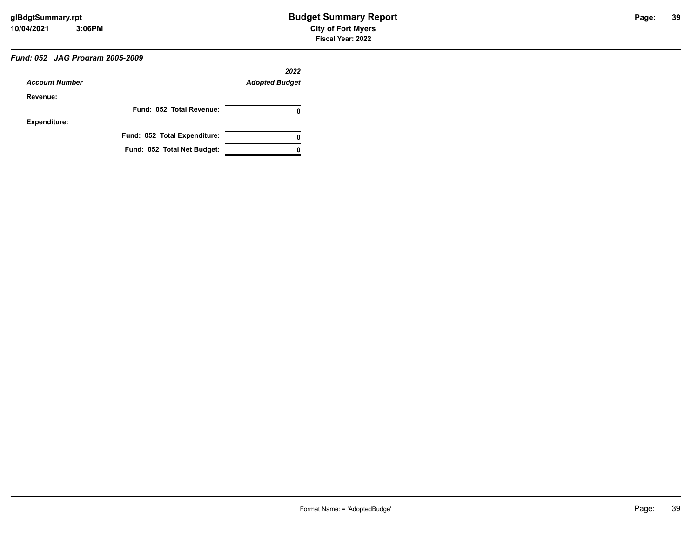## *Fund: 052 JAG Program 2005-2009*

| <b>Account Number</b> |                              | 2022<br><b>Adopted Budget</b> |
|-----------------------|------------------------------|-------------------------------|
| Revenue:              |                              |                               |
|                       | Fund: 052 Total Revenue:     |                               |
| <b>Expenditure:</b>   |                              |                               |
|                       | Fund: 052 Total Expenditure: | 0                             |
|                       | Fund: 052 Total Net Budget:  |                               |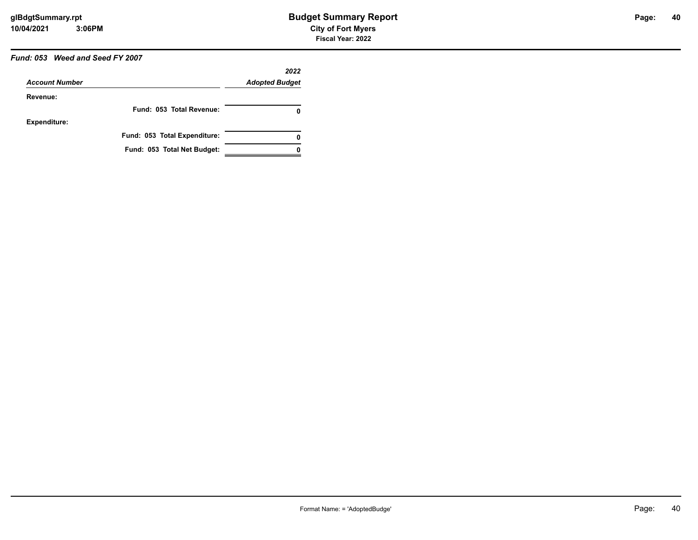## *Fund: 053 Weed and Seed FY 2007*

|                       |                              | 2022                  |
|-----------------------|------------------------------|-----------------------|
| <b>Account Number</b> |                              | <b>Adopted Budget</b> |
| Revenue:              |                              |                       |
|                       | Fund: 053 Total Revenue:     | O                     |
| <b>Expenditure:</b>   |                              |                       |
|                       | Fund: 053 Total Expenditure: | 0                     |
|                       | Fund: 053 Total Net Budget:  |                       |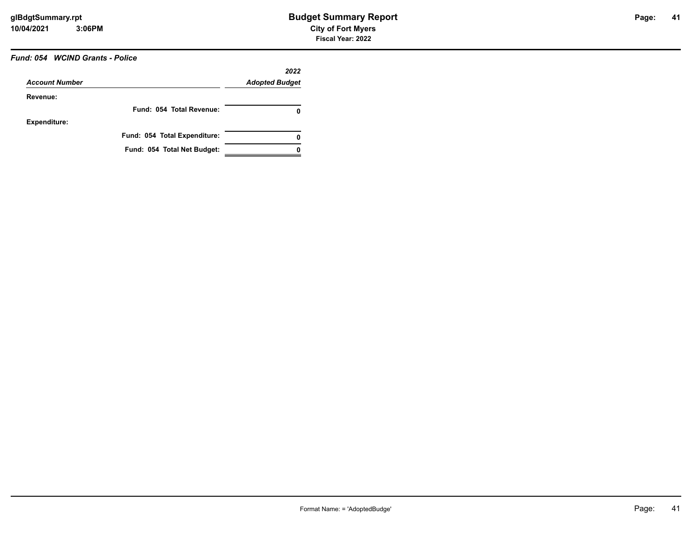## *Fund: 054 WCIND Grants - Police*

| <b>Account Number</b> |                              | 2022<br><b>Adopted Budget</b> |
|-----------------------|------------------------------|-------------------------------|
| Revenue:              |                              |                               |
|                       | Fund: 054 Total Revenue:     | 0                             |
| <b>Expenditure:</b>   |                              |                               |
|                       | Fund: 054 Total Expenditure: | 0                             |
|                       | Fund: 054 Total Net Budget:  |                               |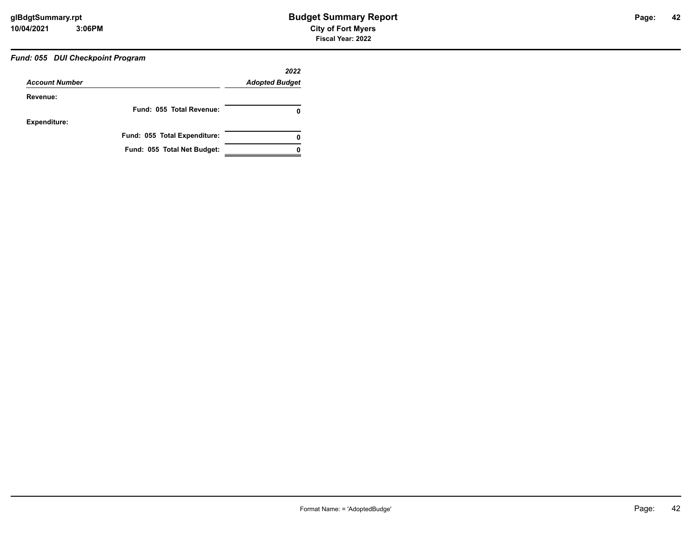## *Fund: 055 DUI Checkpoint Program*

| <b>Account Number</b> |                              | 2022<br><b>Adopted Budget</b> |
|-----------------------|------------------------------|-------------------------------|
| Revenue:              |                              |                               |
|                       | Fund: 055 Total Revenue:     | 0                             |
| <b>Expenditure:</b>   |                              |                               |
|                       | Fund: 055 Total Expenditure: | 0                             |
|                       | Fund: 055 Total Net Budget:  |                               |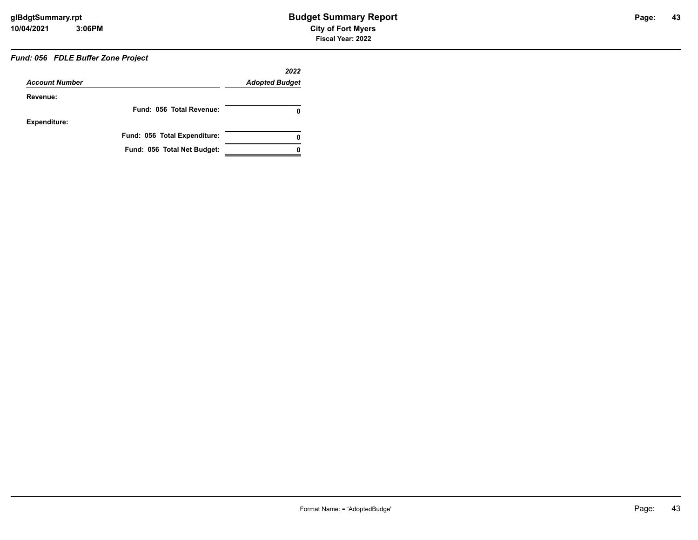## *Fund: 056 FDLE Buffer Zone Project*

|                       |                              | 2022                  |
|-----------------------|------------------------------|-----------------------|
| <b>Account Number</b> |                              | <b>Adopted Budget</b> |
| Revenue:              |                              |                       |
|                       | Fund: 056 Total Revenue:     | 0                     |
| <b>Expenditure:</b>   |                              |                       |
|                       | Fund: 056 Total Expenditure: | 0                     |
|                       | Fund: 056 Total Net Budget:  |                       |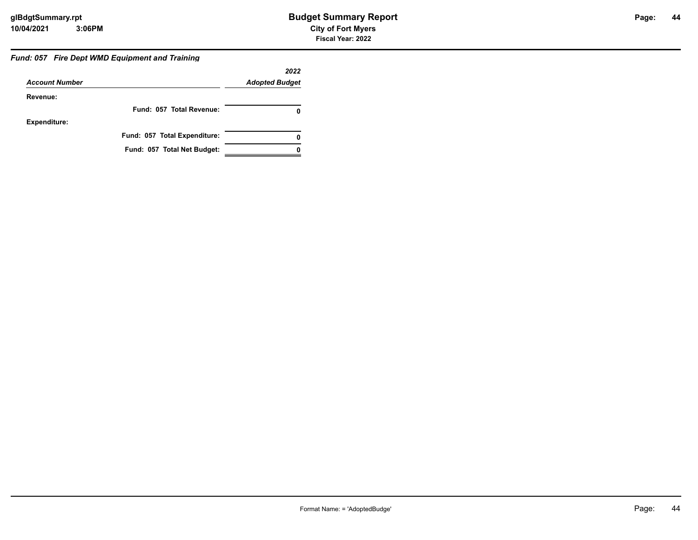#### *Fund: 057 Fire Dept WMD Equipment and Training*

|                       |                              | 2022                  |
|-----------------------|------------------------------|-----------------------|
| <b>Account Number</b> |                              | <b>Adopted Budget</b> |
| Revenue:              |                              |                       |
|                       | Fund: 057 Total Revenue:     | 0                     |
| Expenditure:          |                              |                       |
|                       | Fund: 057 Total Expenditure: | 0                     |
|                       | Fund: 057 Total Net Budget:  |                       |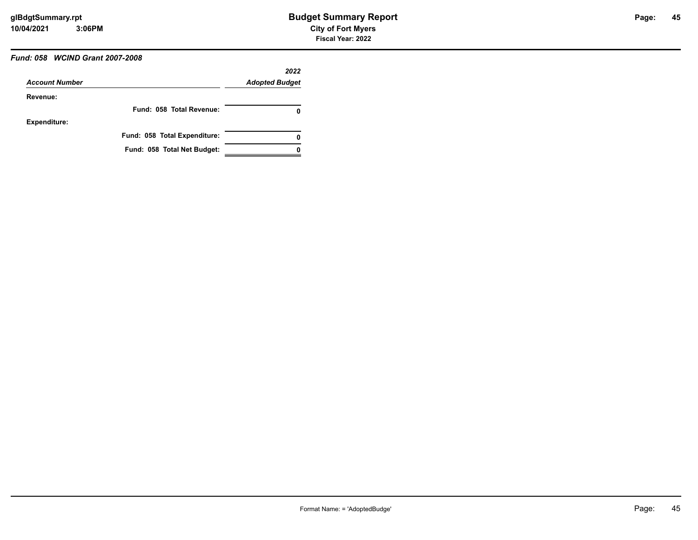## *Fund: 058 WCIND Grant 2007-2008*

|                       |                              | 2022                  |
|-----------------------|------------------------------|-----------------------|
| <b>Account Number</b> |                              | <b>Adopted Budget</b> |
| Revenue:              |                              |                       |
|                       | Fund: 058 Total Revenue:     | 0                     |
| <b>Expenditure:</b>   |                              |                       |
|                       | Fund: 058 Total Expenditure: | 0                     |
|                       | Fund: 058 Total Net Budget:  |                       |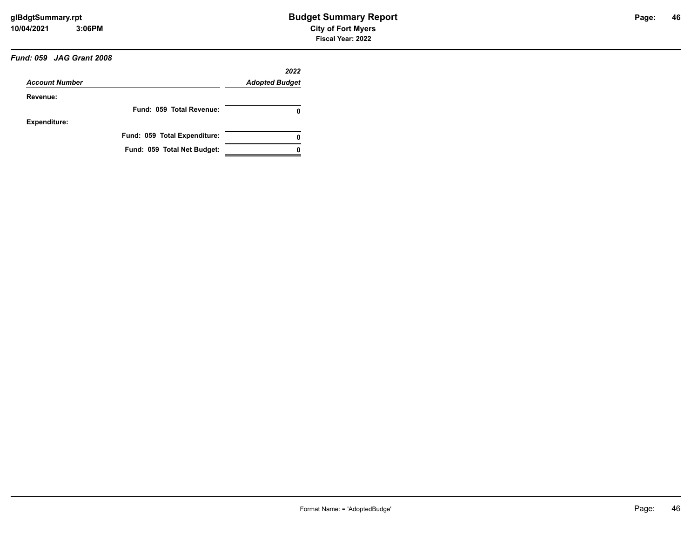## *Fund: 059 JAG Grant 2008*

|                       |                              | 2022                  |
|-----------------------|------------------------------|-----------------------|
| <b>Account Number</b> |                              | <b>Adopted Budget</b> |
| Revenue:              |                              |                       |
|                       | Fund: 059 Total Revenue:     | 0                     |
| <b>Expenditure:</b>   |                              |                       |
|                       | Fund: 059 Total Expenditure: | 0                     |
|                       | Fund: 059 Total Net Budget:  |                       |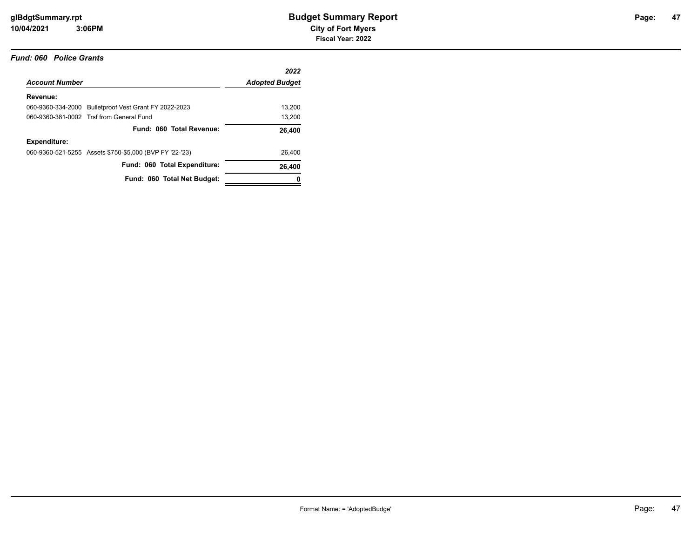#### *Fund: 060 Police Grants*

|                       |                                                         | 2022                  |
|-----------------------|---------------------------------------------------------|-----------------------|
| <b>Account Number</b> |                                                         | <b>Adopted Budget</b> |
| Revenue:              |                                                         |                       |
|                       | 060-9360-334-2000 Bulletproof Vest Grant FY 2022-2023   | 13.200                |
|                       | 060-9360-381-0002 Trsf from General Fund                | 13,200                |
|                       | Fund: 060 Total Revenue:                                | 26,400                |
| Expenditure:          |                                                         |                       |
|                       | 060-9360-521-5255 Assets \$750-\$5,000 (BVP FY '22-'23) | 26.400                |
|                       | Fund: 060 Total Expenditure:                            | 26,400                |
|                       | Fund: 060 Total Net Budget:                             |                       |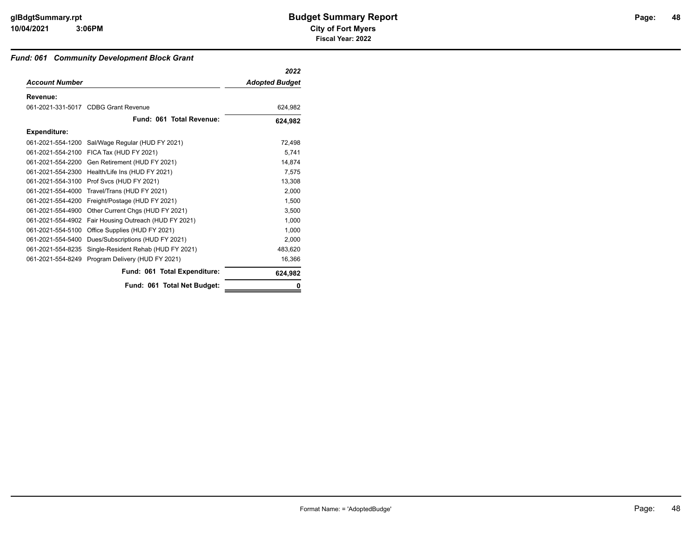### *Fund: 061 Community Development Block Grant*

|                       |                                                | 2022                  |
|-----------------------|------------------------------------------------|-----------------------|
| <b>Account Number</b> |                                                | <b>Adopted Budget</b> |
| Revenue:              |                                                |                       |
|                       | 061-2021-331-5017 CDBG Grant Revenue           | 624,982               |
|                       | Fund: 061 Total Revenue:                       | 624,982               |
| <b>Expenditure:</b>   |                                                |                       |
| 061-2021-554-1200     | Sal/Wage Regular (HUD FY 2021)                 | 72,498                |
|                       | 061-2021-554-2100 FICA Tax (HUD FY 2021)       | 5,741                 |
|                       | 061-2021-554-2200 Gen Retirement (HUD FY 2021) | 14.874                |
| 061-2021-554-2300     | Health/Life Ins (HUD FY 2021)                  | 7.575                 |
| 061-2021-554-3100     | Prof Svcs (HUD FY 2021)                        | 13,308                |
| 061-2021-554-4000     | Travel/Trans (HUD FY 2021)                     | 2,000                 |
| 061-2021-554-4200     | Freight/Postage (HUD FY 2021)                  | 1.500                 |
| 061-2021-554-4900     | Other Current Chgs (HUD FY 2021)               | 3,500                 |
| 061-2021-554-4902     | Fair Housing Outreach (HUD FY 2021)            | 1,000                 |
| 061-2021-554-5100     | Office Supplies (HUD FY 2021)                  | 1,000                 |
| 061-2021-554-5400     | Dues/Subscriptions (HUD FY 2021)               | 2.000                 |
| 061-2021-554-8235     | Single-Resident Rehab (HUD FY 2021)            | 483,620               |
| 061-2021-554-8249     | Program Delivery (HUD FY 2021)                 | 16,366                |
|                       | Fund: 061 Total Expenditure:                   | 624,982               |
|                       | Fund: 061 Total Net Budget:                    | n                     |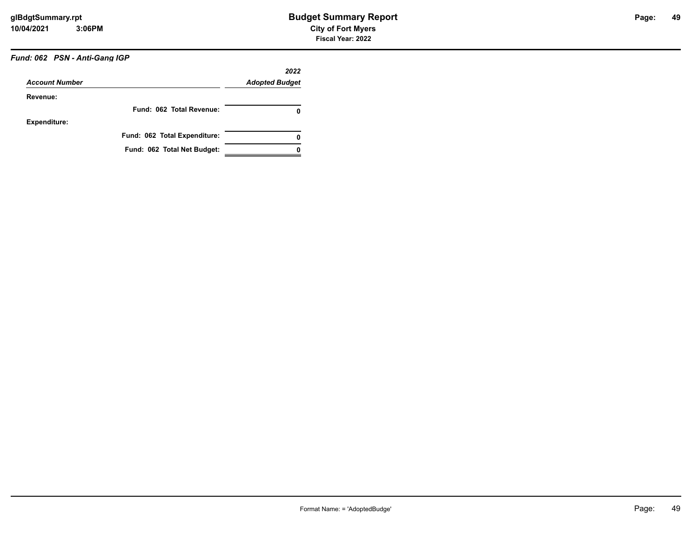## *Fund: 062 PSN - Anti-Gang IGP*

| <b>Account Number</b> |                              | 2022<br><b>Adopted Budget</b> |
|-----------------------|------------------------------|-------------------------------|
| Revenue:              |                              |                               |
|                       | Fund: 062 Total Revenue:     | 0                             |
| <b>Expenditure:</b>   |                              |                               |
|                       | Fund: 062 Total Expenditure: | 0                             |
|                       | Fund: 062 Total Net Budget:  |                               |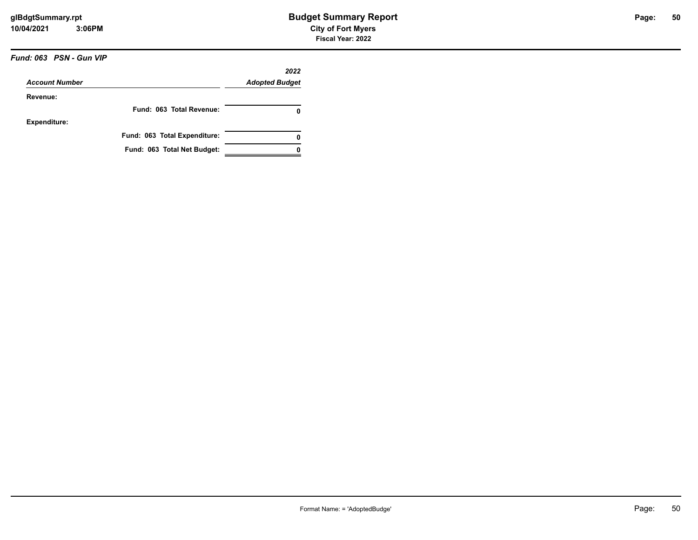### *Fund: 063 PSN - Gun VIP*

|                       |                              | 2022                  |
|-----------------------|------------------------------|-----------------------|
| <b>Account Number</b> |                              | <b>Adopted Budget</b> |
| Revenue:              |                              |                       |
|                       | Fund: 063 Total Revenue:     | 0                     |
| <b>Expenditure:</b>   |                              |                       |
|                       | Fund: 063 Total Expenditure: | 0                     |
|                       | Fund: 063 Total Net Budget:  |                       |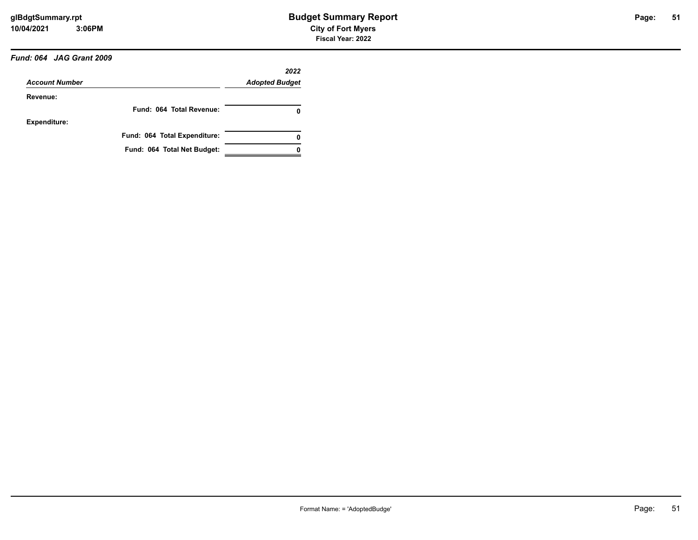### *Fund: 064 JAG Grant 2009*

| <b>Account Number</b> |                              | 2022                  |
|-----------------------|------------------------------|-----------------------|
|                       |                              | <b>Adopted Budget</b> |
| Revenue:              |                              |                       |
|                       | Fund: 064 Total Revenue:     | 0                     |
| <b>Expenditure:</b>   |                              |                       |
|                       | Fund: 064 Total Expenditure: | 0                     |
|                       | Fund: 064 Total Net Budget:  |                       |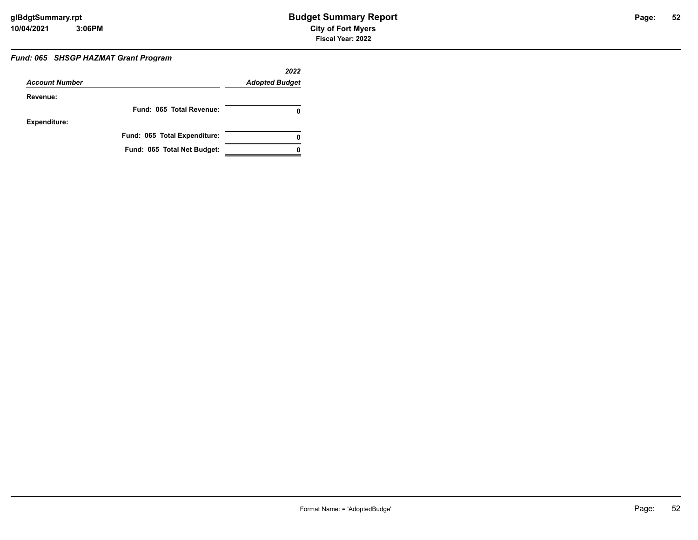### *Fund: 065 SHSGP HAZMAT Grant Program*

|                       |                              | 2022                  |
|-----------------------|------------------------------|-----------------------|
| <b>Account Number</b> |                              | <b>Adopted Budget</b> |
| Revenue:              |                              |                       |
|                       | Fund: 065 Total Revenue:     | 0                     |
| <b>Expenditure:</b>   |                              |                       |
|                       | Fund: 065 Total Expenditure: | 0                     |
|                       | Fund: 065 Total Net Budget:  |                       |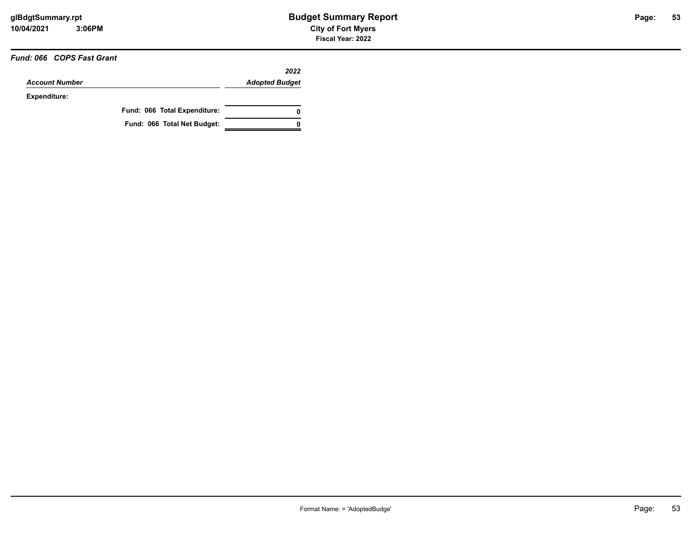### *Fund: 066 COPS Fast Grant*

|                       |                              | 2022                  |
|-----------------------|------------------------------|-----------------------|
| <b>Account Number</b> |                              | <b>Adopted Budget</b> |
| Expenditure:          |                              |                       |
|                       | Fund: 066 Total Expenditure: | 0                     |
|                       | Fund: 066 Total Net Budget:  |                       |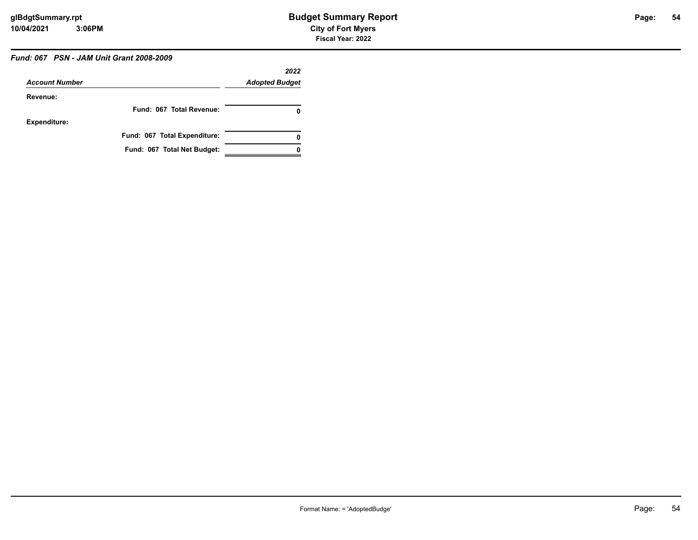## *Fund: 067 PSN - JAM Unit Grant 2008-2009*

| <b>Account Number</b> |                              | 2022<br><b>Adopted Budget</b> |
|-----------------------|------------------------------|-------------------------------|
| Revenue:              |                              |                               |
|                       | Fund: 067 Total Revenue:     | 0                             |
| <b>Expenditure:</b>   |                              |                               |
|                       | Fund: 067 Total Expenditure: | 0                             |
|                       | Fund: 067 Total Net Budget:  |                               |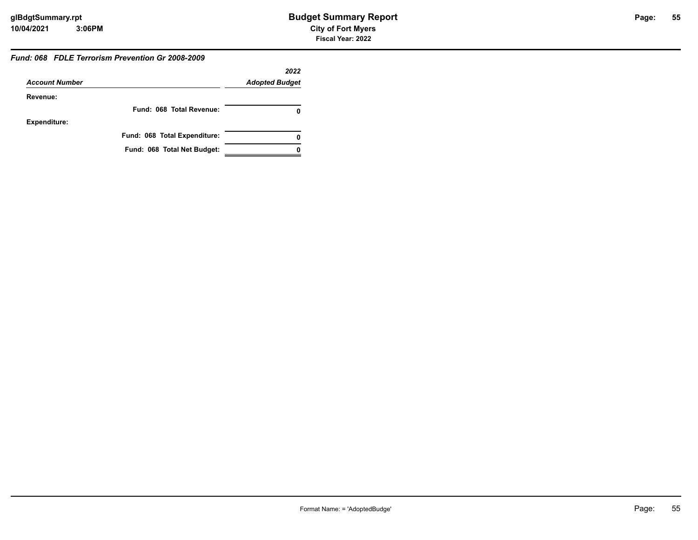#### *Fund: 068 FDLE Terrorism Prevention Gr 2008-2009*

|                       |                              | 2022                  |
|-----------------------|------------------------------|-----------------------|
| <b>Account Number</b> |                              | <b>Adopted Budget</b> |
| Revenue:              |                              |                       |
|                       | Fund: 068 Total Revenue:     |                       |
| <b>Expenditure:</b>   |                              |                       |
|                       | Fund: 068 Total Expenditure: | 0                     |
|                       | Fund: 068 Total Net Budget:  |                       |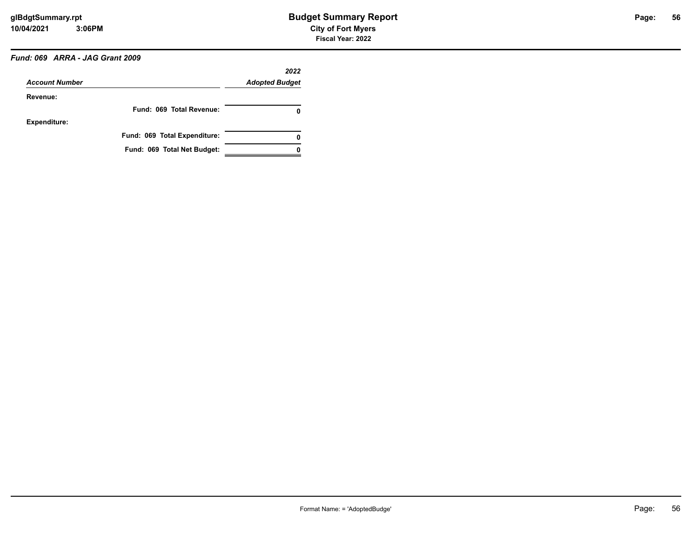## *Fund: 069 ARRA - JAG Grant 2009*

|                       |                              | 2022                  |
|-----------------------|------------------------------|-----------------------|
| <b>Account Number</b> |                              | <b>Adopted Budget</b> |
| Revenue:              |                              |                       |
|                       | Fund: 069 Total Revenue:     | 0                     |
| <b>Expenditure:</b>   |                              |                       |
|                       | Fund: 069 Total Expenditure: | 0                     |
|                       | Fund: 069 Total Net Budget:  |                       |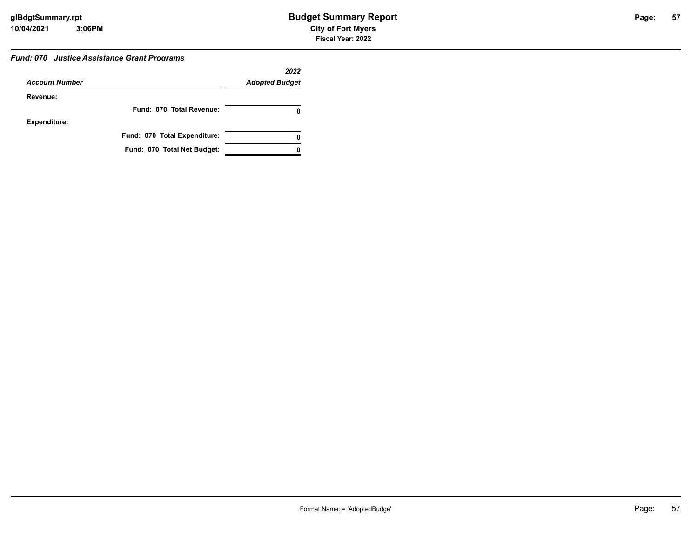#### *Fund: 070 Justice Assistance Grant Programs*

|                       |                              | 2022                  |
|-----------------------|------------------------------|-----------------------|
| <b>Account Number</b> |                              | <b>Adopted Budget</b> |
| Revenue:              |                              |                       |
|                       | Fund: 070 Total Revenue:     |                       |
| <b>Expenditure:</b>   |                              |                       |
|                       | Fund: 070 Total Expenditure: | 0                     |
|                       | Fund: 070 Total Net Budget:  |                       |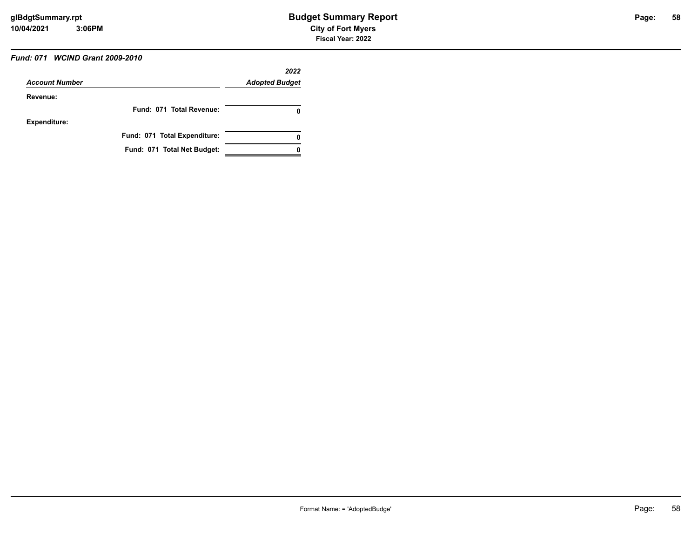## *Fund: 071 WCIND Grant 2009-2010*

| <b>Account Number</b> |                              | 2022<br><b>Adopted Budget</b> |
|-----------------------|------------------------------|-------------------------------|
| Revenue:              |                              |                               |
|                       | Fund: 071 Total Revenue:     | O                             |
| <b>Expenditure:</b>   |                              |                               |
|                       | Fund: 071 Total Expenditure: | 0                             |
|                       | Fund: 071 Total Net Budget:  |                               |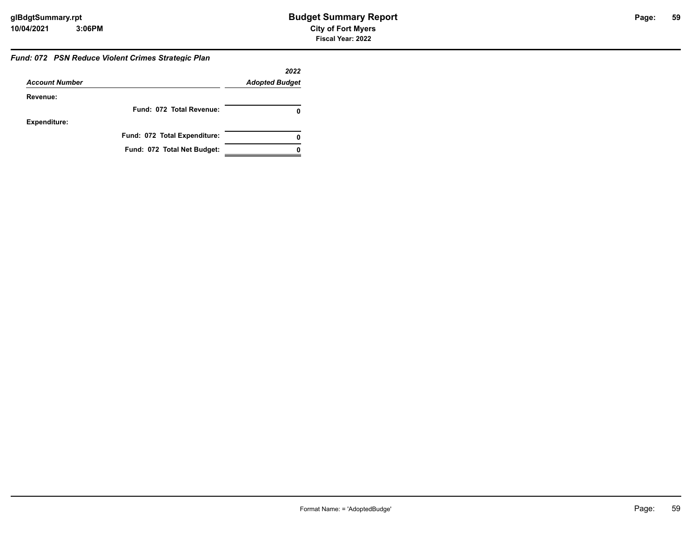#### *Fund: 072 PSN Reduce Violent Crimes Strategic Plan*

|                       |                              | 2022                  |
|-----------------------|------------------------------|-----------------------|
| <b>Account Number</b> |                              | <b>Adopted Budget</b> |
| Revenue:              |                              |                       |
|                       | Fund: 072 Total Revenue:     |                       |
| <b>Expenditure:</b>   |                              |                       |
|                       | Fund: 072 Total Expenditure: |                       |
|                       | Fund: 072 Total Net Budget:  |                       |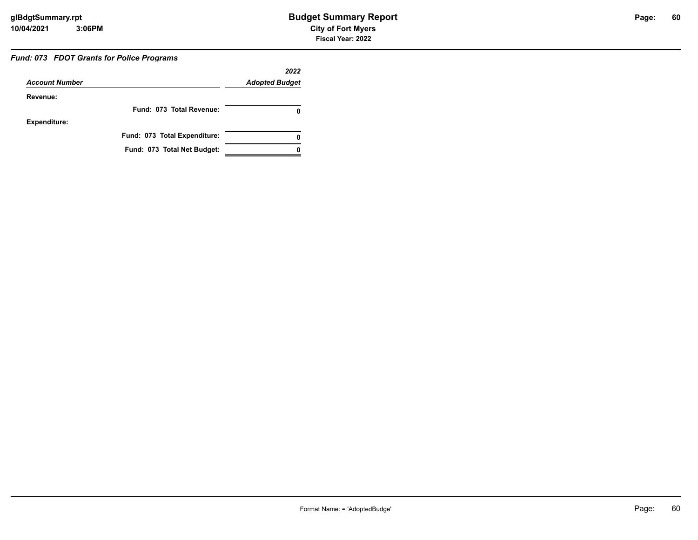### *Fund: 073 FDOT Grants for Police Programs*

| <b>Account Number</b> |                              | 2022<br><b>Adopted Budget</b> |
|-----------------------|------------------------------|-------------------------------|
| Revenue:              |                              |                               |
|                       | Fund: 073 Total Revenue:     |                               |
| <b>Expenditure:</b>   |                              |                               |
|                       | Fund: 073 Total Expenditure: | 0                             |
|                       | Fund: 073 Total Net Budget:  |                               |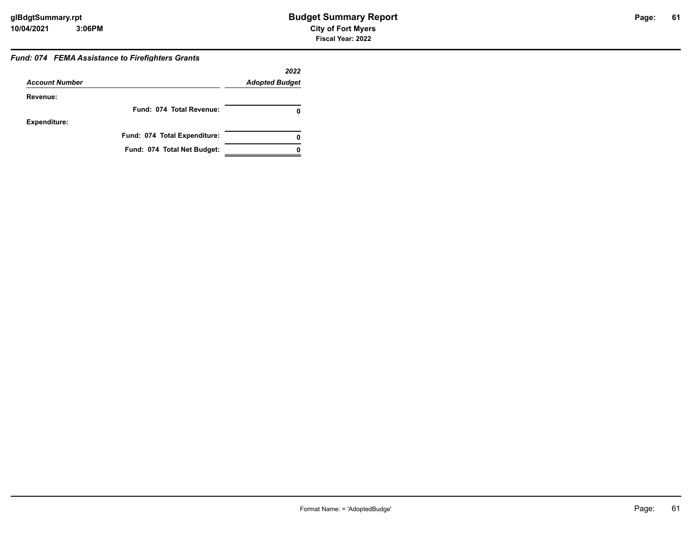#### *Fund: 074 FEMA Assistance to Firefighters Grants*

|                       |                              | 2022                  |
|-----------------------|------------------------------|-----------------------|
| <b>Account Number</b> |                              | <b>Adopted Budget</b> |
| Revenue:              |                              |                       |
|                       | Fund: 074 Total Revenue:     |                       |
| <b>Expenditure:</b>   |                              |                       |
|                       | Fund: 074 Total Expenditure: | Ω                     |
|                       | Fund: 074 Total Net Budget:  |                       |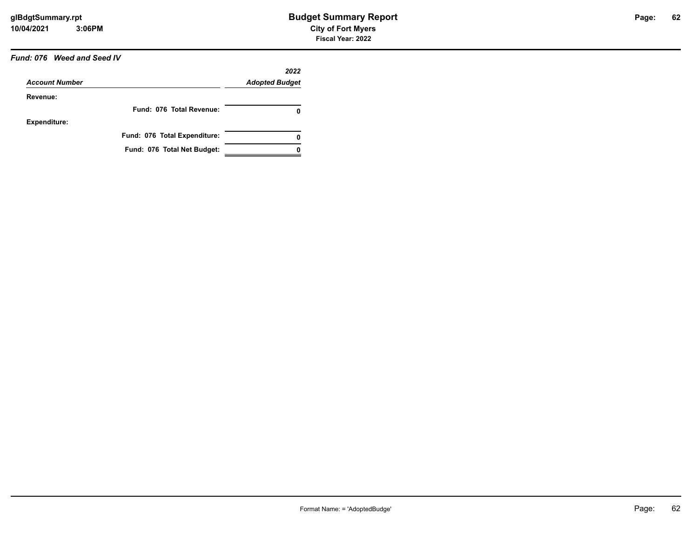### *Fund: 076 Weed and Seed IV*

|                       |                              | 2022                  |
|-----------------------|------------------------------|-----------------------|
| <b>Account Number</b> |                              | <b>Adopted Budget</b> |
| Revenue:              |                              |                       |
|                       | Fund: 076 Total Revenue:     | 0                     |
| <b>Expenditure:</b>   |                              |                       |
|                       | Fund: 076 Total Expenditure: | 0                     |
|                       | Fund: 076 Total Net Budget:  |                       |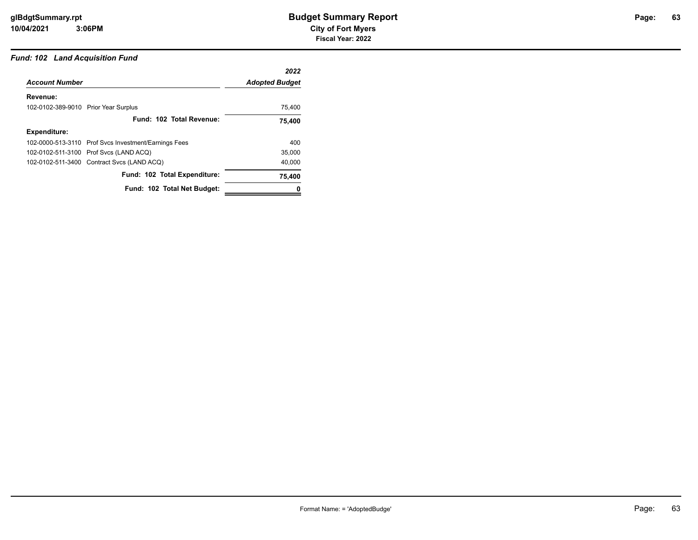## *Fund: 102 Land Acquisition Fund*

|                                                      | 2022                  |
|------------------------------------------------------|-----------------------|
| <b>Account Number</b>                                | <b>Adopted Budget</b> |
| Revenue:                                             |                       |
| 102-0102-389-9010 Prior Year Surplus                 | 75,400                |
| Fund: 102 Total Revenue:                             | 75,400                |
| <b>Expenditure:</b>                                  |                       |
| 102-0000-513-3110 Prof Svcs Investment/Earnings Fees | 400                   |
| 102-0102-511-3100 Prof Svcs (LAND ACQ)               | 35,000                |
| 102-0102-511-3400 Contract Svcs (LAND ACQ)           | 40,000                |
| Fund: 102 Total Expenditure:                         | 75,400                |
| Fund: 102 Total Net Budget:                          |                       |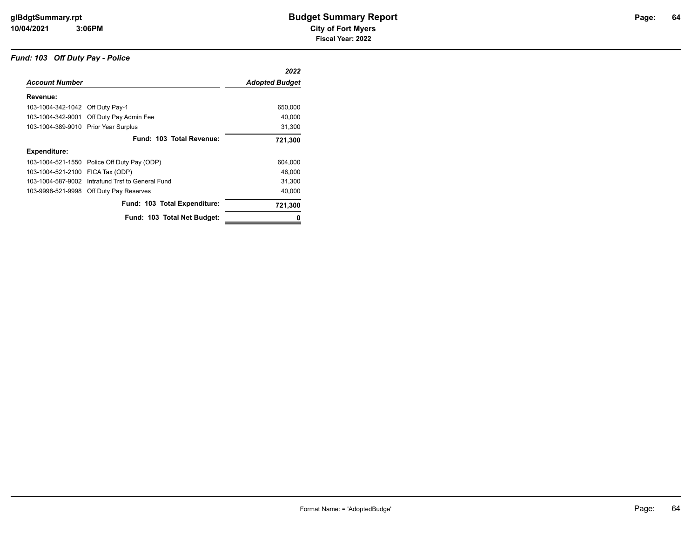#### *Fund: 103 Off Duty Pay - Police*

|                                      |                                                  | 2022                  |
|--------------------------------------|--------------------------------------------------|-----------------------|
| <b>Account Number</b>                |                                                  | <b>Adopted Budget</b> |
| Revenue:                             |                                                  |                       |
| 103-1004-342-1042 Off Duty Pay-1     |                                                  | 650,000               |
|                                      | 103-1004-342-9001 Off Duty Pay Admin Fee         | 40,000                |
| 103-1004-389-9010 Prior Year Surplus |                                                  | 31,300                |
|                                      | Fund: 103 Total Revenue:                         | 721,300               |
| <b>Expenditure:</b>                  |                                                  |                       |
|                                      | 103-1004-521-1550 Police Off Duty Pay (ODP)      | 604,000               |
| 103-1004-521-2100 FICA Tax (ODP)     |                                                  | 46,000                |
|                                      | 103-1004-587-9002 Intrafund Trsf to General Fund | 31,300                |
|                                      | 103-9998-521-9998 Off Duty Pay Reserves          | 40,000                |
|                                      | Fund: 103 Total Expenditure:                     | 721,300               |
|                                      | Fund: 103 Total Net Budget:                      | 0                     |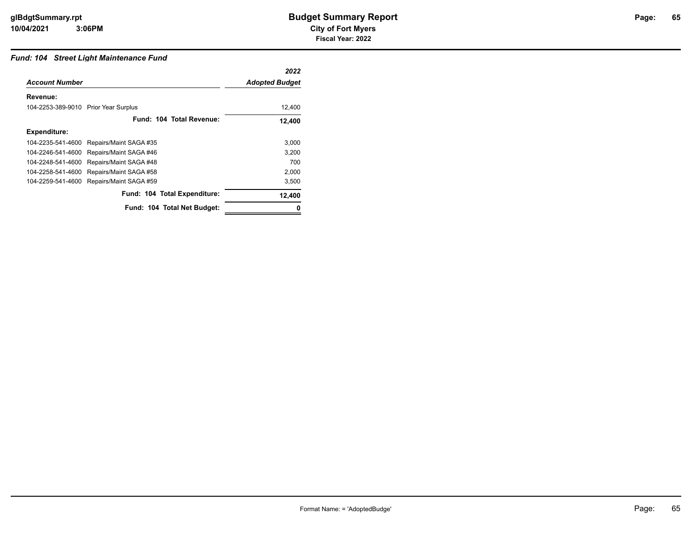## *Fund: 104 Street Light Maintenance Fund*

|                                      |                              | 2022                  |
|--------------------------------------|------------------------------|-----------------------|
| <b>Account Number</b>                |                              | <b>Adopted Budget</b> |
| Revenue:                             |                              |                       |
| 104-2253-389-9010 Prior Year Surplus |                              | 12,400                |
|                                      | Fund: 104 Total Revenue:     | 12,400                |
| <b>Expenditure:</b>                  |                              |                       |
| 104-2235-541-4600                    | Repairs/Maint SAGA #35       | 3,000                 |
| 104-2246-541-4600                    | Repairs/Maint SAGA #46       | 3,200                 |
| 104-2248-541-4600                    | Repairs/Maint SAGA #48       | 700                   |
| 104-2258-541-4600                    | Repairs/Maint SAGA #58       | 2,000                 |
| 104-2259-541-4600                    | Repairs/Maint SAGA #59       | 3,500                 |
|                                      | Fund: 104 Total Expenditure: | 12,400                |
|                                      | Fund: 104 Total Net Budget:  |                       |
|                                      |                              |                       |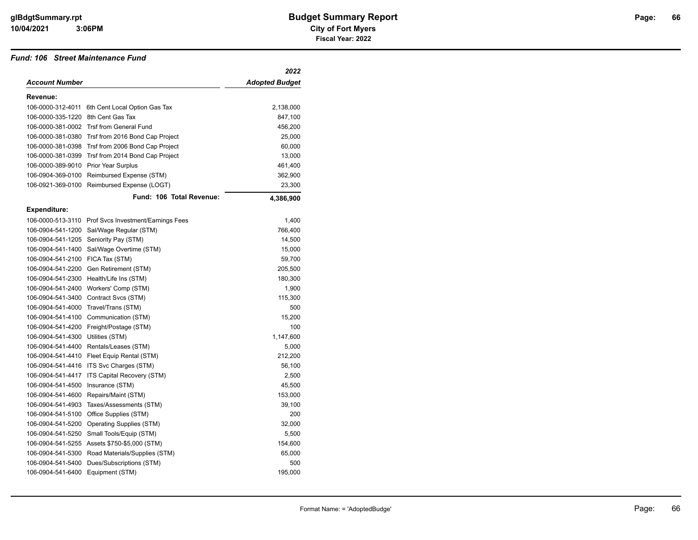#### *Fund: 106 Street Maintenance Fund*

|                   |                                                      | 2022                  |
|-------------------|------------------------------------------------------|-----------------------|
| Account Number    |                                                      | <b>Adopted Budget</b> |
| Revenue:          |                                                      |                       |
| 106-0000-312-4011 | 6th Cent Local Option Gas Tax                        | 2,138,000             |
| 106-0000-335-1220 | 8th Cent Gas Tax                                     | 847,100               |
|                   | 106-0000-381-0002 Trsf from General Fund             | 456,200               |
|                   | 106-0000-381-0380 Trsf from 2016 Bond Cap Project    | 25,000                |
| 106-0000-381-0398 | Trsf from 2006 Bond Cap Project                      | 60,000                |
| 106-0000-381-0399 | Trsf from 2014 Bond Cap Project                      | 13,000                |
| 106-0000-389-9010 | Prior Year Surplus                                   | 461,400               |
| 106-0904-369-0100 | Reimbursed Expense (STM)                             | 362,900               |
| 106-0921-369-0100 | Reimbursed Expense (LOGT)                            | 23,300                |
|                   | Fund: 106 Total Revenue:                             | 4,386,900             |
| Expenditure:      |                                                      |                       |
|                   | 106-0000-513-3110 Prof Svcs Investment/Earnings Fees | 1,400                 |
|                   | 106-0904-541-1200 Sal/Wage Regular (STM)             | 766,400               |
| 106-0904-541-1205 | Seniority Pay (STM)                                  | 14,500                |
| 106-0904-541-1400 | Sal/Wage Overtime (STM)                              | 15,000                |
| 106-0904-541-2100 | FICA Tax (STM)                                       | 59,700                |
| 106-0904-541-2200 | Gen Retirement (STM)                                 | 205,500               |
| 106-0904-541-2300 | Health/Life Ins (STM)                                | 180,300               |
| 106-0904-541-2400 | Workers' Comp (STM)                                  | 1,900                 |
| 106-0904-541-3400 | Contract Svcs (STM)                                  | 115,300               |
|                   | 106-0904-541-4000 Travel/Trans (STM)                 | 500                   |
| 106-0904-541-4100 | Communication (STM)                                  | 15,200                |
| 106-0904-541-4200 | Freight/Postage (STM)                                | 100                   |
| 106-0904-541-4300 | Utilities (STM)                                      | 1,147,600             |
| 106-0904-541-4400 | Rentals/Leases (STM)                                 | 5,000                 |
| 106-0904-541-4410 | Fleet Equip Rental (STM)                             | 212,200               |
| 106-0904-541-4416 | ITS Svc Charges (STM)                                | 56,100                |
| 106-0904-541-4417 | ITS Capital Recovery (STM)                           | 2,500                 |
| 106-0904-541-4500 | Insurance (STM)                                      | 45,500                |
| 106-0904-541-4600 | Repairs/Maint (STM)                                  | 153,000               |
| 106-0904-541-4903 | Taxes/Assessments (STM)                              | 39,100                |
| 106-0904-541-5100 | Office Supplies (STM)                                | 200                   |
| 106-0904-541-5200 | <b>Operating Supplies (STM)</b>                      | 32,000                |
| 106-0904-541-5250 | Small Tools/Equip (STM)                              | 5,500                 |
| 106-0904-541-5255 | Assets \$750-\$5,000 (STM)                           | 154,600               |
| 106-0904-541-5300 | Road Materials/Supplies (STM)                        | 65,000                |
| 106-0904-541-5400 | Dues/Subscriptions (STM)                             | 500                   |
| 106-0904-541-6400 | Equipment (STM)                                      | 195,000               |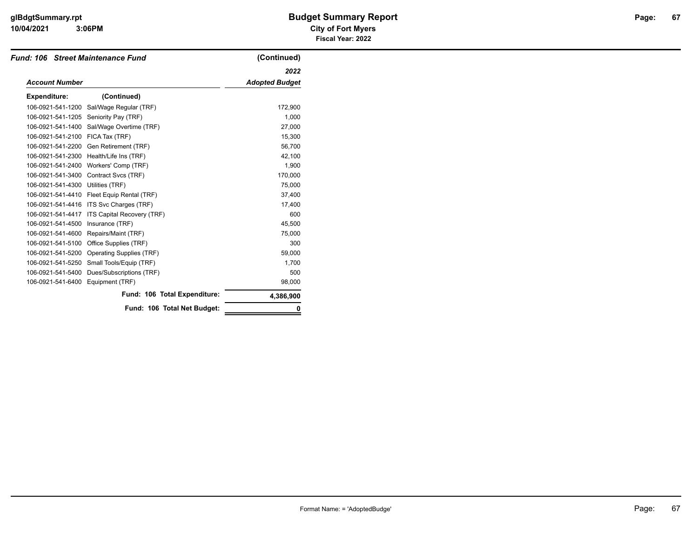### **3:06PM**

## **10/04/2021 City of Fort Myers glBdgtSummary.rpt Budget Summary Report Page: Fiscal Year: 2022**

|                       | <b>Fund: 106 Street Maintenance Fund</b> | (Continued)           |
|-----------------------|------------------------------------------|-----------------------|
|                       |                                          | 2022                  |
| <b>Account Number</b> |                                          | <b>Adopted Budget</b> |
| <b>Expenditure:</b>   | (Continued)                              |                       |
| 106-0921-541-1200     | Sal/Wage Regular (TRF)                   | 172,900               |
| 106-0921-541-1205     | Seniority Pay (TRF)                      | 1,000                 |
| 106-0921-541-1400     | Sal/Wage Overtime (TRF)                  | 27,000                |
| 106-0921-541-2100     | FICA Tax (TRF)                           | 15,300                |
| 106-0921-541-2200     | Gen Retirement (TRF)                     | 56,700                |
| 106-0921-541-2300     | Health/Life Ins (TRF)                    | 42,100                |
| 106-0921-541-2400     | Workers' Comp (TRF)                      | 1,900                 |
| 106-0921-541-3400     | Contract Svcs (TRF)                      | 170,000               |
| 106-0921-541-4300     | Utilities (TRF)                          | 75.000                |
| 106-0921-541-4410     | Fleet Equip Rental (TRF)                 | 37,400                |
| 106-0921-541-4416     | ITS Svc Charges (TRF)                    | 17,400                |
| 106-0921-541-4417     | ITS Capital Recovery (TRF)               | 600                   |
| 106-0921-541-4500     | Insurance (TRF)                          | 45,500                |
| 106-0921-541-4600     | Repairs/Maint (TRF)                      | 75,000                |
| 106-0921-541-5100     | Office Supplies (TRF)                    | 300                   |
| 106-0921-541-5200     | Operating Supplies (TRF)                 | 59.000                |
| 106-0921-541-5250     | Small Tools/Equip (TRF)                  | 1,700                 |
| 106-0921-541-5400     | Dues/Subscriptions (TRF)                 | 500                   |
| 106-0921-541-6400     | Equipment (TRF)                          | 98,000                |
|                       | Fund: 106 Total Expenditure:             | 4,386,900             |
|                       | Fund: 106 Total Net Budget:              |                       |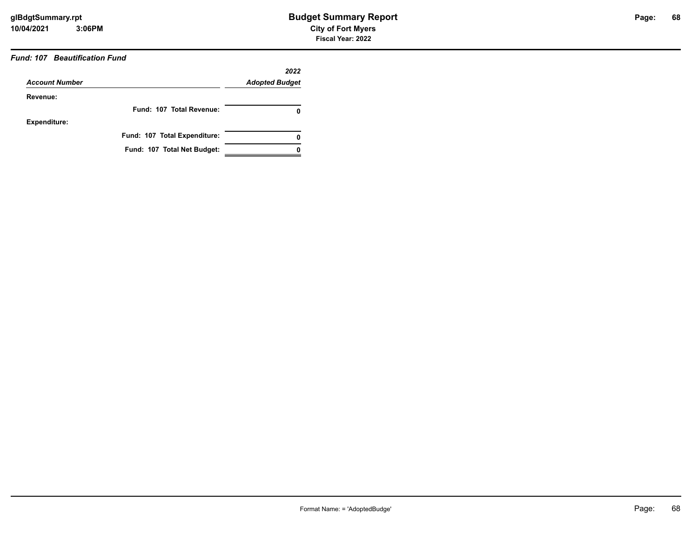## *Fund: 107 Beautification Fund*

|                       |                              | 2022                  |
|-----------------------|------------------------------|-----------------------|
| <b>Account Number</b> |                              | <b>Adopted Budget</b> |
| Revenue:              |                              |                       |
|                       | Fund: 107 Total Revenue:     | 0                     |
| <b>Expenditure:</b>   |                              |                       |
|                       | Fund: 107 Total Expenditure: | 0                     |
|                       | Fund: 107 Total Net Budget:  |                       |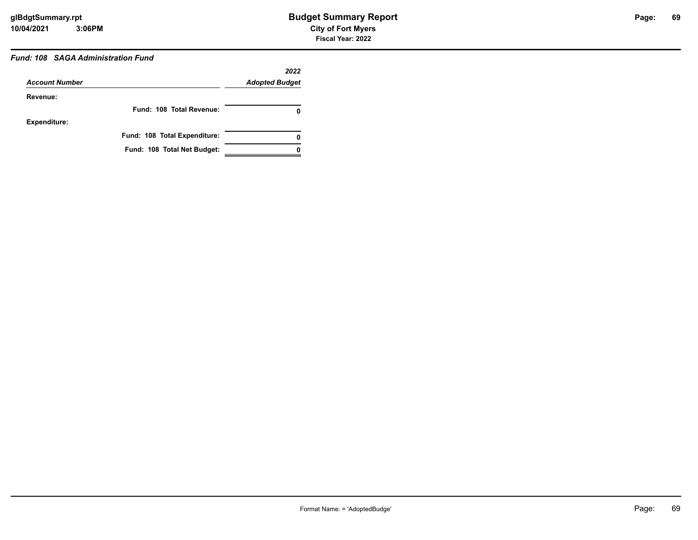## *Fund: 108 SAGA Administration Fund*

| <b>Account Number</b> |                              | 2022<br><b>Adopted Budget</b> |
|-----------------------|------------------------------|-------------------------------|
| Revenue:              |                              |                               |
|                       | Fund: 108 Total Revenue:     |                               |
| <b>Expenditure:</b>   |                              |                               |
|                       | Fund: 108 Total Expenditure: | 0                             |
|                       | Fund: 108 Total Net Budget:  |                               |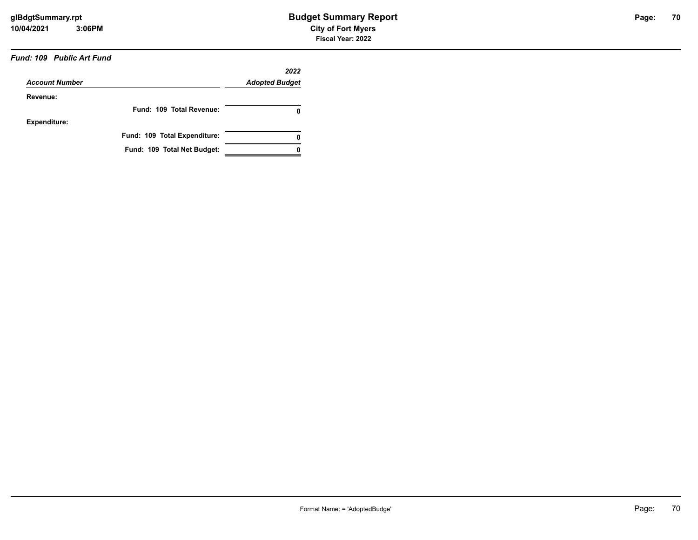### *Fund: 109 Public Art Fund*

| <b>Account Number</b> |                              | 2022<br><b>Adopted Budget</b> |
|-----------------------|------------------------------|-------------------------------|
|                       |                              |                               |
| Revenue:              |                              |                               |
|                       | Fund: 109 Total Revenue:     | 0                             |
| <b>Expenditure:</b>   |                              |                               |
|                       | Fund: 109 Total Expenditure: | 0                             |
|                       | Fund: 109 Total Net Budget:  |                               |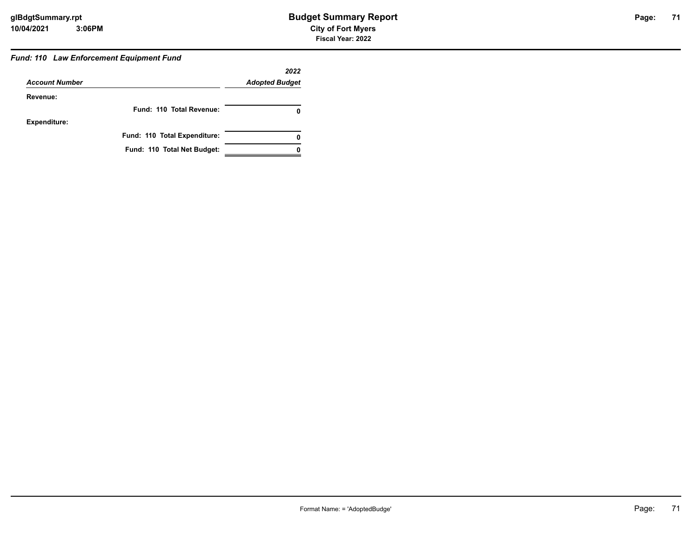#### *Fund: 110 Law Enforcement Equipment Fund*

|                       |                              | 2022                  |
|-----------------------|------------------------------|-----------------------|
| <b>Account Number</b> |                              | <b>Adopted Budget</b> |
| Revenue:              |                              |                       |
|                       | Fund: 110 Total Revenue:     |                       |
| <b>Expenditure:</b>   |                              |                       |
|                       | Fund: 110 Total Expenditure: | 0                     |
|                       | Fund: 110 Total Net Budget:  |                       |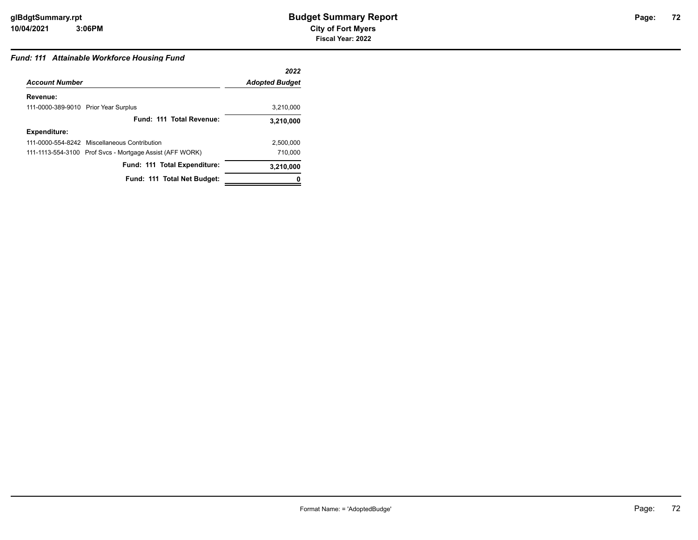# **72**

### *Fund: 111 Attainable Workforce Housing Fund*

|                                                          | 2022                  |
|----------------------------------------------------------|-----------------------|
| <b>Account Number</b>                                    | <b>Adopted Budget</b> |
| Revenue:                                                 |                       |
| 111-0000-389-9010 Prior Year Surplus                     | 3.210.000             |
| Fund: 111 Total Revenue:                                 | 3,210,000             |
| <b>Expenditure:</b>                                      |                       |
| 111-0000-554-8242 Miscellaneous Contribution             | 2,500,000             |
| 111-1113-554-3100 Prof Svcs - Mortgage Assist (AFF WORK) | 710.000               |
| Fund: 111 Total Expenditure:                             | 3,210,000             |
| Fund: 111 Total Net Budget:                              |                       |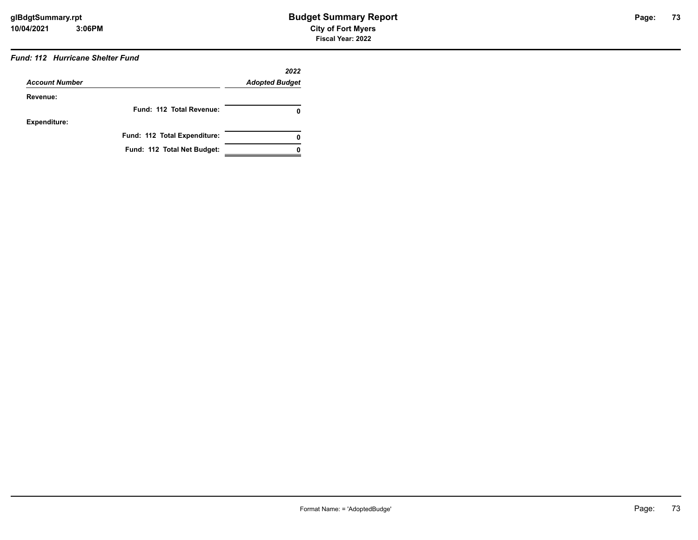## *Fund: 112 Hurricane Shelter Fund*

|                       |                              | 2022                  |
|-----------------------|------------------------------|-----------------------|
| <b>Account Number</b> |                              | <b>Adopted Budget</b> |
| Revenue:              |                              |                       |
|                       | Fund: 112 Total Revenue:     | 0                     |
| <b>Expenditure:</b>   |                              |                       |
|                       | Fund: 112 Total Expenditure: | 0                     |
|                       | Fund: 112 Total Net Budget:  |                       |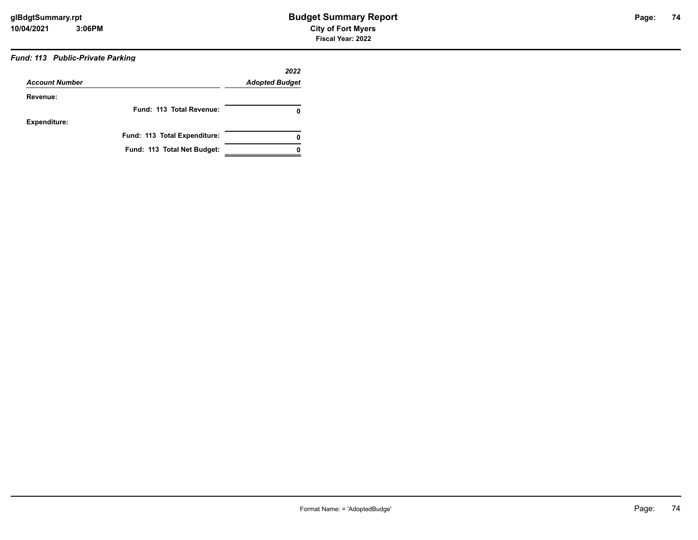## *Fund: 113 Public-Private Parking*

| <b>Account Number</b> |                              | 2022<br><b>Adopted Budget</b> |
|-----------------------|------------------------------|-------------------------------|
| Revenue:              |                              |                               |
|                       | Fund: 113 Total Revenue:     | 0                             |
| <b>Expenditure:</b>   |                              |                               |
|                       | Fund: 113 Total Expenditure: | 0                             |
|                       | Fund: 113 Total Net Budget:  |                               |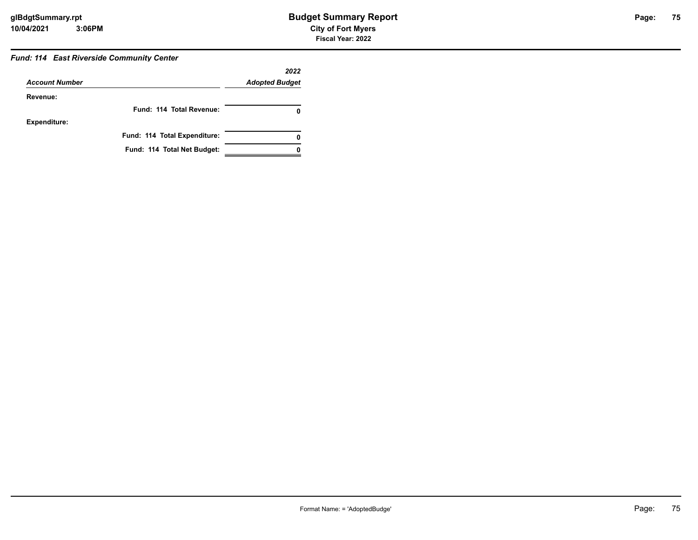#### *Fund: 114 East Riverside Community Center*

| <b>Account Number</b> |                              | 2022<br><b>Adopted Budget</b> |
|-----------------------|------------------------------|-------------------------------|
| Revenue:              |                              |                               |
|                       | Fund: 114 Total Revenue:     |                               |
| <b>Expenditure:</b>   |                              |                               |
|                       | Fund: 114 Total Expenditure: | 0                             |
|                       | Fund: 114 Total Net Budget:  |                               |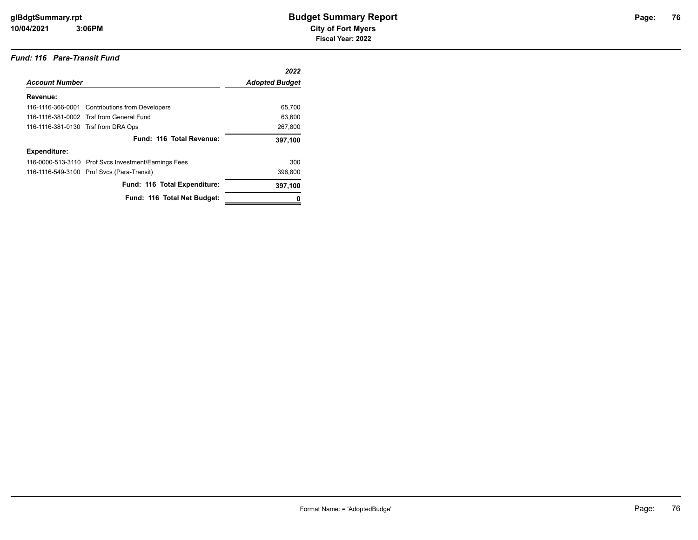#### *Fund: 116 Para-Transit Fund*

|                                     |                                                      | 2022                  |
|-------------------------------------|------------------------------------------------------|-----------------------|
| <b>Account Number</b>               |                                                      | <b>Adopted Budget</b> |
| Revenue:                            |                                                      |                       |
|                                     | 116-1116-366-0001 Contributions from Developers      | 65.700                |
|                                     | 116-1116-381-0002 Trsf from General Fund             | 63.600                |
| 116-1116-381-0130 Trsf from DRA Ops |                                                      | 267,800               |
|                                     | Fund: 116 Total Revenue:                             | 397,100               |
| <b>Expenditure:</b>                 |                                                      |                       |
|                                     | 116-0000-513-3110 Prof Svcs Investment/Earnings Fees | 300                   |
|                                     | 116-1116-549-3100 Prof Svcs (Para-Transit)           | 396.800               |
|                                     | Fund: 116 Total Expenditure:                         | 397,100               |
|                                     | Fund: 116 Total Net Budget:                          |                       |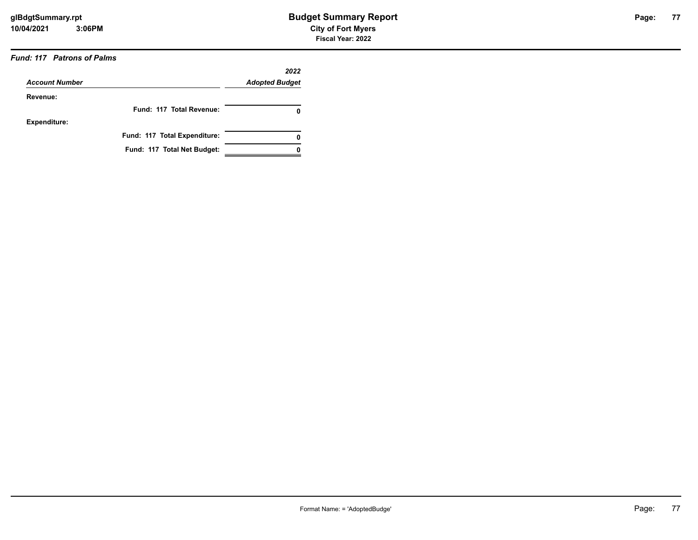### *Fund: 117 Patrons of Palms*

| <b>Account Number</b> |                              | 2022<br><b>Adopted Budget</b> |
|-----------------------|------------------------------|-------------------------------|
| Revenue:              |                              |                               |
|                       | Fund: 117 Total Revenue:     | 0                             |
| <b>Expenditure:</b>   |                              |                               |
|                       | Fund: 117 Total Expenditure: | 0                             |
|                       | Fund: 117 Total Net Budget:  |                               |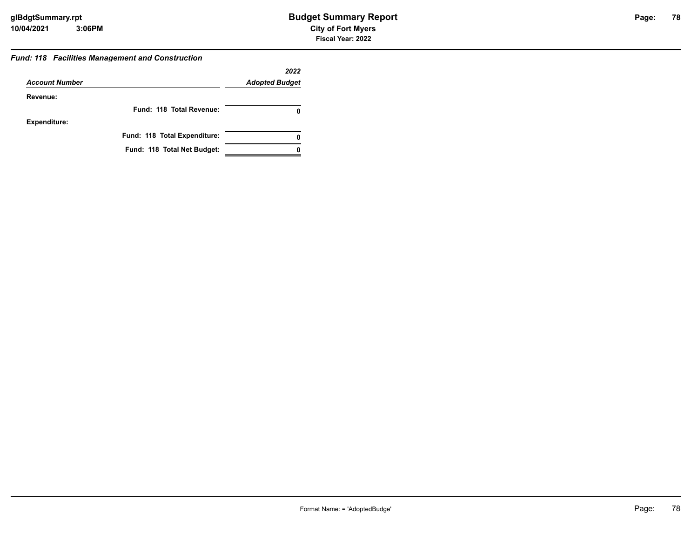#### *Fund: 118 Facilities Management and Construction*

|                       |                              | 2022                  |
|-----------------------|------------------------------|-----------------------|
| <b>Account Number</b> |                              | <b>Adopted Budget</b> |
| Revenue:              |                              |                       |
|                       | Fund: 118 Total Revenue:     |                       |
| <b>Expenditure:</b>   |                              |                       |
|                       | Fund: 118 Total Expenditure: | 0                     |
|                       | Fund: 118 Total Net Budget:  |                       |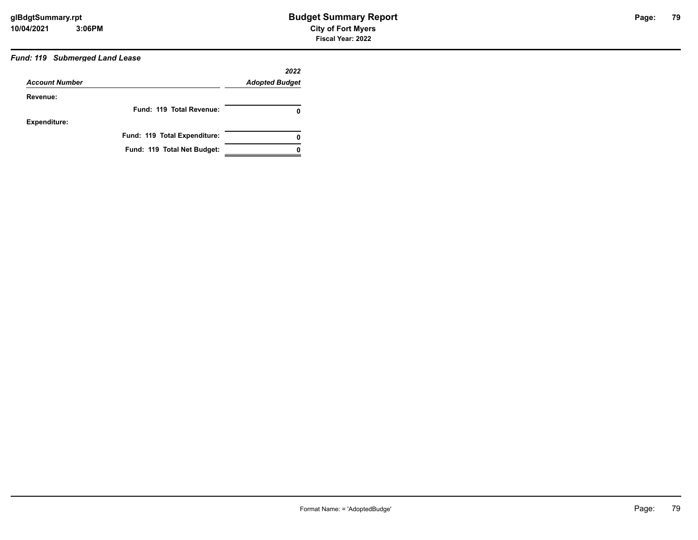### *Fund: 119 Submerged Land Lease*

|                       |                              | 2022                  |
|-----------------------|------------------------------|-----------------------|
| <b>Account Number</b> |                              | <b>Adopted Budget</b> |
| Revenue:              |                              |                       |
|                       | Fund: 119 Total Revenue:     | 0                     |
| <b>Expenditure:</b>   |                              |                       |
|                       | Fund: 119 Total Expenditure: | 0                     |
|                       | Fund: 119 Total Net Budget:  |                       |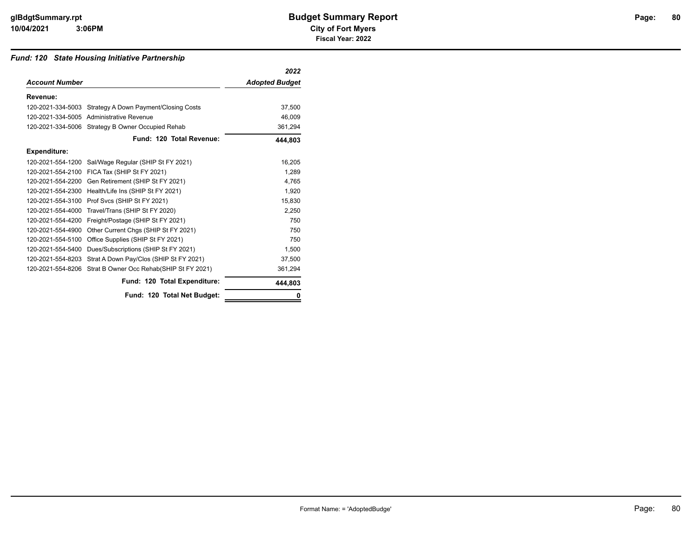#### *Fund: 120 State Housing Initiative Partnership*

|                       |                                                         | 2022                  |
|-----------------------|---------------------------------------------------------|-----------------------|
| <b>Account Number</b> |                                                         | <b>Adopted Budget</b> |
| Revenue:              |                                                         |                       |
|                       | 120-2021-334-5003 Strategy A Down Payment/Closing Costs | 37,500                |
|                       | 120-2021-334-5005 Administrative Revenue                | 46,009                |
|                       | 120-2021-334-5006 Strategy B Owner Occupied Rehab       | 361,294               |
|                       | Fund: 120 Total Revenue:                                | 444,803               |
| <b>Expenditure:</b>   |                                                         |                       |
| 120-2021-554-1200     | Sal/Wage Regular (SHIP St FY 2021)                      | 16,205                |
| 120-2021-554-2100     | FICA Tax (SHIP St FY 2021)                              | 1.289                 |
| 120-2021-554-2200     | Gen Retirement (SHIP St FY 2021)                        | 4.765                 |
| 120-2021-554-2300     | Health/Life Ins (SHIP St FY 2021)                       | 1,920                 |
| 120-2021-554-3100     | Prof Svcs (SHIP St FY 2021)                             | 15.830                |
| 120-2021-554-4000     | Travel/Trans (SHIP St FY 2020)                          | 2.250                 |
| 120-2021-554-4200     | Freight/Postage (SHIP St FY 2021)                       | 750                   |
| 120-2021-554-4900     | Other Current Chgs (SHIP St FY 2021)                    | 750                   |
| 120-2021-554-5100     | Office Supplies (SHIP St FY 2021)                       | 750                   |
| 120-2021-554-5400     | Dues/Subscriptions (SHIP St FY 2021)                    | 1,500                 |
| 120-2021-554-8203     | Strat A Down Pay/Clos (SHIP St FY 2021)                 | 37,500                |
| 120-2021-554-8206     | Strat B Owner Occ Rehab(SHIP St FY 2021)                | 361,294               |
|                       | Fund: 120 Total Expenditure:                            | 444.803               |
|                       | Fund: 120 Total Net Budget:                             |                       |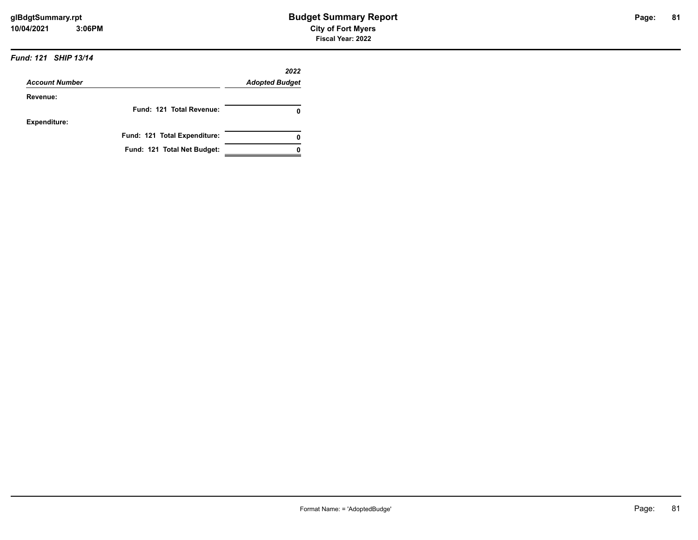#### *Fund: 121 SHIP 13/14*

|                       |                              | 2022                  |
|-----------------------|------------------------------|-----------------------|
| <b>Account Number</b> |                              | <b>Adopted Budget</b> |
| Revenue:              |                              |                       |
|                       | Fund: 121 Total Revenue:     |                       |
| <b>Expenditure:</b>   |                              |                       |
|                       | Fund: 121 Total Expenditure: |                       |
|                       | Fund: 121 Total Net Budget:  |                       |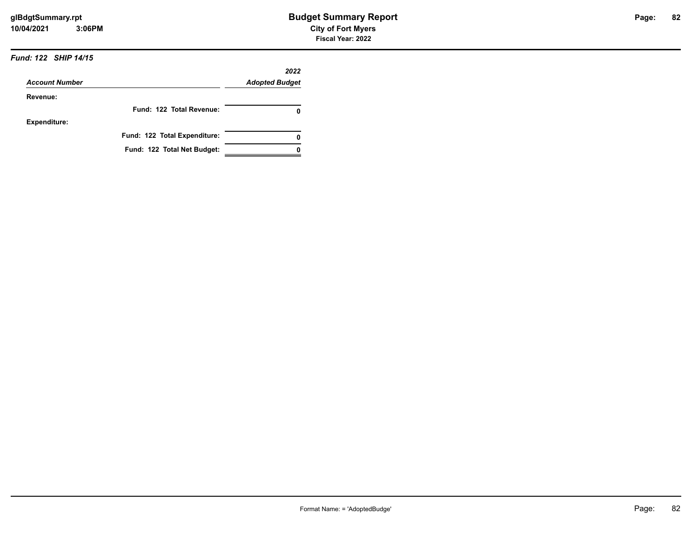#### *Fund: 122 SHIP 14/15*

|                       |                              | 2022                  |
|-----------------------|------------------------------|-----------------------|
| <b>Account Number</b> |                              | <b>Adopted Budget</b> |
| Revenue:              |                              |                       |
|                       | Fund: 122 Total Revenue:     |                       |
| <b>Expenditure:</b>   |                              |                       |
|                       | Fund: 122 Total Expenditure: |                       |
|                       | Fund: 122 Total Net Budget:  |                       |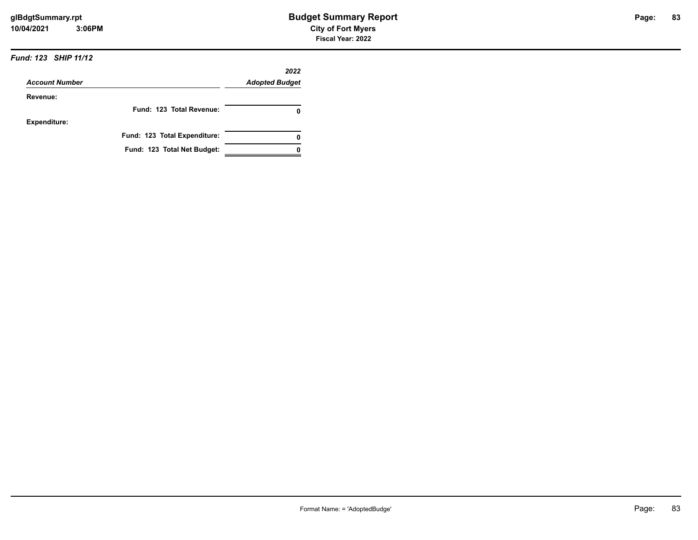#### *Fund: 123 SHIP 11/12*

|                       |                              | 2022                  |
|-----------------------|------------------------------|-----------------------|
| <b>Account Number</b> |                              | <b>Adopted Budget</b> |
| Revenue:              |                              |                       |
|                       | Fund: 123 Total Revenue:     | 0                     |
| Expenditure:          |                              |                       |
|                       | Fund: 123 Total Expenditure: | 0                     |
|                       | Fund: 123 Total Net Budget:  |                       |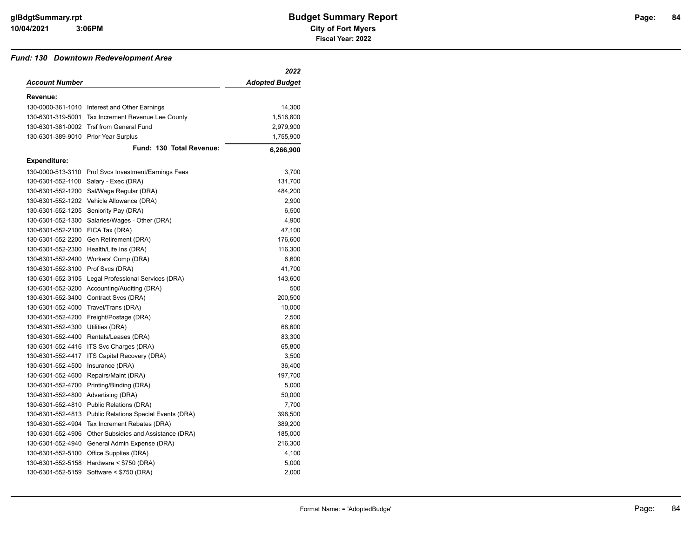#### *Fund: 130 Downtown Redevelopment Area*

|                                      |                                                         | 2022                  |
|--------------------------------------|---------------------------------------------------------|-----------------------|
| <b>Account Number</b>                |                                                         | <b>Adopted Budget</b> |
| Revenue:                             |                                                         |                       |
|                                      | 130-0000-361-1010 Interest and Other Earnings           | 14,300                |
|                                      | 130-6301-319-5001 Tax Increment Revenue Lee County      | 1,516,800             |
|                                      | 130-6301-381-0002 Trsf from General Fund                | 2,979,900             |
| 130-6301-389-9010 Prior Year Surplus |                                                         | 1,755,900             |
|                                      | Fund: 130 Total Revenue:                                | 6,266,900             |
| <b>Expenditure:</b>                  |                                                         |                       |
|                                      | 130-0000-513-3110 Prof Svcs Investment/Earnings Fees    | 3,700                 |
|                                      | 130-6301-552-1100 Salary - Exec (DRA)                   | 131,700               |
| 130-6301-552-1200                    | Sal/Wage Regular (DRA)                                  | 484,200               |
|                                      | 130-6301-552-1202 Vehicle Allowance (DRA)               | 2,900                 |
|                                      | 130-6301-552-1205 Seniority Pay (DRA)                   | 6,500                 |
|                                      | 130-6301-552-1300 Salaries/Wages - Other (DRA)          | 4,900                 |
| 130-6301-552-2100 FICA Tax (DRA)     |                                                         | 47,100                |
|                                      | 130-6301-552-2200 Gen Retirement (DRA)                  | 176,600               |
|                                      | 130-6301-552-2300 Health/Life Ins (DRA)                 | 116,300               |
|                                      | 130-6301-552-2400 Workers' Comp (DRA)                   | 6,600                 |
| 130-6301-552-3100 Prof Svcs (DRA)    |                                                         | 41,700                |
|                                      | 130-6301-552-3105 Legal Professional Services (DRA)     | 143,600               |
|                                      | 130-6301-552-3200 Accounting/Auditing (DRA)             | 500                   |
|                                      | 130-6301-552-3400 Contract Svcs (DRA)                   | 200,500               |
|                                      | 130-6301-552-4000 Travel/Trans (DRA)                    | 10,000                |
|                                      | 130-6301-552-4200 Freight/Postage (DRA)                 | 2,500                 |
| 130-6301-552-4300                    | Utilities (DRA)                                         | 68,600                |
|                                      | 130-6301-552-4400 Rentals/Leases (DRA)                  | 83,300                |
|                                      | 130-6301-552-4416 ITS Svc Charges (DRA)                 | 65,800                |
|                                      | 130-6301-552-4417 ITS Capital Recovery (DRA)            | 3,500                 |
| 130-6301-552-4500                    | Insurance (DRA)                                         | 36,400                |
|                                      | 130-6301-552-4600 Repairs/Maint (DRA)                   | 197,700               |
| 130-6301-552-4700                    | Printing/Binding (DRA)                                  | 5,000                 |
| 130-6301-552-4800                    | Advertising (DRA)                                       | 50,000                |
|                                      | 130-6301-552-4810 Public Relations (DRA)                | 7,700                 |
|                                      | 130-6301-552-4813 Public Relations Special Events (DRA) | 398,500               |
|                                      | 130-6301-552-4904 Tax Increment Rebates (DRA)           | 389,200               |
|                                      | 130-6301-552-4906 Other Subsidies and Assistance (DRA)  | 185,000               |
| 130-6301-552-4940                    | General Admin Expense (DRA)                             | 216,300               |
|                                      | 130-6301-552-5100 Office Supplies (DRA)                 | 4,100                 |
| 130-6301-552-5158                    | Hardware $<$ \$750 (DRA)                                | 5,000                 |
|                                      | 130-6301-552-5159 Software < \$750 (DRA)                | 2,000                 |
|                                      |                                                         |                       |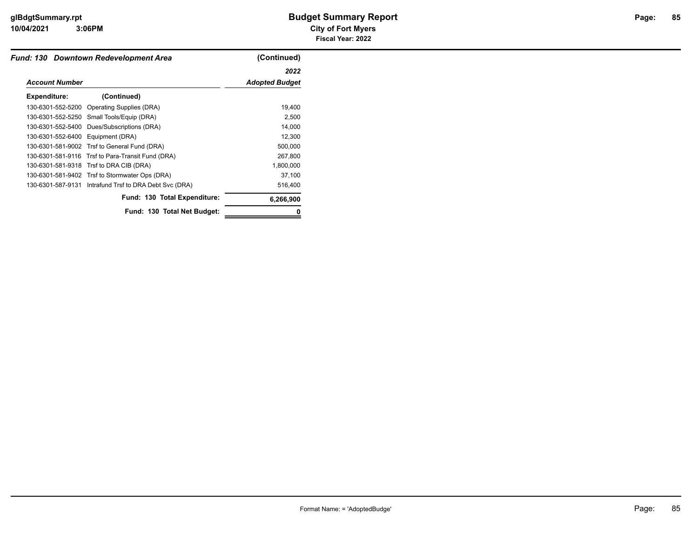**3:06PM**

|                                   | Fund: 130 Downtown Redevelopment Area                  | (Continued)           |
|-----------------------------------|--------------------------------------------------------|-----------------------|
|                                   |                                                        | 2022                  |
| <b>Account Number</b>             |                                                        | <b>Adopted Budget</b> |
| Expenditure:                      | (Continued)                                            |                       |
|                                   | 130-6301-552-5200 Operating Supplies (DRA)             | 19,400                |
|                                   | 130-6301-552-5250 Small Tools/Equip (DRA)              | 2,500                 |
| 130-6301-552-5400                 | Dues/Subscriptions (DRA)                               | 14,000                |
| 130-6301-552-6400 Equipment (DRA) |                                                        | 12,300                |
|                                   | 130-6301-581-9002 Trsf to General Fund (DRA)           | 500,000               |
|                                   | 130-6301-581-9116 Trsf to Para-Transit Fund (DRA)      | 267,800               |
|                                   | 130-6301-581-9318 Trsf to DRA CIB (DRA)                | 1,800,000             |
|                                   | 130-6301-581-9402 Trsf to Stormwater Ops (DRA)         | 37,100                |
|                                   | 130-6301-587-9131 Intrafund Trsf to DRA Debt Svc (DRA) | 516,400               |
|                                   | Fund: 130 Total Expenditure:                           | 6,266,900             |
|                                   | Fund: 130 Total Net Budget:                            | 0                     |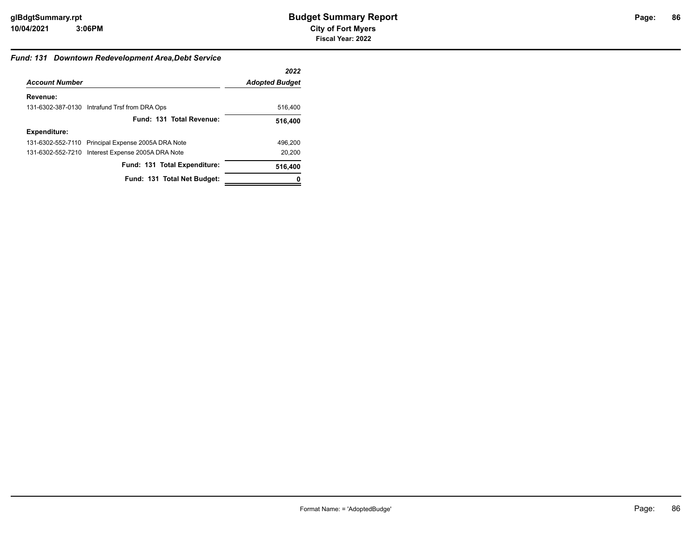#### *Fund: 131 Downtown Redevelopment Area,Debt Service*

|                       |                                                    | 2022                  |
|-----------------------|----------------------------------------------------|-----------------------|
| <b>Account Number</b> |                                                    | <b>Adopted Budget</b> |
| Revenue:              |                                                    |                       |
|                       | 131-6302-387-0130 Intrafund Trsf from DRA Ops      | 516,400               |
|                       | Fund: 131 Total Revenue:                           | 516,400               |
| Expenditure:          |                                                    |                       |
|                       | 131-6302-552-7110 Principal Expense 2005A DRA Note | 496.200               |
|                       | 131-6302-552-7210 Interest Expense 2005A DRA Note  | 20.200                |
|                       | Fund: 131 Total Expenditure:                       | 516,400               |
|                       | Fund: 131 Total Net Budget:                        |                       |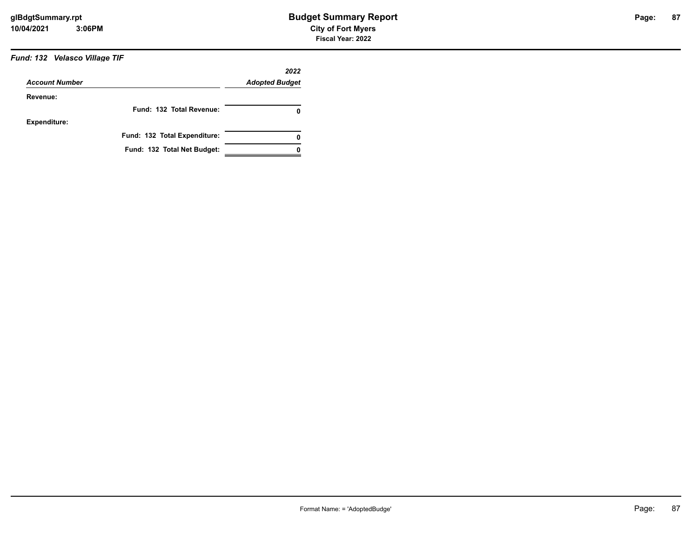### *Fund: 132 Velasco Village TIF*

| <b>Account Number</b> |                              | 2022<br><b>Adopted Budget</b> |
|-----------------------|------------------------------|-------------------------------|
| Revenue:              |                              |                               |
|                       | Fund: 132 Total Revenue:     | 0                             |
| <b>Expenditure:</b>   |                              |                               |
|                       | Fund: 132 Total Expenditure: | 0                             |
|                       | Fund: 132 Total Net Budget:  |                               |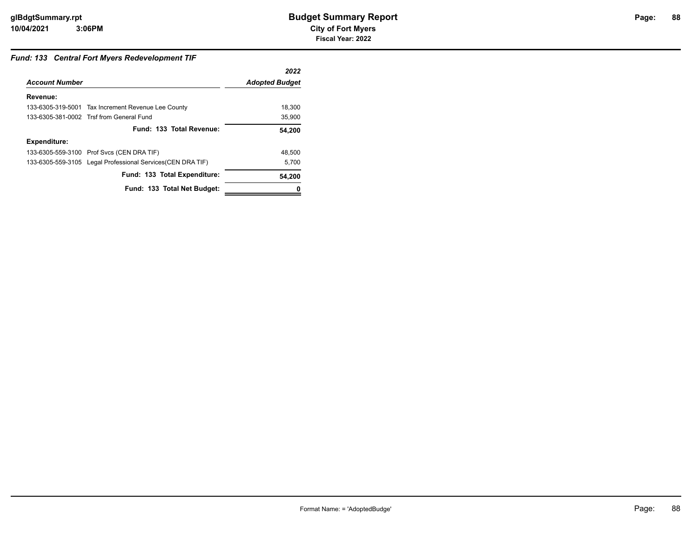### *Fund: 133 Central Fort Myers Redevelopment TIF*

|                       |                                                             | 2022                  |
|-----------------------|-------------------------------------------------------------|-----------------------|
| <b>Account Number</b> |                                                             | <b>Adopted Budget</b> |
| Revenue:              |                                                             |                       |
|                       | 133-6305-319-5001 Tax Increment Revenue Lee County          | 18,300                |
|                       | 133-6305-381-0002 Trsf from General Fund                    | 35,900                |
|                       | Fund: 133 Total Revenue:                                    | 54,200                |
| <b>Expenditure:</b>   |                                                             |                       |
|                       | 133-6305-559-3100 Prof Svcs (CEN DRA TIF)                   | 48,500                |
|                       | 133-6305-559-3105 Legal Professional Services (CEN DRA TIF) | 5,700                 |
|                       | Fund: 133 Total Expenditure:                                | 54,200                |
|                       | Fund: 133 Total Net Budget:                                 |                       |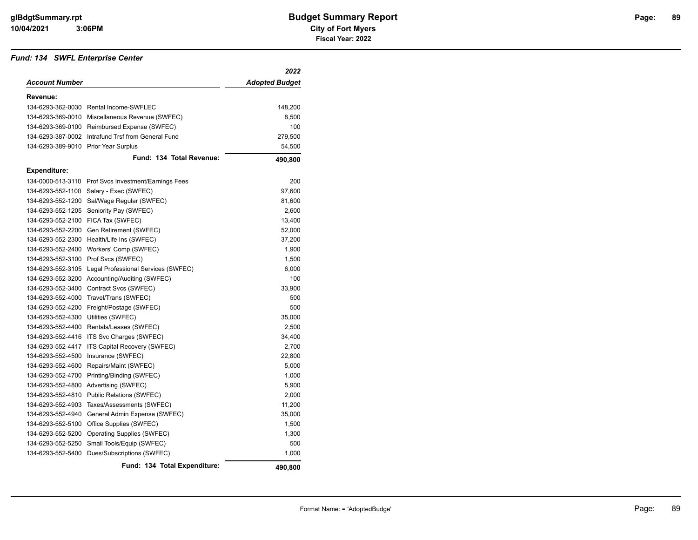#### *Fund: 134 SWFL Enterprise Center*

|                                      |                                                      | 2022           |
|--------------------------------------|------------------------------------------------------|----------------|
| <b>Account Number</b>                |                                                      | Adopted Budget |
| Revenue:                             |                                                      |                |
|                                      | 134-6293-362-0030 Rental Income-SWFLEC               | 148,200        |
| 134-6293-369-0010                    | Miscellaneous Revenue (SWFEC)                        | 8,500          |
| 134-6293-369-0100                    | Reimbursed Expense (SWFEC)                           | 100            |
| 134-6293-387-0002                    | Intrafund Trsf from General Fund                     | 279,500        |
| 134-6293-389-9010 Prior Year Surplus |                                                      | 54,500         |
|                                      | Fund: 134 Total Revenue:                             | 490,800        |
| <b>Expenditure:</b>                  |                                                      |                |
|                                      | 134-0000-513-3110 Prof Svcs Investment/Earnings Fees | 200            |
| 134-6293-552-1100                    | Salary - Exec (SWFEC)                                | 97,600         |
| 134-6293-552-1200                    | Sal/Wage Regular (SWFEC)                             | 81,600         |
| 134-6293-552-1205                    | Seniority Pay (SWFEC)                                | 2,600          |
| 134-6293-552-2100                    | FICA Tax (SWFEC)                                     | 13,400         |
| 134-6293-552-2200                    | Gen Retirement (SWFEC)                               | 52,000         |
| 134-6293-552-2300                    | Health/Life Ins (SWFEC)                              | 37,200         |
| 134-6293-552-2400                    | Workers' Comp (SWFEC)                                | 1,900          |
| 134-6293-552-3100                    | Prof Svcs (SWFEC)                                    | 1,500          |
| 134-6293-552-3105                    | Legal Professional Services (SWFEC)                  | 6,000          |
| 134-6293-552-3200                    | Accounting/Auditing (SWFEC)                          | 100            |
| 134-6293-552-3400                    | Contract Svcs (SWFEC)                                | 33,900         |
| 134-6293-552-4000                    | Travel/Trans (SWFEC)                                 | 500            |
| 134-6293-552-4200                    | Freight/Postage (SWFEC)                              | 500            |
| 134-6293-552-4300                    | Utilities (SWFEC)                                    | 35,000         |
| 134-6293-552-4400                    | Rentals/Leases (SWFEC)                               | 2,500          |
| 134-6293-552-4416                    | ITS Svc Charges (SWFEC)                              | 34,400         |
| 134-6293-552-4417                    | ITS Capital Recovery (SWFEC)                         | 2,700          |
| 134-6293-552-4500                    | Insurance (SWFEC)                                    | 22,800         |
| 134-6293-552-4600                    | Repairs/Maint (SWFEC)                                | 5,000          |
| 134-6293-552-4700                    | Printing/Binding (SWFEC)                             | 1,000          |
| 134-6293-552-4800                    | Advertising (SWFEC)                                  | 5,900          |
| 134-6293-552-4810                    | <b>Public Relations (SWFEC)</b>                      | 2,000          |
| 134-6293-552-4903                    | Taxes/Assessments (SWFEC)                            | 11,200         |
| 134-6293-552-4940                    | General Admin Expense (SWFEC)                        | 35,000         |
| 134-6293-552-5100                    | Office Supplies (SWFEC)                              | 1,500          |
| 134-6293-552-5200                    | Operating Supplies (SWFEC)                           | 1,300          |
| 134-6293-552-5250                    | Small Tools/Equip (SWFEC)                            | 500            |
| 134-6293-552-5400                    | Dues/Subscriptions (SWFEC)                           | 1,000          |
|                                      | Fund: 134 Total Expenditure:                         | 490.800        |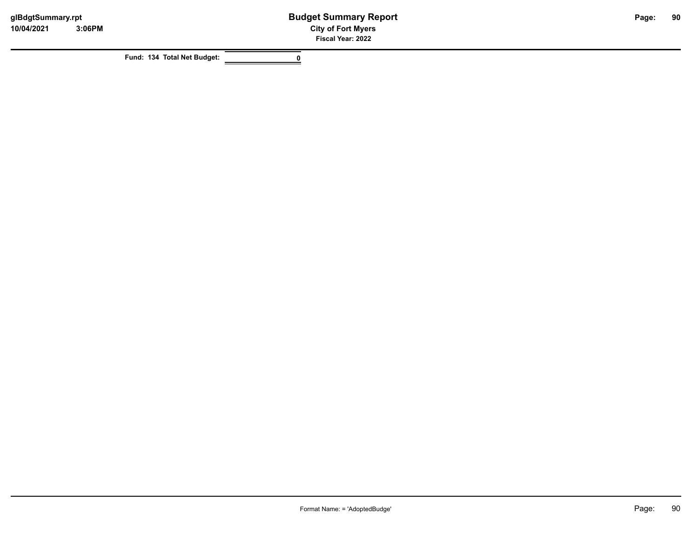**Fund: 134 Total Net Budget: 0**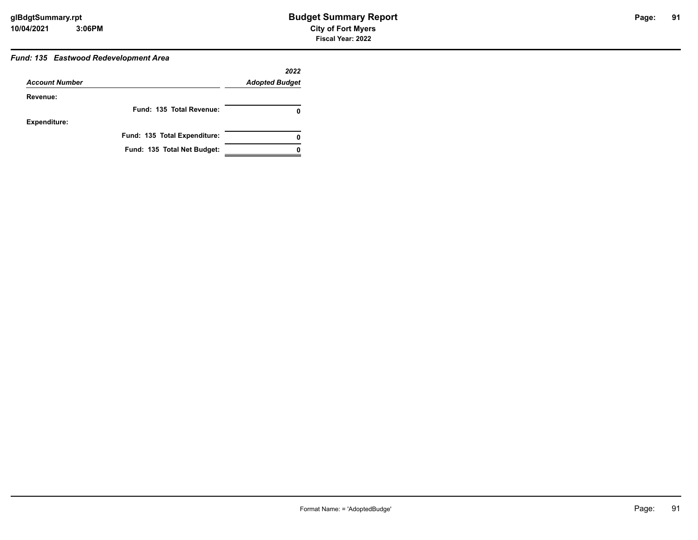### *Fund: 135 Eastwood Redevelopment Area*

|                       |                              | 2022                  |
|-----------------------|------------------------------|-----------------------|
| <b>Account Number</b> |                              | <b>Adopted Budget</b> |
| Revenue:              |                              |                       |
|                       | Fund: 135 Total Revenue:     | 0                     |
| <b>Expenditure:</b>   |                              |                       |
|                       | Fund: 135 Total Expenditure: | 0                     |
|                       | Fund: 135 Total Net Budget:  |                       |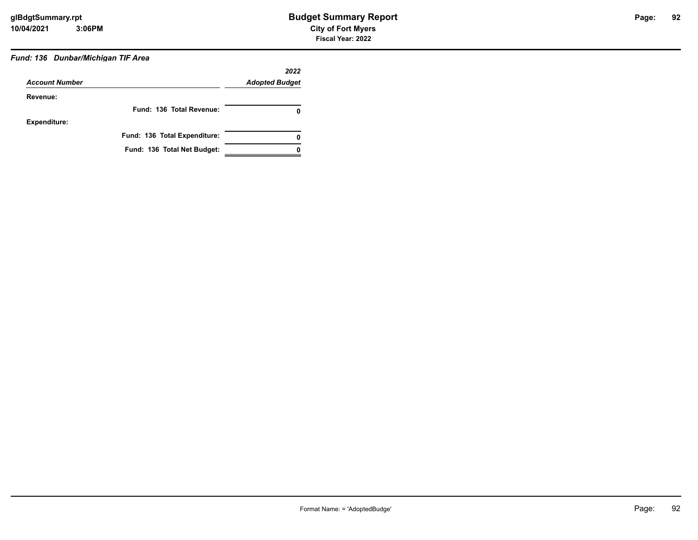### *Fund: 136 Dunbar/Michigan TIF Area*

| <b>Account Number</b> |                              | 2022<br><b>Adopted Budget</b> |
|-----------------------|------------------------------|-------------------------------|
| Revenue:              |                              |                               |
|                       | Fund: 136 Total Revenue:     |                               |
| <b>Expenditure:</b>   |                              |                               |
|                       | Fund: 136 Total Expenditure: | 0                             |
|                       | Fund: 136 Total Net Budget:  |                               |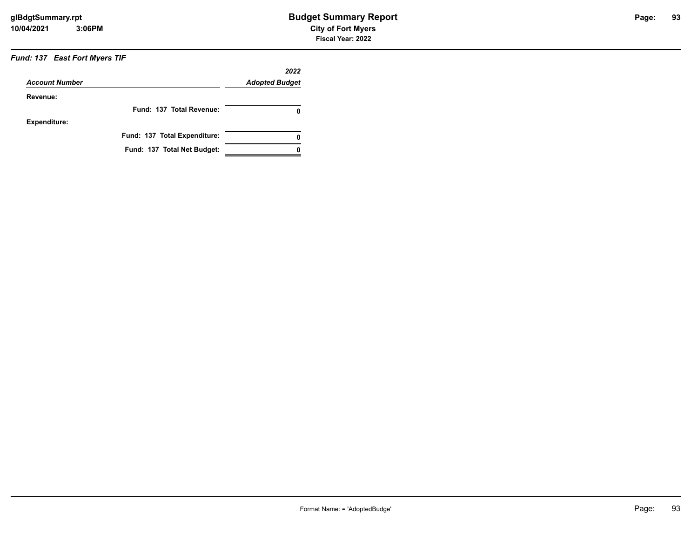### *Fund: 137 East Fort Myers TIF*

| <b>Account Number</b> |                              | 2022<br><b>Adopted Budget</b> |
|-----------------------|------------------------------|-------------------------------|
| Revenue:              |                              |                               |
|                       | Fund: 137 Total Revenue:     | 0                             |
| <b>Expenditure:</b>   |                              |                               |
|                       | Fund: 137 Total Expenditure: | 0                             |
|                       | Fund: 137 Total Net Budget:  |                               |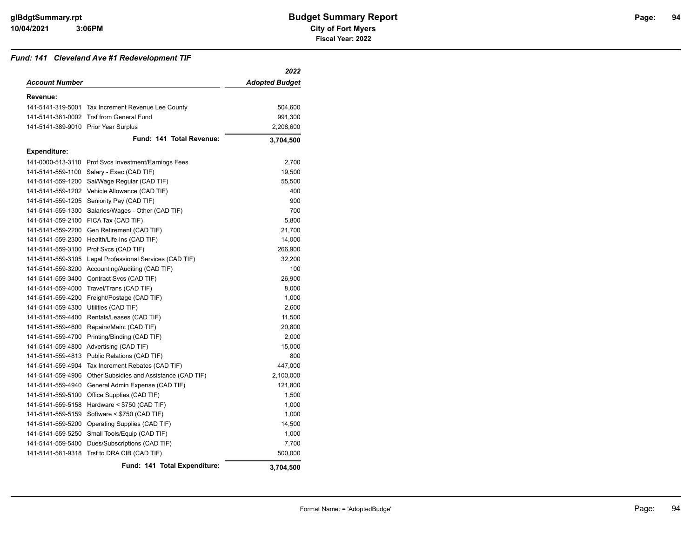#### *Fund: 141 Cleveland Ave #1 Redevelopment TIF*

|                                      |                                                      | 2022                  |
|--------------------------------------|------------------------------------------------------|-----------------------|
| <b>Account Number</b>                |                                                      | <b>Adopted Budget</b> |
| Revenue:                             |                                                      |                       |
|                                      | 141-5141-319-5001 Tax Increment Revenue Lee County   | 504,600               |
|                                      | 141-5141-381-0002 Trsf from General Fund             | 991,300               |
| 141-5141-389-9010 Prior Year Surplus |                                                      | 2,208,600             |
|                                      | Fund: 141 Total Revenue:                             | 3,704,500             |
| <b>Expenditure:</b>                  |                                                      |                       |
|                                      | 141-0000-513-3110 Prof Svcs Investment/Earnings Fees | 2,700                 |
| 141-5141-559-1100                    | Salary - Exec (CAD TIF)                              | 19,500                |
| 141-5141-559-1200                    | Sal/Wage Regular (CAD TIF)                           | 55,500                |
| 141-5141-559-1202                    | Vehicle Allowance (CAD TIF)                          | 400                   |
| 141-5141-559-1205                    | Seniority Pay (CAD TIF)                              | 900                   |
| 141-5141-559-1300                    | Salaries/Wages - Other (CAD TIF)                     | 700                   |
| 141-5141-559-2100                    | FICA Tax (CAD TIF)                                   | 5,800                 |
| 141-5141-559-2200                    | Gen Retirement (CAD TIF)                             | 21,700                |
| 141-5141-559-2300                    | Health/Life Ins (CAD TIF)                            | 14,000                |
|                                      | 141-5141-559-3100 Prof Svcs (CAD TIF)                | 266,900               |
| 141-5141-559-3105                    | Legal Professional Services (CAD TIF)                | 32,200                |
|                                      | 141-5141-559-3200 Accounting/Auditing (CAD TIF)      | 100                   |
| 141-5141-559-3400                    | Contract Svcs (CAD TIF)                              | 26,900                |
| 141-5141-559-4000                    | Travel/Trans (CAD TIF)                               | 8,000                 |
| 141-5141-559-4200                    | Freight/Postage (CAD TIF)                            | 1,000                 |
| 141-5141-559-4300                    | Utilities (CAD TIF)                                  | 2,600                 |
| 141-5141-559-4400                    | Rentals/Leases (CAD TIF)                             | 11,500                |
| 141-5141-559-4600                    | Repairs/Maint (CAD TIF)                              | 20,800                |
| 141-5141-559-4700                    | Printing/Binding (CAD TIF)                           | 2,000                 |
| 141-5141-559-4800                    | Advertising (CAD TIF)                                | 15,000                |
| 141-5141-559-4813                    | Public Relations (CAD TIF)                           | 800                   |
| 141-5141-559-4904                    | Tax Increment Rebates (CAD TIF)                      | 447,000               |
| 141-5141-559-4906                    | Other Subsidies and Assistance (CAD TIF)             | 2,100,000             |
| 141-5141-559-4940                    | General Admin Expense (CAD TIF)                      | 121,800               |
| 141-5141-559-5100                    | Office Supplies (CAD TIF)                            | 1,500                 |
| 141-5141-559-5158                    | Hardware < \$750 (CAD TIF)                           | 1,000                 |
| 141-5141-559-5159                    | Software < \$750 (CAD TIF)                           | 1,000                 |
| 141-5141-559-5200                    | Operating Supplies (CAD TIF)                         | 14,500                |
|                                      | 141-5141-559-5250 Small Tools/Equip (CAD TIF)        | 1,000                 |
| 141-5141-559-5400                    | Dues/Subscriptions (CAD TIF)                         | 7,700                 |
| 141-5141-581-9318                    | Trsf to DRA CIB (CAD TIF)                            | 500,000               |
|                                      | Fund: 141 Total Expenditure:                         | 3,704,500             |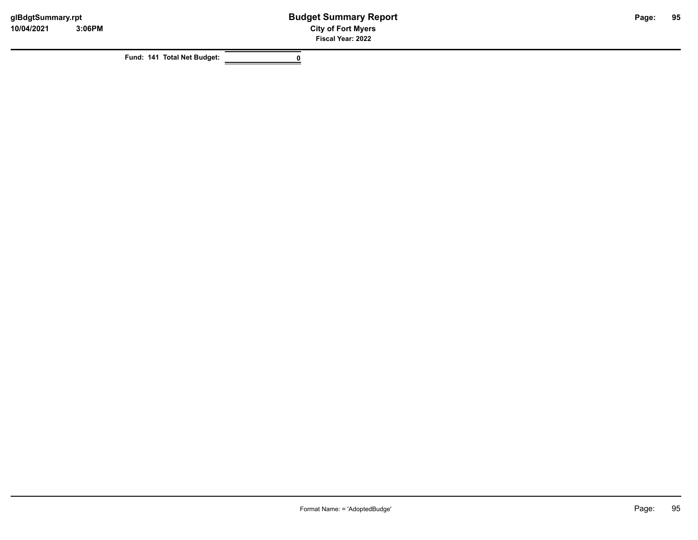**Fund: 141 Total Net Budget: 0**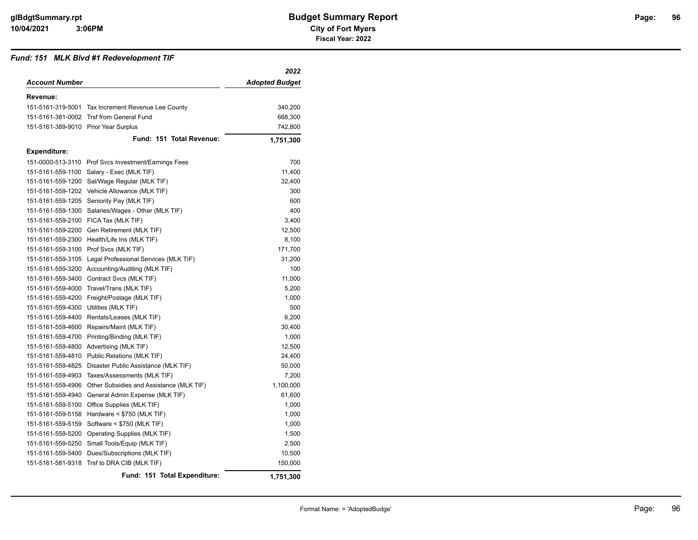#### *Fund: 151 MLK Blvd #1 Redevelopment TIF*

|                                      |                                                      | 2022                  |
|--------------------------------------|------------------------------------------------------|-----------------------|
| Account Number                       |                                                      | <b>Adopted Budget</b> |
| Revenue:                             |                                                      |                       |
|                                      | 151-5161-319-5001 Tax Increment Revenue Lee County   | 340,200               |
|                                      | 151-5161-381-0002 Trsf from General Fund             | 668,300               |
| 151-5161-389-9010 Prior Year Surplus |                                                      | 742,800               |
|                                      | Fund: 151 Total Revenue:                             | 1,751,300             |
| <b>Expenditure:</b>                  |                                                      |                       |
|                                      | 151-0000-513-3110 Prof Svcs Investment/Earnings Fees | 700                   |
|                                      | 151-5161-559-1100 Salary - Exec (MLK TIF)            | 11,400                |
| 151-5161-559-1200                    | Sal/Wage Regular (MLK TIF)                           | 32,400                |
|                                      | 151-5161-559-1202 Vehicle Allowance (MLK TIF)        | 300                   |
|                                      | 151-5161-559-1205 Seniority Pay (MLK TIF)            | 600                   |
| 151-5161-559-1300                    | Salaries/Wages - Other (MLK TIF)                     | 400                   |
| 151-5161-559-2100                    | FICA Tax (MLK TIF)                                   | 3,400                 |
| 151-5161-559-2200                    | Gen Retirement (MLK TIF)                             | 12,500                |
| 151-5161-559-2300                    | Health/Life Ins (MLK TIF)                            | 8,100                 |
|                                      | 151-5161-559-3100 Prof Svcs (MLK TIF)                | 171,700               |
| 151-5161-559-3105                    | Legal Professional Services (MLK TIF)                | 31,200                |
|                                      | 151-5161-559-3200 Accounting/Auditing (MLK TIF)      | 100                   |
| 151-5161-559-3400                    | Contract Svcs (MLK TIF)                              | 11,000                |
|                                      | 151-5161-559-4000 Travel/Trans (MLK TIF)             | 5,200                 |
| 151-5161-559-4200                    | Freight/Postage (MLK TIF)                            | 1,000                 |
| 151-5161-559-4300                    | Utilities (MLK TIF)                                  | 500                   |
| 151-5161-559-4400                    | Rentals/Leases (MLK TIF)                             | 6,200                 |
| 151-5161-559-4600                    | Repairs/Maint (MLK TIF)                              | 30,400                |
| 151-5161-559-4700                    | Printing/Binding (MLK TIF)                           | 1,000                 |
| 151-5161-559-4800                    | Advertising (MLK TIF)                                | 12,500                |
| 151-5161-559-4810                    | Public Relations (MLK TIF)                           | 24,400                |
| 151-5161-559-4825                    | Disaster Public Assistance (MLK TIF)                 | 50,000                |
| 151-5161-559-4903                    | Taxes/Assessments (MLK TIF)                          | 7,200                 |
| 151-5161-559-4906                    | Other Subsidies and Assistance (MLK TIF)             | 1,100,000             |
| 151-5161-559-4940                    | General Admin Expense (MLK TIF)                      | 61,600                |
| 151-5161-559-5100                    | Office Supplies (MLK TIF)                            | 1,000                 |
| 151-5161-559-5158                    | Hardware < \$750 (MLK TIF)                           | 1,000                 |
| 151-5161-559-5159                    | Software < \$750 (MLK TIF)                           | 1,000                 |
| 151-5161-559-5200                    | Operating Supplies (MLK TIF)                         | 1,500                 |
| 151-5161-559-5250                    | Small Tools/Equip (MLK TIF)                          | 2,500                 |
| 151-5161-559-5400                    | Dues/Subscriptions (MLK TIF)                         | 10,500                |
|                                      | 151-5161-581-9318 Trsf to DRA CIB (MLK TIF)          | 150,000               |
|                                      | Fund: 151 Total Expenditure:                         | 1,751,300             |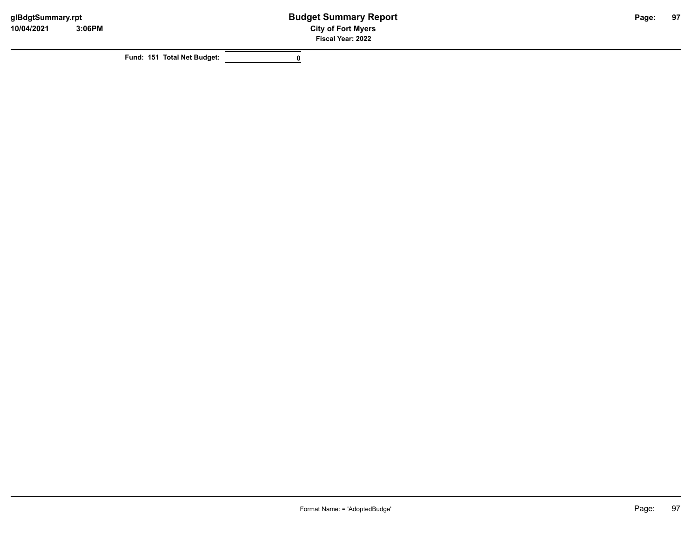**Fund: 151 Total Net Budget: 0**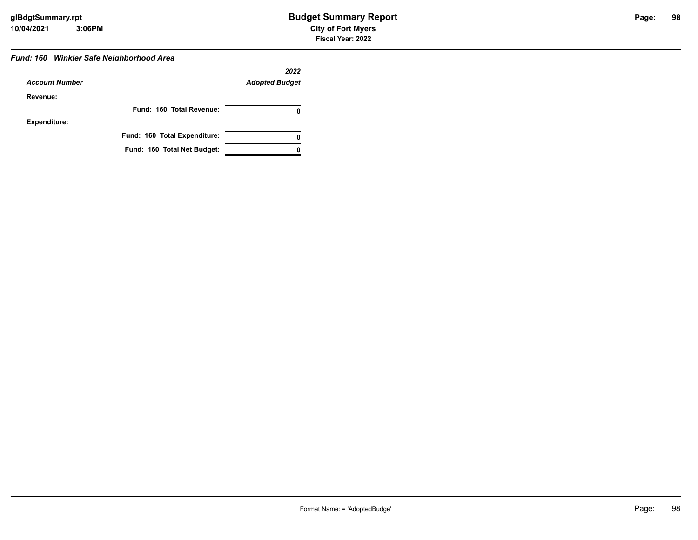## *Fund: 160 Winkler Safe Neighborhood Area*

|                       |                              | 2022                  |
|-----------------------|------------------------------|-----------------------|
| <b>Account Number</b> |                              | <b>Adopted Budget</b> |
| Revenue:              |                              |                       |
|                       | Fund: 160 Total Revenue:     | 0                     |
| Expenditure:          |                              |                       |
|                       | Fund: 160 Total Expenditure: | 0                     |
|                       | Fund: 160 Total Net Budget:  |                       |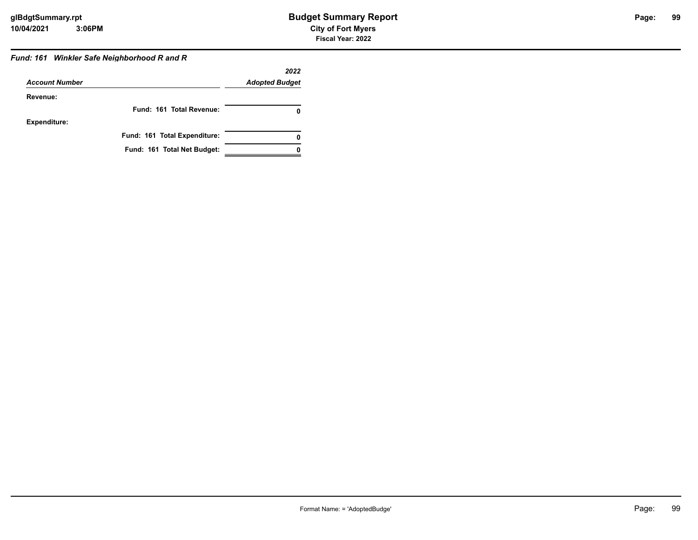### *Fund: 161 Winkler Safe Neighborhood R and R*

|                       |                              | 2022                  |
|-----------------------|------------------------------|-----------------------|
| <b>Account Number</b> |                              | <b>Adopted Budget</b> |
| Revenue:              |                              |                       |
|                       | Fund: 161 Total Revenue:     | 0                     |
| <b>Expenditure:</b>   |                              |                       |
|                       | Fund: 161 Total Expenditure: |                       |
|                       | Fund: 161 Total Net Budget:  |                       |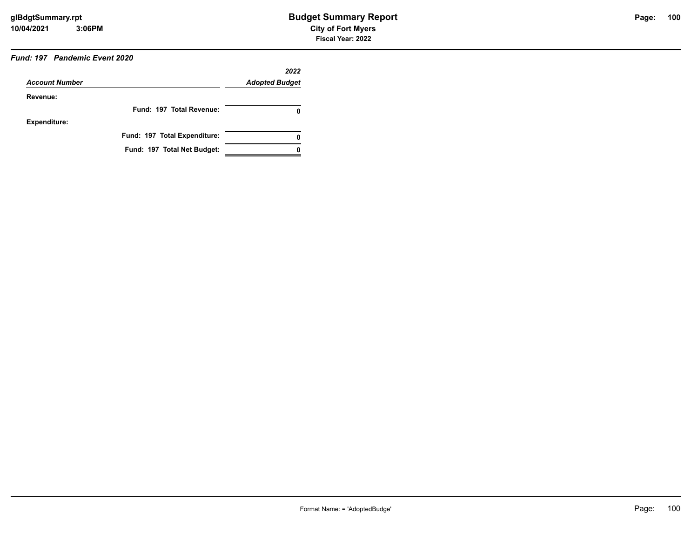### *Fund: 197 Pandemic Event 2020*

| <b>Account Number</b> |                              | 2022<br><b>Adopted Budget</b> |
|-----------------------|------------------------------|-------------------------------|
|                       |                              |                               |
| Revenue:              |                              |                               |
|                       | Fund: 197 Total Revenue:     | 0                             |
| <b>Expenditure:</b>   |                              |                               |
|                       | Fund: 197 Total Expenditure: | 0                             |
|                       | Fund: 197 Total Net Budget:  |                               |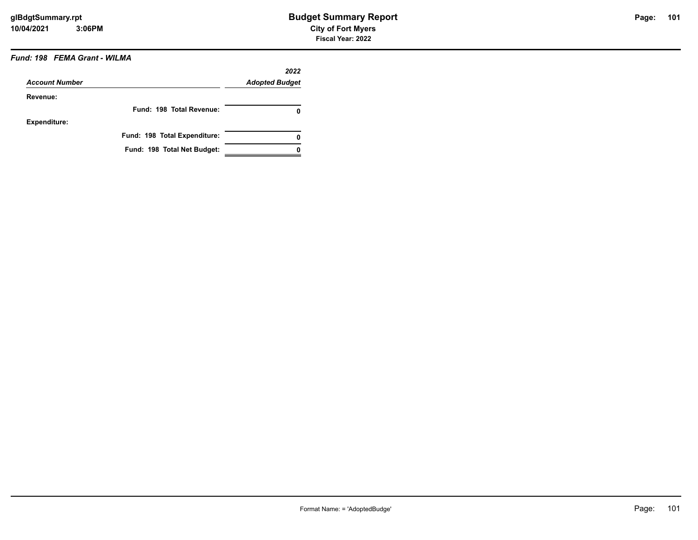### *Fund: 198 FEMA Grant - WILMA*

| <b>Account Number</b> |                              | 2022<br><b>Adopted Budget</b> |
|-----------------------|------------------------------|-------------------------------|
| Revenue:              |                              |                               |
|                       | Fund: 198 Total Revenue:     | 0                             |
| <b>Expenditure:</b>   |                              |                               |
|                       | Fund: 198 Total Expenditure: | 0                             |
|                       | Fund: 198 Total Net Budget:  |                               |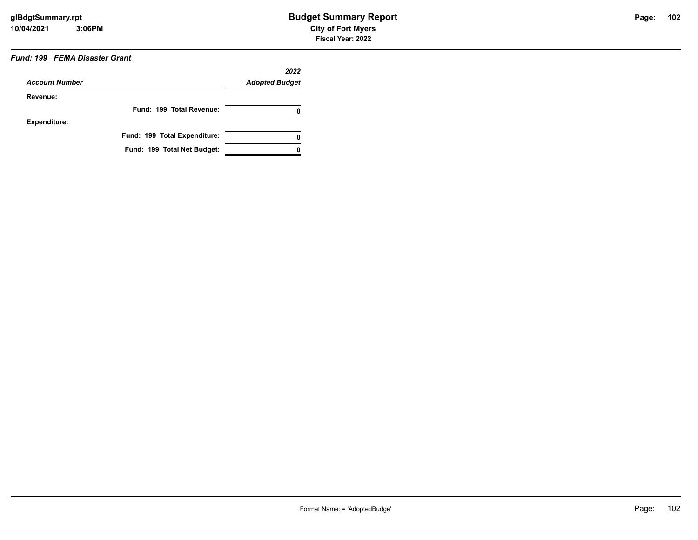### *Fund: 199 FEMA Disaster Grant*

| <b>Account Number</b> |                              | 2022<br><b>Adopted Budget</b> |
|-----------------------|------------------------------|-------------------------------|
| Revenue:              |                              |                               |
|                       | Fund: 199 Total Revenue:     | 0                             |
| <b>Expenditure:</b>   |                              |                               |
|                       | Fund: 199 Total Expenditure: | 0                             |
|                       | Fund: 199 Total Net Budget:  |                               |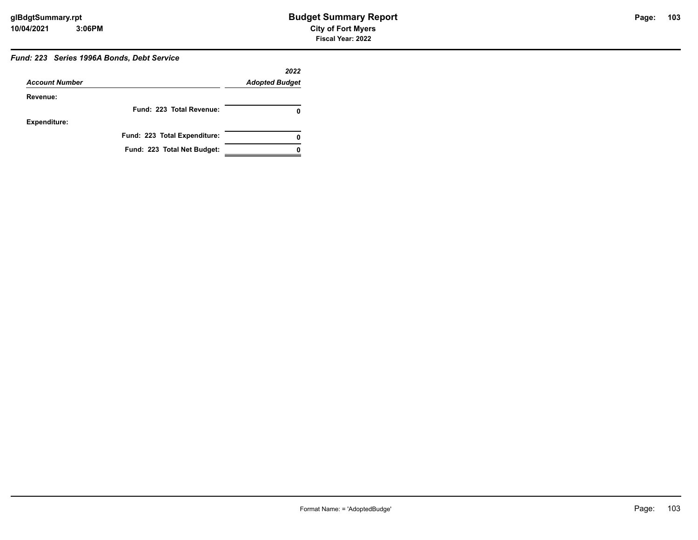### *Fund: 223 Series 1996A Bonds, Debt Service*

| <b>Account Number</b> |                              | 2022<br><b>Adopted Budget</b> |
|-----------------------|------------------------------|-------------------------------|
| Revenue:              |                              |                               |
|                       | Fund: 223 Total Revenue:     |                               |
| <b>Expenditure:</b>   |                              |                               |
|                       | Fund: 223 Total Expenditure: | 0                             |
|                       | Fund: 223 Total Net Budget:  |                               |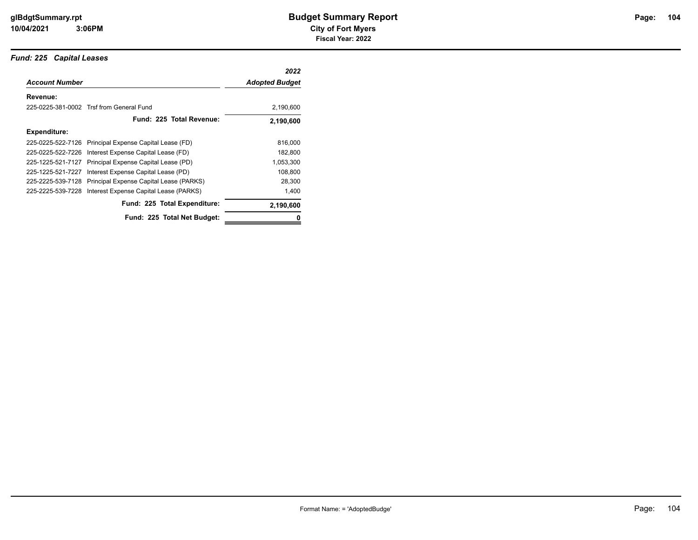### *Fund: 225 Capital Leases*

|                       |                                                          | 2022                  |
|-----------------------|----------------------------------------------------------|-----------------------|
| <b>Account Number</b> |                                                          | <b>Adopted Budget</b> |
| Revenue:              |                                                          |                       |
|                       | 225-0225-381-0002 Trsf from General Fund                 | 2,190,600             |
|                       | Fund: 225 Total Revenue:                                 | 2,190,600             |
| Expenditure:          |                                                          |                       |
|                       | 225-0225-522-7126 Principal Expense Capital Lease (FD)   | 816,000               |
|                       | 225-0225-522-7226 Interest Expense Capital Lease (FD)    | 182,800               |
| 225-1225-521-7127     | Principal Expense Capital Lease (PD)                     | 1,053,300             |
| 225-1225-521-7227     | Interest Expense Capital Lease (PD)                      | 108,800               |
| 225-2225-539-7128     | Principal Expense Capital Lease (PARKS)                  | 28,300                |
|                       | 225-2225-539-7228 Interest Expense Capital Lease (PARKS) | 1,400                 |
|                       | Fund: 225 Total Expenditure:                             | 2,190,600             |
|                       | Fund: 225 Total Net Budget:                              | 0                     |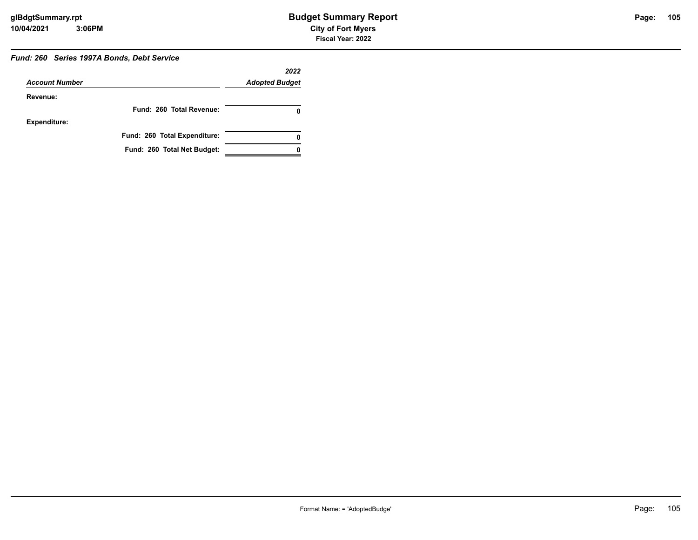#### *Fund: 260 Series 1997A Bonds, Debt Service*

|                       |                              | 2022                  |
|-----------------------|------------------------------|-----------------------|
| <b>Account Number</b> |                              | <b>Adopted Budget</b> |
| Revenue:              |                              |                       |
|                       | Fund: 260 Total Revenue:     |                       |
| <b>Expenditure:</b>   |                              |                       |
|                       | Fund: 260 Total Expenditure: |                       |
|                       | Fund: 260 Total Net Budget:  |                       |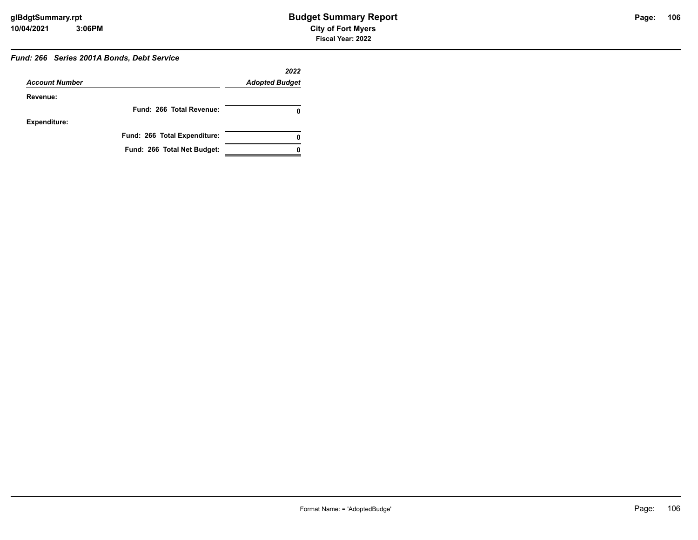#### *Fund: 266 Series 2001A Bonds, Debt Service*

|                       |                              | 2022                  |
|-----------------------|------------------------------|-----------------------|
| <b>Account Number</b> |                              | <b>Adopted Budget</b> |
| Revenue:              |                              |                       |
|                       | Fund: 266 Total Revenue:     |                       |
| <b>Expenditure:</b>   |                              |                       |
|                       | Fund: 266 Total Expenditure: | 0                     |
|                       | Fund: 266 Total Net Budget:  |                       |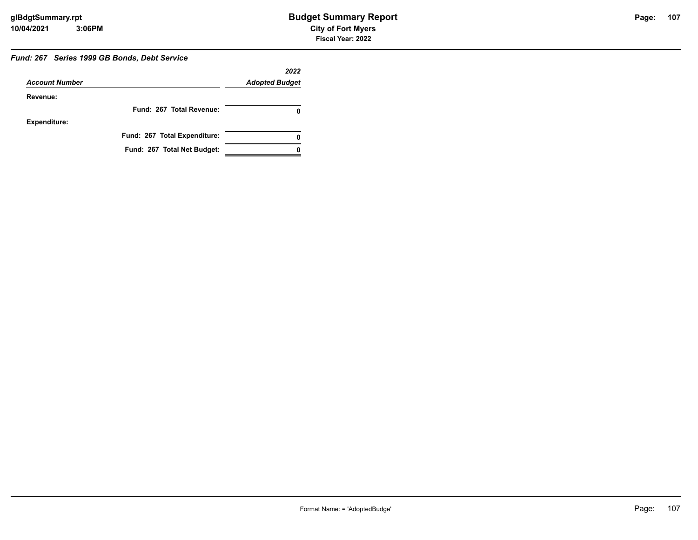#### *Fund: 267 Series 1999 GB Bonds, Debt Service*

|                       |                              | 2022                  |
|-----------------------|------------------------------|-----------------------|
| <b>Account Number</b> |                              | <b>Adopted Budget</b> |
| Revenue:              |                              |                       |
|                       | Fund: 267 Total Revenue:     |                       |
| <b>Expenditure:</b>   |                              |                       |
|                       | Fund: 267 Total Expenditure: | 0                     |
|                       | Fund: 267 Total Net Budget:  |                       |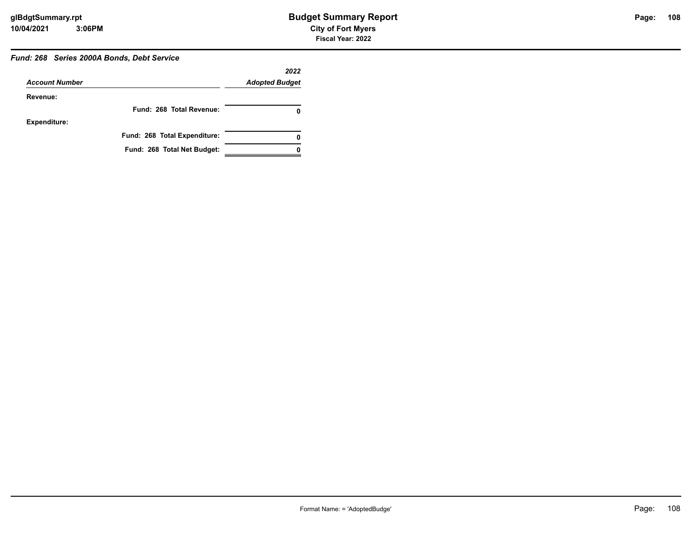#### *Fund: 268 Series 2000A Bonds, Debt Service*

|                       |                              | 2022                  |
|-----------------------|------------------------------|-----------------------|
| <b>Account Number</b> |                              | <b>Adopted Budget</b> |
| Revenue:              |                              |                       |
|                       | Fund: 268 Total Revenue:     |                       |
| <b>Expenditure:</b>   |                              |                       |
|                       | Fund: 268 Total Expenditure: | 0                     |
|                       | Fund: 268 Total Net Budget:  |                       |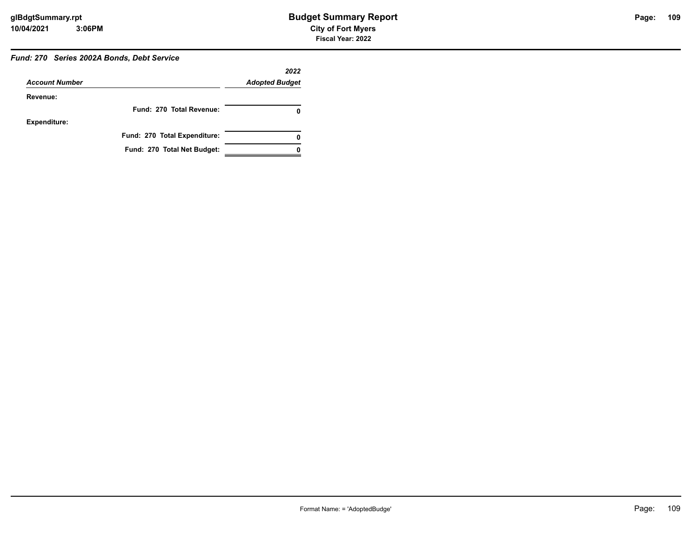#### *Fund: 270 Series 2002A Bonds, Debt Service*

|                       |                              | 2022                  |
|-----------------------|------------------------------|-----------------------|
| <b>Account Number</b> |                              | <b>Adopted Budget</b> |
| Revenue:              |                              |                       |
|                       | Fund: 270 Total Revenue:     | 0                     |
| <b>Expenditure:</b>   |                              |                       |
|                       | Fund: 270 Total Expenditure: | 0                     |
|                       | Fund: 270 Total Net Budget:  |                       |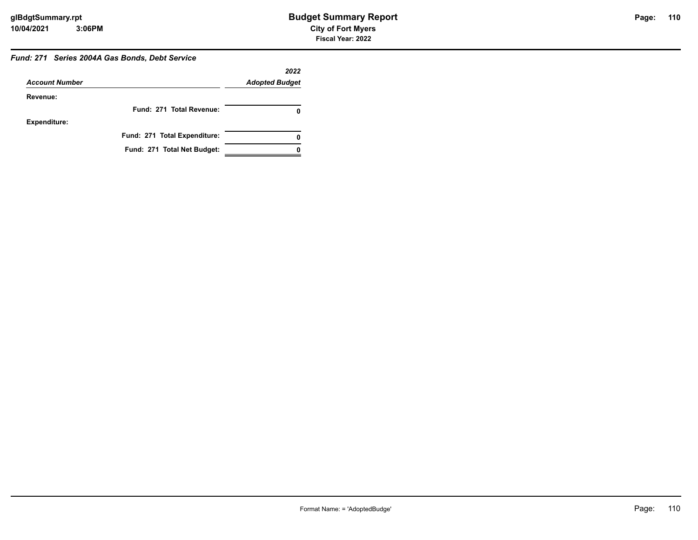#### *Fund: 271 Series 2004A Gas Bonds, Debt Service*

|                       |                              | 2022                  |
|-----------------------|------------------------------|-----------------------|
| <b>Account Number</b> |                              | <b>Adopted Budget</b> |
| Revenue:              |                              |                       |
|                       | Fund: 271 Total Revenue:     |                       |
| Expenditure:          |                              |                       |
|                       | Fund: 271 Total Expenditure: |                       |
|                       | Fund: 271 Total Net Budget:  |                       |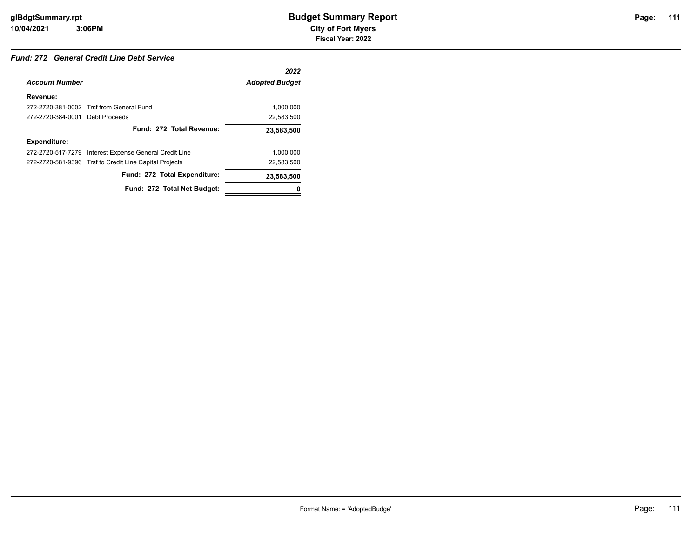#### *Fund: 272 General Credit Line Debt Service*

|                                 |                                                        | 2022                  |
|---------------------------------|--------------------------------------------------------|-----------------------|
| <b>Account Number</b>           |                                                        | <b>Adopted Budget</b> |
| Revenue:                        |                                                        |                       |
|                                 | 272-2720-381-0002 Trsf from General Fund               | 1.000.000             |
| 272-2720-384-0001 Debt Proceeds |                                                        | 22,583,500            |
|                                 | Fund: 272 Total Revenue:                               | 23,583,500            |
| <b>Expenditure:</b>             |                                                        |                       |
|                                 | 272-2720-517-7279 Interest Expense General Credit Line | 1,000,000             |
|                                 | 272-2720-581-9396 Trsf to Credit Line Capital Projects | 22.583.500            |
|                                 | Fund: 272 Total Expenditure:                           | 23,583,500            |
|                                 | Fund: 272 Total Net Budget:                            |                       |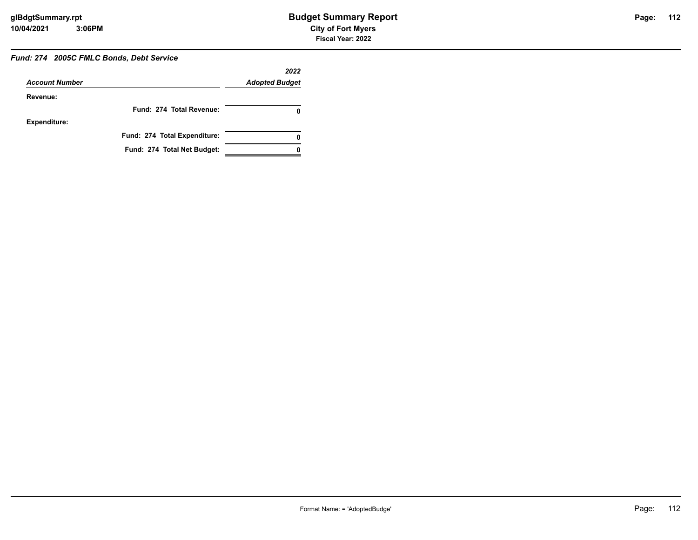# *Fund: 274 2005C FMLC Bonds, Debt Service*

| <b>Account Number</b> |                              | 2022<br><b>Adopted Budget</b> |
|-----------------------|------------------------------|-------------------------------|
| Revenue:              |                              |                               |
|                       | Fund: 274 Total Revenue:     |                               |
| <b>Expenditure:</b>   |                              |                               |
|                       | Fund: 274 Total Expenditure: | 0                             |
|                       | Fund: 274 Total Net Budget:  |                               |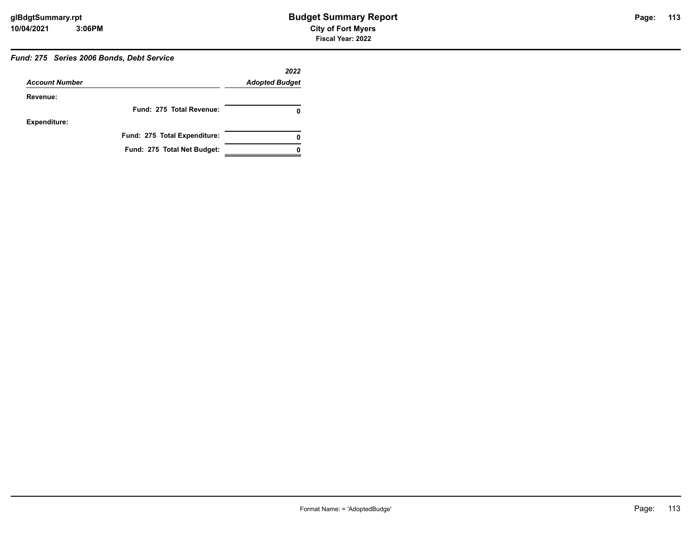# Page: 113

### *Fund: 275 Series 2006 Bonds, Debt Service*

|                       |                              | 2022                  |
|-----------------------|------------------------------|-----------------------|
| <b>Account Number</b> |                              | <b>Adopted Budget</b> |
| Revenue:              |                              |                       |
|                       | Fund: 275 Total Revenue:     |                       |
| <b>Expenditure:</b>   |                              |                       |
|                       | Fund: 275 Total Expenditure: |                       |
|                       | Fund: 275 Total Net Budget:  |                       |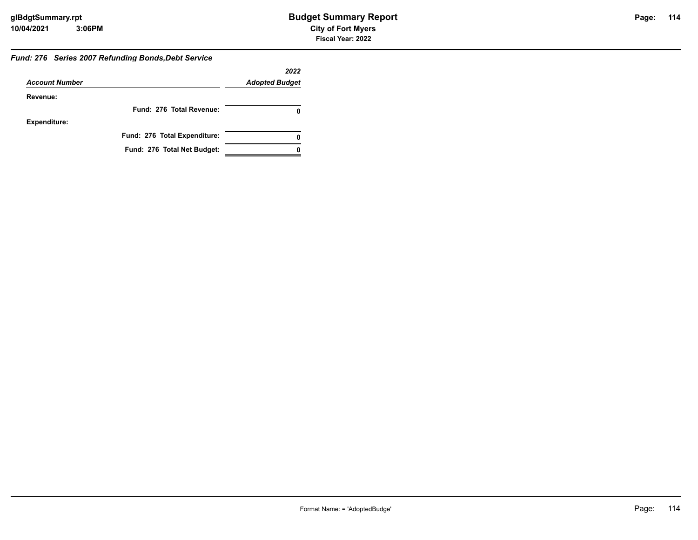#### *Fund: 276 Series 2007 Refunding Bonds,Debt Service*

|                       |                              | 2022                  |
|-----------------------|------------------------------|-----------------------|
| <b>Account Number</b> |                              | <b>Adopted Budget</b> |
| Revenue:              |                              |                       |
|                       | Fund: 276 Total Revenue:     |                       |
| <b>Expenditure:</b>   |                              |                       |
|                       | Fund: 276 Total Expenditure: | 0                     |
|                       | Fund: 276 Total Net Budget:  |                       |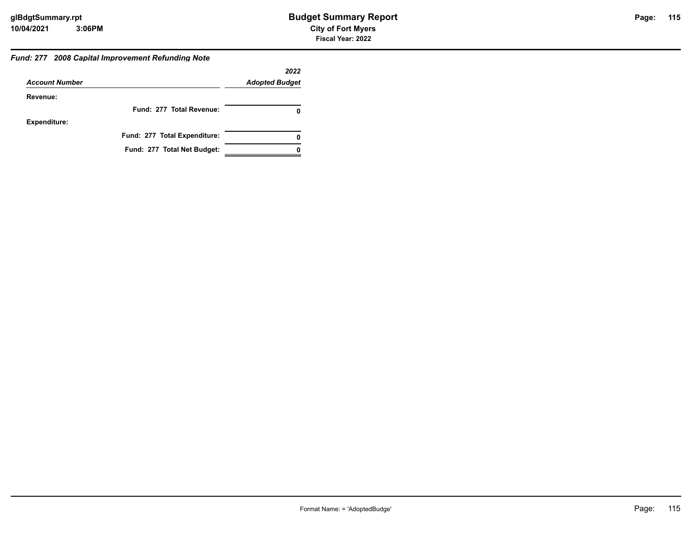#### *Fund: 277 2008 Capital Improvement Refunding Note*

|                       |                              | 2022                  |
|-----------------------|------------------------------|-----------------------|
| <b>Account Number</b> |                              | <b>Adopted Budget</b> |
| Revenue:              |                              |                       |
|                       | Fund: 277 Total Revenue:     |                       |
| <b>Expenditure:</b>   |                              |                       |
|                       | Fund: 277 Total Expenditure: | 0                     |
|                       | Fund: 277 Total Net Budget:  |                       |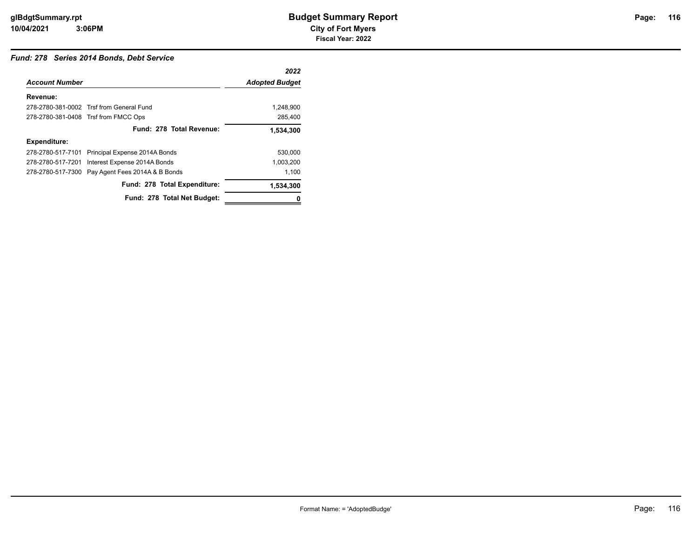#### *Fund: 278 Series 2014 Bonds, Debt Service*

|                       |                                                 | 2022                  |
|-----------------------|-------------------------------------------------|-----------------------|
| <b>Account Number</b> |                                                 | <b>Adopted Budget</b> |
| Revenue:              |                                                 |                       |
|                       | 278-2780-381-0002 Trsf from General Fund        | 1,248,900             |
|                       | 278-2780-381-0408 Trsf from FMCC Ops            | 285,400               |
|                       | Fund: 278 Total Revenue:                        | 1,534,300             |
| <b>Expenditure:</b>   |                                                 |                       |
|                       | 278-2780-517-7101 Principal Expense 2014A Bonds | 530.000               |
| 278-2780-517-7201     | Interest Expense 2014A Bonds                    | 1,003,200             |
| 278-2780-517-7300     | Pay Agent Fees 2014A & B Bonds                  | 1,100                 |
|                       | Fund: 278 Total Expenditure:                    | 1,534,300             |
|                       | Fund: 278 Total Net Budget:                     |                       |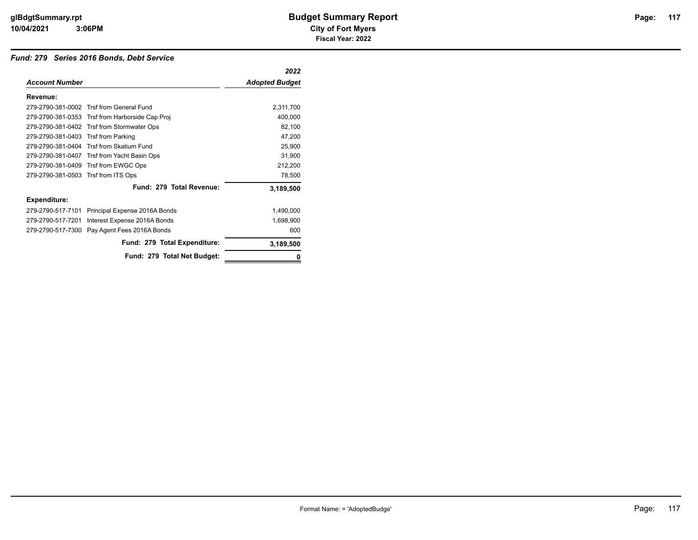#### *Fund: 279 Series 2016 Bonds, Debt Service*

|                                     |                                                 | 2022                  |
|-------------------------------------|-------------------------------------------------|-----------------------|
| <b>Account Number</b>               |                                                 | <b>Adopted Budget</b> |
| Revenue:                            |                                                 |                       |
|                                     | 279-2790-381-0002 Trsf from General Fund        | 2,311,700             |
|                                     | 279-2790-381-0353 Trsf from Harborside Cap Proj | 400,000               |
|                                     | 279-2790-381-0402 Trsf from Stormwater Ops      | 82,100                |
| 279-2790-381-0403                   | Trsf from Parking                               | 47,200                |
| 279-2790-381-0404                   | Trsf from Skatium Fund                          | 25,900                |
|                                     | 279-2790-381-0407 Trsf from Yacht Basin Ops     | 31,900                |
|                                     | 279-2790-381-0409 Trsf from EWGC Ops            | 212,200               |
| 279-2790-381-0503 Trsf from ITS Ops |                                                 | 78,500                |
|                                     | Fund: 279 Total Revenue:                        | 3,189,500             |
| <b>Expenditure:</b>                 |                                                 |                       |
| 279-2790-517-7101                   | Principal Expense 2016A Bonds                   | 1,490,000             |
| 279-2790-517-7201                   | Interest Expense 2016A Bonds                    | 1,698,900             |
| 279-2790-517-7300                   | Pay Agent Fees 2016A Bonds                      | 600                   |
|                                     | Fund: 279 Total Expenditure:                    | 3,189,500             |
|                                     | Fund: 279 Total Net Budget:                     |                       |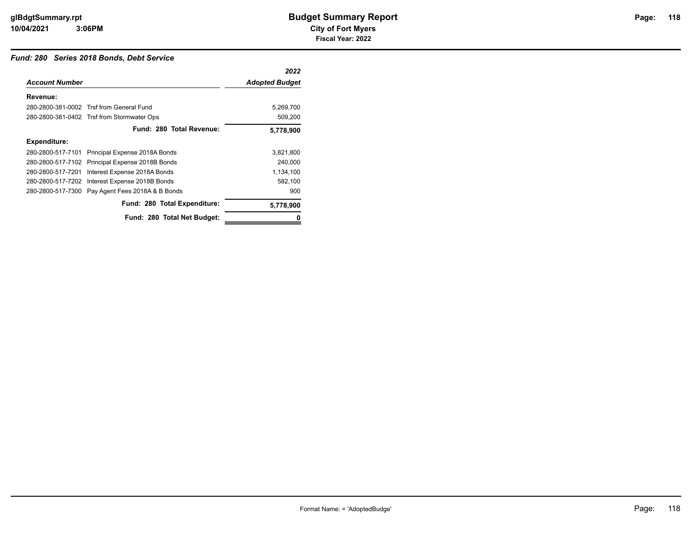#### *Fund: 280 Series 2018 Bonds, Debt Service*

|                       |                                                  | 2022                  |
|-----------------------|--------------------------------------------------|-----------------------|
| <b>Account Number</b> |                                                  | <b>Adopted Budget</b> |
| Revenue:              |                                                  |                       |
|                       | 280-2800-381-0002 Trsf from General Fund         | 5,269,700             |
|                       | 280-2800-381-0402 Trsf from Stormwater Ops       | 509,200               |
|                       | Fund: 280 Total Revenue:                         | 5,778,900             |
| <b>Expenditure:</b>   |                                                  |                       |
|                       | 280-2800-517-7101 Principal Expense 2018A Bonds  | 3,821,800             |
|                       | 280-2800-517-7102 Principal Expense 2018B Bonds  | 240,000               |
| 280-2800-517-7201     | Interest Expense 2018A Bonds                     | 1,134,100             |
|                       | 280-2800-517-7202 Interest Expense 2018B Bonds   | 582,100               |
|                       | 280-2800-517-7300 Pay Agent Fees 2018A & B Bonds | 900                   |
|                       | Fund: 280 Total Expenditure:                     | 5,778,900             |
|                       | Fund: 280 Total Net Budget:                      | 0                     |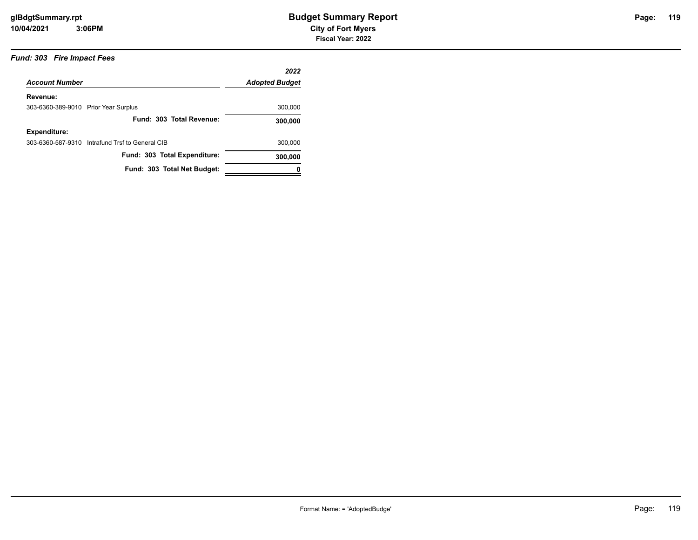## Page: 119

#### *Fund: 303 Fire Impact Fees*

|                                      |                                                 | 2022                  |
|--------------------------------------|-------------------------------------------------|-----------------------|
| <b>Account Number</b>                |                                                 | <b>Adopted Budget</b> |
| Revenue:                             |                                                 |                       |
| 303-6360-389-9010 Prior Year Surplus |                                                 | 300,000               |
|                                      | Fund: 303 Total Revenue:                        | 300,000               |
| <b>Expenditure:</b>                  |                                                 |                       |
|                                      | 303-6360-587-9310 Intrafund Trsf to General CIB | 300,000               |
|                                      | Fund: 303 Total Expenditure:                    | 300,000               |
|                                      | Fund: 303 Total Net Budget:                     |                       |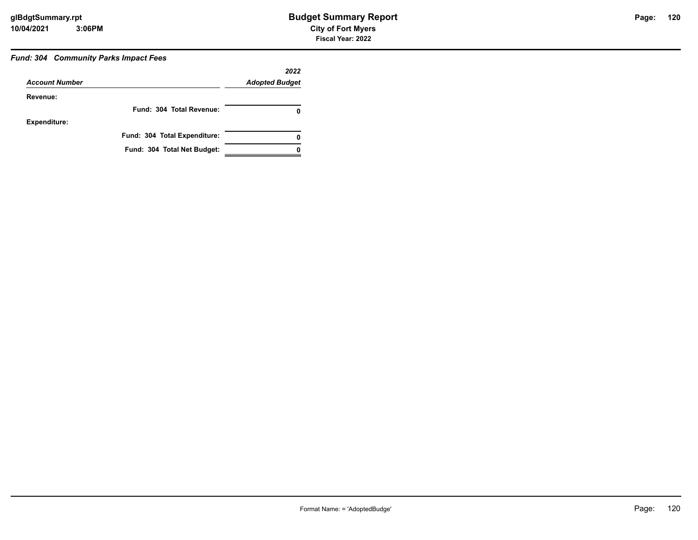**120**

#### *Fund: 304 Community Parks Impact Fees*

|                       |                              | 2022                  |
|-----------------------|------------------------------|-----------------------|
| <b>Account Number</b> |                              | <b>Adopted Budget</b> |
| Revenue:              |                              |                       |
|                       | Fund: 304 Total Revenue:     |                       |
| <b>Expenditure:</b>   |                              |                       |
|                       | Fund: 304 Total Expenditure: |                       |
|                       | Fund: 304 Total Net Budget:  |                       |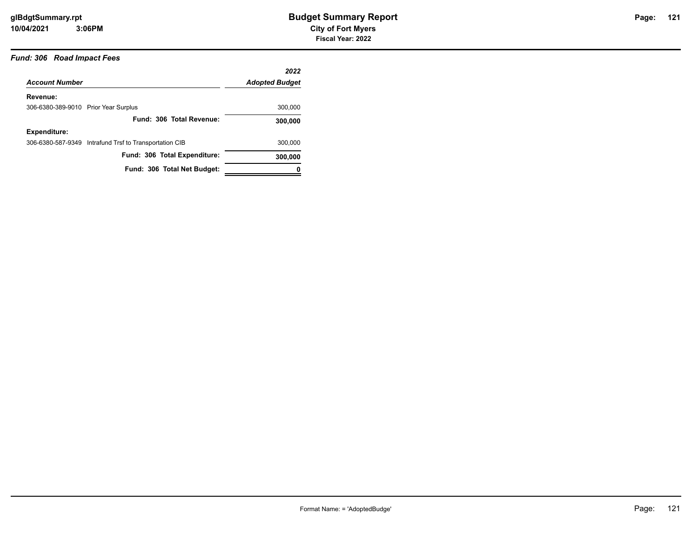#### *Fund: 306 Road Impact Fees*

|                                      |                                                        | 2022                  |
|--------------------------------------|--------------------------------------------------------|-----------------------|
| <b>Account Number</b>                |                                                        | <b>Adopted Budget</b> |
| Revenue:                             |                                                        |                       |
| 306-6380-389-9010 Prior Year Surplus |                                                        | 300,000               |
|                                      | Fund: 306 Total Revenue:                               | 300,000               |
| <b>Expenditure:</b>                  |                                                        |                       |
|                                      | 306-6380-587-9349 Intrafund Trsf to Transportation CIB | 300,000               |
|                                      | Fund: 306 Total Expenditure:                           | 300,000               |
|                                      | Fund: 306 Total Net Budget:                            | 0                     |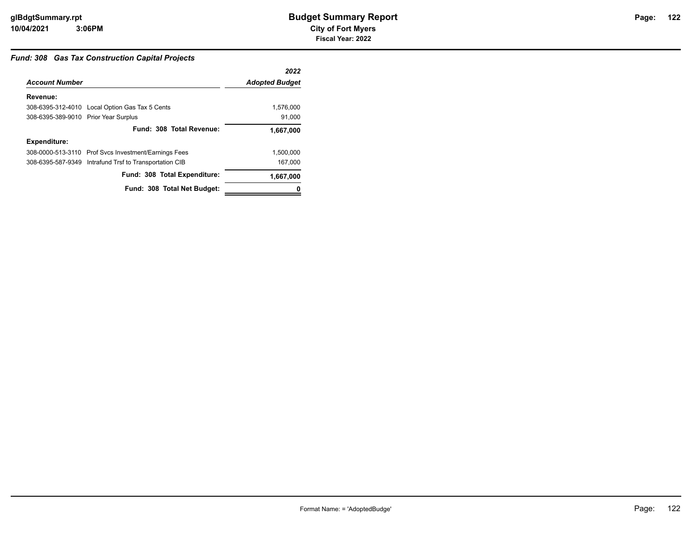#### *Fund: 308 Gas Tax Construction Capital Projects*

|                                      |                                                        | 2022                  |
|--------------------------------------|--------------------------------------------------------|-----------------------|
| <b>Account Number</b>                |                                                        | <b>Adopted Budget</b> |
| Revenue:                             |                                                        |                       |
|                                      | 308-6395-312-4010 Local Option Gas Tax 5 Cents         | 1,576,000             |
| 308-6395-389-9010 Prior Year Surplus |                                                        | 91,000                |
|                                      | Fund: 308 Total Revenue:                               | 1,667,000             |
| <b>Expenditure:</b>                  |                                                        |                       |
|                                      | 308-0000-513-3110 Prof Svcs Investment/Earnings Fees   | 1,500,000             |
|                                      | 308-6395-587-9349 Intrafund Trsf to Transportation CIB | 167,000               |
|                                      | Fund: 308 Total Expenditure:                           | 1,667,000             |
|                                      | Fund: 308 Total Net Budget:                            |                       |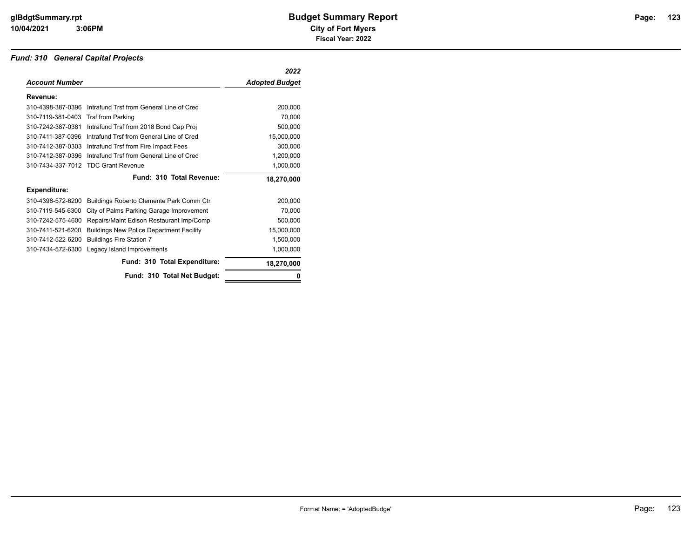#### *Fund: 310 General Capital Projects*

|                       |                                                 | 2022                  |
|-----------------------|-------------------------------------------------|-----------------------|
| <b>Account Number</b> |                                                 | <b>Adopted Budget</b> |
| Revenue:              |                                                 |                       |
| 310-4398-387-0396     | Intrafund Trsf from General Line of Cred        | 200,000               |
| 310-7119-381-0403     | <b>Trsf from Parking</b>                        | 70,000                |
| 310-7242-387-0381     | Intrafund Trsf from 2018 Bond Cap Proj          | 500,000               |
| 310-7411-387-0396     | Intrafund Trsf from General Line of Cred        | 15,000,000            |
| 310-7412-387-0303     | Intrafund Trsf from Fire Impact Fees            | 300,000               |
| 310-7412-387-0396     | Intrafund Trsf from General Line of Cred        | 1,200,000             |
| 310-7434-337-7012     | <b>TDC Grant Revenue</b>                        | 1,000,000             |
|                       | Fund: 310 Total Revenue:                        | 18,270,000            |
| Expenditure:          |                                                 |                       |
| 310-4398-572-6200     | Buildings Roberto Clemente Park Comm Ctr        | 200.000               |
| 310-7119-545-6300     | City of Palms Parking Garage Improvement        | 70,000                |
| 310-7242-575-4600     | Repairs/Maint Edison Restaurant Imp/Comp        | 500,000               |
| 310-7411-521-6200     | <b>Buildings New Police Department Facility</b> | 15,000,000            |
| 310-7412-522-6200     | <b>Buildings Fire Station 7</b>                 | 1,500,000             |
| 310-7434-572-6300     | Legacy Island Improvements                      | 1,000,000             |
|                       | Fund: 310 Total Expenditure:                    | 18,270,000            |
|                       | Fund: 310 Total Net Budget:                     | o                     |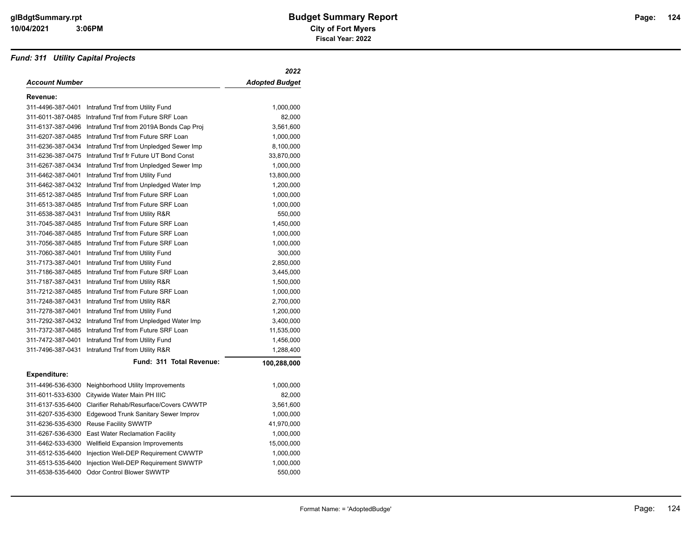#### *Fund: 311 Utility Capital Projects*

|                     |                                          | 2022                  |
|---------------------|------------------------------------------|-----------------------|
| Account Number      |                                          | <b>Adopted Budget</b> |
| Revenue:            |                                          |                       |
| 311-4496-387-0401   | Intrafund Trsf from Utility Fund         | 1,000,000             |
| 311-6011-387-0485   | Intrafund Trsf from Future SRF Loan      | 82,000                |
| 311-6137-387-0496   | Intrafund Trsf from 2019A Bonds Cap Proj | 3,561,600             |
| 311-6207-387-0485   | Intrafund Trsf from Future SRF Loan      | 1,000,000             |
| 311-6236-387-0434   | Intrafund Trsf from Unpledged Sewer Imp  | 8,100,000             |
| 311-6236-387-0475   | Intrafund Trsf fr Future UT Bond Const   | 33,870,000            |
| 311-6267-387-0434   | Intrafund Trsf from Unpledged Sewer Imp  | 1,000,000             |
| 311-6462-387-0401   | Intrafund Trsf from Utility Fund         | 13,800,000            |
| 311-6462-387-0432   | Intrafund Trsf from Unpledged Water Imp  | 1,200,000             |
| 311-6512-387-0485   | Intrafund Trsf from Future SRF Loan      | 1,000,000             |
| 311-6513-387-0485   | Intrafund Trsf from Future SRF Loan      | 1,000,000             |
| 311-6538-387-0431   | Intrafund Trsf from Utility R&R          | 550,000               |
| 311-7045-387-0485   | Intrafund Trsf from Future SRF Loan      | 1,450,000             |
| 311-7046-387-0485   | Intrafund Trsf from Future SRF Loan      | 1,000,000             |
| 311-7056-387-0485   | Intrafund Trsf from Future SRF Loan      | 1,000,000             |
| 311-7060-387-0401   | Intrafund Trsf from Utility Fund         | 300,000               |
| 311-7173-387-0401   | Intrafund Trsf from Utility Fund         | 2,850,000             |
| 311-7186-387-0485   | Intrafund Trsf from Future SRF Loan      | 3,445,000             |
| 311-7187-387-0431   | Intrafund Trsf from Utility R&R          | 1,500,000             |
| 311-7212-387-0485   | Intrafund Trsf from Future SRF Loan      | 1,000,000             |
| 311-7248-387-0431   | Intrafund Trsf from Utility R&R          | 2,700,000             |
| 311-7278-387-0401   | Intrafund Trsf from Utility Fund         | 1,200,000             |
| 311-7292-387-0432   | Intrafund Trsf from Unpledged Water Imp  | 3,400,000             |
| 311-7372-387-0485   | Intrafund Trsf from Future SRF Loan      | 11,535,000            |
| 311-7472-387-0401   | Intrafund Trsf from Utility Fund         | 1,456,000             |
| 311-7496-387-0431   | Intrafund Trsf from Utility R&R          | 1,288,400             |
|                     | Fund: 311 Total Revenue:                 | 100,288,000           |
| <b>Expenditure:</b> |                                          |                       |
| 311-4496-536-6300   | Neighborhood Utility Improvements        | 1,000,000             |
| 311-6011-533-6300   | Citywide Water Main PH IIIC              | 82,000                |
| 311-6137-535-6400   | Clarifier Rehab/Resurface/Covers CWWTP   | 3,561,600             |
| 311-6207-535-6300   | Edgewood Trunk Sanitary Sewer Improv     | 1,000,000             |
| 311-6236-535-6300   | <b>Reuse Facility SWWTP</b>              | 41,970,000            |
| 311-6267-536-6300   | <b>East Water Reclamation Facility</b>   | 1,000,000             |
| 311-6462-533-6300   | Wellfield Expansion Improvements         | 15,000,000            |
| 311-6512-535-6400   | Injection Well-DEP Requirement CWWTP     | 1,000,000             |
| 311-6513-535-6400   | Injection Well-DEP Requirement SWWTP     | 1,000,000             |
| 311-6538-535-6400   | <b>Odor Control Blower SWWTP</b>         | 550,000               |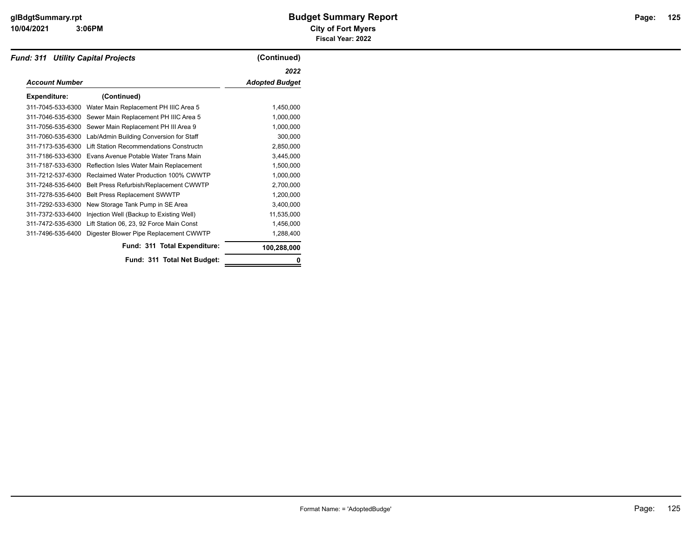#### **10/04/2021 City of Fort Myers 3:06PM**

| <b>Fund: 311 Utility Capital Projects</b> |                                          | (Continued)           |
|-------------------------------------------|------------------------------------------|-----------------------|
|                                           |                                          | 2022                  |
| <b>Account Number</b>                     |                                          | <b>Adopted Budget</b> |
| <b>Expenditure:</b>                       | (Continued)                              |                       |
| 311-7045-533-6300                         | Water Main Replacement PH IIIC Area 5    | 1,450,000             |
| 311-7046-535-6300                         | Sewer Main Replacement PH IIIC Area 5    | 1,000,000             |
| 311-7056-535-6300                         | Sewer Main Replacement PH III Area 9     | 1,000,000             |
| 311-7060-535-6300                         | Lab/Admin Building Conversion for Staff  | 300,000               |
| 311-7173-535-6300                         | Lift Station Recommendations Constructn  | 2,850,000             |
| 311-7186-533-6300                         | Evans Avenue Potable Water Trans Main    | 3,445,000             |
| 311-7187-533-6300                         | Reflection Isles Water Main Replacement  | 1,500,000             |
| 311-7212-537-6300                         | Reclaimed Water Production 100% CWWTP    | 1,000,000             |
| 311-7248-535-6400                         | Belt Press Refurbish/Replacement CWWTP   | 2,700,000             |
| 311-7278-535-6400                         | Belt Press Replacement SWWTP             | 1,200,000             |
| 311-7292-533-6300                         | New Storage Tank Pump in SE Area         | 3,400,000             |
| 311-7372-533-6400                         | Injection Well (Backup to Existing Well) | 11,535,000            |
| 311-7472-535-6300                         | Lift Station 06, 23, 92 Force Main Const | 1,456,000             |
| 311-7496-535-6400                         | Digester Blower Pipe Replacement CWWTP   | 1,288,400             |
|                                           | Fund: 311 Total Expenditure:             | 100,288,000           |
|                                           | Fund: 311 Total Net Budget:              | 0                     |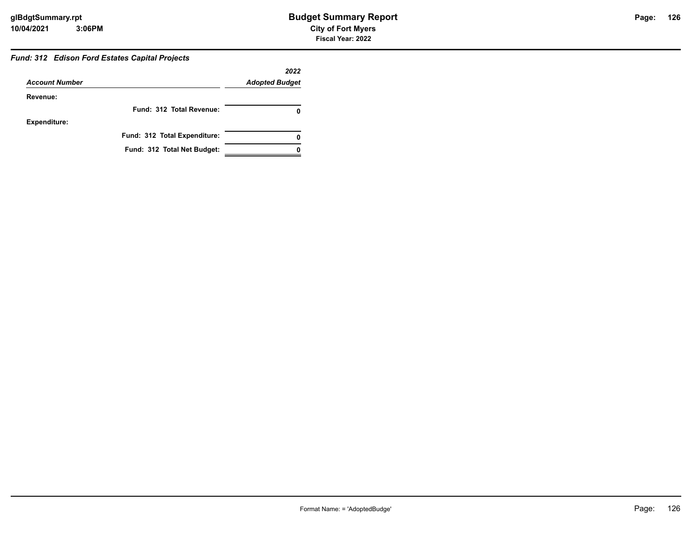#### *Fund: 312 Edison Ford Estates Capital Projects*

|                       |                              | 2022                  |
|-----------------------|------------------------------|-----------------------|
| <b>Account Number</b> |                              | <b>Adopted Budget</b> |
| Revenue:              |                              |                       |
|                       | Fund: 312 Total Revenue:     |                       |
| <b>Expenditure:</b>   |                              |                       |
|                       | Fund: 312 Total Expenditure: |                       |
|                       | Fund: 312 Total Net Budget:  |                       |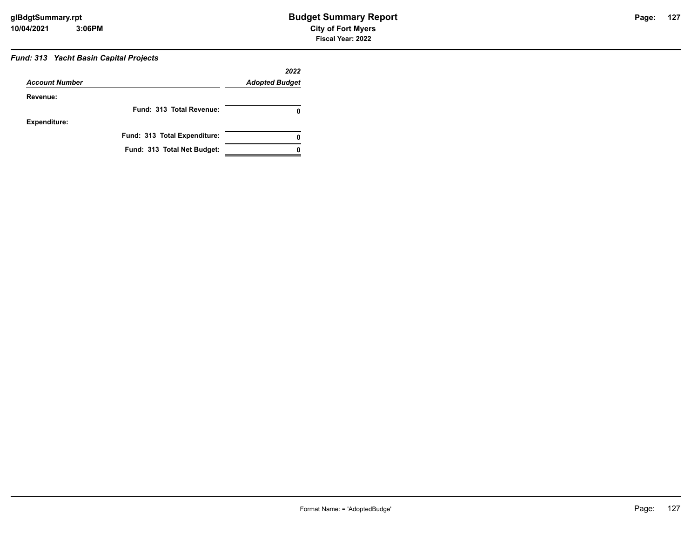#### *Fund: 313 Yacht Basin Capital Projects*

|                       |                              | 2022                  |
|-----------------------|------------------------------|-----------------------|
| <b>Account Number</b> |                              | <b>Adopted Budget</b> |
| Revenue:              |                              |                       |
|                       | Fund: 313 Total Revenue:     |                       |
| <b>Expenditure:</b>   |                              |                       |
|                       | Fund: 313 Total Expenditure: |                       |
|                       | Fund: 313 Total Net Budget:  |                       |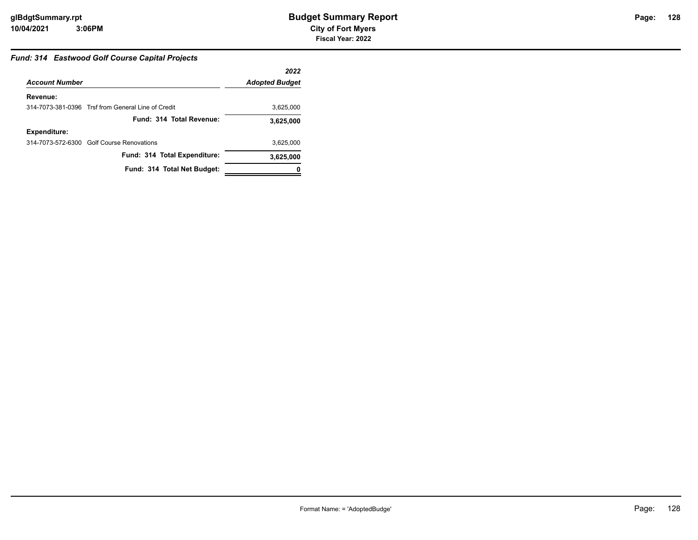#### *Fund: 314 Eastwood Golf Course Capital Projects*

|                       |                                                    | 2022                  |
|-----------------------|----------------------------------------------------|-----------------------|
| <b>Account Number</b> |                                                    | <b>Adopted Budget</b> |
| Revenue:              |                                                    |                       |
|                       | 314-7073-381-0396 Trsf from General Line of Credit | 3,625,000             |
|                       | Fund: 314 Total Revenue:                           | 3,625,000             |
| <b>Expenditure:</b>   |                                                    |                       |
|                       | 314-7073-572-6300 Golf Course Renovations          | 3,625,000             |
|                       | Fund: 314 Total Expenditure:                       | 3,625,000             |
|                       | Fund: 314 Total Net Budget:                        |                       |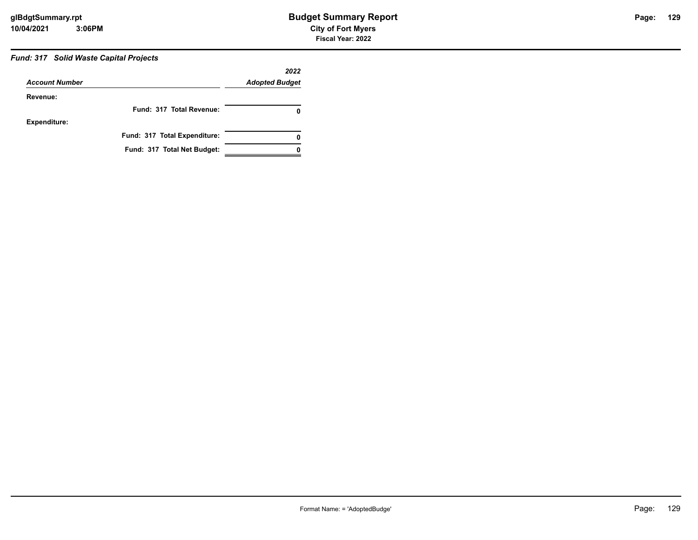**Fiscal Year: 2022**

## *Fund: 317 Solid Waste Capital Projects*

|                       |                              | 2022                  |
|-----------------------|------------------------------|-----------------------|
| <b>Account Number</b> |                              | <b>Adopted Budget</b> |
| Revenue:              |                              |                       |
|                       | Fund: 317 Total Revenue:     |                       |
| <b>Expenditure:</b>   |                              |                       |
|                       | Fund: 317 Total Expenditure: |                       |
|                       | Fund: 317 Total Net Budget:  |                       |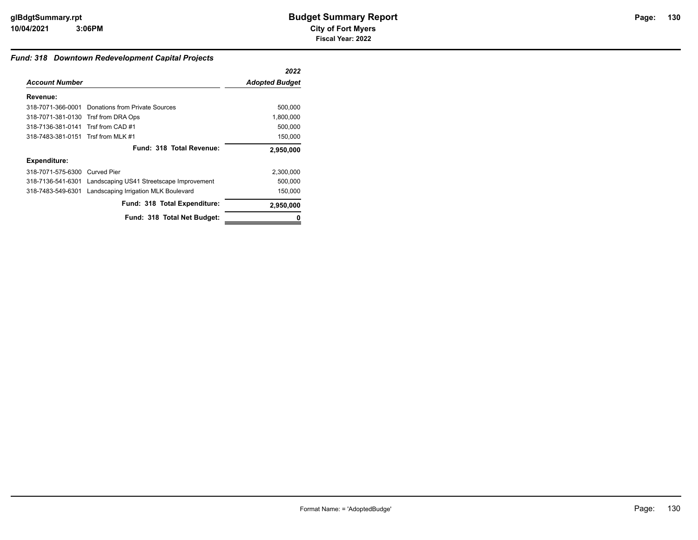#### *Fund: 318 Downtown Redevelopment Capital Projects*

|                                     |                                                            | 2022                  |
|-------------------------------------|------------------------------------------------------------|-----------------------|
| <b>Account Number</b>               |                                                            | <b>Adopted Budget</b> |
| Revenue:                            |                                                            |                       |
|                                     | 318-7071-366-0001 Donations from Private Sources           | 500,000               |
| 318-7071-381-0130 Trsf from DRA Ops |                                                            | 1,800,000             |
| 318-7136-381-0141 Trsf from CAD #1  |                                                            | 500,000               |
| 318-7483-381-0151 Trsf from MLK #1  |                                                            | 150,000               |
|                                     | Fund: 318 Total Revenue:                                   | 2,950,000             |
| <b>Expenditure:</b>                 |                                                            |                       |
| 318-7071-575-6300                   | Curved Pier                                                | 2,300,000             |
|                                     | 318-7136-541-6301 Landscaping US41 Streetscape Improvement | 500,000               |
| 318-7483-549-6301                   | Landscaping Irrigation MLK Boulevard                       | 150,000               |
|                                     | Fund: 318 Total Expenditure:                               | 2,950,000             |
|                                     | Fund: 318 Total Net Budget:                                | 0                     |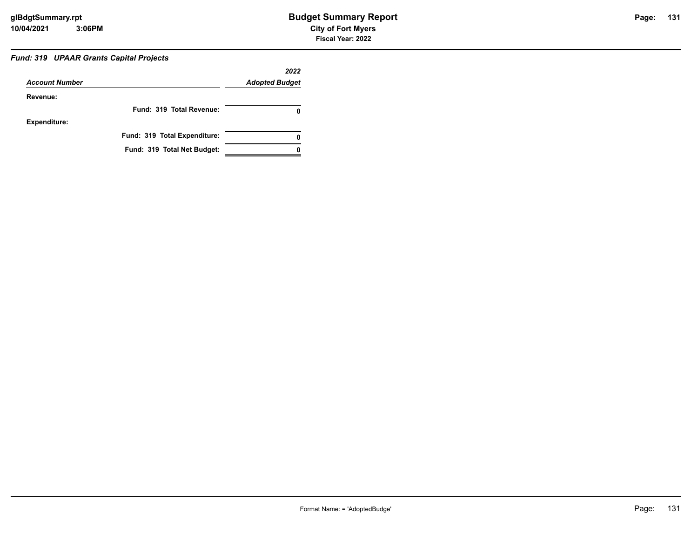#### *Fund: 319 UPAAR Grants Capital Projects*

| <b>Account Number</b> |                              | 2022<br><b>Adopted Budget</b> |
|-----------------------|------------------------------|-------------------------------|
| Revenue:              |                              |                               |
|                       | Fund: 319 Total Revenue:     |                               |
| <b>Expenditure:</b>   |                              |                               |
|                       | Fund: 319 Total Expenditure: | 0                             |
|                       | Fund: 319 Total Net Budget:  |                               |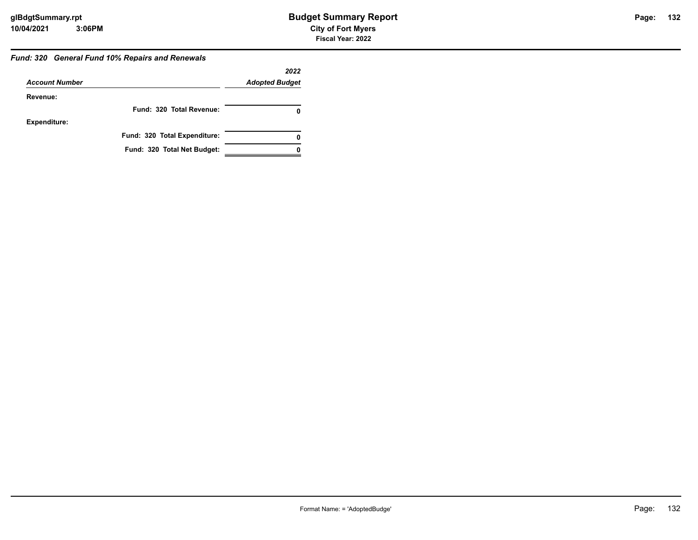#### *Fund: 320 General Fund 10% Repairs and Renewals*

|                       |                              | 2022                  |
|-----------------------|------------------------------|-----------------------|
| <b>Account Number</b> |                              | <b>Adopted Budget</b> |
| Revenue:              |                              |                       |
|                       | Fund: 320 Total Revenue:     | 0                     |
| <b>Expenditure:</b>   |                              |                       |
|                       | Fund: 320 Total Expenditure: | 0                     |
|                       | Fund: 320 Total Net Budget:  |                       |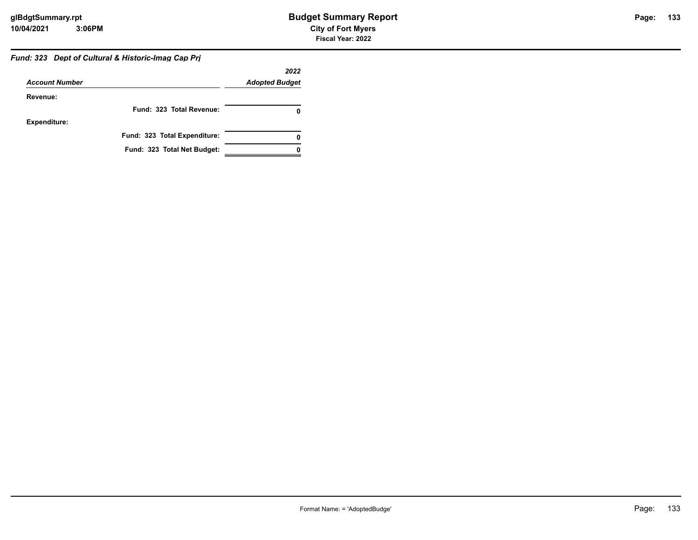#### *Fund: 323 Dept of Cultural & Historic-Imag Cap Prj*

|                       |                              | 2022                  |
|-----------------------|------------------------------|-----------------------|
| <b>Account Number</b> |                              | <b>Adopted Budget</b> |
| Revenue:              |                              |                       |
|                       | Fund: 323 Total Revenue:     |                       |
| <b>Expenditure:</b>   |                              |                       |
|                       | Fund: 323 Total Expenditure: | 0                     |
|                       | Fund: 323 Total Net Budget:  |                       |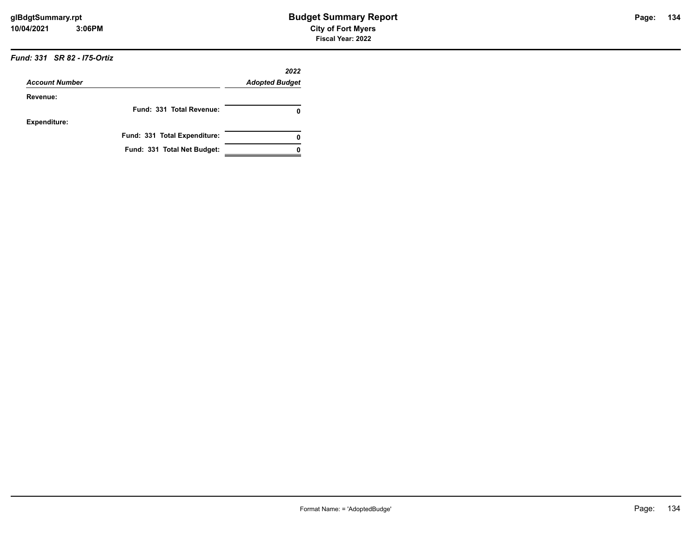|                       |                              | 2022                  |
|-----------------------|------------------------------|-----------------------|
| <b>Account Number</b> |                              | <b>Adopted Budget</b> |
| Revenue:              |                              |                       |
|                       | Fund: 331 Total Revenue:     | 0                     |
| <b>Expenditure:</b>   |                              |                       |
|                       | Fund: 331 Total Expenditure: |                       |
|                       | Fund: 331 Total Net Budget:  |                       |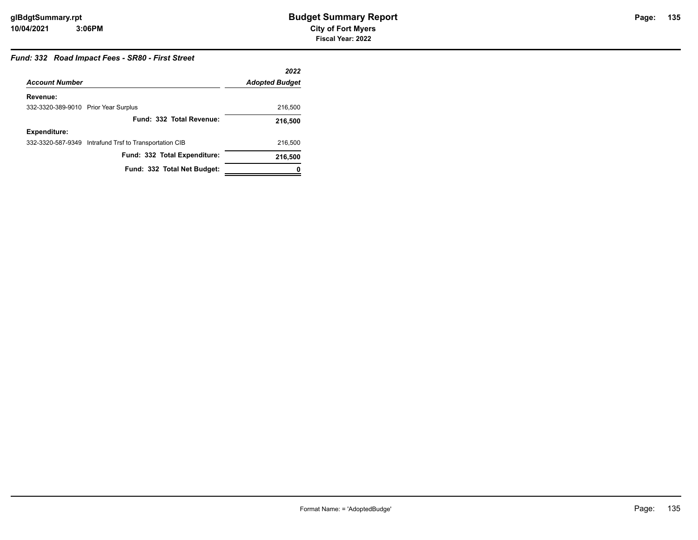### **135**

#### *Fund: 332 Road Impact Fees - SR80 - First Street*

|                                      |                                                        | 2022                  |
|--------------------------------------|--------------------------------------------------------|-----------------------|
| <b>Account Number</b>                |                                                        | <b>Adopted Budget</b> |
| Revenue:                             |                                                        |                       |
| 332-3320-389-9010 Prior Year Surplus |                                                        | 216,500               |
|                                      | Fund: 332 Total Revenue:                               | 216,500               |
| <b>Expenditure:</b>                  |                                                        |                       |
|                                      | 332-3320-587-9349 Intrafund Trsf to Transportation CIB | 216,500               |
|                                      | Fund: 332 Total Expenditure:                           | 216,500               |
|                                      | Fund: 332 Total Net Budget:                            | 0                     |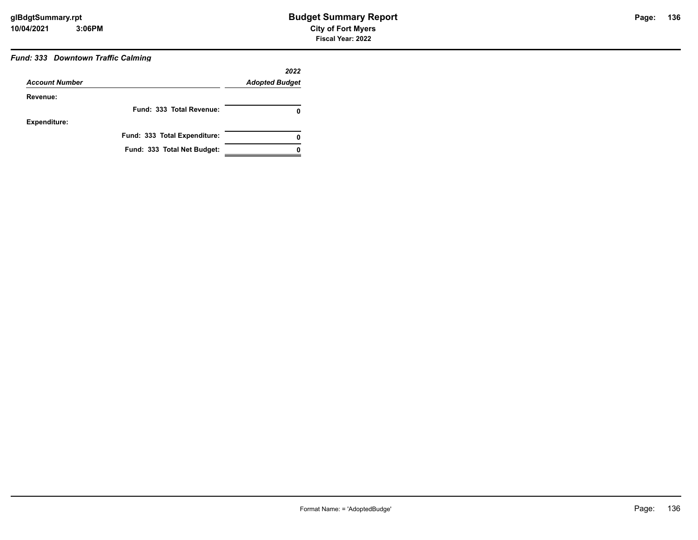#### *Fund: 333 Downtown Traffic Calming*

|                       |                              | 2022                  |
|-----------------------|------------------------------|-----------------------|
| <b>Account Number</b> |                              | <b>Adopted Budget</b> |
| Revenue:              |                              |                       |
|                       | Fund: 333 Total Revenue:     | 0                     |
| <b>Expenditure:</b>   |                              |                       |
|                       | Fund: 333 Total Expenditure: | 0                     |
|                       | Fund: 333 Total Net Budget:  |                       |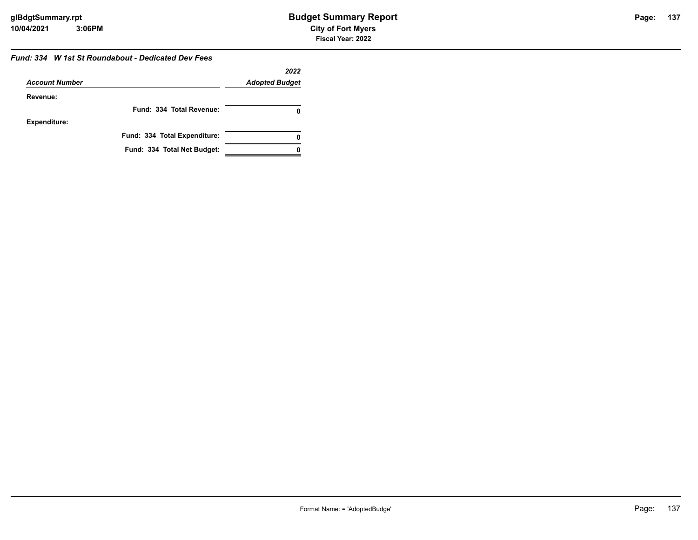#### *Fund: 334 W 1st St Roundabout - Dedicated Dev Fees*

|                       |                              | 2022                  |
|-----------------------|------------------------------|-----------------------|
| <b>Account Number</b> |                              | <b>Adopted Budget</b> |
| Revenue:              |                              |                       |
|                       | Fund: 334 Total Revenue:     |                       |
| <b>Expenditure:</b>   |                              |                       |
|                       | Fund: 334 Total Expenditure: | 0                     |
|                       | Fund: 334 Total Net Budget:  |                       |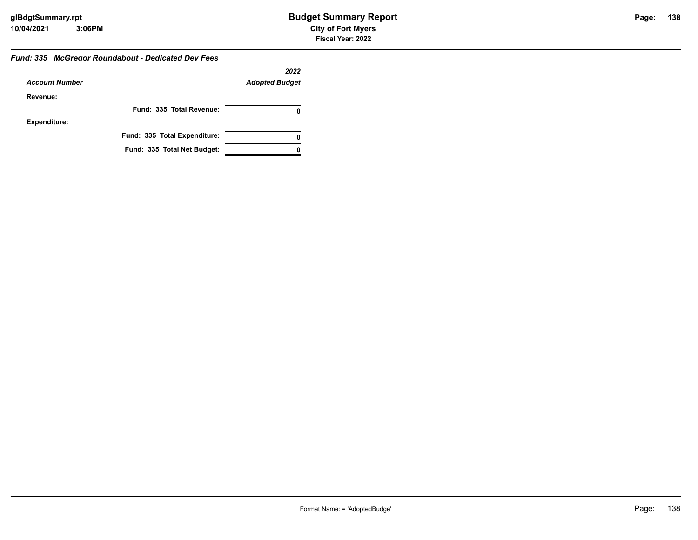#### *Fund: 335 McGregor Roundabout - Dedicated Dev Fees*

|                       |                              | 2022                  |
|-----------------------|------------------------------|-----------------------|
| <b>Account Number</b> |                              | <b>Adopted Budget</b> |
| Revenue:              |                              |                       |
|                       | Fund: 335 Total Revenue:     |                       |
| <b>Expenditure:</b>   |                              |                       |
|                       | Fund: 335 Total Expenditure: | 0                     |
|                       | Fund: 335 Total Net Budget:  |                       |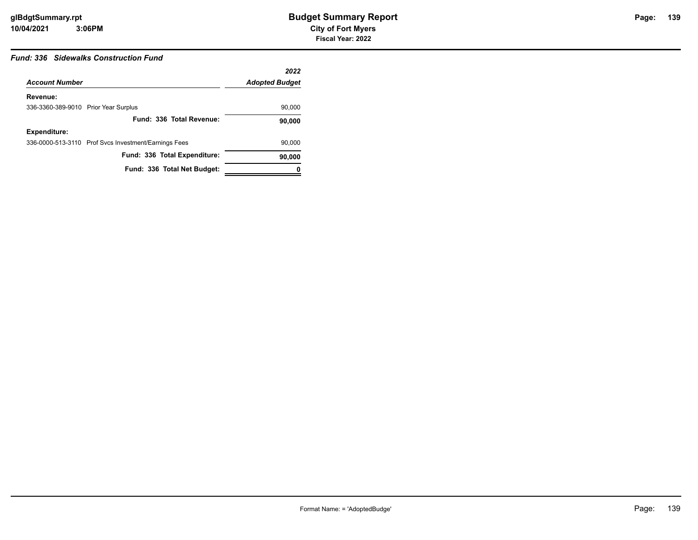#### *Fund: 336 Sidewalks Construction Fund*

|                                      |                                                      | 2022                  |
|--------------------------------------|------------------------------------------------------|-----------------------|
| <b>Account Number</b>                |                                                      | <b>Adopted Budget</b> |
| Revenue:                             |                                                      |                       |
| 336-3360-389-9010 Prior Year Surplus |                                                      | 90,000                |
|                                      | Fund: 336 Total Revenue:                             | 90,000                |
| <b>Expenditure:</b>                  |                                                      |                       |
|                                      | 336-0000-513-3110 Prof Svcs Investment/Earnings Fees | 90,000                |
|                                      | Fund: 336 Total Expenditure:                         | 90,000                |
|                                      | Fund: 336 Total Net Budget:                          | 0                     |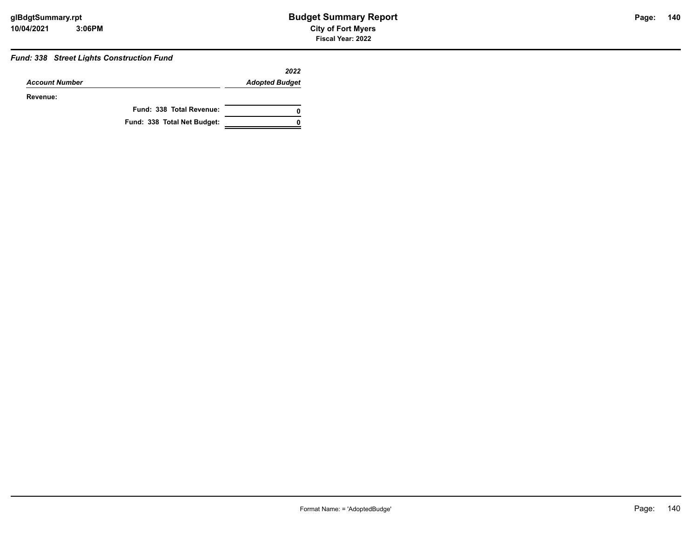#### *Fund: 338 Street Lights Construction Fund*

|                       |                             | 2022                  |
|-----------------------|-----------------------------|-----------------------|
| <b>Account Number</b> |                             | <b>Adopted Budget</b> |
| Revenue:              |                             |                       |
|                       | Fund: 338 Total Revenue:    | 0                     |
|                       | Fund: 338 Total Net Budget: | ŋ                     |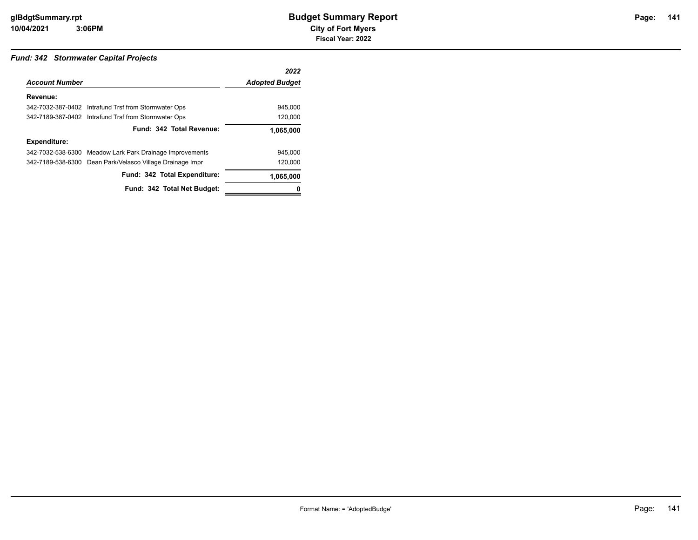#### *Fund: 342 Stormwater Capital Projects*

|                       |                                                           | 2022                  |
|-----------------------|-----------------------------------------------------------|-----------------------|
| <b>Account Number</b> |                                                           | <b>Adopted Budget</b> |
| Revenue:              |                                                           |                       |
|                       | 342-7032-387-0402 Intrafund Trsf from Stormwater Ops      | 945.000               |
|                       | 342-7189-387-0402 Intrafund Trsf from Stormwater Ops      | 120.000               |
|                       | Fund: 342 Total Revenue:                                  | 1,065,000             |
| <b>Expenditure:</b>   |                                                           |                       |
|                       | 342-7032-538-6300 Meadow Lark Park Drainage Improvements  | 945.000               |
|                       | 342-7189-538-6300 Dean Park/Velasco Village Drainage Impr | 120,000               |
|                       | Fund: 342 Total Expenditure:                              | 1,065,000             |
|                       | Fund: 342 Total Net Budget:                               |                       |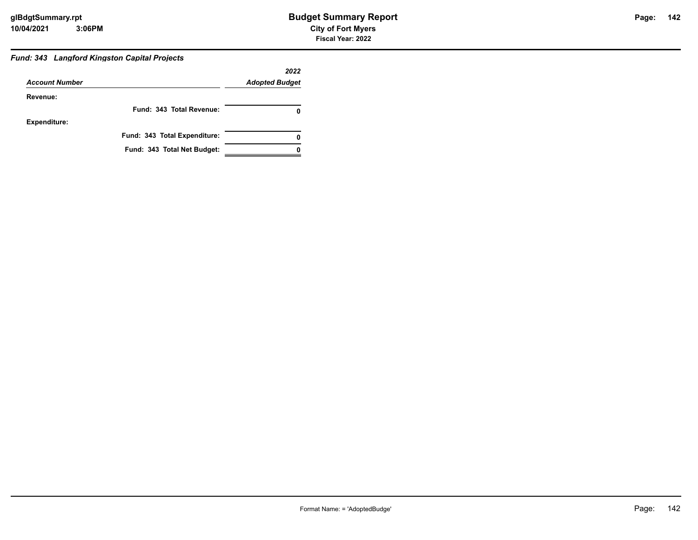### **142**

#### *Fund: 343 Langford Kingston Capital Projects*

|                       |                              | 2022                  |
|-----------------------|------------------------------|-----------------------|
| <b>Account Number</b> |                              | <b>Adopted Budget</b> |
| Revenue:              |                              |                       |
|                       | Fund: 343 Total Revenue:     |                       |
| <b>Expenditure:</b>   |                              |                       |
|                       | Fund: 343 Total Expenditure: |                       |
|                       | Fund: 343 Total Net Budget:  |                       |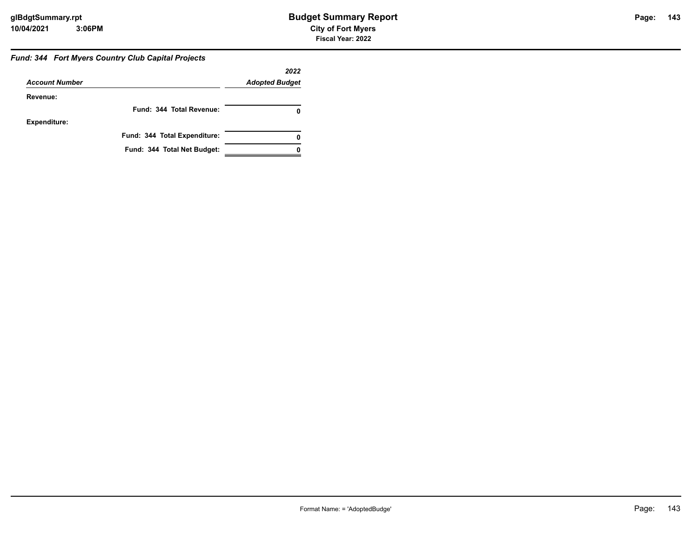#### *Fund: 344 Fort Myers Country Club Capital Projects*

|                       |                              | 2022                  |
|-----------------------|------------------------------|-----------------------|
| <b>Account Number</b> |                              | <b>Adopted Budget</b> |
| Revenue:              |                              |                       |
|                       | Fund: 344 Total Revenue:     | 0                     |
| Expenditure:          |                              |                       |
|                       | Fund: 344 Total Expenditure: | 0                     |
|                       | Fund: 344 Total Net Budget:  |                       |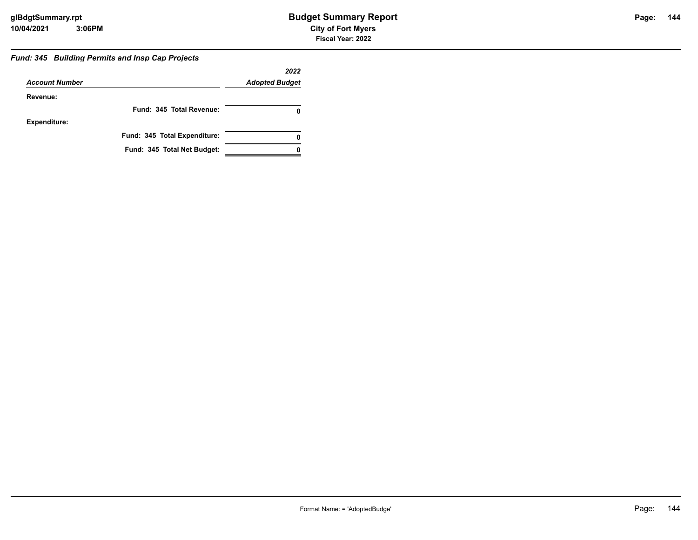#### *Fund: 345 Building Permits and Insp Cap Projects*

|                       |                              | 2022                  |
|-----------------------|------------------------------|-----------------------|
| <b>Account Number</b> |                              | <b>Adopted Budget</b> |
| Revenue:              |                              |                       |
|                       | Fund: 345 Total Revenue:     | 0                     |
| <b>Expenditure:</b>   |                              |                       |
|                       | Fund: 345 Total Expenditure: | 0                     |
|                       | Fund: 345 Total Net Budget:  |                       |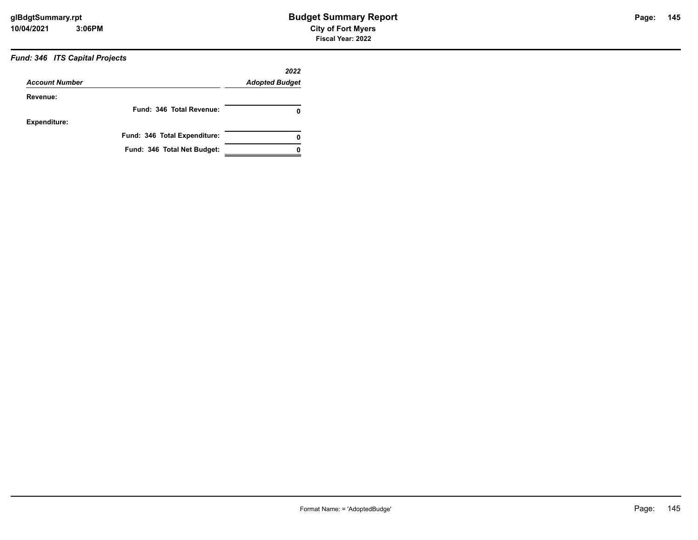#### *Fund: 346 ITS Capital Projects*

| <b>Account Number</b> |                              | 2022<br><b>Adopted Budget</b> |
|-----------------------|------------------------------|-------------------------------|
| Revenue:              |                              |                               |
|                       | Fund: 346 Total Revenue:     | 0                             |
| <b>Expenditure:</b>   |                              |                               |
|                       | Fund: 346 Total Expenditure: | 0                             |
|                       | Fund: 346 Total Net Budget:  |                               |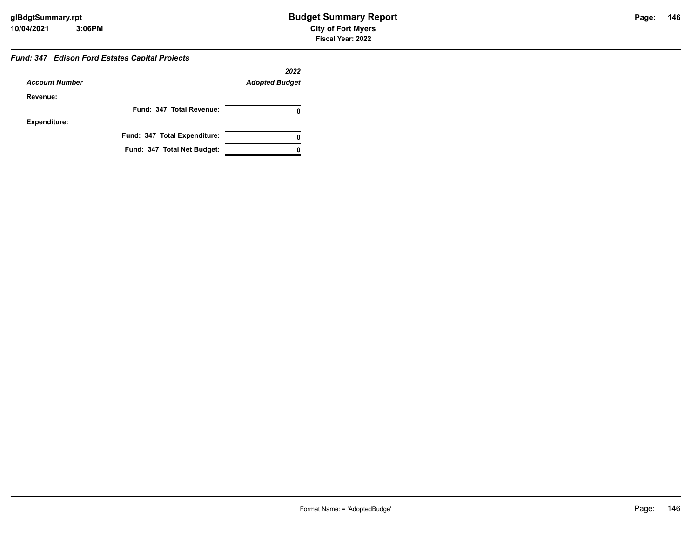#### *Fund: 347 Edison Ford Estates Capital Projects*

|                       |                              | 2022                  |
|-----------------------|------------------------------|-----------------------|
| <b>Account Number</b> |                              | <b>Adopted Budget</b> |
| Revenue:              |                              |                       |
|                       | Fund: 347 Total Revenue:     |                       |
| <b>Expenditure:</b>   |                              |                       |
|                       | Fund: 347 Total Expenditure: |                       |
|                       | Fund: 347 Total Net Budget:  |                       |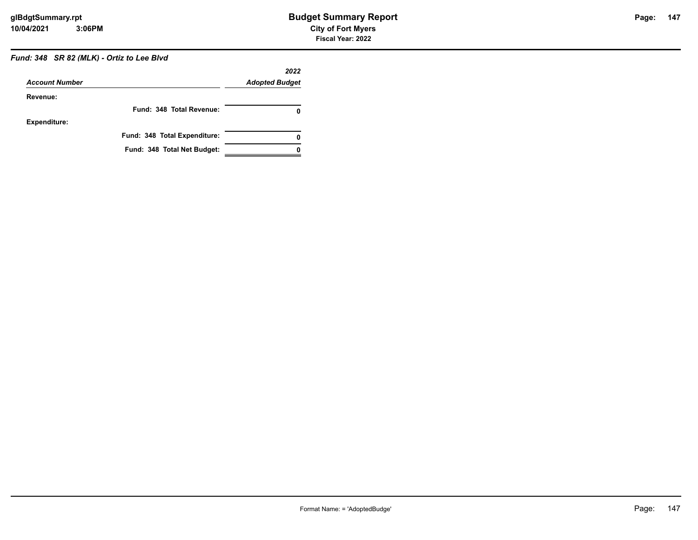#### *Fund: 348 SR 82 (MLK) - Ortiz to Lee Blvd*

| <b>Account Number</b> |                              | 2022<br><b>Adopted Budget</b> |
|-----------------------|------------------------------|-------------------------------|
| Revenue:              |                              |                               |
|                       | Fund: 348 Total Revenue:     | 0                             |
| <b>Expenditure:</b>   |                              |                               |
|                       | Fund: 348 Total Expenditure: | 0                             |
|                       | Fund: 348 Total Net Budget:  |                               |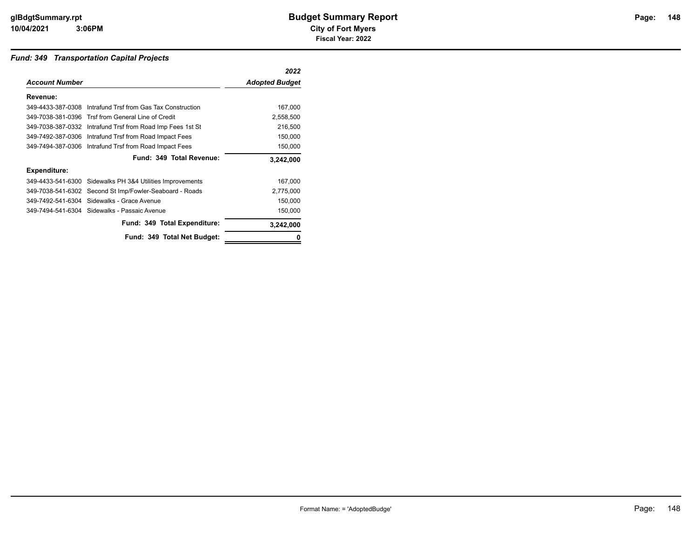#### *Fund: 349 Transportation Capital Projects*

|                       |                                                            | 2022                  |
|-----------------------|------------------------------------------------------------|-----------------------|
| <b>Account Number</b> |                                                            | <b>Adopted Budget</b> |
| Revenue:              |                                                            |                       |
|                       | 349-4433-387-0308 Intrafund Trsf from Gas Tax Construction | 167,000               |
| 349-7038-381-0396     | Trsf from General Line of Credit                           | 2,558,500             |
| 349-7038-387-0332     | Intrafund Trsf from Road Imp Fees 1st St                   | 216,500               |
| 349-7492-387-0306     | Intrafund Trsf from Road Impact Fees                       | 150,000               |
| 349-7494-387-0306     | Intrafund Trsf from Road Impact Fees                       | 150,000               |
|                       | Fund: 349 Total Revenue:                                   | 3,242,000             |
| <b>Expenditure:</b>   |                                                            |                       |
|                       | 349-4433-541-6300 Sidewalks PH 3&4 Utilities Improvements  | 167,000               |
| 349-7038-541-6302     | Second St Imp/Fowler-Seaboard - Roads                      | 2,775,000             |
|                       | 349-7492-541-6304 Sidewalks - Grace Avenue                 | 150,000               |
|                       | 349-7494-541-6304 Sidewalks - Passaic Avenue               | 150,000               |
|                       | Fund: 349 Total Expenditure:                               | 3,242,000             |
|                       | Fund: 349 Total Net Budget:                                | 0                     |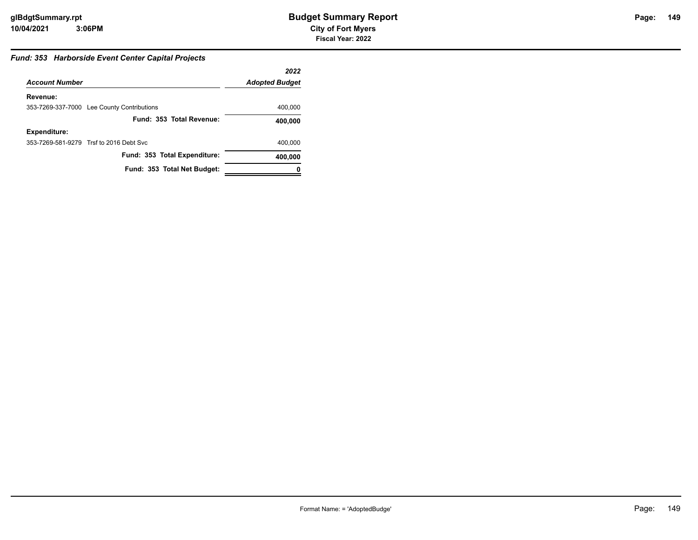#### *Fund: 353 Harborside Event Center Capital Projects*

|                       |                                            | 2022                  |
|-----------------------|--------------------------------------------|-----------------------|
| <b>Account Number</b> |                                            | <b>Adopted Budget</b> |
| Revenue:              |                                            |                       |
|                       | 353-7269-337-7000 Lee County Contributions | 400,000               |
|                       | Fund: 353 Total Revenue:                   | 400,000               |
| <b>Expenditure:</b>   |                                            |                       |
|                       | 353-7269-581-9279 Trsf to 2016 Debt Svc    | 400,000               |
|                       | Fund: 353 Total Expenditure:               | 400,000               |
|                       | Fund: 353 Total Net Budget:                |                       |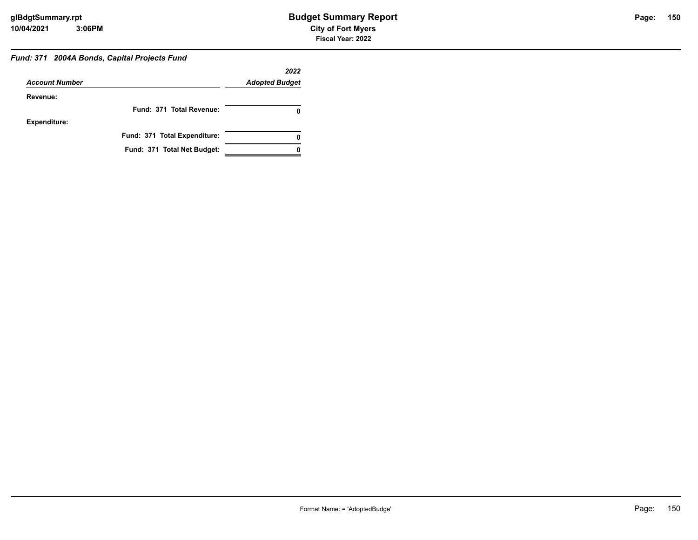#### *Fund: 371 2004A Bonds, Capital Projects Fund*

|                       |                              | 2022                  |
|-----------------------|------------------------------|-----------------------|
| <b>Account Number</b> |                              | <b>Adopted Budget</b> |
| Revenue:              |                              |                       |
|                       | Fund: 371 Total Revenue:     |                       |
| <b>Expenditure:</b>   |                              |                       |
|                       | Fund: 371 Total Expenditure: |                       |
|                       | Fund: 371 Total Net Budget:  |                       |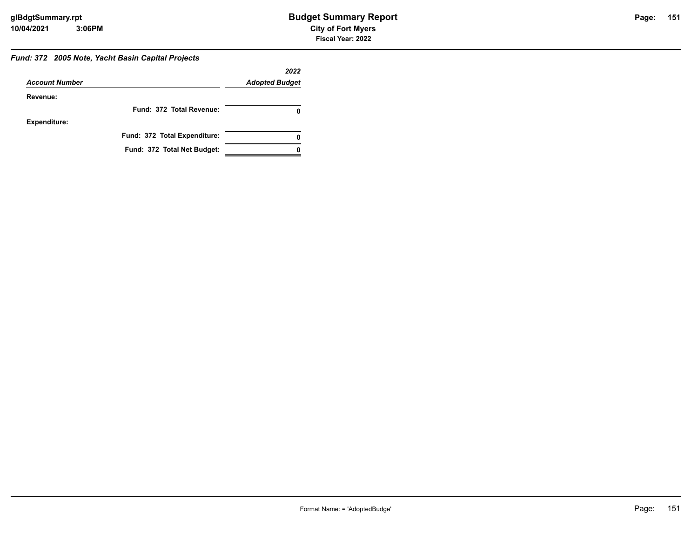#### *Fund: 372 2005 Note, Yacht Basin Capital Projects*

|                       |                              | 2022                  |
|-----------------------|------------------------------|-----------------------|
| <b>Account Number</b> |                              | <b>Adopted Budget</b> |
| Revenue:              |                              |                       |
|                       | Fund: 372 Total Revenue:     |                       |
| <b>Expenditure:</b>   |                              |                       |
|                       | Fund: 372 Total Expenditure: |                       |
|                       | Fund: 372 Total Net Budget:  |                       |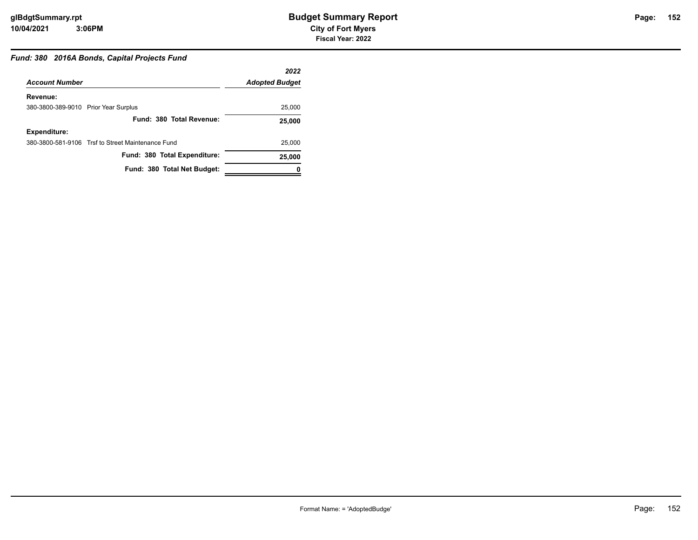#### *Fund: 380 2016A Bonds, Capital Projects Fund*

|                                      |                                                   | 2022                  |
|--------------------------------------|---------------------------------------------------|-----------------------|
| <b>Account Number</b>                |                                                   | <b>Adopted Budget</b> |
| Revenue:                             |                                                   |                       |
| 380-3800-389-9010 Prior Year Surplus |                                                   | 25,000                |
|                                      | Fund: 380 Total Revenue:                          | 25,000                |
| <b>Expenditure:</b>                  |                                                   |                       |
|                                      | 380-3800-581-9106 Trsf to Street Maintenance Fund | 25,000                |
|                                      | Fund: 380 Total Expenditure:                      | 25,000                |
|                                      | Fund: 380 Total Net Budget:                       |                       |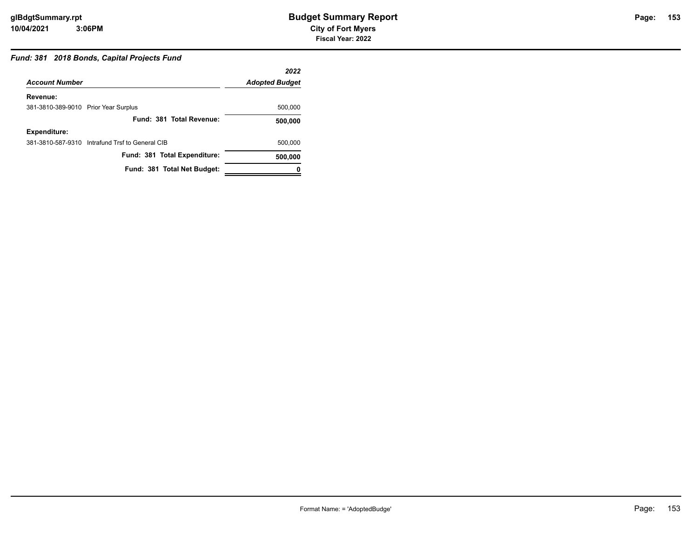#### *Fund: 381 2018 Bonds, Capital Projects Fund*

|                                      |                                                 | 2022                  |
|--------------------------------------|-------------------------------------------------|-----------------------|
| <b>Account Number</b>                |                                                 | <b>Adopted Budget</b> |
| Revenue:                             |                                                 |                       |
| 381-3810-389-9010 Prior Year Surplus |                                                 | 500,000               |
|                                      | Fund: 381 Total Revenue:                        | 500,000               |
| <b>Expenditure:</b>                  |                                                 |                       |
|                                      | 381-3810-587-9310 Intrafund Trsf to General CIB | 500,000               |
|                                      | Fund: 381 Total Expenditure:                    | 500,000               |
|                                      | Fund: 381 Total Net Budget:                     |                       |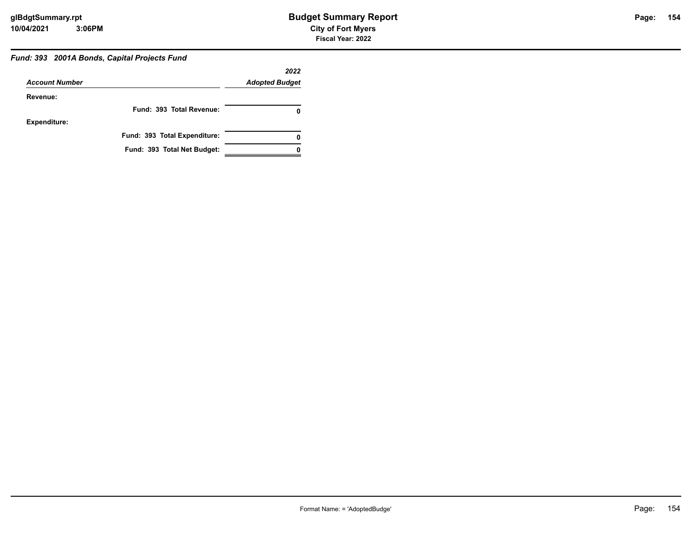#### *Fund: 393 2001A Bonds, Capital Projects Fund*

|                       |                              | 2022                  |
|-----------------------|------------------------------|-----------------------|
| <b>Account Number</b> |                              | <b>Adopted Budget</b> |
| Revenue:              |                              |                       |
|                       | Fund: 393 Total Revenue:     |                       |
| <b>Expenditure:</b>   |                              |                       |
|                       | Fund: 393 Total Expenditure: |                       |
|                       | Fund: 393 Total Net Budget:  |                       |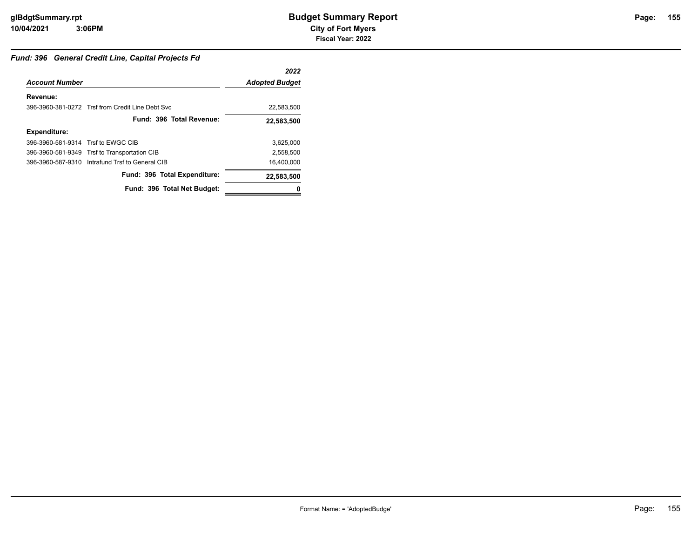#### *Fund: 396 General Credit Line, Capital Projects Fd*

|                                    |                                                  | 2022                  |
|------------------------------------|--------------------------------------------------|-----------------------|
| <b>Account Number</b>              |                                                  | <b>Adopted Budget</b> |
| Revenue:                           |                                                  |                       |
|                                    | 396-3960-381-0272 Trsf from Credit Line Debt Svc | 22,583,500            |
|                                    | Fund: 396 Total Revenue:                         | 22,583,500            |
| <b>Expenditure:</b>                |                                                  |                       |
| 396-3960-581-9314 Trsf to EWGC CIB |                                                  | 3,625,000             |
|                                    | 396-3960-581-9349 Trsf to Transportation CIB     | 2,558,500             |
|                                    | 396-3960-587-9310 Intrafund Trsf to General CIB  | 16,400,000            |
|                                    | Fund: 396 Total Expenditure:                     | 22,583,500            |
|                                    | Fund: 396 Total Net Budget:                      |                       |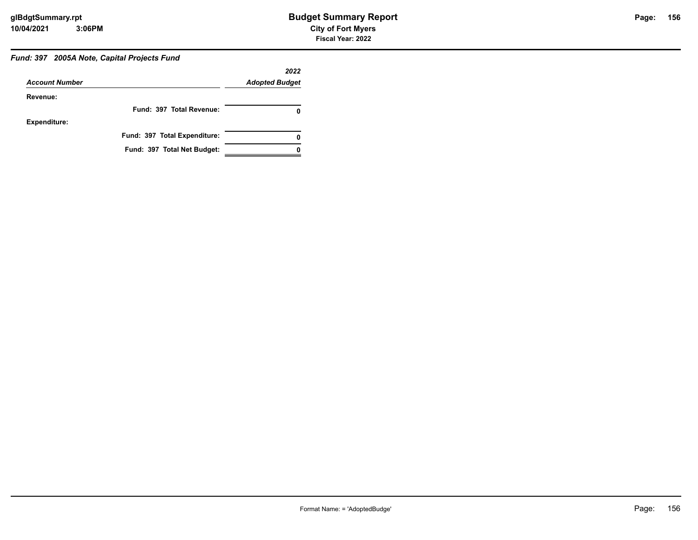#### *Fund: 397 2005A Note, Capital Projects Fund*

|                       |                              | 2022                  |
|-----------------------|------------------------------|-----------------------|
| <b>Account Number</b> |                              | <b>Adopted Budget</b> |
| Revenue:              |                              |                       |
|                       | Fund: 397 Total Revenue:     |                       |
| <b>Expenditure:</b>   |                              |                       |
|                       | Fund: 397 Total Expenditure: |                       |
|                       | Fund: 397 Total Net Budget:  |                       |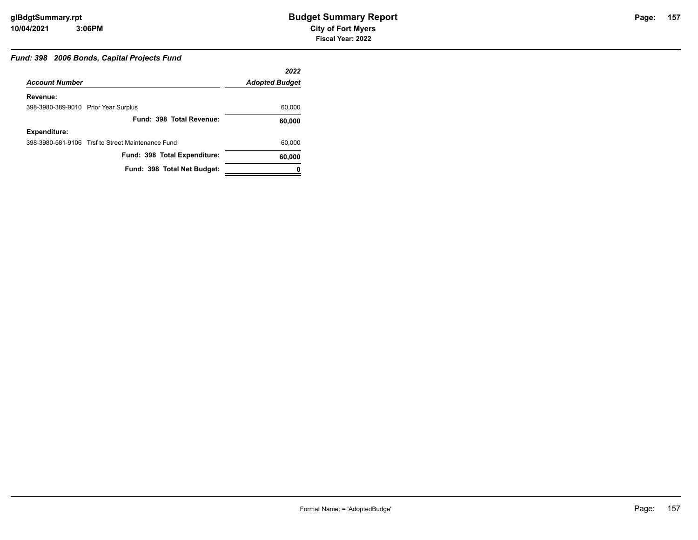#### *Fund: 398 2006 Bonds, Capital Projects Fund*

|                                      |                                                   | 2022                  |
|--------------------------------------|---------------------------------------------------|-----------------------|
| <b>Account Number</b>                |                                                   | <b>Adopted Budget</b> |
| Revenue:                             |                                                   |                       |
| 398-3980-389-9010 Prior Year Surplus |                                                   | 60,000                |
|                                      | Fund: 398 Total Revenue:                          | 60,000                |
| <b>Expenditure:</b>                  |                                                   |                       |
|                                      | 398-3980-581-9106 Trsf to Street Maintenance Fund | 60,000                |
|                                      | Fund: 398 Total Expenditure:                      | 60,000                |
|                                      | Fund: 398 Total Net Budget:                       |                       |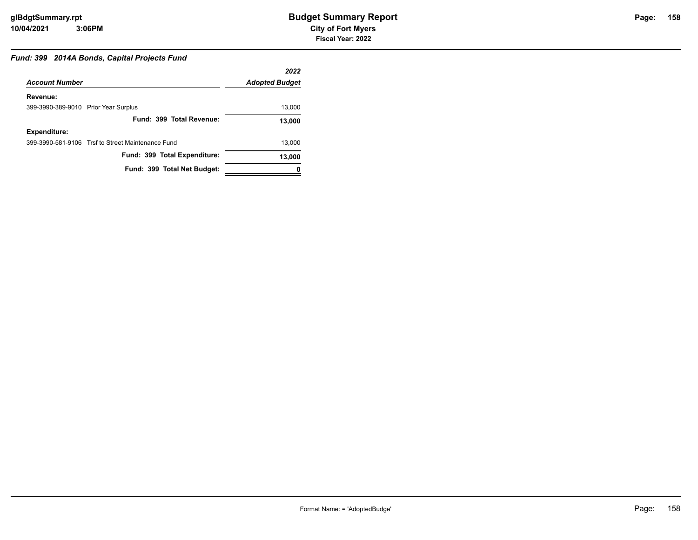## *Fund: 399 2014A Bonds, Capital Projects Fund*

|                                      |                                                   | 2022                  |
|--------------------------------------|---------------------------------------------------|-----------------------|
| <b>Account Number</b>                |                                                   | <b>Adopted Budget</b> |
| Revenue:                             |                                                   |                       |
| 399-3990-389-9010 Prior Year Surplus |                                                   | 13,000                |
|                                      | Fund: 399 Total Revenue:                          | 13,000                |
| <b>Expenditure:</b>                  |                                                   |                       |
|                                      | 399-3990-581-9106 Trsf to Street Maintenance Fund | 13,000                |
|                                      | Fund: 399 Total Expenditure:                      | 13,000                |
|                                      | Fund: 399 Total Net Budget:                       |                       |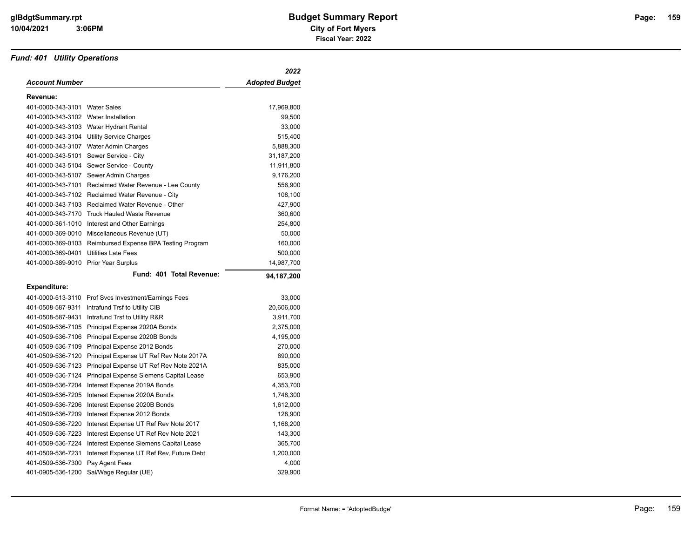#### *Fund: 401 Utility Operations*

|                       |                                          | 2022                  |
|-----------------------|------------------------------------------|-----------------------|
| <b>Account Number</b> |                                          | <b>Adopted Budget</b> |
| Revenue:              |                                          |                       |
| 401-0000-343-3101     | <b>Water Sales</b>                       | 17,969,800            |
| 401-0000-343-3102     | Water Installation                       | 99,500                |
|                       | 401-0000-343-3103 Water Hydrant Rental   | 33,000                |
| 401-0000-343-3104     | <b>Utility Service Charges</b>           | 515,400               |
| 401-0000-343-3107     | Water Admin Charges                      | 5,888,300             |
| 401-0000-343-5101     | Sewer Service - City                     | 31,187,200            |
| 401-0000-343-5104     | Sewer Service - County                   | 11,911,800            |
| 401-0000-343-5107     | Sewer Admin Charges                      | 9,176,200             |
| 401-0000-343-7101     | Reclaimed Water Revenue - Lee County     | 556,900               |
| 401-0000-343-7102     | Reclaimed Water Revenue - City           | 108,100               |
| 401-0000-343-7103     | Reclaimed Water Revenue - Other          | 427,900               |
| 401-0000-343-7170     | <b>Truck Hauled Waste Revenue</b>        | 360,600               |
| 401-0000-361-1010     | Interest and Other Earnings              | 254,800               |
| 401-0000-369-0010     | Miscellaneous Revenue (UT)               | 50,000                |
| 401-0000-369-0103     | Reimbursed Expense BPA Testing Program   | 160,000               |
| 401-0000-369-0401     | <b>Utilities Late Fees</b>               | 500,000               |
| 401-0000-389-9010     | <b>Prior Year Surplus</b>                | 14,987,700            |
|                       | Fund: 401 Total Revenue:                 | 94,187,200            |
| <b>Expenditure:</b>   |                                          |                       |
| 401-0000-513-3110     | Prof Svcs Investment/Earnings Fees       | 33,000                |
| 401-0508-587-9311     | Intrafund Trsf to Utility CIB            | 20,606,000            |
| 401-0508-587-9431     | Intrafund Trsf to Utility R&R            | 3,911,700             |
| 401-0509-536-7105     | Principal Expense 2020A Bonds            | 2,375,000             |
| 401-0509-536-7106     | Principal Expense 2020B Bonds            | 4,195,000             |
| 401-0509-536-7109     | Principal Expense 2012 Bonds             | 270,000               |
| 401-0509-536-7120     | Principal Expense UT Ref Rev Note 2017A  | 690,000               |
| 401-0509-536-7123     | Principal Expense UT Ref Rev Note 2021A  | 835,000               |
| 401-0509-536-7124     | Principal Expense Siemens Capital Lease  | 653,900               |
| 401-0509-536-7204     | Interest Expense 2019A Bonds             | 4,353,700             |
| 401-0509-536-7205     | Interest Expense 2020A Bonds             | 1,748,300             |
| 401-0509-536-7206     | Interest Expense 2020B Bonds             | 1,612,000             |
| 401-0509-536-7209     | Interest Expense 2012 Bonds              | 128,900               |
| 401-0509-536-7220     | Interest Expense UT Ref Rev Note 2017    | 1,168,200             |
| 401-0509-536-7223     | Interest Expense UT Ref Rev Note 2021    | 143,300               |
| 401-0509-536-7224     | Interest Expense Siemens Capital Lease   | 365,700               |
| 401-0509-536-7231     | Interest Expense UT Ref Rev, Future Debt | 1,200,000             |
| 401-0509-536-7300     | Pay Agent Fees                           | 4,000                 |
| 401-0905-536-1200     | Sal/Wage Regular (UE)                    | 329,900               |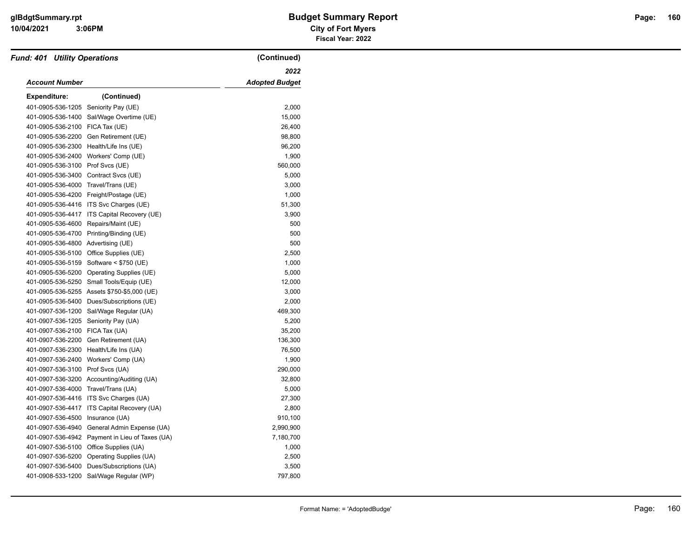| <b>Fund: 401 Utility Operations</b> |                                             | (Continued)           |
|-------------------------------------|---------------------------------------------|-----------------------|
|                                     |                                             | 2022                  |
| <b>Account Number</b>               |                                             | <b>Adopted Budget</b> |
| Expenditure:                        | (Continued)                                 |                       |
| 401-0905-536-1205                   | Seniority Pay (UE)                          | 2,000                 |
| 401-0905-536-1400                   | Sal/Wage Overtime (UE)                      | 15,000                |
| 401-0905-536-2100                   | FICA Tax (UE)                               | 26,400                |
| 401-0905-536-2200                   | Gen Retirement (UE)                         | 98,800                |
| 401-0905-536-2300                   | Health/Life Ins (UE)                        | 96,200                |
| 401-0905-536-2400                   | Workers' Comp (UE)                          | 1,900                 |
| 401-0905-536-3100                   | Prof Svcs (UE)                              | 560,000               |
| 401-0905-536-3400                   | Contract Svcs (UE)                          | 5,000                 |
| 401-0905-536-4000                   | Travel/Trans (UE)                           | 3,000                 |
| 401-0905-536-4200                   | Freight/Postage (UE)                        | 1,000                 |
| 401-0905-536-4416                   | ITS Svc Charges (UE)                        | 51,300                |
| 401-0905-536-4417                   | ITS Capital Recovery (UE)                   | 3,900                 |
| 401-0905-536-4600                   | Repairs/Maint (UE)                          | 500                   |
| 401-0905-536-4700                   | Printing/Binding (UE)                       | 500                   |
| 401-0905-536-4800                   | Advertising (UE)                            | 500                   |
| 401-0905-536-5100                   | Office Supplies (UE)                        | 2,500                 |
| 401-0905-536-5159                   | Software < \$750 (UE)                       | 1,000                 |
| 401-0905-536-5200                   | Operating Supplies (UE)                     | 5,000                 |
| 401-0905-536-5250                   | Small Tools/Equip (UE)                      | 12,000                |
|                                     | 401-0905-536-5255 Assets \$750-\$5,000 (UE) | 3,000                 |
| 401-0905-536-5400                   | Dues/Subscriptions (UE)                     | 2,000                 |
| 401-0907-536-1200                   | Sal/Wage Regular (UA)                       | 469,300               |
| 401-0907-536-1205                   | Seniority Pay (UA)                          | 5,200                 |
| 401-0907-536-2100                   | FICA Tax (UA)                               | 35,200                |
| 401-0907-536-2200                   | Gen Retirement (UA)                         | 136,300               |
| 401-0907-536-2300                   | Health/Life Ins (UA)                        | 76,500                |
| 401-0907-536-2400                   | Workers' Comp (UA)                          | 1,900                 |
| 401-0907-536-3100                   | Prof Svcs (UA)                              | 290,000               |
| 401-0907-536-3200                   | Accounting/Auditing (UA)                    | 32,800                |
| 401-0907-536-4000                   | Travel/Trans (UA)                           | 5,000                 |
| 401-0907-536-4416                   | ITS Svc Charges (UA)                        | 27,300                |
| 401-0907-536-4417                   | ITS Capital Recovery (UA)                   | 2,800                 |
| 401-0907-536-4500                   | Insurance (UA)                              | 910,100               |
| 401-0907-536-4940                   | General Admin Expense (UA)                  | 2,990,900             |
| 401-0907-536-4942                   | Payment in Lieu of Taxes (UA)               | 7,180,700             |
| 401-0907-536-5100                   | Office Supplies (UA)                        | 1,000                 |
| 401-0907-536-5200                   | Operating Supplies (UA)                     | 2,500                 |
| 401-0907-536-5400                   | Dues/Subscriptions (UA)                     | 3,500                 |
| 401-0908-533-1200                   | Sal/Wage Regular (WP)                       | 797,800               |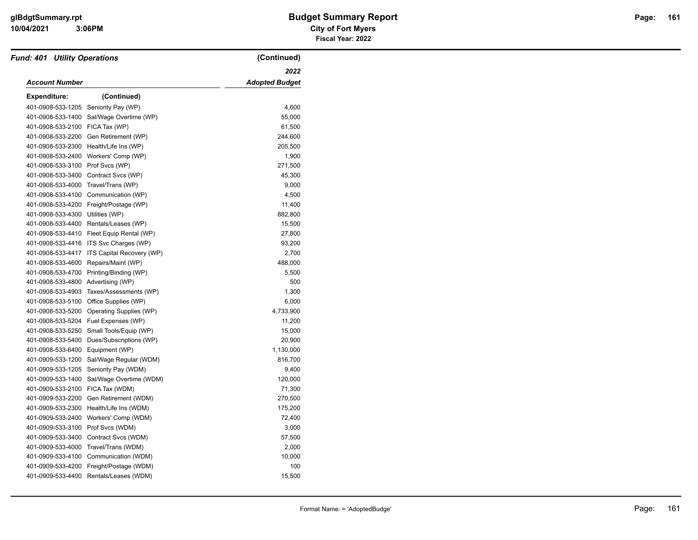| <b>Fund: 401 Utility Operations</b> |                           | (Continued)           |
|-------------------------------------|---------------------------|-----------------------|
|                                     |                           | 2022                  |
| <b>Account Number</b>               |                           | <b>Adopted Budget</b> |
| <b>Expenditure:</b>                 | (Continued)               |                       |
| 401-0908-533-1205                   | Seniority Pay (WP)        | 4,600                 |
| 401-0908-533-1400                   | Sal/Wage Overtime (WP)    | 55,000                |
| 401-0908-533-2100                   | FICA Tax (WP)             | 61,500                |
| 401-0908-533-2200                   | Gen Retirement (WP)       | 244,600               |
| 401-0908-533-2300                   | Health/Life Ins (WP)      | 205,500               |
| 401-0908-533-2400                   | Workers' Comp (WP)        | 1,900                 |
| 401-0908-533-3100                   | Prof Svcs (WP)            | 271,500               |
| 401-0908-533-3400                   | Contract Svcs (WP)        | 45,300                |
| 401-0908-533-4000                   | Travel/Trans (WP)         | 9,000                 |
| 401-0908-533-4100                   | Communication (WP)        | 4,500                 |
| 401-0908-533-4200                   | Freight/Postage (WP)      | 11,400                |
| 401-0908-533-4300                   | Utilities (WP)            | 882,800               |
| 401-0908-533-4400                   | Rentals/Leases (WP)       | 15,500                |
| 401-0908-533-4410                   | Fleet Equip Rental (WP)   | 27,800                |
| 401-0908-533-4416                   | ITS Svc Charges (WP)      | 93,200                |
| 401-0908-533-4417                   | ITS Capital Recovery (WP) | 2,700                 |
| 401-0908-533-4600                   | Repairs/Maint (WP)        | 488,000               |
| 401-0908-533-4700                   | Printing/Binding (WP)     | 5,500                 |
| 401-0908-533-4800                   | Advertising (WP)          | 500                   |
| 401-0908-533-4903                   | Taxes/Assessments (WP)    | 1,300                 |
| 401-0908-533-5100                   | Office Supplies (WP)      | 6,000                 |
| 401-0908-533-5200                   | Operating Supplies (WP)   | 4,733,900             |
| 401-0908-533-5204                   | Fuel Expenses (WP)        | 11,200                |
| 401-0908-533-5250                   | Small Tools/Equip (WP)    | 15,000                |
| 401-0908-533-5400                   | Dues/Subscriptions (WP)   | 20,900                |
| 401-0908-533-6400                   | Equipment (WP)            | 1,130,000             |
| 401-0909-533-1200                   | Sal/Wage Regular (WDM)    | 816,700               |
| 401-0909-533-1205                   | Seniority Pay (WDM)       | 9,400                 |
| 401-0909-533-1400                   | Sal/Wage Overtime (WDM)   | 120,000               |
| 401-0909-533-2100                   | FICA Tax (WDM)            | 71,300                |
| 401-0909-533-2200                   | Gen Retirement (WDM)      | 270,500               |
| 401-0909-533-2300                   | Health/Life Ins (WDM)     | 175,200               |
| 401-0909-533-2400                   | Workers' Comp (WDM)       | 72,400                |
| 401-0909-533-3100                   | Prof Svcs (WDM)           | 3,000                 |
| 401-0909-533-3400                   | Contract Svcs (WDM)       | 57,500                |
| 401-0909-533-4000                   | Travel/Trans (WDM)        | 2,000                 |
| 401-0909-533-4100                   | Communication (WDM)       | 10,000                |
| 401-0909-533-4200                   | Freight/Postage (WDM)     | 100                   |
| 401-0909-533-4400                   | Rentals/Leases (WDM)      | 15,500                |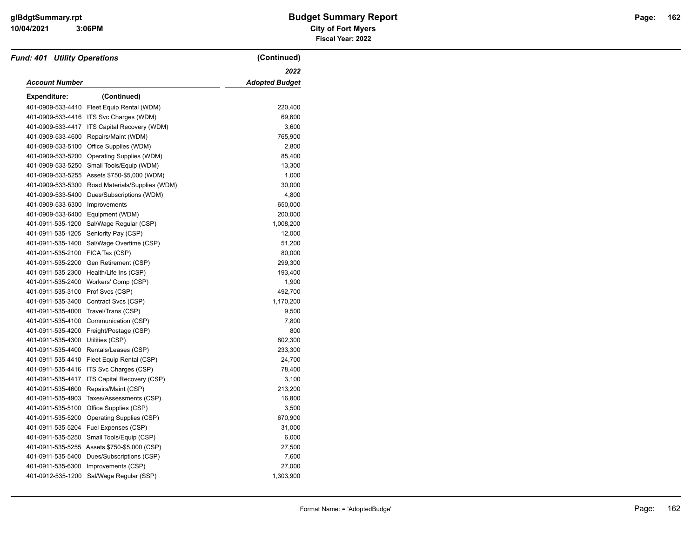| <b>Fund: 401 Utility Operations</b> |                                              | (Continued)           |
|-------------------------------------|----------------------------------------------|-----------------------|
|                                     |                                              | 2022                  |
| <b>Account Number</b>               |                                              | <b>Adopted Budget</b> |
| <b>Expenditure:</b>                 | (Continued)                                  |                       |
| 401-0909-533-4410                   | Fleet Equip Rental (WDM)                     | 220,400               |
| 401-0909-533-4416                   | ITS Svc Charges (WDM)                        | 69,600                |
| 401-0909-533-4417                   | ITS Capital Recovery (WDM)                   | 3,600                 |
| 401-0909-533-4600                   | Repairs/Maint (WDM)                          | 765,900               |
| 401-0909-533-5100                   | Office Supplies (WDM)                        | 2,800                 |
| 401-0909-533-5200                   | Operating Supplies (WDM)                     | 85,400                |
| 401-0909-533-5250                   | Small Tools/Equip (WDM)                      | 13,300                |
| 401-0909-533-5255                   | Assets \$750-\$5,000 (WDM)                   | 1,000                 |
| 401-0909-533-5300                   | Road Materials/Supplies (WDM)                | 30,000                |
| 401-0909-533-5400                   | Dues/Subscriptions (WDM)                     | 4,800                 |
| 401-0909-533-6300                   | Improvements                                 | 650,000               |
| 401-0909-533-6400                   | Equipment (WDM)                              | 200,000               |
| 401-0911-535-1200                   | Sal/Wage Regular (CSP)                       | 1,008,200             |
| 401-0911-535-1205                   | Seniority Pay (CSP)                          | 12,000                |
| 401-0911-535-1400                   | Sal/Wage Overtime (CSP)                      | 51,200                |
| 401-0911-535-2100                   | FICA Tax (CSP)                               | 80,000                |
| 401-0911-535-2200                   | Gen Retirement (CSP)                         | 299,300               |
| 401-0911-535-2300                   | Health/Life Ins (CSP)                        | 193,400               |
| 401-0911-535-2400                   | Workers' Comp (CSP)                          | 1,900                 |
| 401-0911-535-3100                   | Prof Svcs (CSP)                              | 492,700               |
| 401-0911-535-3400                   | Contract Svcs (CSP)                          | 1,170,200             |
| 401-0911-535-4000                   | Travel/Trans (CSP)                           | 9,500                 |
| 401-0911-535-4100                   | Communication (CSP)                          | 7,800                 |
| 401-0911-535-4200                   | Freight/Postage (CSP)                        | 800                   |
| 401-0911-535-4300                   | Utilities (CSP)                              | 802,300               |
| 401-0911-535-4400                   | Rentals/Leases (CSP)                         | 233,300               |
| 401-0911-535-4410                   | Fleet Equip Rental (CSP)                     | 24,700                |
| 401-0911-535-4416                   | ITS Svc Charges (CSP)                        | 78,400                |
| 401-0911-535-4417                   | ITS Capital Recovery (CSP)                   | 3,100                 |
| 401-0911-535-4600                   | Repairs/Maint (CSP)                          | 213,200               |
| 401-0911-535-4903                   | Taxes/Assessments (CSP)                      | 16,800                |
| 401-0911-535-5100                   | Office Supplies (CSP)                        | 3,500                 |
| 401-0911-535-5200                   | Operating Supplies (CSP)                     | 670,900               |
| 401-0911-535-5204                   | Fuel Expenses (CSP)                          | 31,000                |
| 401-0911-535-5250                   | Small Tools/Equip (CSP)                      | 6,000                 |
|                                     | 401-0911-535-5255 Assets \$750-\$5,000 (CSP) | 27,500                |
| 401-0911-535-5400                   | Dues/Subscriptions (CSP)                     | 7,600                 |
| 401-0911-535-6300                   | Improvements (CSP)                           | 27,000                |
| 401-0912-535-1200                   | Sal/Wage Regular (SSP)                       | 1,303,900             |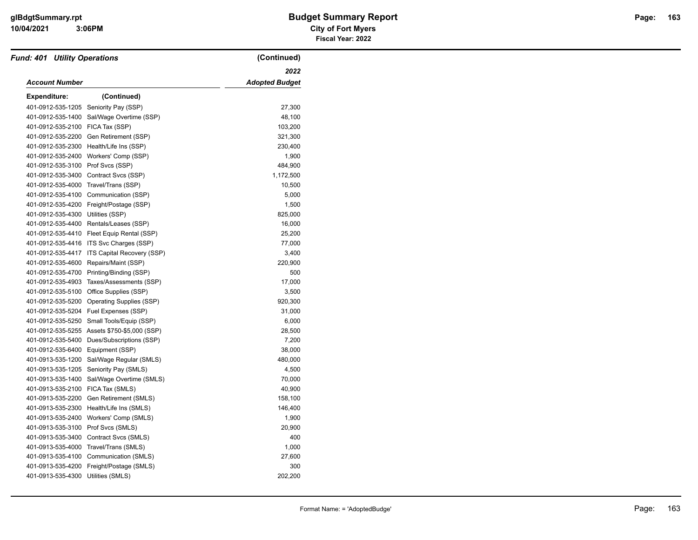| <b>Fund: 401 Utility Operations</b> |                            | (Continued)           |
|-------------------------------------|----------------------------|-----------------------|
|                                     |                            | 2022                  |
| <b>Account Number</b>               |                            | <b>Adopted Budget</b> |
| Expenditure:                        | (Continued)                |                       |
| 401-0912-535-1205                   | Seniority Pay (SSP)        | 27,300                |
| 401-0912-535-1400                   | Sal/Wage Overtime (SSP)    | 48,100                |
| 401-0912-535-2100                   | FICA Tax (SSP)             | 103,200               |
| 401-0912-535-2200                   | Gen Retirement (SSP)       | 321,300               |
| 401-0912-535-2300                   | Health/Life Ins (SSP)      | 230,400               |
| 401-0912-535-2400                   | Workers' Comp (SSP)        | 1,900                 |
| 401-0912-535-3100                   | Prof Svcs (SSP)            | 484,900               |
| 401-0912-535-3400                   | Contract Svcs (SSP)        | 1,172,500             |
| 401-0912-535-4000                   | Travel/Trans (SSP)         | 10,500                |
| 401-0912-535-4100                   | Communication (SSP)        | 5,000                 |
| 401-0912-535-4200                   | Freight/Postage (SSP)      | 1,500                 |
| 401-0912-535-4300                   | Utilities (SSP)            | 825,000               |
| 401-0912-535-4400                   | Rentals/Leases (SSP)       | 16,000                |
| 401-0912-535-4410                   | Fleet Equip Rental (SSP)   | 25,200                |
| 401-0912-535-4416                   | ITS Svc Charges (SSP)      | 77,000                |
| 401-0912-535-4417                   | ITS Capital Recovery (SSP) | 3,400                 |
| 401-0912-535-4600                   | Repairs/Maint (SSP)        | 220,900               |
| 401-0912-535-4700                   | Printing/Binding (SSP)     | 500                   |
| 401-0912-535-4903                   | Taxes/Assessments (SSP)    | 17,000                |
| 401-0912-535-5100                   | Office Supplies (SSP)      | 3,500                 |
| 401-0912-535-5200                   | Operating Supplies (SSP)   | 920,300               |
| 401-0912-535-5204                   | Fuel Expenses (SSP)        | 31,000                |
| 401-0912-535-5250                   | Small Tools/Equip (SSP)    | 6,000                 |
| 401-0912-535-5255                   | Assets \$750-\$5,000 (SSP) | 28,500                |
| 401-0912-535-5400                   | Dues/Subscriptions (SSP)   | 7,200                 |
| 401-0912-535-6400                   | Equipment (SSP)            | 38,000                |
| 401-0913-535-1200                   | Sal/Wage Regular (SMLS)    | 480,000               |
| 401-0913-535-1205                   | Seniority Pay (SMLS)       | 4,500                 |
| 401-0913-535-1400                   | Sal/Wage Overtime (SMLS)   | 70,000                |
| 401-0913-535-2100                   | FICA Tax (SMLS)            | 40,900                |
| 401-0913-535-2200                   | Gen Retirement (SMLS)      | 158,100               |
| 401-0913-535-2300                   | Health/Life Ins (SMLS)     | 146,400               |
| 401-0913-535-2400                   | Workers' Comp (SMLS)       | 1,900                 |
| 401-0913-535-3100                   | Prof Svcs (SMLS)           | 20,900                |
| 401-0913-535-3400                   | Contract Svcs (SMLS)       | 400                   |
| 401-0913-535-4000                   | Travel/Trans (SMLS)        | 1,000                 |
| 401-0913-535-4100                   | Communication (SMLS)       | 27,600                |
| 401-0913-535-4200                   | Freight/Postage (SMLS)     | 300                   |
| 401-0913-535-4300                   | Utilities (SMLS)           | 202,200               |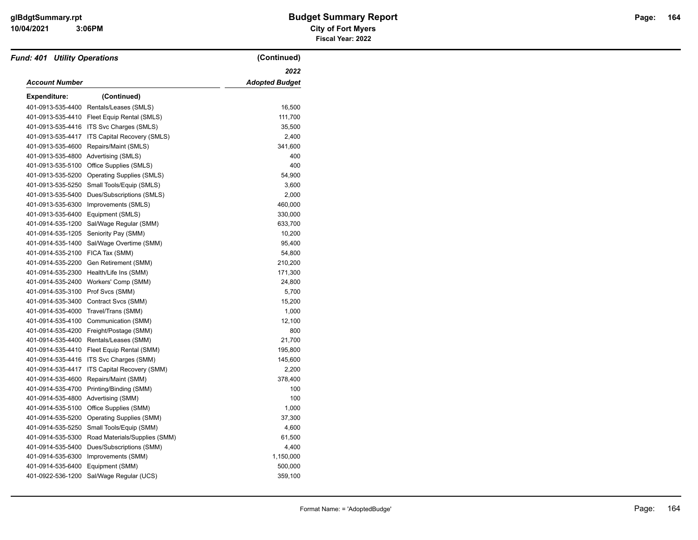| <b>Fund: 401 Utility Operations</b> |                                  | (Continued)           |
|-------------------------------------|----------------------------------|-----------------------|
|                                     |                                  | 2022                  |
| <b>Account Number</b>               |                                  | <b>Adopted Budget</b> |
| <b>Expenditure:</b>                 | (Continued)                      |                       |
| 401-0913-535-4400                   | Rentals/Leases (SMLS)            | 16,500                |
| 401-0913-535-4410                   | Fleet Equip Rental (SMLS)        | 111,700               |
| 401-0913-535-4416                   | ITS Svc Charges (SMLS)           | 35,500                |
| 401-0913-535-4417                   | ITS Capital Recovery (SMLS)      | 2,400                 |
| 401-0913-535-4600                   | Repairs/Maint (SMLS)             | 341,600               |
| 401-0913-535-4800                   | Advertising (SMLS)               | 400                   |
| 401-0913-535-5100                   | Office Supplies (SMLS)           | 400                   |
| 401-0913-535-5200                   | <b>Operating Supplies (SMLS)</b> | 54,900                |
| 401-0913-535-5250                   | Small Tools/Equip (SMLS)         | 3,600                 |
| 401-0913-535-5400                   | Dues/Subscriptions (SMLS)        | 2,000                 |
| 401-0913-535-6300                   | Improvements (SMLS)              | 460,000               |
| 401-0913-535-6400                   | Equipment (SMLS)                 | 330,000               |
| 401-0914-535-1200                   | Sal/Wage Regular (SMM)           | 633,700               |
| 401-0914-535-1205                   | Seniority Pay (SMM)              | 10,200                |
| 401-0914-535-1400                   | Sal/Wage Overtime (SMM)          | 95,400                |
| 401-0914-535-2100                   | FICA Tax (SMM)                   | 54,800                |
| 401-0914-535-2200                   | Gen Retirement (SMM)             | 210,200               |
| 401-0914-535-2300                   | Health/Life Ins (SMM)            | 171,300               |
| 401-0914-535-2400                   | Workers' Comp (SMM)              | 24,800                |
| 401-0914-535-3100                   | Prof Svcs (SMM)                  | 5,700                 |
| 401-0914-535-3400                   | Contract Svcs (SMM)              | 15,200                |
| 401-0914-535-4000                   | Travel/Trans (SMM)               | 1,000                 |
| 401-0914-535-4100                   | Communication (SMM)              | 12,100                |
| 401-0914-535-4200                   | Freight/Postage (SMM)            | 800                   |
| 401-0914-535-4400                   | Rentals/Leases (SMM)             | 21,700                |
| 401-0914-535-4410                   | Fleet Equip Rental (SMM)         | 195,800               |
| 401-0914-535-4416                   | ITS Svc Charges (SMM)            | 145,600               |
| 401-0914-535-4417                   | ITS Capital Recovery (SMM)       | 2,200                 |
| 401-0914-535-4600                   | Repairs/Maint (SMM)              | 378,400               |
| 401-0914-535-4700                   | Printing/Binding (SMM)           | 100                   |
| 401-0914-535-4800                   | Advertising (SMM)                | 100                   |
| 401-0914-535-5100                   | Office Supplies (SMM)            | 1,000                 |
| 401-0914-535-5200                   | <b>Operating Supplies (SMM)</b>  | 37,300                |
| 401-0914-535-5250                   | Small Tools/Equip (SMM)          | 4,600                 |
| 401-0914-535-5300                   | Road Materials/Supplies (SMM)    | 61,500                |
| 401-0914-535-5400                   | Dues/Subscriptions (SMM)         | 4,400                 |
| 401-0914-535-6300                   | Improvements (SMM)               | 1,150,000             |
| 401-0914-535-6400                   | Equipment (SMM)                  | 500,000               |
| 401-0922-536-1200                   | Sal/Wage Regular (UCS)           | 359,100               |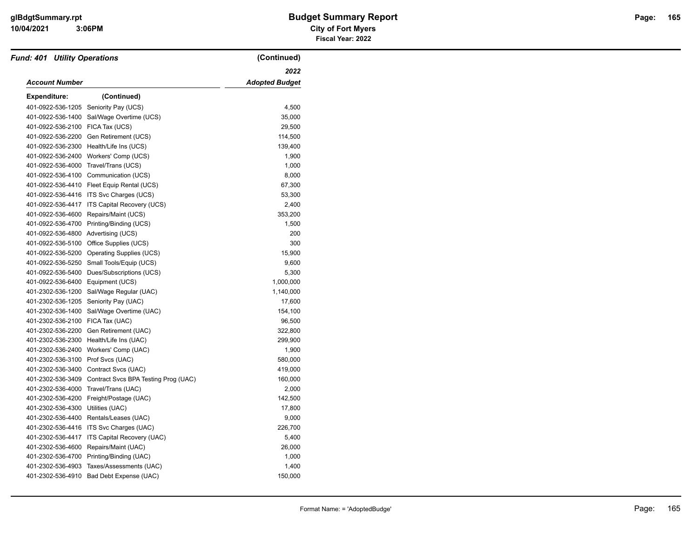| <b>Fund: 401 Utility Operations</b> |                                      | (Continued)           |
|-------------------------------------|--------------------------------------|-----------------------|
|                                     |                                      | 2022                  |
| Account Number                      |                                      | <b>Adopted Budget</b> |
| <b>Expenditure:</b>                 | (Continued)                          |                       |
| 401-0922-536-1205                   | Seniority Pay (UCS)                  | 4,500                 |
| 401-0922-536-1400                   | Sal/Wage Overtime (UCS)              | 35,000                |
| 401-0922-536-2100                   | FICA Tax (UCS)                       | 29,500                |
| 401-0922-536-2200                   | Gen Retirement (UCS)                 | 114,500               |
| 401-0922-536-2300                   | Health/Life Ins (UCS)                | 139,400               |
| 401-0922-536-2400                   | Workers' Comp (UCS)                  | 1,900                 |
| 401-0922-536-4000                   | Travel/Trans (UCS)                   | 1,000                 |
| 401-0922-536-4100                   | Communication (UCS)                  | 8,000                 |
| 401-0922-536-4410                   | Fleet Equip Rental (UCS)             | 67,300                |
| 401-0922-536-4416                   | ITS Svc Charges (UCS)                | 53,300                |
| 401-0922-536-4417                   | ITS Capital Recovery (UCS)           | 2,400                 |
| 401-0922-536-4600                   | Repairs/Maint (UCS)                  | 353,200               |
| 401-0922-536-4700                   | Printing/Binding (UCS)               | 1,500                 |
| 401-0922-536-4800                   | Advertising (UCS)                    | 200                   |
| 401-0922-536-5100                   | Office Supplies (UCS)                | 300                   |
| 401-0922-536-5200                   | Operating Supplies (UCS)             | 15,900                |
| 401-0922-536-5250                   | Small Tools/Equip (UCS)              | 9,600                 |
| 401-0922-536-5400                   | Dues/Subscriptions (UCS)             | 5,300                 |
| 401-0922-536-6400                   | Equipment (UCS)                      | 1,000,000             |
| 401-2302-536-1200                   | Sal/Wage Regular (UAC)               | 1,140,000             |
| 401-2302-536-1205                   | Seniority Pay (UAC)                  | 17,600                |
| 401-2302-536-1400                   | Sal/Wage Overtime (UAC)              | 154,100               |
| 401-2302-536-2100                   | FICA Tax (UAC)                       | 96,500                |
| 401-2302-536-2200                   | Gen Retirement (UAC)                 | 322,800               |
| 401-2302-536-2300                   | Health/Life Ins (UAC)                | 299,900               |
| 401-2302-536-2400                   | Workers' Comp (UAC)                  | 1,900                 |
| 401-2302-536-3100                   | Prof Svcs (UAC)                      | 580,000               |
| 401-2302-536-3400                   | Contract Svcs (UAC)                  | 419,000               |
| 401-2302-536-3409                   | Contract Svcs BPA Testing Prog (UAC) | 160,000               |
| 401-2302-536-4000                   | Travel/Trans (UAC)                   | 2,000                 |
| 401-2302-536-4200                   | Freight/Postage (UAC)                | 142,500               |
| 401-2302-536-4300                   | Utilities (UAC)                      | 17,800                |
| 401-2302-536-4400                   | Rentals/Leases (UAC)                 | 9,000                 |
| 401-2302-536-4416                   | ITS Svc Charges (UAC)                | 226,700               |
| 401-2302-536-4417                   | ITS Capital Recovery (UAC)           | 5,400                 |
| 401-2302-536-4600                   | Repairs/Maint (UAC)                  | 26,000                |
| 401-2302-536-4700                   | Printing/Binding (UAC)               | 1,000                 |
| 401-2302-536-4903                   | Taxes/Assessments (UAC)              | 1,400                 |
| 401-2302-536-4910                   | Bad Debt Expense (UAC)               | 150,000               |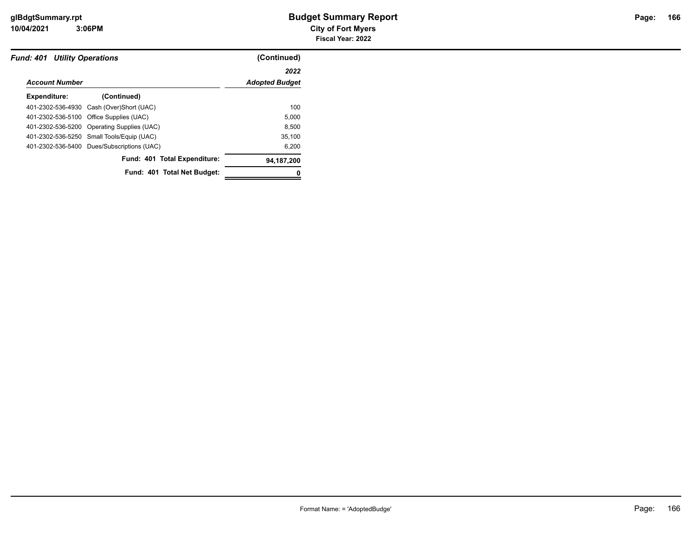|                       | <b>Fund: 401 Utility Operations</b>        |                       |
|-----------------------|--------------------------------------------|-----------------------|
|                       |                                            | 2022                  |
| <b>Account Number</b> |                                            | <b>Adopted Budget</b> |
| Expenditure:          | (Continued)                                |                       |
|                       | 401-2302-536-4930 Cash (Over)Short (UAC)   | 100                   |
|                       | 401-2302-536-5100 Office Supplies (UAC)    | 5,000                 |
|                       | 401-2302-536-5200 Operating Supplies (UAC) | 8.500                 |
|                       | 401-2302-536-5250 Small Tools/Equip (UAC)  | 35.100                |
|                       | 401-2302-536-5400 Dues/Subscriptions (UAC) | 6.200                 |
|                       | Fund: 401 Total Expenditure:               | 94,187,200            |
|                       | Fund: 401 Total Net Budget:                |                       |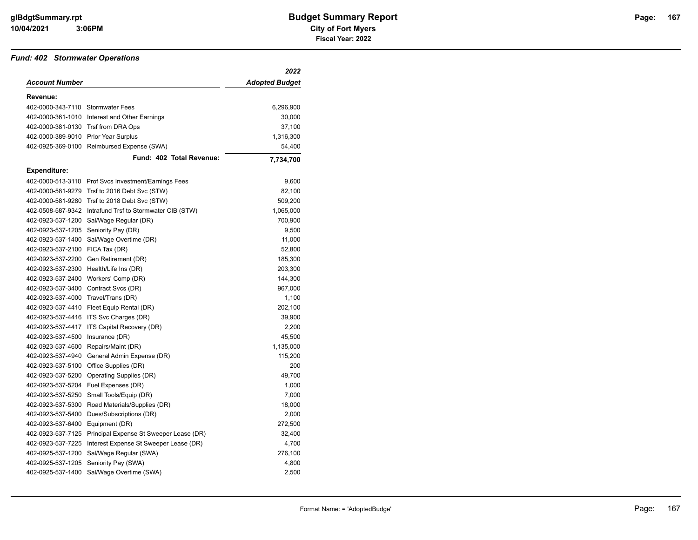#### *Fund: 402 Stormwater Operations*

|                                      |                                                          | 2022           |
|--------------------------------------|----------------------------------------------------------|----------------|
| <b>Account Number</b>                |                                                          | Adopted Budget |
| Revenue:                             |                                                          |                |
| 402-0000-343-7110 Stormwater Fees    |                                                          | 6,296,900      |
|                                      | 402-0000-361-1010 Interest and Other Earnings            | 30,000         |
| 402-0000-381-0130 Trsf from DRA Ops  |                                                          | 37,100         |
| 402-0000-389-9010 Prior Year Surplus |                                                          | 1,316,300      |
| 402-0925-369-0100                    | Reimbursed Expense (SWA)                                 | 54,400         |
|                                      | Fund: 402 Total Revenue:                                 | 7,734,700      |
| <b>Expenditure:</b>                  |                                                          |                |
|                                      | 402-0000-513-3110 Prof Svcs Investment/Earnings Fees     | 9,600          |
|                                      | 402-0000-581-9279 Trsf to 2016 Debt Svc (STW)            | 82,100         |
| 402-0000-581-9280                    | Trsf to 2018 Debt Svc (STW)                              | 509,200        |
|                                      | 402-0508-587-9342 Intrafund Trsf to Stormwater CIB (STW) | 1,065,000      |
| 402-0923-537-1200                    | Sal/Wage Regular (DR)                                    | 700,900        |
| 402-0923-537-1205 Seniority Pay (DR) |                                                          | 9,500          |
| 402-0923-537-1400                    | Sal/Wage Overtime (DR)                                   | 11,000         |
| 402-0923-537-2100                    | FICA Tax (DR)                                            | 52,800         |
| 402-0923-537-2200                    | Gen Retirement (DR)                                      | 185,300        |
| 402-0923-537-2300                    | Health/Life Ins (DR)                                     | 203,300        |
| 402-0923-537-2400                    | Workers' Comp (DR)                                       | 144,300        |
| 402-0923-537-3400                    | Contract Svcs (DR)                                       | 967,000        |
| 402-0923-537-4000 Travel/Trans (DR)  |                                                          | 1,100          |
|                                      | 402-0923-537-4410 Fleet Equip Rental (DR)                | 202,100        |
| 402-0923-537-4416                    | ITS Svc Charges (DR)                                     | 39,900         |
| 402-0923-537-4417                    | ITS Capital Recovery (DR)                                | 2,200          |
| 402-0923-537-4500                    | Insurance (DR)                                           | 45,500         |
| 402-0923-537-4600                    | Repairs/Maint (DR)                                       | 1,135,000      |
| 402-0923-537-4940                    | General Admin Expense (DR)                               | 115,200        |
| 402-0923-537-5100                    | Office Supplies (DR)                                     | 200            |
| 402-0923-537-5200                    | Operating Supplies (DR)                                  | 49,700         |
| 402-0923-537-5204                    | Fuel Expenses (DR)                                       | 1,000          |
| 402-0923-537-5250                    | Small Tools/Equip (DR)                                   | 7,000          |
| 402-0923-537-5300                    | Road Materials/Supplies (DR)                             | 18,000         |
| 402-0923-537-5400                    | Dues/Subscriptions (DR)                                  | 2,000          |
| 402-0923-537-6400 Equipment (DR)     |                                                          | 272,500        |
| 402-0923-537-7125                    | Principal Expense St Sweeper Lease (DR)                  | 32,400         |
| 402-0923-537-7225                    | Interest Expense St Sweeper Lease (DR)                   | 4,700          |
| 402-0925-537-1200                    | Sal/Wage Regular (SWA)                                   | 276,100        |
| 402-0925-537-1205                    | Seniority Pay (SWA)                                      | 4,800          |
| 402-0925-537-1400                    | Sal/Wage Overtime (SWA)                                  | 2,500          |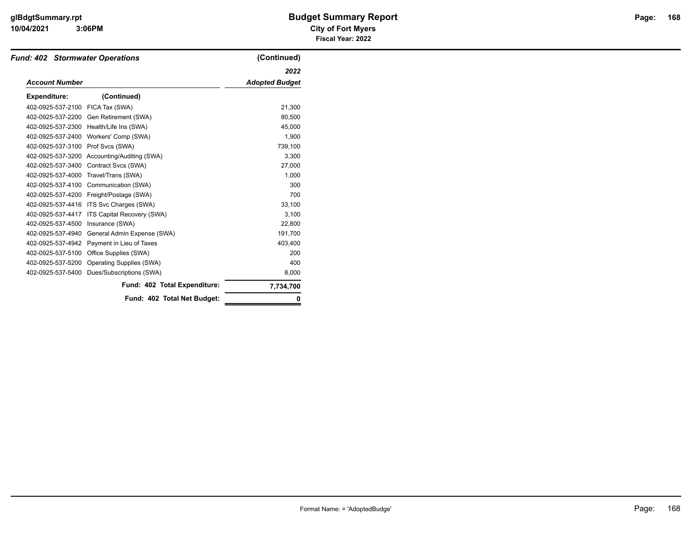#### **10/04/2021 City of Fort Myers 3:06PM**

# **glBdgtSummary.rpt Budget Summary Report Page: Fiscal Year: 2022**

| <b>Fund: 402 Stormwater Operations</b> |                              | (Continued)           |
|----------------------------------------|------------------------------|-----------------------|
|                                        |                              | 2022                  |
| <b>Account Number</b>                  |                              | <b>Adopted Budget</b> |
| <b>Expenditure:</b>                    | (Continued)                  |                       |
| 402-0925-537-2100                      | FICA Tax (SWA)               | 21,300                |
| 402-0925-537-2200                      | Gen Retirement (SWA)         | 80,500                |
| 402-0925-537-2300                      | Health/Life Ins (SWA)        | 45,000                |
| 402-0925-537-2400                      | Workers' Comp (SWA)          | 1,900                 |
| 402-0925-537-3100                      | Prof Svcs (SWA)              | 739,100               |
| 402-0925-537-3200                      | Accounting/Auditing (SWA)    | 3,300                 |
| 402-0925-537-3400                      | Contract Svcs (SWA)          | 27,000                |
| 402-0925-537-4000                      | Travel/Trans (SWA)           | 1,000                 |
| 402-0925-537-4100                      | Communication (SWA)          | 300                   |
| 402-0925-537-4200                      | Freight/Postage (SWA)        | 700                   |
| 402-0925-537-4416                      | ITS Svc Charges (SWA)        | 33,100                |
| 402-0925-537-4417                      | ITS Capital Recovery (SWA)   | 3.100                 |
| 402-0925-537-4500                      | Insurance (SWA)              | 22.800                |
| 402-0925-537-4940                      | General Admin Expense (SWA)  | 191,700               |
| 402-0925-537-4942                      | Payment in Lieu of Taxes     | 403.400               |
| 402-0925-537-5100                      | Office Supplies (SWA)        | 200                   |
| 402-0925-537-5200                      | Operating Supplies (SWA)     | 400                   |
| 402-0925-537-5400                      | Dues/Subscriptions (SWA)     | 8,000                 |
|                                        | Fund: 402 Total Expenditure: | 7,734,700             |
|                                        | Fund: 402 Total Net Budget:  |                       |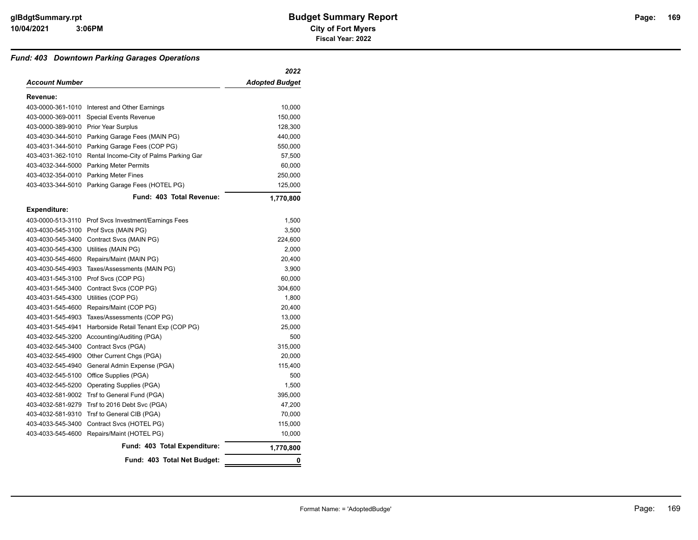#### *Fund: 403 Downtown Parking Garages Operations*

|                       |                                         | 2022                  |
|-----------------------|-----------------------------------------|-----------------------|
| <b>Account Number</b> |                                         | <b>Adopted Budget</b> |
| Revenue:              |                                         |                       |
| 403-0000-361-1010     | Interest and Other Earnings             | 10,000                |
| 403-0000-369-0011     | <b>Special Events Revenue</b>           | 150,000               |
| 403-0000-389-9010     | <b>Prior Year Surplus</b>               | 128,300               |
| 403-4030-344-5010     | Parking Garage Fees (MAIN PG)           | 440,000               |
| 403-4031-344-5010     | Parking Garage Fees (COP PG)            | 550,000               |
| 403-4031-362-1010     | Rental Income-City of Palms Parking Gar | 57,500                |
| 403-4032-344-5000     | <b>Parking Meter Permits</b>            | 60,000                |
| 403-4032-354-0010     | <b>Parking Meter Fines</b>              | 250,000               |
| 403-4033-344-5010     | Parking Garage Fees (HOTEL PG)          | 125,000               |
|                       | Fund: 403 Total Revenue:                | 1,770,800             |
| <b>Expenditure:</b>   |                                         |                       |
| 403-0000-513-3110     | Prof Svcs Investment/Earnings Fees      | 1,500                 |
| 403-4030-545-3100     | Prof Svcs (MAIN PG)                     | 3,500                 |
| 403-4030-545-3400     | Contract Svcs (MAIN PG)                 | 224,600               |
| 403-4030-545-4300     | Utilities (MAIN PG)                     | 2,000                 |
| 403-4030-545-4600     | Repairs/Maint (MAIN PG)                 | 20,400                |
| 403-4030-545-4903     | Taxes/Assessments (MAIN PG)             | 3,900                 |
| 403-4031-545-3100     | Prof Svcs (COP PG)                      | 60,000                |
| 403-4031-545-3400     | Contract Svcs (COP PG)                  | 304,600               |
| 403-4031-545-4300     | Utilities (COP PG)                      | 1,800                 |
| 403-4031-545-4600     | Repairs/Maint (COP PG)                  | 20,400                |
| 403-4031-545-4903     | Taxes/Assessments (COP PG)              | 13,000                |
| 403-4031-545-4941     | Harborside Retail Tenant Exp (COP PG)   | 25,000                |
| 403-4032-545-3200     | Accounting/Auditing (PGA)               | 500                   |
| 403-4032-545-3400     | Contract Svcs (PGA)                     | 315,000               |
| 403-4032-545-4900     | Other Current Chgs (PGA)                | 20,000                |
| 403-4032-545-4940     | General Admin Expense (PGA)             | 115,400               |
| 403-4032-545-5100     | Office Supplies (PGA)                   | 500                   |
| 403-4032-545-5200     | <b>Operating Supplies (PGA)</b>         | 1,500                 |
| 403-4032-581-9002     | Trsf to General Fund (PGA)              | 395,000               |
| 403-4032-581-9279     | Trsf to 2016 Debt Svc (PGA)             | 47,200                |
| 403-4032-581-9310     | Trsf to General CIB (PGA)               | 70,000                |
| 403-4033-545-3400     | Contract Svcs (HOTEL PG)                | 115,000               |
| 403-4033-545-4600     | Repairs/Maint (HOTEL PG)                | 10,000                |
|                       | Fund: 403 Total Expenditure:            | 1,770,800             |
|                       | Fund: 403 Total Net Budget:             | 0                     |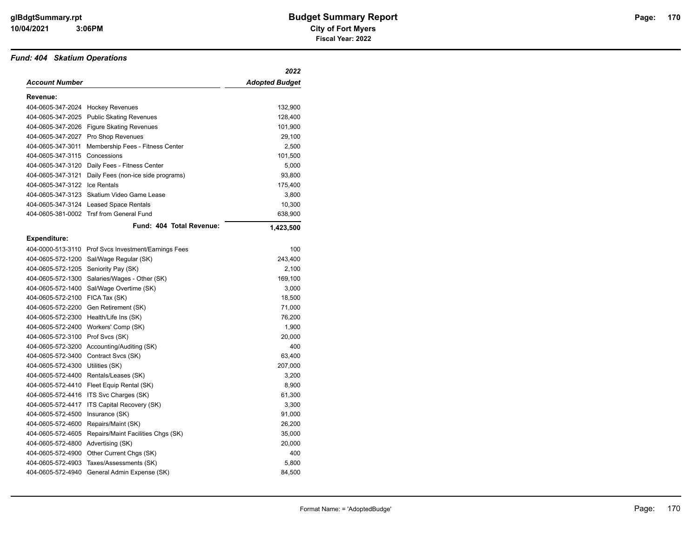#### *Fund: 404 Skatium Operations*

|                                      |                                                      | 2022                  |
|--------------------------------------|------------------------------------------------------|-----------------------|
| Account Number                       |                                                      | <b>Adopted Budget</b> |
| Revenue:                             |                                                      |                       |
| 404-0605-347-2024 Hockey Revenues    |                                                      | 132,900               |
| 404-0605-347-2025                    | <b>Public Skating Revenues</b>                       | 128,400               |
|                                      | 404-0605-347-2026 Figure Skating Revenues            | 101,900               |
| 404-0605-347-2027                    | Pro Shop Revenues                                    | 29,100                |
| 404-0605-347-3011                    | Membership Fees - Fitness Center                     | 2,500                 |
| 404-0605-347-3115                    | Concessions                                          | 101,500               |
|                                      | 404-0605-347-3120 Daily Fees - Fitness Center        | 5,000                 |
|                                      | 404-0605-347-3121 Daily Fees (non-ice side programs) | 93,800                |
| 404-0605-347-3122 Ice Rentals        |                                                      | 175,400               |
| 404-0605-347-3123                    | Skatium Video Game Lease                             | 3,800                 |
|                                      | 404-0605-347-3124 Leased Space Rentals               | 10,300                |
|                                      | 404-0605-381-0002 Trsf from General Fund             | 638,900               |
|                                      | Fund: 404 Total Revenue:                             | 1,423,500             |
| <b>Expenditure:</b>                  |                                                      |                       |
|                                      | 404-0000-513-3110 Prof Svcs Investment/Earnings Fees | 100                   |
|                                      | 404-0605-572-1200 Sal/Wage Regular (SK)              | 243,400               |
| 404-0605-572-1205 Seniority Pay (SK) |                                                      | 2,100                 |
| 404-0605-572-1300                    | Salaries/Wages - Other (SK)                          | 169,100               |
| 404-0605-572-1400                    | Sal/Wage Overtime (SK)                               | 3,000                 |
| 404-0605-572-2100 FICA Tax (SK)      |                                                      | 18,500                |
|                                      | 404-0605-572-2200 Gen Retirement (SK)                | 71,000                |
|                                      | 404-0605-572-2300 Health/Life Ins (SK)               | 76,200                |
| 404-0605-572-2400                    | Workers' Comp (SK)                                   | 1,900                 |
| 404-0605-572-3100 Prof Svcs (SK)     |                                                      | 20,000                |
|                                      | 404-0605-572-3200 Accounting/Auditing (SK)           | 400                   |
| 404-0605-572-3400                    | Contract Svcs (SK)                                   | 63,400                |
| 404-0605-572-4300                    | Utilities (SK)                                       | 207,000               |
|                                      | 404-0605-572-4400 Rentals/Leases (SK)                | 3,200                 |
|                                      | 404-0605-572-4410 Fleet Equip Rental (SK)            | 8,900                 |
| 404-0605-572-4416                    | ITS Svc Charges (SK)                                 | 61,300                |
| 404-0605-572-4417                    | ITS Capital Recovery (SK)                            | 3,300                 |
| 404-0605-572-4500                    | Insurance (SK)                                       | 91,000                |
| 404-0605-572-4600                    | Repairs/Maint (SK)                                   | 26,200                |
| 404-0605-572-4605                    | Repairs/Maint Facilities Chgs (SK)                   | 35,000                |
| 404-0605-572-4800                    | Advertising (SK)                                     | 20,000                |
| 404-0605-572-4900                    | Other Current Chgs (SK)                              | 400                   |
| 404-0605-572-4903                    | Taxes/Assessments (SK)                               | 5,800                 |
| 404-0605-572-4940                    | General Admin Expense (SK)                           | 84,500                |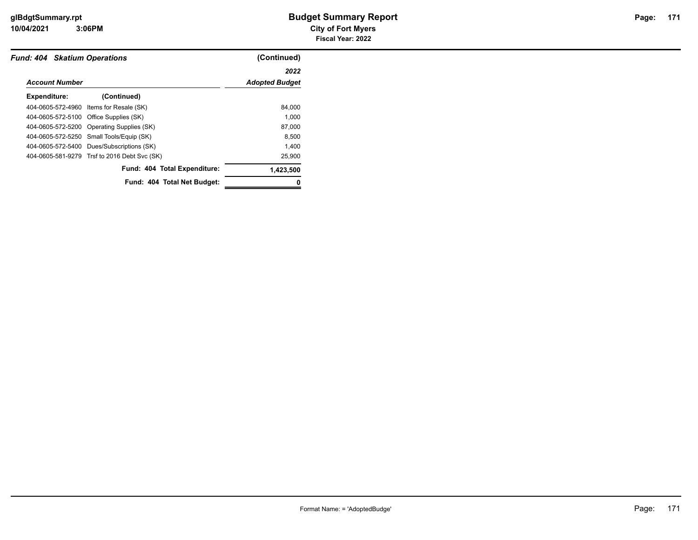**10/04/2021 City of Fort Myers 3:06PM**

| <b>Fund: 404 Skatium Operations</b> |                                              | (Continued)           |
|-------------------------------------|----------------------------------------------|-----------------------|
|                                     |                                              | 2022                  |
| <b>Account Number</b>               |                                              | <b>Adopted Budget</b> |
| Expenditure:                        | (Continued)                                  |                       |
|                                     | 404-0605-572-4960 Items for Resale (SK)      | 84,000                |
|                                     | 404-0605-572-5100 Office Supplies (SK)       | 1.000                 |
|                                     | 404-0605-572-5200 Operating Supplies (SK)    | 87,000                |
|                                     | 404-0605-572-5250 Small Tools/Equip (SK)     | 8,500                 |
|                                     | 404-0605-572-5400 Dues/Subscriptions (SK)    | 1.400                 |
|                                     | 404-0605-581-9279 Trsf to 2016 Debt Svc (SK) | 25,900                |
|                                     | Fund: 404 Total Expenditure:                 | 1,423,500             |
|                                     | Fund: 404 Total Net Budget:                  |                       |
|                                     |                                              |                       |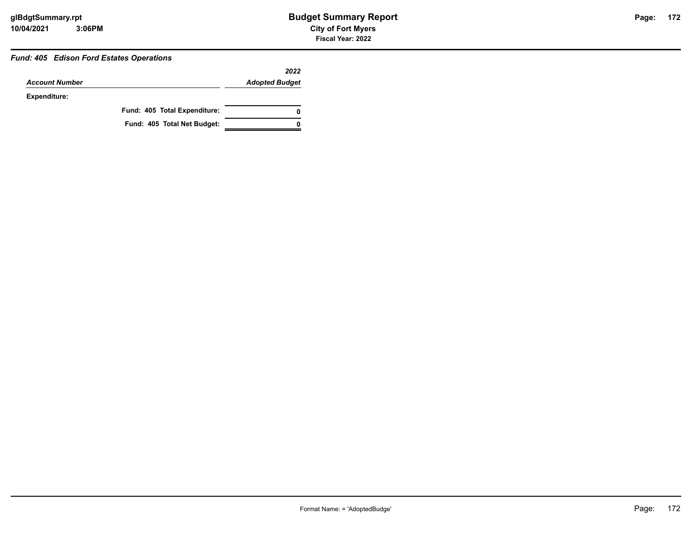#### *Fund: 405 Edison Ford Estates Operations*

|                       |                              | 2022                  |
|-----------------------|------------------------------|-----------------------|
| <b>Account Number</b> |                              | <b>Adopted Budget</b> |
| Expenditure:          |                              |                       |
|                       | Fund: 405 Total Expenditure: | 0                     |
|                       | Fund: 405 Total Net Budget:  |                       |

**172**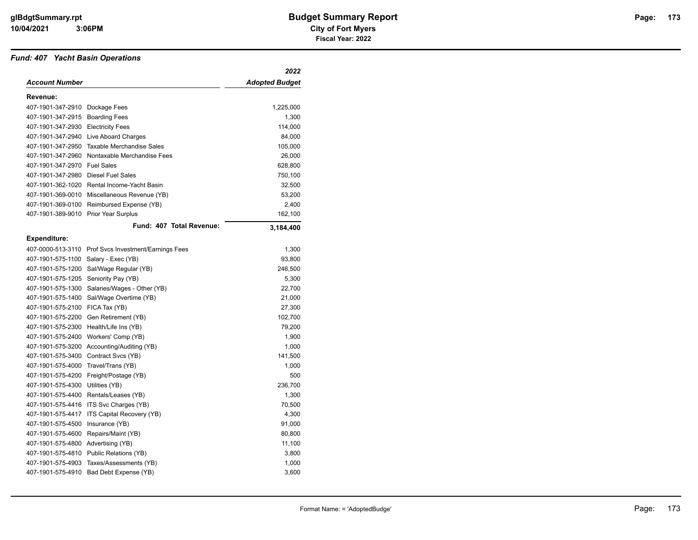#### *Fund: 407 Yacht Basin Operations*

|                                      |                                                      | 2022                  |
|--------------------------------------|------------------------------------------------------|-----------------------|
| <b>Account Number</b>                |                                                      | <b>Adopted Budget</b> |
| Revenue:                             |                                                      |                       |
| 407-1901-347-2910                    | Dockage Fees                                         | 1,225,000             |
| 407-1901-347-2915                    | <b>Boarding Fees</b>                                 | 1,300                 |
| 407-1901-347-2930 Electricity Fees   |                                                      | 114,000               |
| 407-1901-347-2940                    | Live Aboard Charges                                  | 84,000                |
| 407-1901-347-2950                    | <b>Taxable Merchandise Sales</b>                     | 105,000               |
| 407-1901-347-2960                    | Nontaxable Merchandise Fees                          | 26,000                |
| 407-1901-347-2970                    | <b>Fuel Sales</b>                                    | 628,800               |
| 407-1901-347-2980                    | <b>Diesel Fuel Sales</b>                             | 750,100               |
| 407-1901-362-1020                    | Rental Income-Yacht Basin                            | 32,500                |
| 407-1901-369-0010                    | Miscellaneous Revenue (YB)                           | 53,200                |
| 407-1901-369-0100                    | Reimbursed Expense (YB)                              | 2,400                 |
| 407-1901-389-9010                    | <b>Prior Year Surplus</b>                            | 162,100               |
|                                      | Fund: 407 Total Revenue:                             | 3,184,400             |
| <b>Expenditure:</b>                  |                                                      |                       |
|                                      | 407-0000-513-3110 Prof Svcs Investment/Earnings Fees | 1,300                 |
| 407-1901-575-1100 Salary - Exec (YB) |                                                      | 93,800                |
| 407-1901-575-1200                    | Sal/Wage Regular (YB)                                | 246,500               |
| 407-1901-575-1205                    | Seniority Pay (YB)                                   | 5,300                 |
| 407-1901-575-1300                    | Salaries/Wages - Other (YB)                          | 22,700                |
| 407-1901-575-1400                    | Sal/Wage Overtime (YB)                               | 21,000                |
| 407-1901-575-2100                    | FICA Tax (YB)                                        | 27,300                |
| 407-1901-575-2200                    | Gen Retirement (YB)                                  | 102,700               |
| 407-1901-575-2300                    | Health/Life Ins (YB)                                 | 79,200                |
| 407-1901-575-2400                    | Workers' Comp (YB)                                   | 1,900                 |
|                                      | 407-1901-575-3200 Accounting/Auditing (YB)           | 1,000                 |
| 407-1901-575-3400                    | Contract Svcs (YB)                                   | 141,500               |
| 407-1901-575-4000                    | Travel/Trans (YB)                                    | 1,000                 |
| 407-1901-575-4200                    | Freight/Postage (YB)                                 | 500                   |
| 407-1901-575-4300                    | Utilities (YB)                                       | 236,700               |
| 407-1901-575-4400                    | Rentals/Leases (YB)                                  | 1,300                 |
| 407-1901-575-4416                    | ITS Svc Charges (YB)                                 | 70,500                |
| 407-1901-575-4417                    | ITS Capital Recovery (YB)                            | 4,300                 |
| 407-1901-575-4500                    | Insurance (YB)                                       | 91,000                |
| 407-1901-575-4600                    | Repairs/Maint (YB)                                   | 80,800                |
| 407-1901-575-4800                    | Advertising (YB)                                     | 11,100                |
| 407-1901-575-4810                    | Public Relations (YB)                                | 3,800                 |
| 407-1901-575-4903                    | Taxes/Assessments (YB)                               | 1,000                 |
| 407-1901-575-4910                    | Bad Debt Expense (YB)                                | 3,600                 |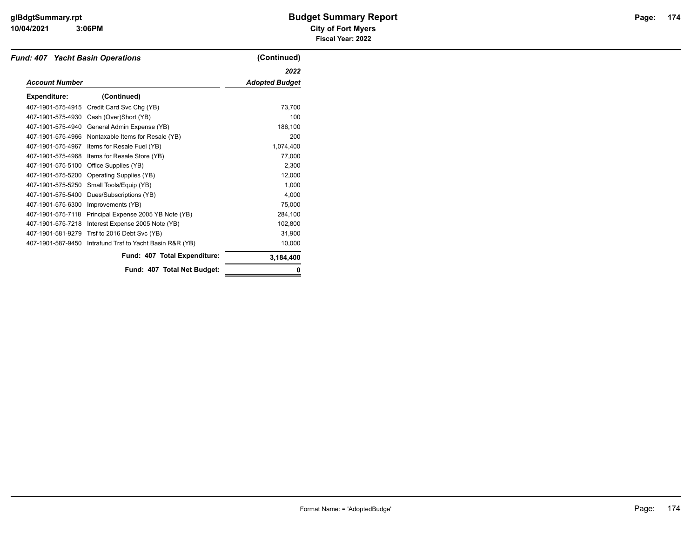#### **10/04/2021 City of Fort Myers 3:06PM**

# **glBdgtSummary.rpt Budget Summary Report Page: Fiscal Year: 2022**

| <b>Fund: 407 Yacht Basin Operations</b> |                                        | (Continued)           |
|-----------------------------------------|----------------------------------------|-----------------------|
|                                         |                                        | 2022                  |
| <b>Account Number</b>                   |                                        | <b>Adopted Budget</b> |
| <b>Expenditure:</b>                     | (Continued)                            |                       |
| 407-1901-575-4915                       | Credit Card Svc Chg (YB)               | 73,700                |
| 407-1901-575-4930                       | Cash (Over)Short (YB)                  | 100                   |
| 407-1901-575-4940                       | General Admin Expense (YB)             | 186,100               |
| 407-1901-575-4966                       | Nontaxable Items for Resale (YB)       | 200                   |
| 407-1901-575-4967                       | Items for Resale Fuel (YB)             | 1,074,400             |
| 407-1901-575-4968                       | Items for Resale Store (YB)            | 77,000                |
| 407-1901-575-5100                       | Office Supplies (YB)                   | 2,300                 |
| 407-1901-575-5200                       | <b>Operating Supplies (YB)</b>         | 12,000                |
| 407-1901-575-5250                       | Small Tools/Equip (YB)                 | 1,000                 |
| 407-1901-575-5400                       | Dues/Subscriptions (YB)                | 4,000                 |
| 407-1901-575-6300                       | Improvements (YB)                      | 75,000                |
| 407-1901-575-7118                       | Principal Expense 2005 YB Note (YB)    | 284,100               |
| 407-1901-575-7218                       | Interest Expense 2005 Note (YB)        | 102,800               |
| 407-1901-581-9279                       | Trsf to 2016 Debt Svc (YB)             | 31,900                |
| 407-1901-587-9450                       | Intrafund Trsf to Yacht Basin R&R (YB) | 10,000                |
|                                         | Fund: 407 Total Expenditure:           | 3,184,400             |
|                                         | Fund: 407 Total Net Budget:            |                       |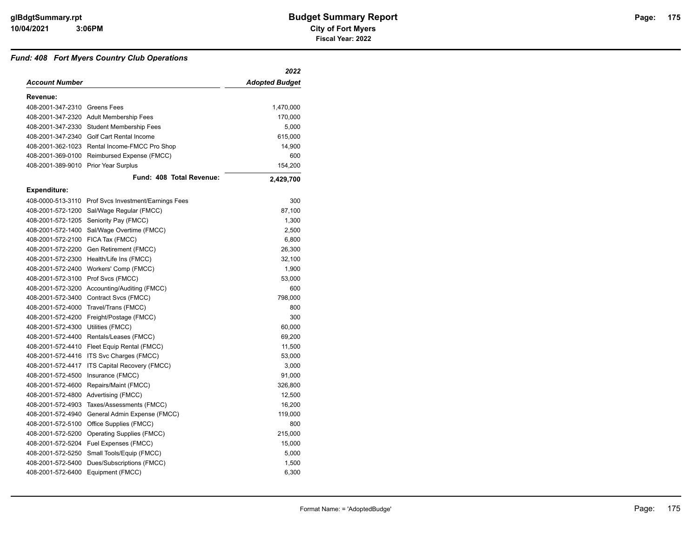#### *Fund: 408 Fort Myers Country Club Operations*

|                                      |                                                      | 2022                  |
|--------------------------------------|------------------------------------------------------|-----------------------|
| Account Number                       |                                                      | <b>Adopted Budget</b> |
| Revenue:                             |                                                      |                       |
| 408-2001-347-2310 Greens Fees        |                                                      | 1,470,000             |
|                                      | 408-2001-347-2320 Adult Membership Fees              | 170,000               |
|                                      | 408-2001-347-2330 Student Membership Fees            | 5,000                 |
|                                      | 408-2001-347-2340 Golf Cart Rental Income            | 615,000               |
|                                      | 408-2001-362-1023 Rental Income-FMCC Pro Shop        | 14,900                |
| 408-2001-369-0100                    | Reimbursed Expense (FMCC)                            | 600                   |
| 408-2001-389-9010 Prior Year Surplus |                                                      | 154,200               |
|                                      | Fund: 408 Total Revenue:                             | 2,429,700             |
| <b>Expenditure:</b>                  |                                                      |                       |
|                                      | 408-0000-513-3110 Prof Svcs Investment/Earnings Fees | 300                   |
| 408-2001-572-1200                    | Sal/Wage Regular (FMCC)                              | 87,100                |
|                                      | 408-2001-572-1205 Seniority Pay (FMCC)               | 1,300                 |
| 408-2001-572-1400                    | Sal/Wage Overtime (FMCC)                             | 2,500                 |
| 408-2001-572-2100                    | FICA Tax (FMCC)                                      | 6,800                 |
|                                      | 408-2001-572-2200 Gen Retirement (FMCC)              | 26,300                |
| 408-2001-572-2300                    | Health/Life Ins (FMCC)                               | 32,100                |
| 408-2001-572-2400                    | Workers' Comp (FMCC)                                 | 1,900                 |
| 408-2001-572-3100                    | Prof Svcs (FMCC)                                     | 53,000                |
| 408-2001-572-3200                    | Accounting/Auditing (FMCC)                           | 600                   |
| 408-2001-572-3400                    | Contract Svcs (FMCC)                                 | 798,000               |
| 408-2001-572-4000                    | Travel/Trans (FMCC)                                  | 800                   |
| 408-2001-572-4200                    | Freight/Postage (FMCC)                               | 300                   |
| 408-2001-572-4300                    | Utilities (FMCC)                                     | 60,000                |
| 408-2001-572-4400                    | Rentals/Leases (FMCC)                                | 69,200                |
|                                      | 408-2001-572-4410 Fleet Equip Rental (FMCC)          | 11,500                |
| 408-2001-572-4416                    | ITS Svc Charges (FMCC)                               | 53,000                |
| 408-2001-572-4417                    | ITS Capital Recovery (FMCC)                          | 3,000                 |
| 408-2001-572-4500                    | Insurance (FMCC)                                     | 91,000                |
| 408-2001-572-4600                    | Repairs/Maint (FMCC)                                 | 326,800               |
| 408-2001-572-4800                    | Advertising (FMCC)                                   | 12,500                |
| 408-2001-572-4903                    | Taxes/Assessments (FMCC)                             | 16,200                |
| 408-2001-572-4940                    | General Admin Expense (FMCC)                         | 119,000               |
| 408-2001-572-5100                    | Office Supplies (FMCC)                               | 800                   |
| 408-2001-572-5200                    | <b>Operating Supplies (FMCC)</b>                     | 215,000               |
| 408-2001-572-5204                    | Fuel Expenses (FMCC)                                 | 15,000                |
| 408-2001-572-5250                    | Small Tools/Equip (FMCC)                             | 5,000                 |
| 408-2001-572-5400                    | Dues/Subscriptions (FMCC)                            | 1,500                 |
| 408-2001-572-6400                    | Equipment (FMCC)                                     | 6,300                 |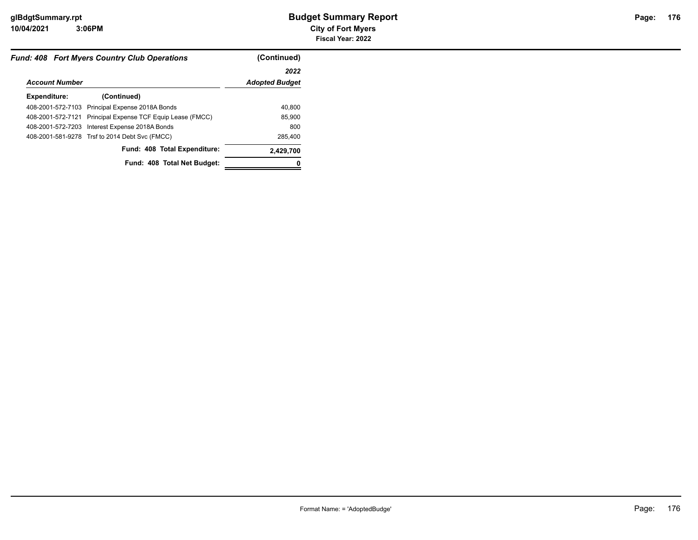|                       | <b>Fund: 408 Fort Mvers Country Club Operations</b>        | (Continued)           |
|-----------------------|------------------------------------------------------------|-----------------------|
|                       |                                                            | 2022                  |
| <b>Account Number</b> |                                                            | <b>Adopted Budget</b> |
| Expenditure:          | (Continued)                                                |                       |
|                       | 408-2001-572-7103 Principal Expense 2018A Bonds            | 40,800                |
|                       | 408-2001-572-7121 Principal Expense TCF Equip Lease (FMCC) | 85,900                |
|                       | 408-2001-572-7203 Interest Expense 2018A Bonds             | 800                   |
|                       | 408-2001-581-9278 Trsf to 2014 Debt Svc (FMCC)             | 285,400               |
|                       | Fund: 408 Total Expenditure:                               | 2,429,700             |
|                       | Fund: 408 Total Net Budget:                                |                       |
|                       |                                                            |                       |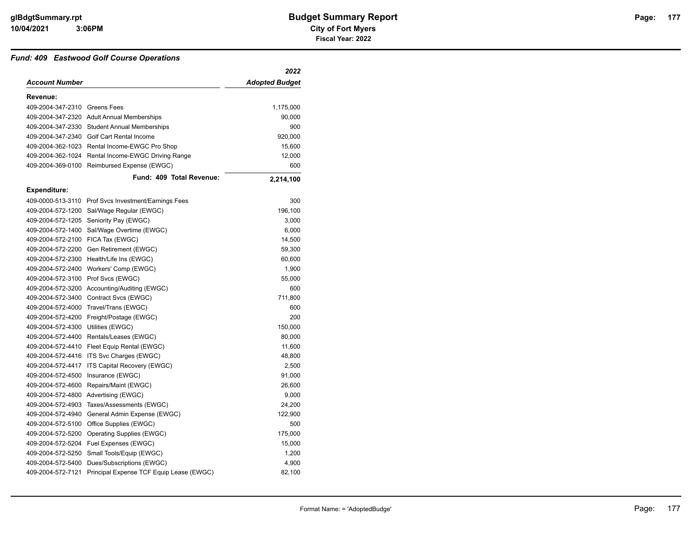#### *Fund: 409 Eastwood Golf Course Operations*

| <b>Adopted Budget</b><br>409-2004-347-2310 Greens Fees<br>1,175,000<br>409-2004-347-2320 Adult Annual Memberships<br>90,000<br>409-2004-347-2330 Student Annual Memberships<br>900<br>920,000<br>409-2004-347-2340 Golf Cart Rental Income<br>409-2004-362-1023 Rental Income-EWGC Pro Shop<br>15,600<br>409-2004-362-1024<br>Rental Income-EWGC Driving Range<br>12,000<br>409-2004-369-0100<br>Reimbursed Expense (EWGC)<br>600<br>Fund: 409 Total Revenue:<br>2,214,100<br>409-0000-513-3110 Prof Svcs Investment/Earnings Fees<br>300<br>409-2004-572-1200<br>Sal/Wage Regular (EWGC)<br>196,100<br>409-2004-572-1205<br>Seniority Pay (EWGC)<br>3,000<br>409-2004-572-1400<br>Sal/Wage Overtime (EWGC)<br>6,000<br>FICA Tax (EWGC)<br>14,500<br>Gen Retirement (EWGC)<br>59,300<br>Health/Life Ins (EWGC)<br>60,600<br>Workers' Comp (EWGC)<br>1,900<br>Prof Svcs (EWGC)<br>55,000<br>Accounting/Auditing (EWGC)<br>600<br>Contract Svcs (EWGC)<br>711,800<br>Travel/Trans (EWGC)<br>600<br>200<br>Freight/Postage (EWGC)<br>Utilities (EWGC)<br>150,000<br>80,000<br>Rentals/Leases (EWGC)<br>409-2004-572-4410 Fleet Equip Rental (EWGC)<br>11,600<br>409-2004-572-4416 ITS Svc Charges (EWGC)<br>48,800<br>2,500<br>ITS Capital Recovery (EWGC)<br>Insurance (EWGC)<br>91,000<br>Repairs/Maint (EWGC)<br>26,600<br>9,000<br>Advertising (EWGC)<br>24,200<br>Taxes/Assessments (EWGC)<br>General Admin Expense (EWGC)<br>122,900<br>Office Supplies (EWGC)<br>500<br>Operating Supplies (EWGC)<br>175,000<br>409-2004-572-5204 Fuel Expenses (EWGC)<br>15,000<br>Small Tools/Equip (EWGC)<br>1,200<br>Dues/Subscriptions (EWGC)<br>4,900 |                     | 2022 |
|-------------------------------------------------------------------------------------------------------------------------------------------------------------------------------------------------------------------------------------------------------------------------------------------------------------------------------------------------------------------------------------------------------------------------------------------------------------------------------------------------------------------------------------------------------------------------------------------------------------------------------------------------------------------------------------------------------------------------------------------------------------------------------------------------------------------------------------------------------------------------------------------------------------------------------------------------------------------------------------------------------------------------------------------------------------------------------------------------------------------------------------------------------------------------------------------------------------------------------------------------------------------------------------------------------------------------------------------------------------------------------------------------------------------------------------------------------------------------------------------------------------------------------------------------------------------------------------------------------------------------------------------------|---------------------|------|
|                                                                                                                                                                                                                                                                                                                                                                                                                                                                                                                                                                                                                                                                                                                                                                                                                                                                                                                                                                                                                                                                                                                                                                                                                                                                                                                                                                                                                                                                                                                                                                                                                                                 | Account Number      |      |
|                                                                                                                                                                                                                                                                                                                                                                                                                                                                                                                                                                                                                                                                                                                                                                                                                                                                                                                                                                                                                                                                                                                                                                                                                                                                                                                                                                                                                                                                                                                                                                                                                                                 | Revenue:            |      |
|                                                                                                                                                                                                                                                                                                                                                                                                                                                                                                                                                                                                                                                                                                                                                                                                                                                                                                                                                                                                                                                                                                                                                                                                                                                                                                                                                                                                                                                                                                                                                                                                                                                 |                     |      |
|                                                                                                                                                                                                                                                                                                                                                                                                                                                                                                                                                                                                                                                                                                                                                                                                                                                                                                                                                                                                                                                                                                                                                                                                                                                                                                                                                                                                                                                                                                                                                                                                                                                 |                     |      |
|                                                                                                                                                                                                                                                                                                                                                                                                                                                                                                                                                                                                                                                                                                                                                                                                                                                                                                                                                                                                                                                                                                                                                                                                                                                                                                                                                                                                                                                                                                                                                                                                                                                 |                     |      |
|                                                                                                                                                                                                                                                                                                                                                                                                                                                                                                                                                                                                                                                                                                                                                                                                                                                                                                                                                                                                                                                                                                                                                                                                                                                                                                                                                                                                                                                                                                                                                                                                                                                 |                     |      |
|                                                                                                                                                                                                                                                                                                                                                                                                                                                                                                                                                                                                                                                                                                                                                                                                                                                                                                                                                                                                                                                                                                                                                                                                                                                                                                                                                                                                                                                                                                                                                                                                                                                 |                     |      |
|                                                                                                                                                                                                                                                                                                                                                                                                                                                                                                                                                                                                                                                                                                                                                                                                                                                                                                                                                                                                                                                                                                                                                                                                                                                                                                                                                                                                                                                                                                                                                                                                                                                 |                     |      |
|                                                                                                                                                                                                                                                                                                                                                                                                                                                                                                                                                                                                                                                                                                                                                                                                                                                                                                                                                                                                                                                                                                                                                                                                                                                                                                                                                                                                                                                                                                                                                                                                                                                 |                     |      |
|                                                                                                                                                                                                                                                                                                                                                                                                                                                                                                                                                                                                                                                                                                                                                                                                                                                                                                                                                                                                                                                                                                                                                                                                                                                                                                                                                                                                                                                                                                                                                                                                                                                 |                     |      |
|                                                                                                                                                                                                                                                                                                                                                                                                                                                                                                                                                                                                                                                                                                                                                                                                                                                                                                                                                                                                                                                                                                                                                                                                                                                                                                                                                                                                                                                                                                                                                                                                                                                 | <b>Expenditure:</b> |      |
|                                                                                                                                                                                                                                                                                                                                                                                                                                                                                                                                                                                                                                                                                                                                                                                                                                                                                                                                                                                                                                                                                                                                                                                                                                                                                                                                                                                                                                                                                                                                                                                                                                                 |                     |      |
|                                                                                                                                                                                                                                                                                                                                                                                                                                                                                                                                                                                                                                                                                                                                                                                                                                                                                                                                                                                                                                                                                                                                                                                                                                                                                                                                                                                                                                                                                                                                                                                                                                                 |                     |      |
|                                                                                                                                                                                                                                                                                                                                                                                                                                                                                                                                                                                                                                                                                                                                                                                                                                                                                                                                                                                                                                                                                                                                                                                                                                                                                                                                                                                                                                                                                                                                                                                                                                                 |                     |      |
|                                                                                                                                                                                                                                                                                                                                                                                                                                                                                                                                                                                                                                                                                                                                                                                                                                                                                                                                                                                                                                                                                                                                                                                                                                                                                                                                                                                                                                                                                                                                                                                                                                                 |                     |      |
|                                                                                                                                                                                                                                                                                                                                                                                                                                                                                                                                                                                                                                                                                                                                                                                                                                                                                                                                                                                                                                                                                                                                                                                                                                                                                                                                                                                                                                                                                                                                                                                                                                                 | 409-2004-572-2100   |      |
|                                                                                                                                                                                                                                                                                                                                                                                                                                                                                                                                                                                                                                                                                                                                                                                                                                                                                                                                                                                                                                                                                                                                                                                                                                                                                                                                                                                                                                                                                                                                                                                                                                                 | 409-2004-572-2200   |      |
|                                                                                                                                                                                                                                                                                                                                                                                                                                                                                                                                                                                                                                                                                                                                                                                                                                                                                                                                                                                                                                                                                                                                                                                                                                                                                                                                                                                                                                                                                                                                                                                                                                                 | 409-2004-572-2300   |      |
|                                                                                                                                                                                                                                                                                                                                                                                                                                                                                                                                                                                                                                                                                                                                                                                                                                                                                                                                                                                                                                                                                                                                                                                                                                                                                                                                                                                                                                                                                                                                                                                                                                                 | 409-2004-572-2400   |      |
|                                                                                                                                                                                                                                                                                                                                                                                                                                                                                                                                                                                                                                                                                                                                                                                                                                                                                                                                                                                                                                                                                                                                                                                                                                                                                                                                                                                                                                                                                                                                                                                                                                                 | 409-2004-572-3100   |      |
|                                                                                                                                                                                                                                                                                                                                                                                                                                                                                                                                                                                                                                                                                                                                                                                                                                                                                                                                                                                                                                                                                                                                                                                                                                                                                                                                                                                                                                                                                                                                                                                                                                                 | 409-2004-572-3200   |      |
|                                                                                                                                                                                                                                                                                                                                                                                                                                                                                                                                                                                                                                                                                                                                                                                                                                                                                                                                                                                                                                                                                                                                                                                                                                                                                                                                                                                                                                                                                                                                                                                                                                                 | 409-2004-572-3400   |      |
|                                                                                                                                                                                                                                                                                                                                                                                                                                                                                                                                                                                                                                                                                                                                                                                                                                                                                                                                                                                                                                                                                                                                                                                                                                                                                                                                                                                                                                                                                                                                                                                                                                                 | 409-2004-572-4000   |      |
|                                                                                                                                                                                                                                                                                                                                                                                                                                                                                                                                                                                                                                                                                                                                                                                                                                                                                                                                                                                                                                                                                                                                                                                                                                                                                                                                                                                                                                                                                                                                                                                                                                                 | 409-2004-572-4200   |      |
|                                                                                                                                                                                                                                                                                                                                                                                                                                                                                                                                                                                                                                                                                                                                                                                                                                                                                                                                                                                                                                                                                                                                                                                                                                                                                                                                                                                                                                                                                                                                                                                                                                                 | 409-2004-572-4300   |      |
|                                                                                                                                                                                                                                                                                                                                                                                                                                                                                                                                                                                                                                                                                                                                                                                                                                                                                                                                                                                                                                                                                                                                                                                                                                                                                                                                                                                                                                                                                                                                                                                                                                                 | 409-2004-572-4400   |      |
|                                                                                                                                                                                                                                                                                                                                                                                                                                                                                                                                                                                                                                                                                                                                                                                                                                                                                                                                                                                                                                                                                                                                                                                                                                                                                                                                                                                                                                                                                                                                                                                                                                                 |                     |      |
|                                                                                                                                                                                                                                                                                                                                                                                                                                                                                                                                                                                                                                                                                                                                                                                                                                                                                                                                                                                                                                                                                                                                                                                                                                                                                                                                                                                                                                                                                                                                                                                                                                                 |                     |      |
|                                                                                                                                                                                                                                                                                                                                                                                                                                                                                                                                                                                                                                                                                                                                                                                                                                                                                                                                                                                                                                                                                                                                                                                                                                                                                                                                                                                                                                                                                                                                                                                                                                                 | 409-2004-572-4417   |      |
|                                                                                                                                                                                                                                                                                                                                                                                                                                                                                                                                                                                                                                                                                                                                                                                                                                                                                                                                                                                                                                                                                                                                                                                                                                                                                                                                                                                                                                                                                                                                                                                                                                                 | 409-2004-572-4500   |      |
|                                                                                                                                                                                                                                                                                                                                                                                                                                                                                                                                                                                                                                                                                                                                                                                                                                                                                                                                                                                                                                                                                                                                                                                                                                                                                                                                                                                                                                                                                                                                                                                                                                                 | 409-2004-572-4600   |      |
|                                                                                                                                                                                                                                                                                                                                                                                                                                                                                                                                                                                                                                                                                                                                                                                                                                                                                                                                                                                                                                                                                                                                                                                                                                                                                                                                                                                                                                                                                                                                                                                                                                                 | 409-2004-572-4800   |      |
|                                                                                                                                                                                                                                                                                                                                                                                                                                                                                                                                                                                                                                                                                                                                                                                                                                                                                                                                                                                                                                                                                                                                                                                                                                                                                                                                                                                                                                                                                                                                                                                                                                                 | 409-2004-572-4903   |      |
|                                                                                                                                                                                                                                                                                                                                                                                                                                                                                                                                                                                                                                                                                                                                                                                                                                                                                                                                                                                                                                                                                                                                                                                                                                                                                                                                                                                                                                                                                                                                                                                                                                                 | 409-2004-572-4940   |      |
|                                                                                                                                                                                                                                                                                                                                                                                                                                                                                                                                                                                                                                                                                                                                                                                                                                                                                                                                                                                                                                                                                                                                                                                                                                                                                                                                                                                                                                                                                                                                                                                                                                                 | 409-2004-572-5100   |      |
|                                                                                                                                                                                                                                                                                                                                                                                                                                                                                                                                                                                                                                                                                                                                                                                                                                                                                                                                                                                                                                                                                                                                                                                                                                                                                                                                                                                                                                                                                                                                                                                                                                                 | 409-2004-572-5200   |      |
|                                                                                                                                                                                                                                                                                                                                                                                                                                                                                                                                                                                                                                                                                                                                                                                                                                                                                                                                                                                                                                                                                                                                                                                                                                                                                                                                                                                                                                                                                                                                                                                                                                                 |                     |      |
|                                                                                                                                                                                                                                                                                                                                                                                                                                                                                                                                                                                                                                                                                                                                                                                                                                                                                                                                                                                                                                                                                                                                                                                                                                                                                                                                                                                                                                                                                                                                                                                                                                                 | 409-2004-572-5250   |      |
|                                                                                                                                                                                                                                                                                                                                                                                                                                                                                                                                                                                                                                                                                                                                                                                                                                                                                                                                                                                                                                                                                                                                                                                                                                                                                                                                                                                                                                                                                                                                                                                                                                                 | 409-2004-572-5400   |      |
| Principal Expense TCF Equip Lease (EWGC)<br>82,100                                                                                                                                                                                                                                                                                                                                                                                                                                                                                                                                                                                                                                                                                                                                                                                                                                                                                                                                                                                                                                                                                                                                                                                                                                                                                                                                                                                                                                                                                                                                                                                              | 409-2004-572-7121   |      |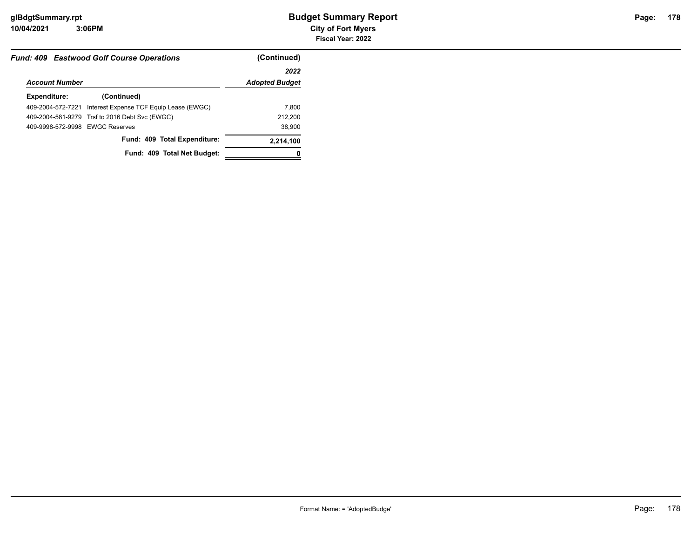| <b>Fund: 409 Eastwood Golf Course Operations</b> |                                                | (Continued)           |  |
|--------------------------------------------------|------------------------------------------------|-----------------------|--|
|                                                  |                                                | 2022                  |  |
| <b>Account Number</b>                            |                                                | <b>Adopted Budget</b> |  |
| Expenditure:                                     | (Continued)                                    |                       |  |
| 409-2004-572-7221                                | Interest Expense TCF Equip Lease (EWGC)        | 7.800                 |  |
|                                                  | 409-2004-581-9279 Trsf to 2016 Debt Svc (EWGC) | 212,200               |  |
| 409-9998-572-9998 EWGC Reserves                  |                                                | 38,900                |  |
|                                                  | Fund: 409 Total Expenditure:                   | 2,214,100             |  |
|                                                  | Fund: 409 Total Net Budget:                    |                       |  |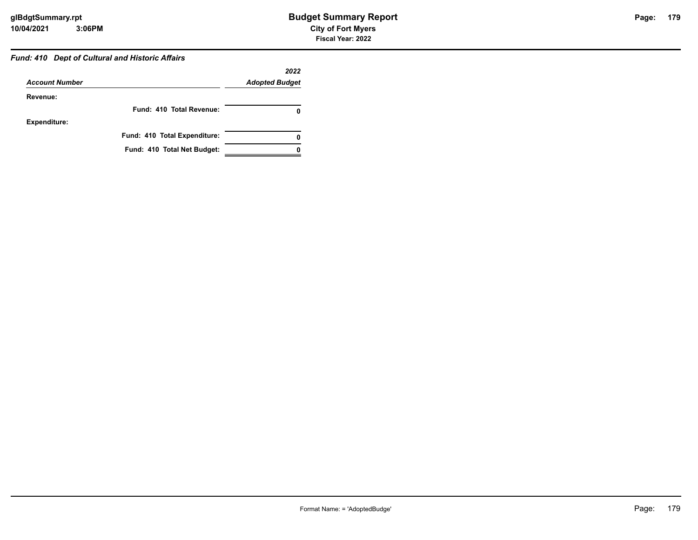#### *Fund: 410 Dept of Cultural and Historic Affairs*

|                       |                              | 2022                  |
|-----------------------|------------------------------|-----------------------|
| <b>Account Number</b> |                              | <b>Adopted Budget</b> |
| Revenue:              |                              |                       |
|                       | Fund: 410 Total Revenue:     |                       |
| <b>Expenditure:</b>   |                              |                       |
|                       | Fund: 410 Total Expenditure: | 0                     |
|                       | Fund: 410 Total Net Budget:  |                       |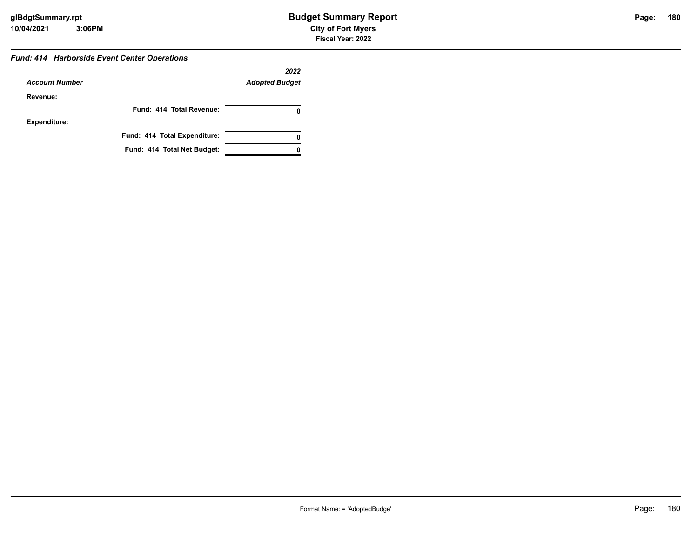#### *Fund: 414 Harborside Event Center Operations*

|                       |                              | 2022                  |
|-----------------------|------------------------------|-----------------------|
| <b>Account Number</b> |                              | <b>Adopted Budget</b> |
| Revenue:              |                              |                       |
|                       | Fund: 414 Total Revenue:     |                       |
| <b>Expenditure:</b>   |                              |                       |
|                       | Fund: 414 Total Expenditure: | 0                     |
|                       | Fund: 414 Total Net Budget:  |                       |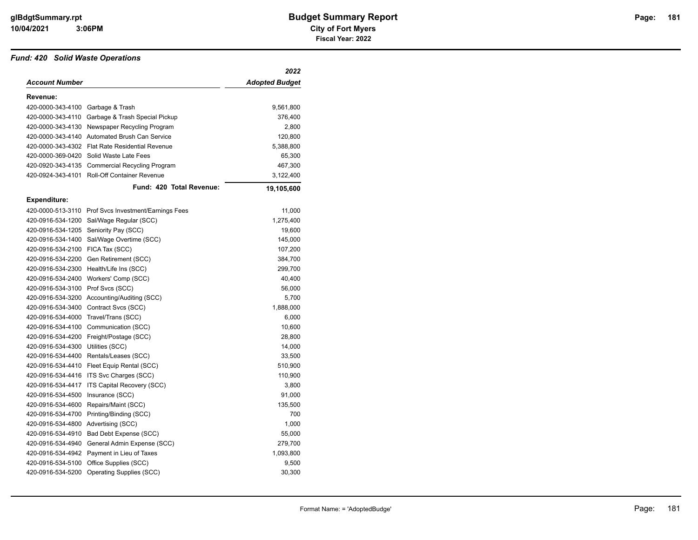#### *Fund: 420 Solid Waste Operations*

|                     |                                      | 2022                  |
|---------------------|--------------------------------------|-----------------------|
| Account Number      |                                      | <b>Adopted Budget</b> |
| Revenue:            |                                      |                       |
| 420-0000-343-4100   | Garbage & Trash                      | 9,561,800             |
| 420-0000-343-4110   | Garbage & Trash Special Pickup       | 376,400               |
| 420-0000-343-4130   | Newspaper Recycling Program          | 2,800                 |
| 420-0000-343-4140   | Automated Brush Can Service          | 120,800               |
| 420-0000-343-4302   | <b>Flat Rate Residential Revenue</b> | 5,388,800             |
| 420-0000-369-0420   | Solid Waste Late Fees                | 65,300                |
| 420-0920-343-4135   | <b>Commercial Recycling Program</b>  | 467,300               |
| 420-0924-343-4101   | <b>Roll-Off Container Revenue</b>    | 3,122,400             |
|                     | Fund: 420 Total Revenue:             | 19,105,600            |
| <b>Expenditure:</b> |                                      |                       |
| 420-0000-513-3110   | Prof Svcs Investment/Earnings Fees   | 11,000                |
| 420-0916-534-1200   | Sal/Wage Regular (SCC)               | 1,275,400             |
| 420-0916-534-1205   | Seniority Pay (SCC)                  | 19,600                |
| 420-0916-534-1400   | Sal/Wage Overtime (SCC)              | 145,000               |
| 420-0916-534-2100   | FICA Tax (SCC)                       | 107,200               |
| 420-0916-534-2200   | Gen Retirement (SCC)                 | 384,700               |
| 420-0916-534-2300   | Health/Life Ins (SCC)                | 299,700               |
| 420-0916-534-2400   | Workers' Comp (SCC)                  | 40,400                |
| 420-0916-534-3100   | Prof Svcs (SCC)                      | 56,000                |
| 420-0916-534-3200   | Accounting/Auditing (SCC)            | 5,700                 |
| 420-0916-534-3400   | Contract Svcs (SCC)                  | 1,888,000             |
| 420-0916-534-4000   | Travel/Trans (SCC)                   | 6,000                 |
| 420-0916-534-4100   | Communication (SCC)                  | 10,600                |
| 420-0916-534-4200   | Freight/Postage (SCC)                | 28,800                |
| 420-0916-534-4300   | Utilities (SCC)                      | 14,000                |
| 420-0916-534-4400   | Rentals/Leases (SCC)                 | 33,500                |
| 420-0916-534-4410   | Fleet Equip Rental (SCC)             | 510,900               |
| 420-0916-534-4416   | ITS Svc Charges (SCC)                | 110,900               |
| 420-0916-534-4417   | ITS Capital Recovery (SCC)           | 3,800                 |
| 420-0916-534-4500   | Insurance (SCC)                      | 91,000                |
| 420-0916-534-4600   | Repairs/Maint (SCC)                  | 135,500               |
| 420-0916-534-4700   | Printing/Binding (SCC)               | 700                   |
| 420-0916-534-4800   | Advertising (SCC)                    | 1,000                 |
| 420-0916-534-4910   | Bad Debt Expense (SCC)               | 55,000                |
| 420-0916-534-4940   | General Admin Expense (SCC)          | 279,700               |
| 420-0916-534-4942   | Payment in Lieu of Taxes             | 1,093,800             |
| 420-0916-534-5100   | Office Supplies (SCC)                | 9,500                 |
| 420-0916-534-5200   | <b>Operating Supplies (SCC)</b>      | 30,300                |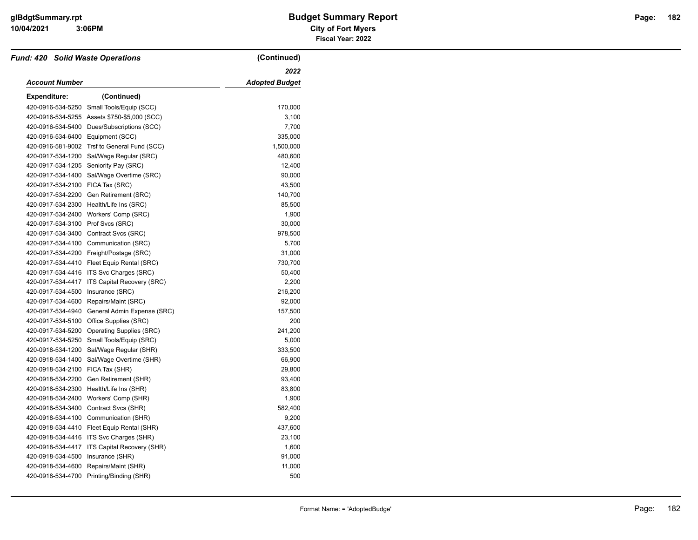# **3:06PM**

# **10/04/2021 City of Fort Myers glBdgtSummary.rpt Budget Summary Report Page: Fiscal Year: 2022**

| <b>Fund: 420 Solid Waste Operations</b> |                                              | (Continued)    |
|-----------------------------------------|----------------------------------------------|----------------|
|                                         |                                              | 2022           |
| Account Number                          |                                              | Adopted Budget |
| <b>Expenditure:</b>                     | (Continued)                                  |                |
| 420-0916-534-5250                       | Small Tools/Equip (SCC)                      | 170,000        |
|                                         | 420-0916-534-5255 Assets \$750-\$5,000 (SCC) | 3,100          |
| 420-0916-534-5400                       | Dues/Subscriptions (SCC)                     | 7,700          |
| 420-0916-534-6400                       | Equipment (SCC)                              | 335,000        |
|                                         | 420-0916-581-9002 Trsf to General Fund (SCC) | 1,500,000      |
| 420-0917-534-1200                       | Sal/Wage Regular (SRC)                       | 480,600        |
| 420-0917-534-1205                       | Seniority Pay (SRC)                          | 12,400         |
| 420-0917-534-1400                       | Sal/Wage Overtime (SRC)                      | 90,000         |
| 420-0917-534-2100                       | FICA Tax (SRC)                               | 43,500         |
| 420-0917-534-2200                       | Gen Retirement (SRC)                         | 140,700        |
| 420-0917-534-2300                       | Health/Life Ins (SRC)                        | 85,500         |
| 420-0917-534-2400                       | Workers' Comp (SRC)                          | 1,900          |
| 420-0917-534-3100                       | Prof Svcs (SRC)                              | 30,000         |
| 420-0917-534-3400                       | Contract Svcs (SRC)                          | 978,500        |
| 420-0917-534-4100                       | Communication (SRC)                          | 5,700          |
|                                         | 420-0917-534-4200 Freight/Postage (SRC)      | 31,000         |
|                                         | 420-0917-534-4410 Fleet Equip Rental (SRC)   | 730,700        |
|                                         | 420-0917-534-4416 ITS Svc Charges (SRC)      | 50,400         |
| 420-0917-534-4417                       | ITS Capital Recovery (SRC)                   | 2,200          |
| 420-0917-534-4500                       | Insurance (SRC)                              | 216,200        |
| 420-0917-534-4600                       | Repairs/Maint (SRC)                          | 92,000         |
| 420-0917-534-4940                       | General Admin Expense (SRC)                  | 157,500        |
| 420-0917-534-5100                       | Office Supplies (SRC)                        | 200            |
| 420-0917-534-5200                       | <b>Operating Supplies (SRC)</b>              | 241,200        |
| 420-0917-534-5250                       | Small Tools/Equip (SRC)                      | 5,000          |
| 420-0918-534-1200                       | Sal/Wage Regular (SHR)                       | 333,500        |
| 420-0918-534-1400                       | Sal/Wage Overtime (SHR)                      | 66,900         |
| 420-0918-534-2100                       | FICA Tax (SHR)                               | 29,800         |
| 420-0918-534-2200                       | Gen Retirement (SHR)                         | 93,400         |
| 420-0918-534-2300                       | Health/Life Ins (SHR)                        | 83,800         |
| 420-0918-534-2400                       | Workers' Comp (SHR)                          | 1,900          |
| 420-0918-534-3400                       | Contract Svcs (SHR)                          | 582,400        |
| 420-0918-534-4100                       | Communication (SHR)                          | 9,200          |
|                                         | 420-0918-534-4410 Fleet Equip Rental (SHR)   | 437,600        |
|                                         | 420-0918-534-4416 ITS Svc Charges (SHR)      | 23,100         |
| 420-0918-534-4417                       | ITS Capital Recovery (SHR)                   | 1,600          |
| 420-0918-534-4500                       | Insurance (SHR)                              | 91,000         |
| 420-0918-534-4600                       | Repairs/Maint (SHR)                          | 11,000         |
| 420-0918-534-4700                       | Printing/Binding (SHR)                       | 500            |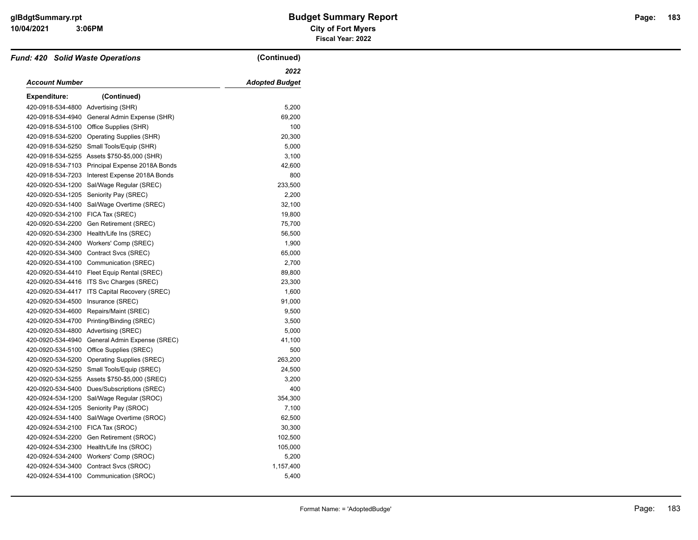# **3:06PM**

# **10/04/2021 City of Fort Myers glBdgtSummary.rpt Budget Summary Report Page: Fiscal Year: 2022**

| <b>Fund: 420 Solid Waste Operations</b> |                                              | (Continued)           |
|-----------------------------------------|----------------------------------------------|-----------------------|
|                                         |                                              | 2022                  |
| <b>Account Number</b>                   |                                              | <b>Adopted Budget</b> |
| <b>Expenditure:</b>                     | (Continued)                                  |                       |
| 420-0918-534-4800 Advertising (SHR)     |                                              | 5,200                 |
| 420-0918-534-4940                       | General Admin Expense (SHR)                  | 69,200                |
| 420-0918-534-5100                       | Office Supplies (SHR)                        | 100                   |
| 420-0918-534-5200                       | Operating Supplies (SHR)                     | 20,300                |
| 420-0918-534-5250                       | Small Tools/Equip (SHR)                      | 5,000                 |
|                                         | 420-0918-534-5255 Assets \$750-\$5,000 (SHR) | 3,100                 |
| 420-0918-534-7103                       | Principal Expense 2018A Bonds                | 42,600                |
| 420-0918-534-7203                       | Interest Expense 2018A Bonds                 | 800                   |
| 420-0920-534-1200                       | Sal/Wage Regular (SREC)                      | 233,500               |
| 420-0920-534-1205                       | Seniority Pay (SREC)                         | 2,200                 |
| 420-0920-534-1400                       | Sal/Wage Overtime (SREC)                     | 32,100                |
| 420-0920-534-2100                       | FICA Tax (SREC)                              | 19,800                |
| 420-0920-534-2200                       | Gen Retirement (SREC)                        | 75,700                |
| 420-0920-534-2300                       | Health/Life Ins (SREC)                       | 56,500                |
| 420-0920-534-2400                       | Workers' Comp (SREC)                         | 1,900                 |
| 420-0920-534-3400                       | Contract Svcs (SREC)                         | 65,000                |
| 420-0920-534-4100                       | Communication (SREC)                         | 2,700                 |
| 420-0920-534-4410                       | Fleet Equip Rental (SREC)                    | 89,800                |
|                                         | 420-0920-534-4416 ITS Svc Charges (SREC)     | 23,300                |
| 420-0920-534-4417                       | ITS Capital Recovery (SREC)                  | 1,600                 |
| 420-0920-534-4500                       | Insurance (SREC)                             | 91,000                |
| 420-0920-534-4600                       | Repairs/Maint (SREC)                         | 9,500                 |
| 420-0920-534-4700                       | Printing/Binding (SREC)                      | 3,500                 |
| 420-0920-534-4800                       | Advertising (SREC)                           | 5,000                 |
| 420-0920-534-4940                       | General Admin Expense (SREC)                 | 41,100                |
| 420-0920-534-5100                       | Office Supplies (SREC)                       | 500                   |
| 420-0920-534-5200                       | <b>Operating Supplies (SREC)</b>             | 263,200               |
| 420-0920-534-5250                       | Small Tools/Equip (SREC)                     | 24,500                |
| 420-0920-534-5255                       | Assets \$750-\$5,000 (SREC)                  | 3,200                 |
| 420-0920-534-5400                       | Dues/Subscriptions (SREC)                    | 400                   |
| 420-0924-534-1200                       | Sal/Wage Regular (SROC)                      | 354,300               |
| 420-0924-534-1205                       | Seniority Pay (SROC)                         | 7,100                 |
| 420-0924-534-1400                       | Sal/Wage Overtime (SROC)                     | 62,500                |
| 420-0924-534-2100                       | FICA Tax (SROC)                              | 30,300                |
| 420-0924-534-2200                       | Gen Retirement (SROC)                        | 102,500               |
| 420-0924-534-2300                       | Health/Life Ins (SROC)                       | 105,000               |
| 420-0924-534-2400                       | Workers' Comp (SROC)                         | 5,200                 |
| 420-0924-534-3400                       | Contract Svcs (SROC)                         | 1,157,400             |
|                                         | 420-0924-534-4100 Communication (SROC)       | 5,400                 |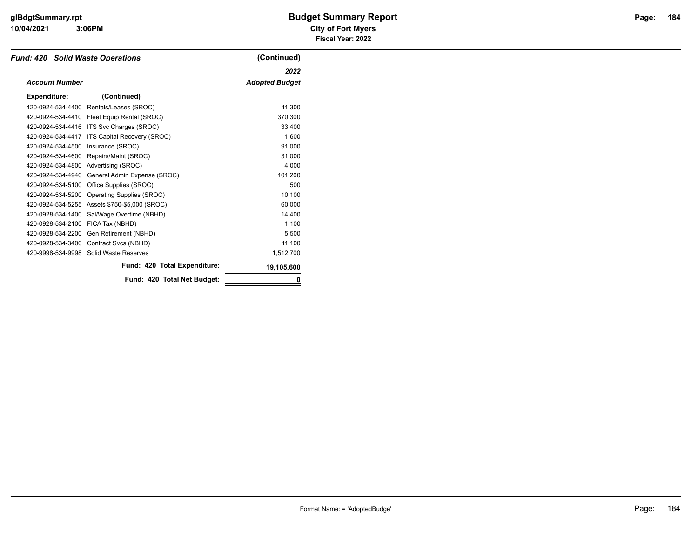#### **10/04/2021 City of Fort Myers 3:06PM**

# **glBdgtSummary.rpt Budget Summary Report Page: Fiscal Year: 2022**

| <b>Fund: 420 Solid Waste Operations</b> |                              | (Continued)           |
|-----------------------------------------|------------------------------|-----------------------|
|                                         |                              | 2022                  |
| <b>Account Number</b>                   |                              | <b>Adopted Budget</b> |
| <b>Expenditure:</b>                     | (Continued)                  |                       |
| 420-0924-534-4400                       | Rentals/Leases (SROC)        | 11,300                |
| 420-0924-534-4410                       | Fleet Equip Rental (SROC)    | 370,300               |
| 420-0924-534-4416                       | ITS Svc Charges (SROC)       | 33,400                |
| 420-0924-534-4417                       | ITS Capital Recovery (SROC)  | 1,600                 |
| 420-0924-534-4500                       | Insurance (SROC)             | 91,000                |
| 420-0924-534-4600                       | Repairs/Maint (SROC)         | 31,000                |
| 420-0924-534-4800                       | Advertising (SROC)           | 4,000                 |
| 420-0924-534-4940                       | General Admin Expense (SROC) | 101,200               |
| 420-0924-534-5100                       | Office Supplies (SROC)       | 500                   |
| 420-0924-534-5200                       | Operating Supplies (SROC)    | 10,100                |
| 420-0924-534-5255                       | Assets \$750-\$5,000 (SROC)  | 60,000                |
| 420-0928-534-1400                       | Sal/Wage Overtime (NBHD)     | 14,400                |
| 420-0928-534-2100                       | FICA Tax (NBHD)              | 1,100                 |
| 420-0928-534-2200                       | Gen Retirement (NBHD)        | 5,500                 |
| 420-0928-534-3400                       | Contract Svcs (NBHD)         | 11,100                |
| 420-9998-534-9998                       | Solid Waste Reserves         | 1,512,700             |
|                                         | Fund: 420 Total Expenditure: | 19,105,600            |
|                                         | Fund: 420 Total Net Budget:  | 0                     |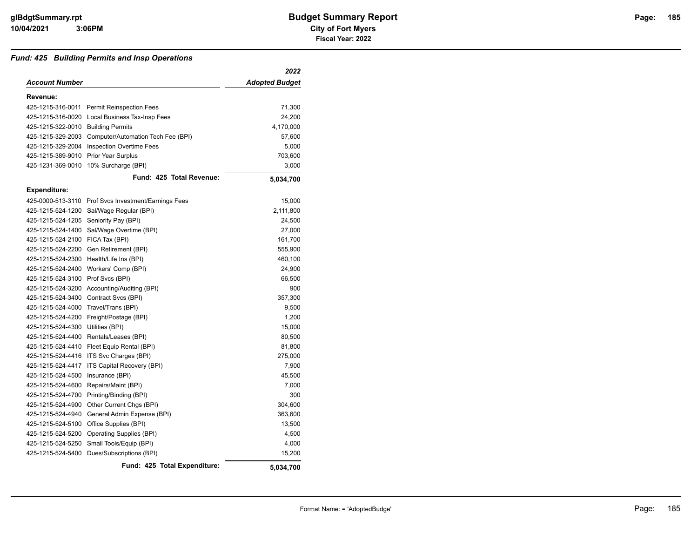#### *Fund: 425 Building Permits and Insp Operations*

|                                       |                                                      | 2022                  |
|---------------------------------------|------------------------------------------------------|-----------------------|
| Account Number                        |                                                      | <b>Adopted Budget</b> |
| Revenue:                              |                                                      |                       |
|                                       | 425-1215-316-0011 Permit Reinspection Fees           | 71,300                |
|                                       | 425-1215-316-0020 Local Business Tax-Insp Fees       | 24,200                |
| 425-1215-322-0010 Building Permits    |                                                      | 4,170,000             |
|                                       | 425-1215-329-2003 Computer/Automation Tech Fee (BPI) | 57,600                |
|                                       | 425-1215-329-2004 Inspection Overtime Fees           | 5,000                 |
| 425-1215-389-9010 Prior Year Surplus  |                                                      | 703,600               |
| 425-1231-369-0010                     | 10% Surcharge (BPI)                                  | 3,000                 |
|                                       | Fund: 425 Total Revenue:                             | 5,034,700             |
| <b>Expenditure:</b>                   |                                                      |                       |
|                                       | 425-0000-513-3110 Prof Svcs Investment/Earnings Fees | 15,000                |
|                                       | 425-1215-524-1200 Sal/Wage Regular (BPI)             | 2,111,800             |
| 425-1215-524-1205 Seniority Pay (BPI) |                                                      | 24,500                |
|                                       | 425-1215-524-1400 Sal/Wage Overtime (BPI)            | 27,000                |
| 425-1215-524-2100 FICA Tax (BPI)      |                                                      | 161,700               |
|                                       | 425-1215-524-2200 Gen Retirement (BPI)               | 555,900               |
|                                       | 425-1215-524-2300 Health/Life Ins (BPI)              | 460,100               |
|                                       | 425-1215-524-2400 Workers' Comp (BPI)                | 24,900                |
| 425-1215-524-3100 Prof Svcs (BPI)     |                                                      | 66,500                |
|                                       | 425-1215-524-3200 Accounting/Auditing (BPI)          | 900                   |
|                                       | 425-1215-524-3400 Contract Svcs (BPI)                | 357,300               |
| 425-1215-524-4000                     | Travel/Trans (BPI)                                   | 9,500                 |
|                                       | 425-1215-524-4200 Freight/Postage (BPI)              | 1,200                 |
| 425-1215-524-4300 Utilities (BPI)     |                                                      | 15,000                |
|                                       | 425-1215-524-4400 Rentals/Leases (BPI)               | 80,500                |
|                                       | 425-1215-524-4410 Fleet Equip Rental (BPI)           | 81,800                |
|                                       | 425-1215-524-4416 ITS Svc Charges (BPI)              | 275,000               |
| 425-1215-524-4417                     | ITS Capital Recovery (BPI)                           | 7,900                 |
| 425-1215-524-4500                     | Insurance (BPI)                                      | 45,500                |
|                                       | 425-1215-524-4600 Repairs/Maint (BPI)                | 7,000                 |
|                                       | 425-1215-524-4700 Printing/Binding (BPI)             | 300                   |
| 425-1215-524-4900                     | Other Current Chgs (BPI)                             | 304,600               |
|                                       | 425-1215-524-4940 General Admin Expense (BPI)        | 363,600               |
|                                       | 425-1215-524-5100 Office Supplies (BPI)              | 13,500                |
|                                       | 425-1215-524-5200 Operating Supplies (BPI)           | 4,500                 |
| 425-1215-524-5250                     | Small Tools/Equip (BPI)                              | 4,000                 |
|                                       | 425-1215-524-5400 Dues/Subscriptions (BPI)           | 15,200                |
|                                       | Fund: 425 Total Expenditure:                         | 5,034,700             |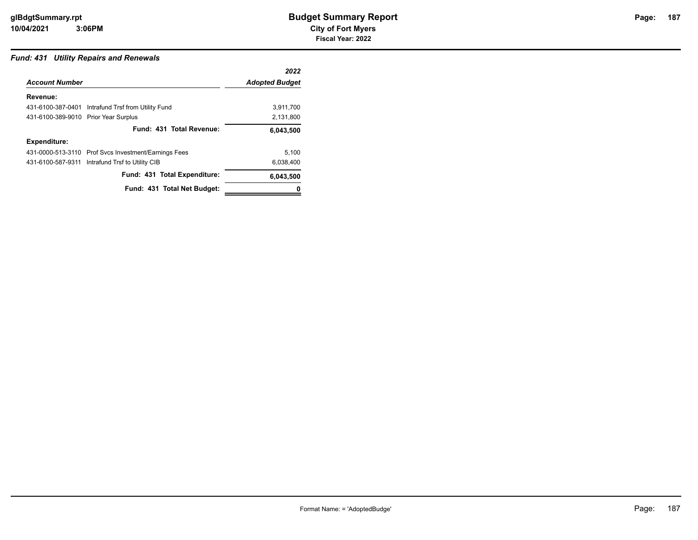### *Fund: 431 Utility Repairs and Renewals*

|                                      |                                                      | 2022                  |
|--------------------------------------|------------------------------------------------------|-----------------------|
| <b>Account Number</b>                |                                                      | <b>Adopted Budget</b> |
| Revenue:                             |                                                      |                       |
|                                      | 431-6100-387-0401 Intrafund Trsf from Utility Fund   | 3,911,700             |
| 431-6100-389-9010 Prior Year Surplus |                                                      | 2,131,800             |
|                                      | Fund: 431 Total Revenue:                             | 6,043,500             |
| <b>Expenditure:</b>                  |                                                      |                       |
|                                      | 431-0000-513-3110 Prof Svcs Investment/Earnings Fees | 5,100                 |
|                                      | 431-6100-587-9311 Intrafund Trsf to Utility CIB      | 6,038,400             |
|                                      | Fund: 431 Total Expenditure:                         | 6,043,500             |
|                                      | Fund: 431 Total Net Budget:                          | o                     |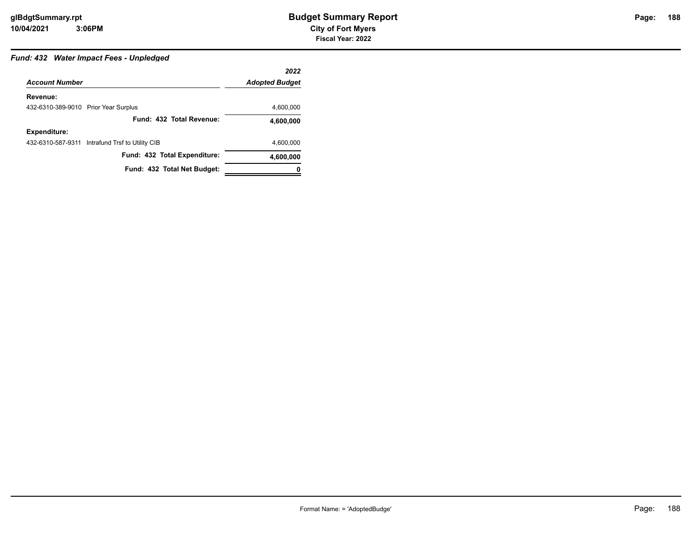# Page: 188

## *Fund: 432 Water Impact Fees - Unpledged*

|                                      |                                                 | 2022                  |
|--------------------------------------|-------------------------------------------------|-----------------------|
| <b>Account Number</b>                |                                                 | <b>Adopted Budget</b> |
| Revenue:                             |                                                 |                       |
| 432-6310-389-9010 Prior Year Surplus |                                                 | 4,600,000             |
|                                      | Fund: 432 Total Revenue:                        | 4,600,000             |
| <b>Expenditure:</b>                  |                                                 |                       |
|                                      | 432-6310-587-9311 Intrafund Trsf to Utility CIB | 4,600,000             |
|                                      | Fund: 432 Total Expenditure:                    | 4,600,000             |
|                                      | Fund: 432 Total Net Budget:                     |                       |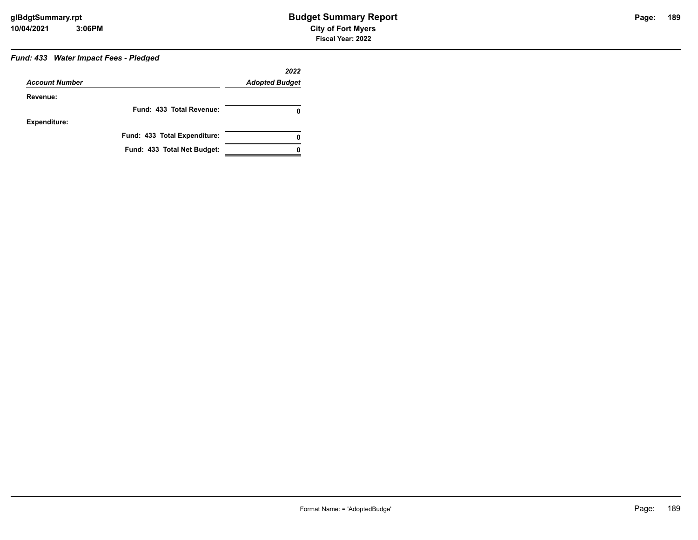# *Fund: 433 Water Impact Fees - Pledged*

| <b>Account Number</b> |                              | 2022<br><b>Adopted Budget</b> |
|-----------------------|------------------------------|-------------------------------|
| Revenue:              |                              |                               |
|                       | Fund: 433 Total Revenue:     | 0                             |
| <b>Expenditure:</b>   |                              |                               |
|                       | Fund: 433 Total Expenditure: | 0                             |
|                       | Fund: 433 Total Net Budget:  |                               |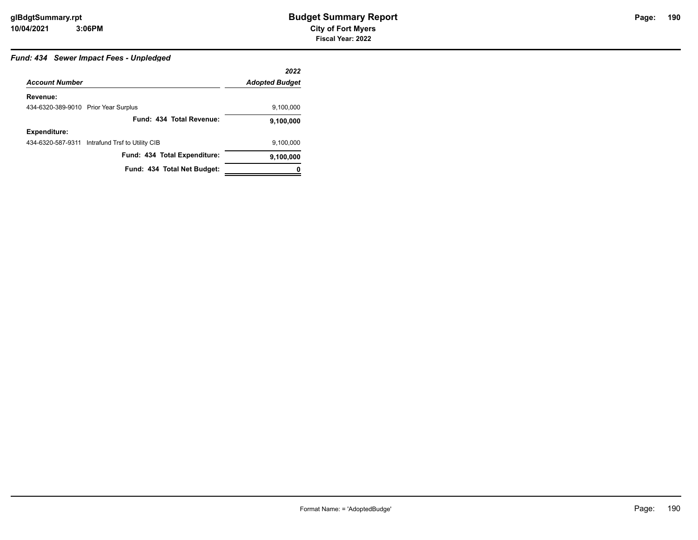# *Fund: 434 Sewer Impact Fees - Unpledged*

|                                      |                                                 | 2022                  |
|--------------------------------------|-------------------------------------------------|-----------------------|
| <b>Account Number</b>                |                                                 | <b>Adopted Budget</b> |
| Revenue:                             |                                                 |                       |
| 434-6320-389-9010 Prior Year Surplus |                                                 | 9,100,000             |
|                                      | Fund: 434 Total Revenue:                        | 9,100,000             |
| <b>Expenditure:</b>                  |                                                 |                       |
|                                      | 434-6320-587-9311 Intrafund Trsf to Utility CIB | 9,100,000             |
|                                      | Fund: 434 Total Expenditure:                    | 9,100,000             |
|                                      | Fund: 434 Total Net Budget:                     | 0                     |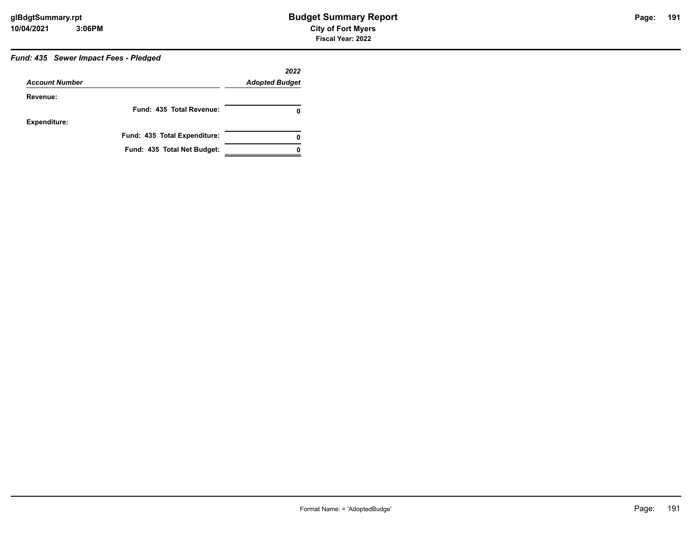# *Fund: 435 Sewer Impact Fees - Pledged*

| <b>Account Number</b> |                              | 2022<br><b>Adopted Budget</b> |
|-----------------------|------------------------------|-------------------------------|
| Revenue:              |                              |                               |
|                       | Fund: 435 Total Revenue:     | 0                             |
| <b>Expenditure:</b>   |                              |                               |
|                       | Fund: 435 Total Expenditure: | 0                             |
|                       | Fund: 435 Total Net Budget:  |                               |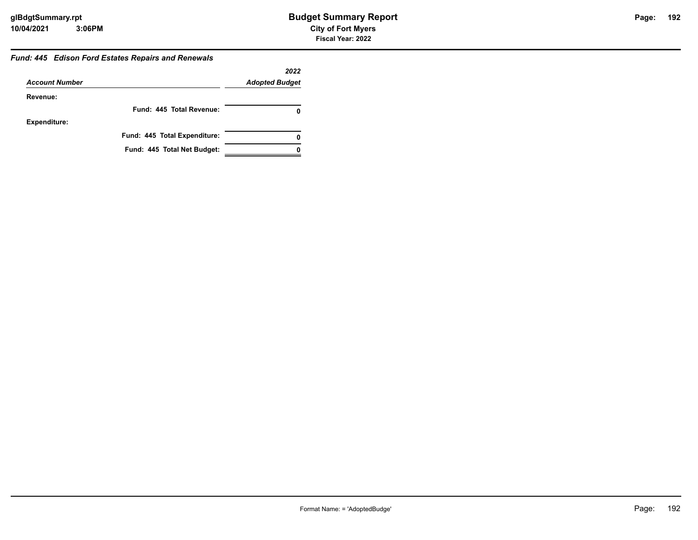#### *Fund: 445 Edison Ford Estates Repairs and Renewals*

|                       |                              | 2022                  |
|-----------------------|------------------------------|-----------------------|
| <b>Account Number</b> |                              | <b>Adopted Budget</b> |
| Revenue:              |                              |                       |
|                       | Fund: 445 Total Revenue:     |                       |
| <b>Expenditure:</b>   |                              |                       |
|                       | Fund: 445 Total Expenditure: | 0                     |
|                       | Fund: 445 Total Net Budget:  |                       |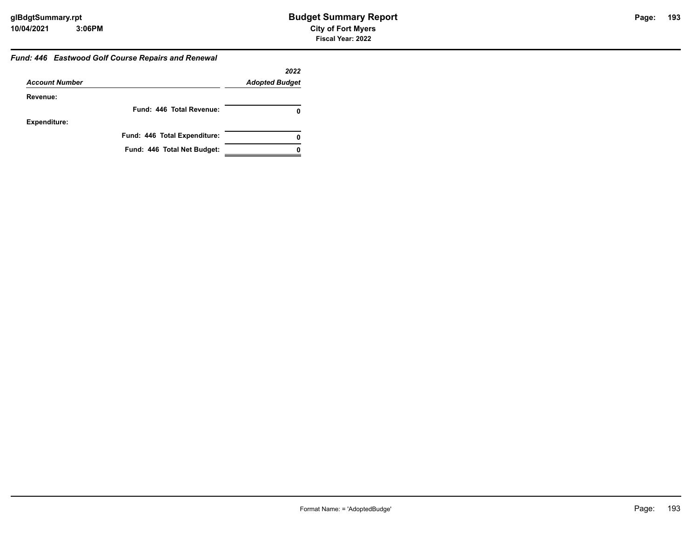#### *Fund: 446 Eastwood Golf Course Repairs and Renewal*

|                       |                              | 2022                  |
|-----------------------|------------------------------|-----------------------|
| <b>Account Number</b> |                              | <b>Adopted Budget</b> |
| Revenue:              |                              |                       |
|                       | Fund: 446 Total Revenue:     |                       |
| <b>Expenditure:</b>   |                              |                       |
|                       | Fund: 446 Total Expenditure: | 0                     |
|                       | Fund: 446 Total Net Budget:  |                       |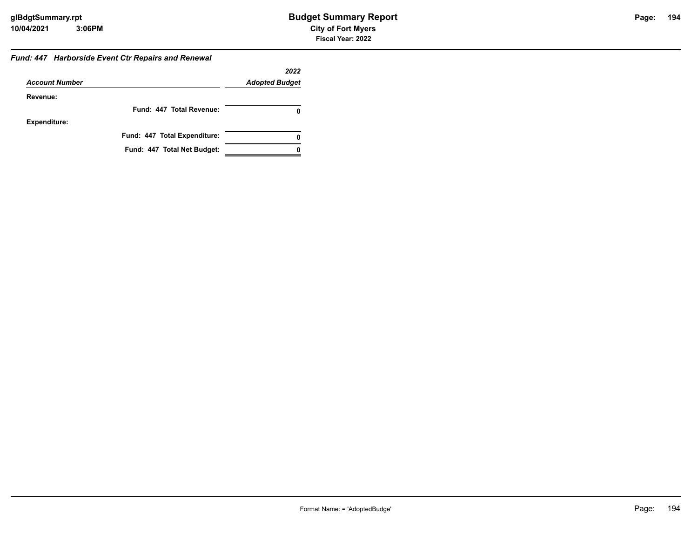#### *Fund: 447 Harborside Event Ctr Repairs and Renewal*

|                       |                              | 2022                  |
|-----------------------|------------------------------|-----------------------|
| <b>Account Number</b> |                              | <b>Adopted Budget</b> |
| Revenue:              |                              |                       |
|                       | Fund: 447 Total Revenue:     | 0                     |
| <b>Expenditure:</b>   |                              |                       |
|                       | Fund: 447 Total Expenditure: | 0                     |
|                       | Fund: 447 Total Net Budget:  |                       |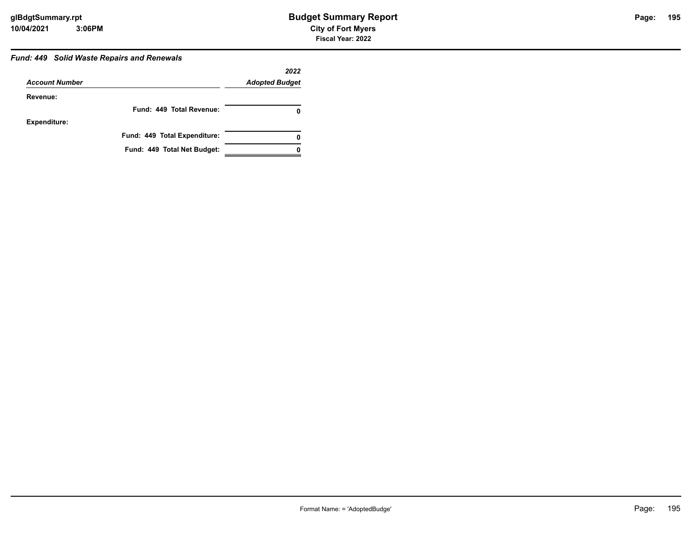#### *Fund: 449 Solid Waste Repairs and Renewals*

|                       |                              | 2022                  |
|-----------------------|------------------------------|-----------------------|
| <b>Account Number</b> |                              | <b>Adopted Budget</b> |
| Revenue:              |                              |                       |
|                       | Fund: 449 Total Revenue:     |                       |
| <b>Expenditure:</b>   |                              |                       |
|                       | Fund: 449 Total Expenditure: | 0                     |
|                       | Fund: 449 Total Net Budget:  |                       |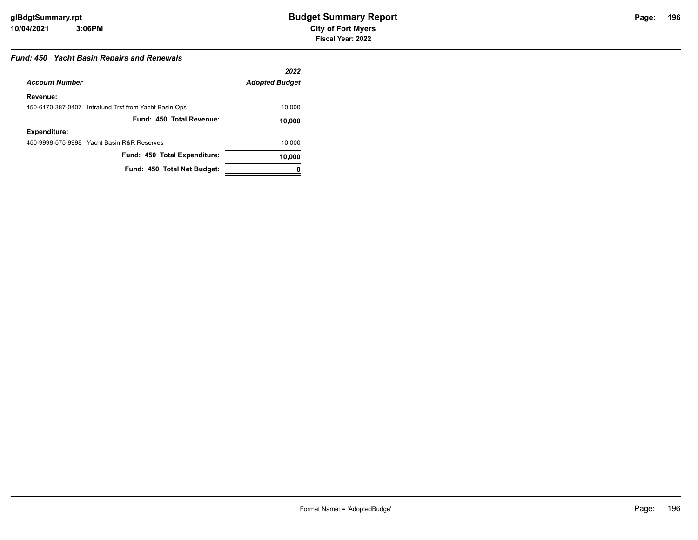# Page: 196

## *Fund: 450 Yacht Basin Repairs and Renewals*

|                       |                                                       | 2022                  |
|-----------------------|-------------------------------------------------------|-----------------------|
| <b>Account Number</b> |                                                       | <b>Adopted Budget</b> |
| Revenue:              |                                                       |                       |
|                       | 450-6170-387-0407 Intrafund Trsf from Yacht Basin Ops | 10,000                |
|                       | Fund: 450 Total Revenue:                              | 10,000                |
| Expenditure:          |                                                       |                       |
|                       | 450-9998-575-9998 Yacht Basin R&R Reserves            | 10,000                |
|                       | Fund: 450 Total Expenditure:                          | 10,000                |
|                       | Fund: 450 Total Net Budget:                           |                       |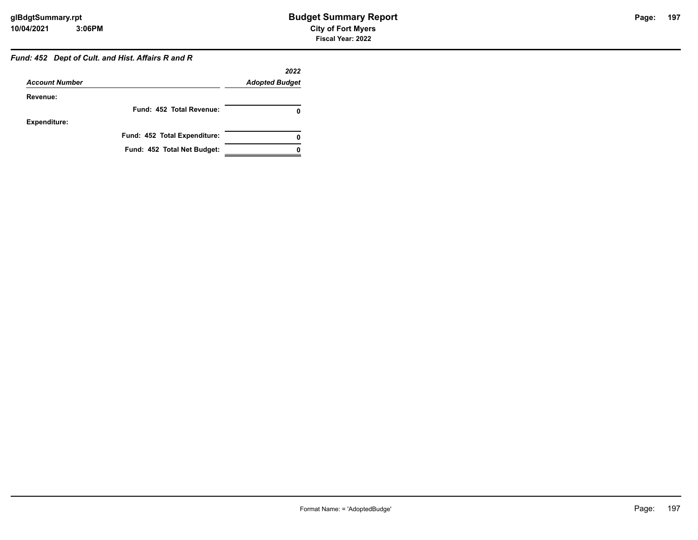#### *Fund: 452 Dept of Cult. and Hist. Affairs R and R*

|                       |                              | 2022                  |
|-----------------------|------------------------------|-----------------------|
| <b>Account Number</b> |                              | <b>Adopted Budget</b> |
| Revenue:              |                              |                       |
|                       | Fund: 452 Total Revenue:     |                       |
| <b>Expenditure:</b>   |                              |                       |
|                       | Fund: 452 Total Expenditure: | Ω                     |
|                       | Fund: 452 Total Net Budget:  |                       |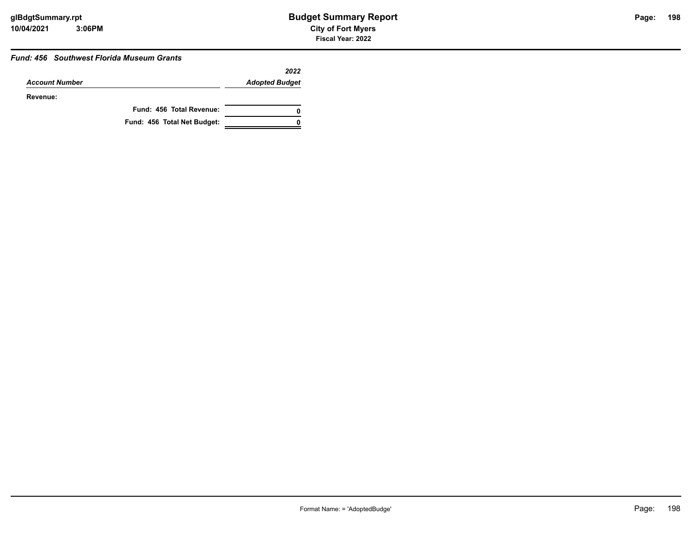# **198**

#### *Fund: 456 Southwest Florida Museum Grants*

|                       |                             | 2022                  |
|-----------------------|-----------------------------|-----------------------|
| <b>Account Number</b> |                             | <b>Adopted Budget</b> |
| Revenue:              |                             |                       |
|                       | Fund: 456 Total Revenue:    | 0                     |
|                       | Fund: 456 Total Net Budget: | 0                     |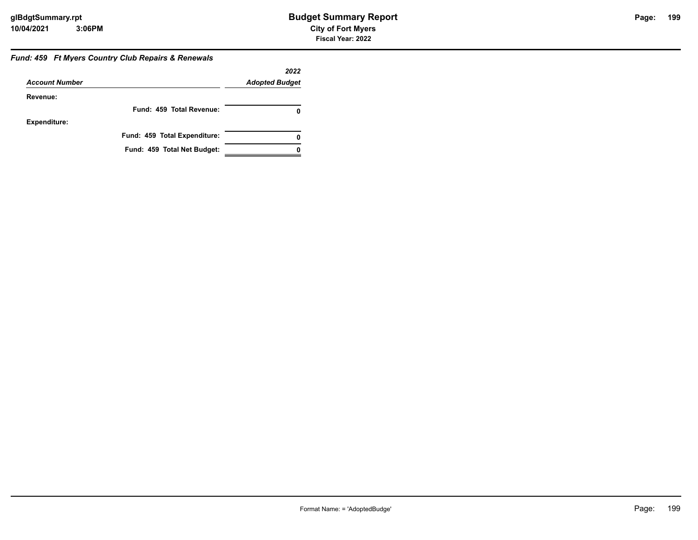#### *Fund: 459 Ft Myers Country Club Repairs & Renewals*

|                       |                              | 2022                  |
|-----------------------|------------------------------|-----------------------|
| <b>Account Number</b> |                              | <b>Adopted Budget</b> |
| Revenue:              |                              |                       |
|                       | Fund: 459 Total Revenue:     |                       |
| <b>Expenditure:</b>   |                              |                       |
|                       | Fund: 459 Total Expenditure: | 0                     |
|                       | Fund: 459 Total Net Budget:  |                       |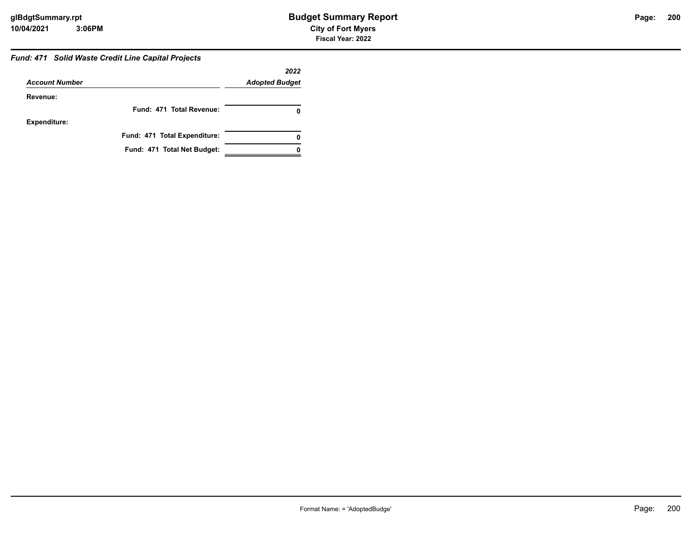# *Fund: 471 Solid Waste Credit Line Capital Projects*

|                       |                              | 2022                  |
|-----------------------|------------------------------|-----------------------|
| <b>Account Number</b> |                              | <b>Adopted Budget</b> |
| Revenue:              |                              |                       |
|                       | Fund: 471 Total Revenue:     |                       |
| Expenditure:          |                              |                       |
|                       | Fund: 471 Total Expenditure: | 0                     |
|                       | Fund: 471 Total Net Budget:  |                       |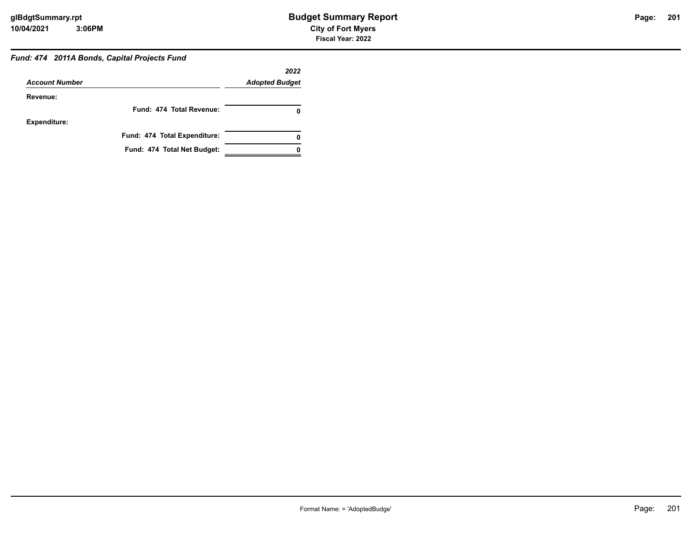#### *Fund: 474 2011A Bonds, Capital Projects Fund*

|                       |                              | 2022                  |
|-----------------------|------------------------------|-----------------------|
| <b>Account Number</b> |                              | <b>Adopted Budget</b> |
| Revenue:              |                              |                       |
|                       | Fund: 474 Total Revenue:     |                       |
| <b>Expenditure:</b>   |                              |                       |
|                       | Fund: 474 Total Expenditure: |                       |
|                       | Fund: 474 Total Net Budget:  |                       |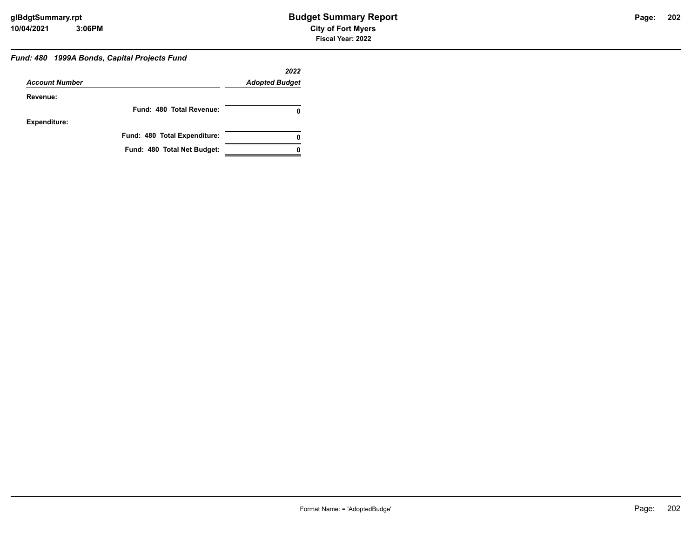#### *Fund: 480 1999A Bonds, Capital Projects Fund*

|                       |                              | 2022                  |
|-----------------------|------------------------------|-----------------------|
| <b>Account Number</b> |                              | <b>Adopted Budget</b> |
| Revenue:              |                              |                       |
|                       | Fund: 480 Total Revenue:     | 0                     |
| <b>Expenditure:</b>   |                              |                       |
|                       | Fund: 480 Total Expenditure: | 0                     |
|                       | Fund: 480 Total Net Budget:  |                       |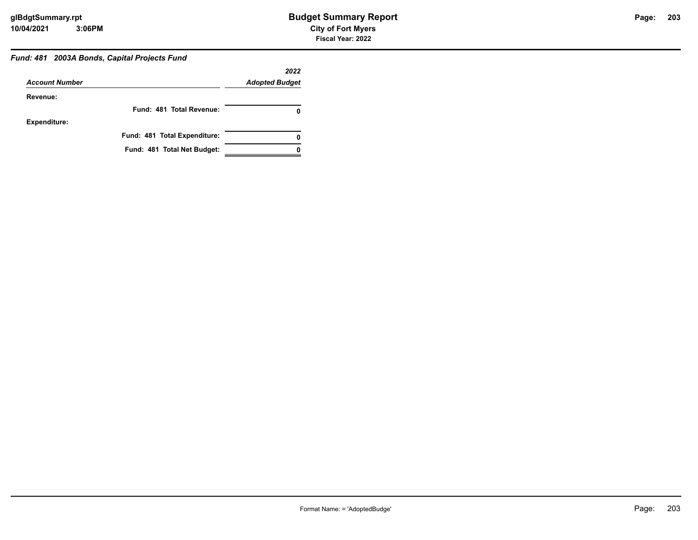#### *Fund: 481 2003A Bonds, Capital Projects Fund*

|                       |                              | 2022                  |
|-----------------------|------------------------------|-----------------------|
| <b>Account Number</b> |                              | <b>Adopted Budget</b> |
| Revenue:              |                              |                       |
|                       | Fund: 481 Total Revenue:     |                       |
| <b>Expenditure:</b>   |                              |                       |
|                       | Fund: 481 Total Expenditure: |                       |
|                       | Fund: 481 Total Net Budget:  |                       |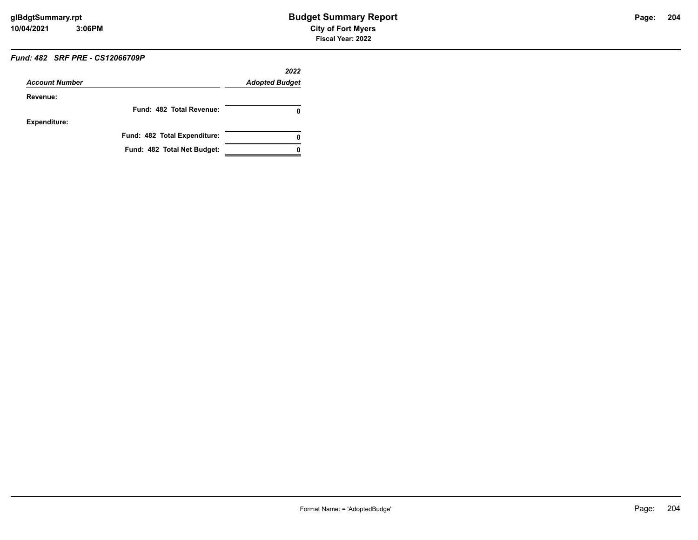# *Fund: 482 SRF PRE - CS12066709P*

| <b>Account Number</b> |                              | 2022<br><b>Adopted Budget</b> |
|-----------------------|------------------------------|-------------------------------|
| Revenue:              |                              |                               |
|                       | Fund: 482 Total Revenue:     | 0                             |
| <b>Expenditure:</b>   |                              |                               |
|                       | Fund: 482 Total Expenditure: | 0                             |
|                       | Fund: 482 Total Net Budget:  |                               |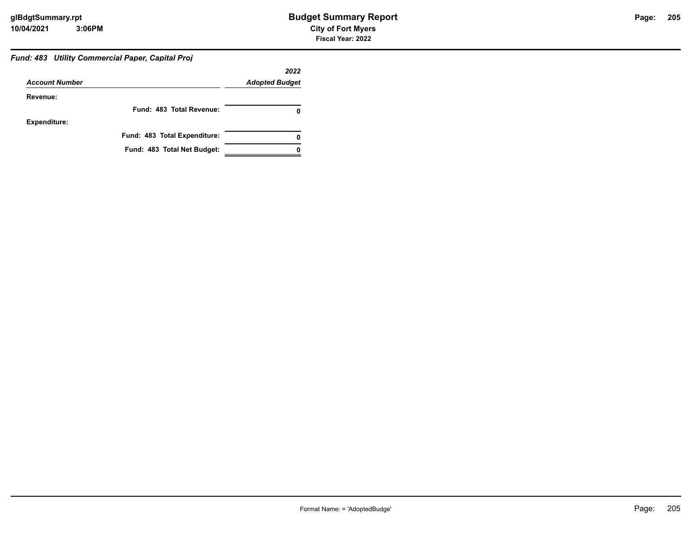# *Fund: 483 Utility Commercial Paper, Capital Proj*

|                       |                              | 2022                  |
|-----------------------|------------------------------|-----------------------|
| <b>Account Number</b> |                              | <b>Adopted Budget</b> |
| Revenue:              |                              |                       |
|                       | Fund: 483 Total Revenue:     |                       |
| <b>Expenditure:</b>   |                              |                       |
|                       | Fund: 483 Total Expenditure: |                       |
|                       | Fund: 483 Total Net Budget:  |                       |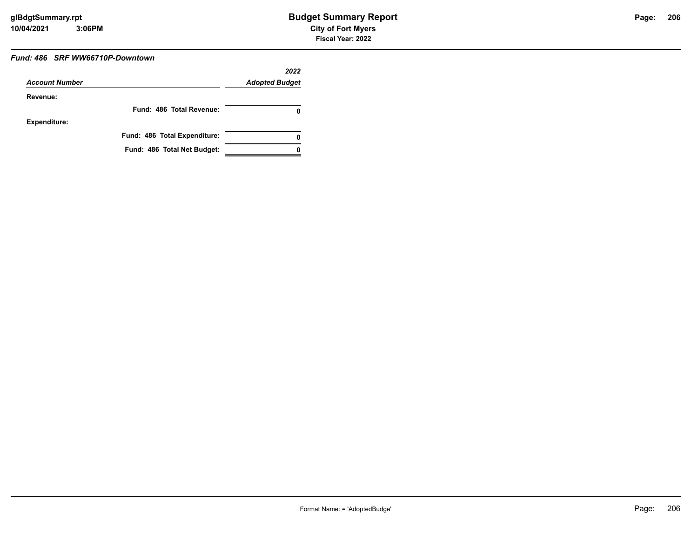#### *Fund: 486 SRF WW66710P-Downtown*

| <b>Account Number</b> |                              | 2022                  |  |
|-----------------------|------------------------------|-----------------------|--|
|                       |                              | <b>Adopted Budget</b> |  |
| Revenue:              |                              |                       |  |
|                       | Fund: 486 Total Revenue:     | 0                     |  |
| <b>Expenditure:</b>   |                              |                       |  |
|                       | Fund: 486 Total Expenditure: | 0                     |  |
|                       | Fund: 486 Total Net Budget:  |                       |  |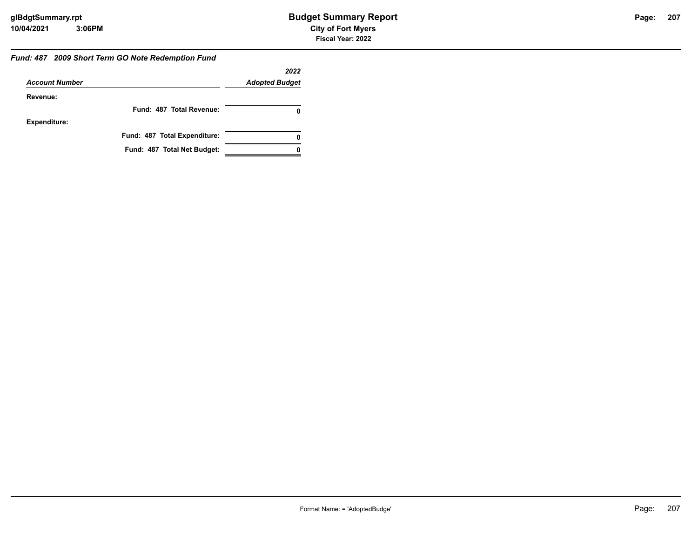#### *Fund: 487 2009 Short Term GO Note Redemption Fund*

|                       |                              | 2022                  |
|-----------------------|------------------------------|-----------------------|
| <b>Account Number</b> |                              | <b>Adopted Budget</b> |
| Revenue:              |                              |                       |
|                       | Fund: 487 Total Revenue:     | 0                     |
| <b>Expenditure:</b>   |                              |                       |
|                       | Fund: 487 Total Expenditure: | 0                     |
|                       | Fund: 487 Total Net Budget:  |                       |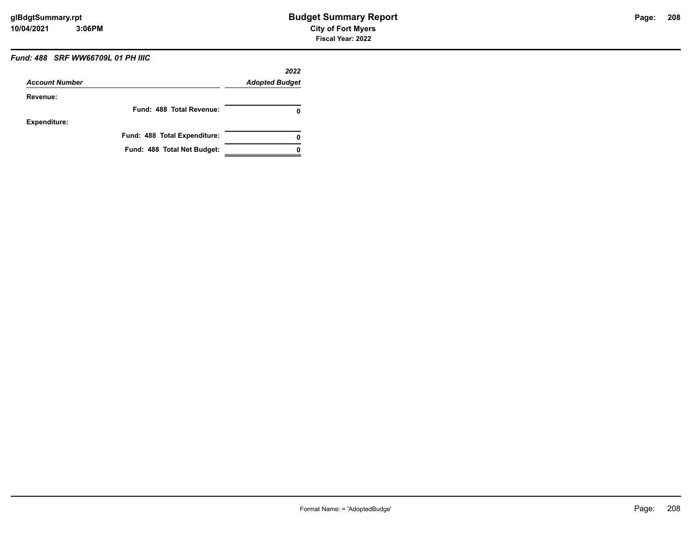# *Fund: 488 SRF WW66709L 01 PH IIIC*

| <b>Account Number</b> |                              | 2022<br><b>Adopted Budget</b> |
|-----------------------|------------------------------|-------------------------------|
| Revenue:              |                              |                               |
|                       | Fund: 488 Total Revenue:     | 0                             |
| <b>Expenditure:</b>   |                              |                               |
|                       | Fund: 488 Total Expenditure: | 0                             |
|                       | Fund: 488 Total Net Budget:  |                               |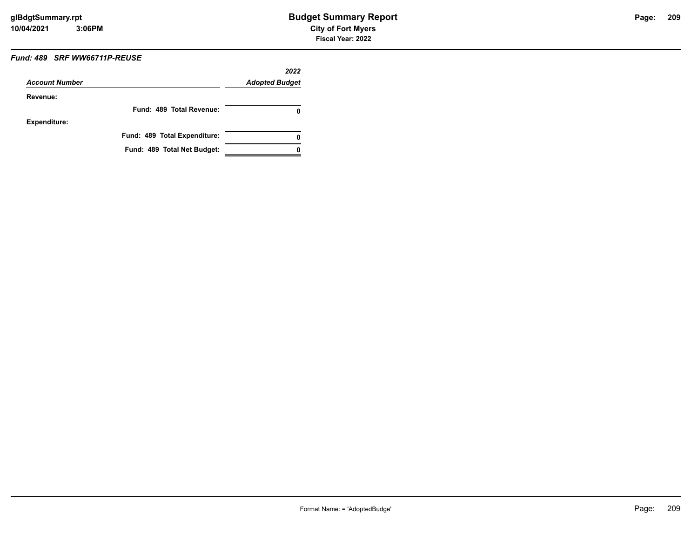# *Fund: 489 SRF WW66711P-REUSE*

| <b>Account Number</b> |                              | 2022<br><b>Adopted Budget</b> |
|-----------------------|------------------------------|-------------------------------|
| Revenue:              |                              |                               |
|                       | Fund: 489 Total Revenue:     | 0                             |
| Expenditure:          |                              |                               |
|                       | Fund: 489 Total Expenditure: | 0                             |
|                       | Fund: 489 Total Net Budget:  |                               |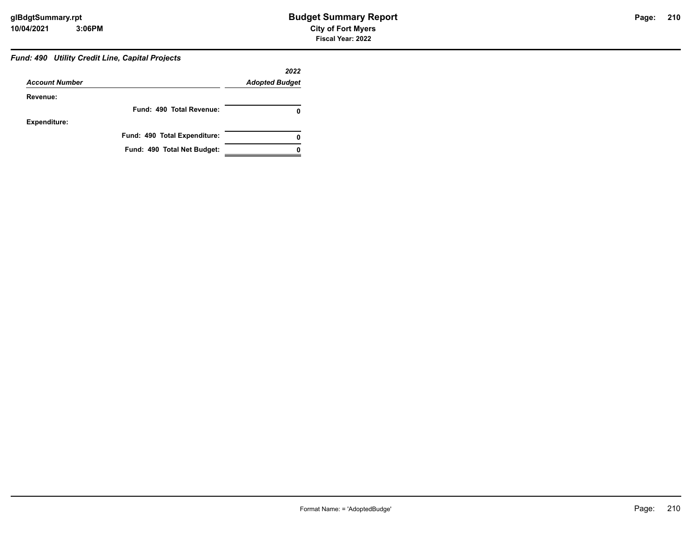#### *Fund: 490 Utility Credit Line, Capital Projects*

|                       |                              | 2022                  |
|-----------------------|------------------------------|-----------------------|
| <b>Account Number</b> |                              | <b>Adopted Budget</b> |
| Revenue:              |                              |                       |
|                       | Fund: 490 Total Revenue:     |                       |
| <b>Expenditure:</b>   |                              |                       |
|                       | Fund: 490 Total Expenditure: |                       |
|                       | Fund: 490 Total Net Budget:  |                       |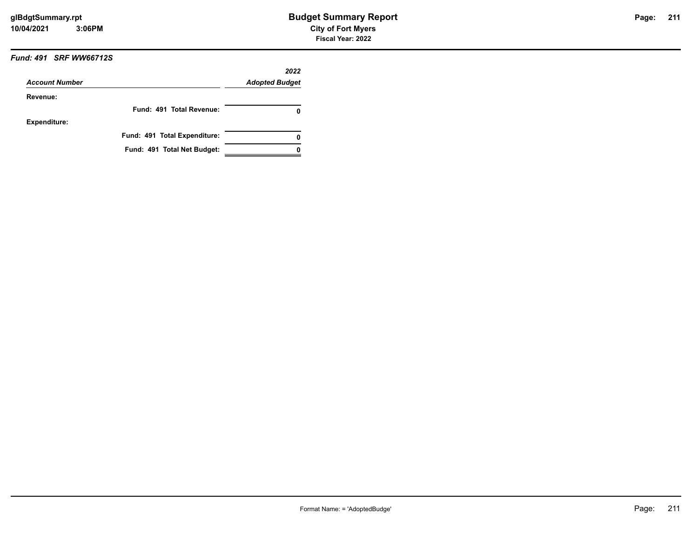#### *Fund: 491 SRF WW66712S*

| <b>Account Number</b> |                              | 2022<br><b>Adopted Budget</b> |
|-----------------------|------------------------------|-------------------------------|
|                       |                              |                               |
|                       | Fund: 491 Total Revenue:     | o                             |
| <b>Expenditure:</b>   |                              |                               |
|                       | Fund: 491 Total Expenditure: |                               |
|                       | Fund: 491 Total Net Budget:  |                               |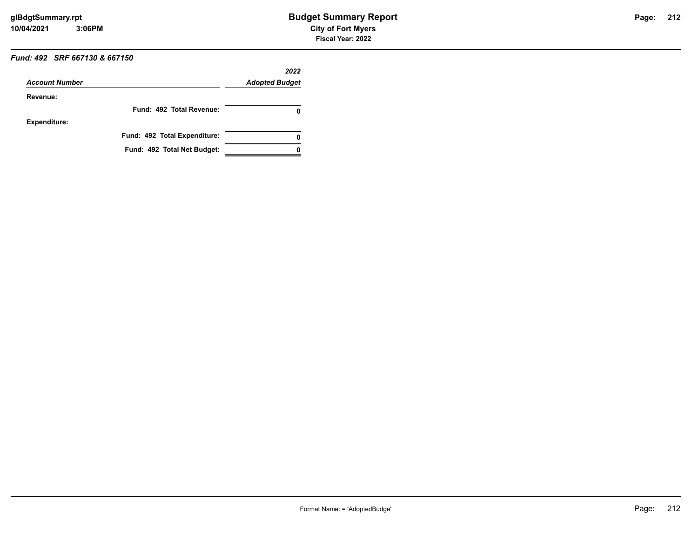# *Fund: 492 SRF 667130 & 667150*

| <b>Account Number</b> |                              | 2022                  |
|-----------------------|------------------------------|-----------------------|
|                       |                              | <b>Adopted Budget</b> |
| Revenue:              |                              |                       |
|                       | Fund: 492 Total Revenue:     | 0                     |
| <b>Expenditure:</b>   |                              |                       |
|                       | Fund: 492 Total Expenditure: | 0                     |
|                       | Fund: 492 Total Net Budget:  |                       |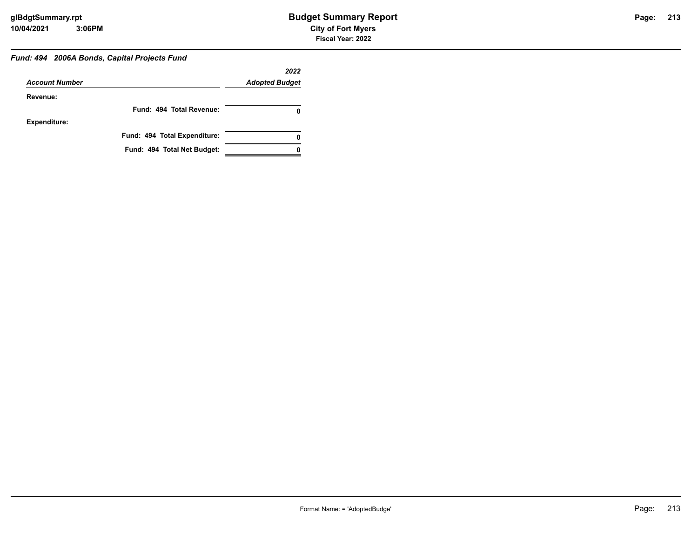#### *Fund: 494 2006A Bonds, Capital Projects Fund*

|                       |                              | 2022                  |
|-----------------------|------------------------------|-----------------------|
| <b>Account Number</b> |                              | <b>Adopted Budget</b> |
| Revenue:              |                              |                       |
|                       | Fund: 494 Total Revenue:     |                       |
| <b>Expenditure:</b>   |                              |                       |
|                       | Fund: 494 Total Expenditure: | 0                     |
|                       | Fund: 494 Total Net Budget:  |                       |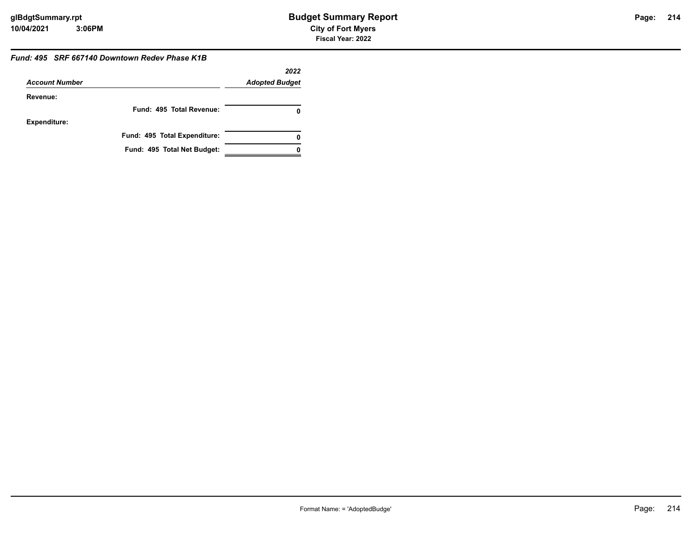#### *Fund: 495 SRF 667140 Downtown Redev Phase K1B*

|                       |                              | 2022                  |
|-----------------------|------------------------------|-----------------------|
| <b>Account Number</b> |                              | <b>Adopted Budget</b> |
| Revenue:              |                              |                       |
|                       | Fund: 495 Total Revenue:     |                       |
| Expenditure:          |                              |                       |
|                       | Fund: 495 Total Expenditure: |                       |
|                       | Fund: 495 Total Net Budget:  |                       |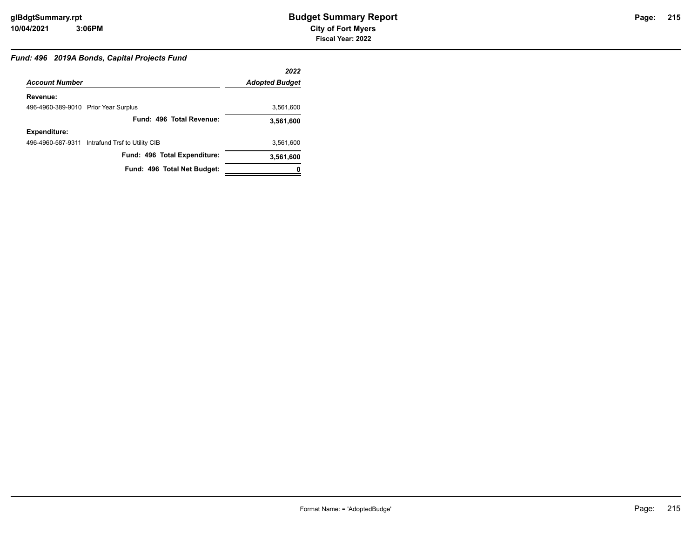## *Fund: 496 2019A Bonds, Capital Projects Fund*

|                                      |                                                 | 2022                  |
|--------------------------------------|-------------------------------------------------|-----------------------|
| <b>Account Number</b>                |                                                 | <b>Adopted Budget</b> |
| Revenue:                             |                                                 |                       |
| 496-4960-389-9010 Prior Year Surplus |                                                 | 3,561,600             |
|                                      | Fund: 496 Total Revenue:                        | 3,561,600             |
| <b>Expenditure:</b>                  |                                                 |                       |
|                                      | 496-4960-587-9311 Intrafund Trsf to Utility CIB | 3.561.600             |
|                                      | Fund: 496 Total Expenditure:                    | 3,561,600             |
|                                      | Fund: 496 Total Net Budget:                     |                       |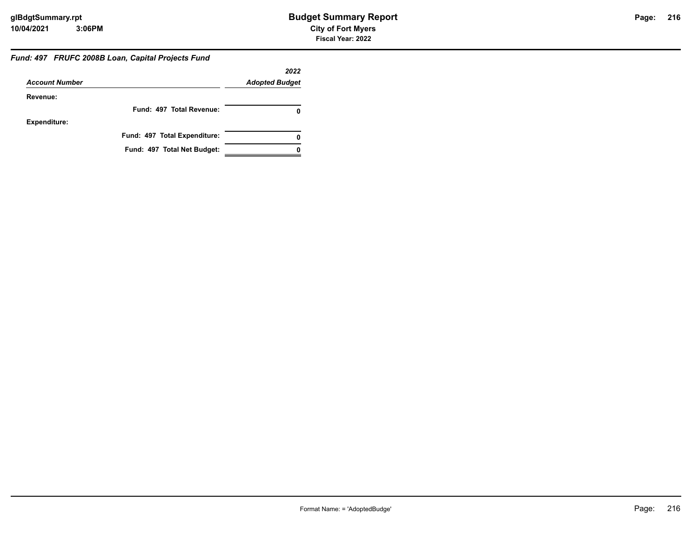#### *Fund: 497 FRUFC 2008B Loan, Capital Projects Fund*

|                       |                              | 2022                  |
|-----------------------|------------------------------|-----------------------|
| <b>Account Number</b> |                              | <b>Adopted Budget</b> |
| Revenue:              |                              |                       |
|                       | Fund: 497 Total Revenue:     | 0                     |
| <b>Expenditure:</b>   |                              |                       |
|                       | Fund: 497 Total Expenditure: | 0                     |
|                       | Fund: 497 Total Net Budget:  |                       |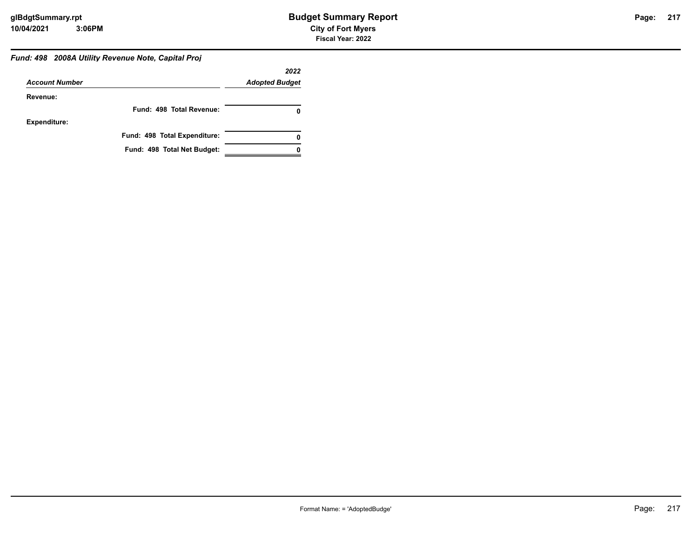# *Fund: 498 2008A Utility Revenue Note, Capital Proj*

|                       |                              | 2022                  |
|-----------------------|------------------------------|-----------------------|
| <b>Account Number</b> |                              | <b>Adopted Budget</b> |
| Revenue:              |                              |                       |
|                       | Fund: 498 Total Revenue:     |                       |
| <b>Expenditure:</b>   |                              |                       |
|                       | Fund: 498 Total Expenditure: | 0                     |
|                       | Fund: 498 Total Net Budget:  |                       |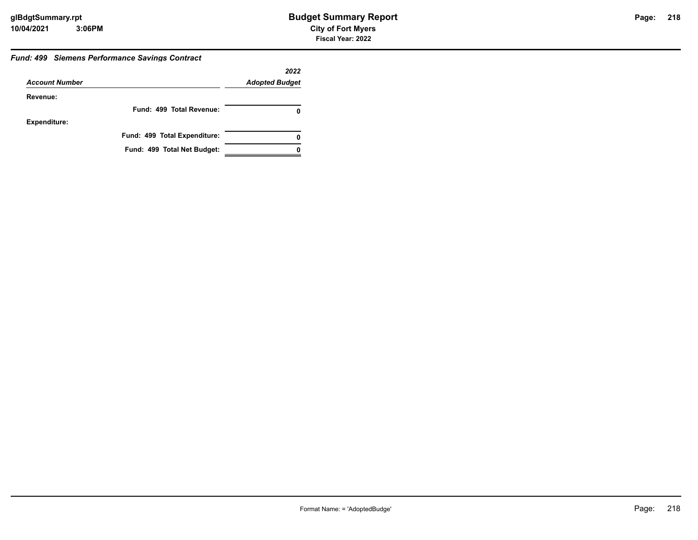### *Fund: 499 Siemens Performance Savings Contract*

|                       |                              | 2022                  |
|-----------------------|------------------------------|-----------------------|
| <b>Account Number</b> |                              | <b>Adopted Budget</b> |
| Revenue:              |                              |                       |
|                       | Fund: 499 Total Revenue:     | 0                     |
| <b>Expenditure:</b>   |                              |                       |
|                       | Fund: 499 Total Expenditure: | 0                     |
|                       | Fund: 499 Total Net Budget:  |                       |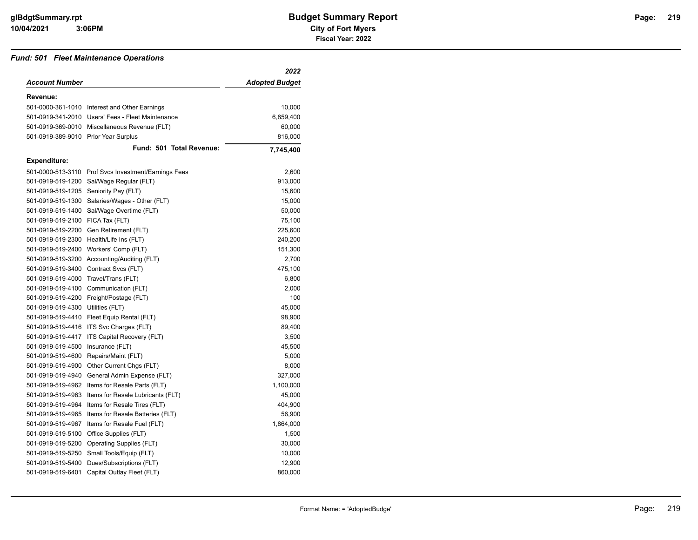### *Fund: 501 Fleet Maintenance Operations*

|                                  |                                               | 2022           |
|----------------------------------|-----------------------------------------------|----------------|
| <b>Account Number</b>            |                                               | Adopted Budget |
| Revenue:                         |                                               |                |
|                                  | 501-0000-361-1010 Interest and Other Earnings | 10,000         |
| 501-0919-341-2010                | Users' Fees - Fleet Maintenance               | 6,859,400      |
| 501-0919-369-0010                | Miscellaneous Revenue (FLT)                   | 60,000         |
| 501-0919-389-9010                | <b>Prior Year Surplus</b>                     | 816,000        |
|                                  | Fund: 501 Total Revenue:                      | 7,745,400      |
| <b>Expenditure:</b>              |                                               |                |
| 501-0000-513-3110                | Prof Svcs Investment/Earnings Fees            | 2,600          |
| 501-0919-519-1200                | Sal/Wage Regular (FLT)                        | 913,000        |
| 501-0919-519-1205                | Seniority Pay (FLT)                           | 15,600         |
| 501-0919-519-1300                | Salaries/Wages - Other (FLT)                  | 15,000         |
| 501-0919-519-1400                | Sal/Wage Overtime (FLT)                       | 50,000         |
| 501-0919-519-2100 FICA Tax (FLT) |                                               | 75,100         |
| 501-0919-519-2200                | Gen Retirement (FLT)                          | 225,600        |
| 501-0919-519-2300                | Health/Life Ins (FLT)                         | 240,200        |
| 501-0919-519-2400                | Workers' Comp (FLT)                           | 151,300        |
| 501-0919-519-3200                | Accounting/Auditing (FLT)                     | 2,700          |
| 501-0919-519-3400                | Contract Svcs (FLT)                           | 475,100        |
| 501-0919-519-4000                | Travel/Trans (FLT)                            | 6,800          |
| 501-0919-519-4100                | Communication (FLT)                           | 2,000          |
| 501-0919-519-4200                | Freight/Postage (FLT)                         | 100            |
| 501-0919-519-4300                | Utilities (FLT)                               | 45,000         |
| 501-0919-519-4410                | Fleet Equip Rental (FLT)                      | 98,900         |
| 501-0919-519-4416                | ITS Svc Charges (FLT)                         | 89,400         |
| 501-0919-519-4417                | ITS Capital Recovery (FLT)                    | 3,500          |
| 501-0919-519-4500                | Insurance (FLT)                               | 45,500         |
| 501-0919-519-4600                | Repairs/Maint (FLT)                           | 5,000          |
| 501-0919-519-4900                | Other Current Chgs (FLT)                      | 8,000          |
| 501-0919-519-4940                | General Admin Expense (FLT)                   | 327,000        |
| 501-0919-519-4962                | Items for Resale Parts (FLT)                  | 1,100,000      |
| 501-0919-519-4963                | Items for Resale Lubricants (FLT)             | 45,000         |
| 501-0919-519-4964                | Items for Resale Tires (FLT)                  | 404,900        |
| 501-0919-519-4965                | Items for Resale Batteries (FLT)              | 56,900         |
| 501-0919-519-4967                | Items for Resale Fuel (FLT)                   | 1,864,000      |
| 501-0919-519-5100                | Office Supplies (FLT)                         | 1,500          |
| 501-0919-519-5200                | Operating Supplies (FLT)                      | 30,000         |
| 501-0919-519-5250                | Small Tools/Equip (FLT)                       | 10,000         |
| 501-0919-519-5400                | Dues/Subscriptions (FLT)                      | 12,900         |
| 501-0919-519-6401                | Capital Outlay Fleet (FLT)                    | 860,000        |
|                                  |                                               |                |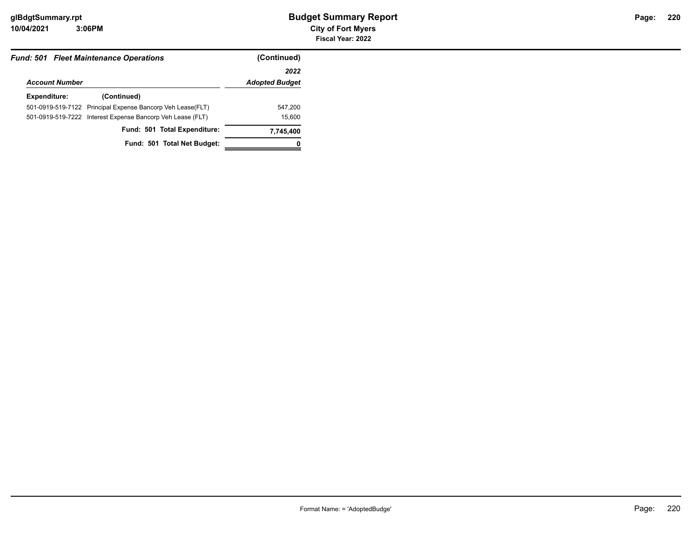| <b>Fund: 501 Fleet Maintenance Operations</b> |                                                             | (Continued)           |
|-----------------------------------------------|-------------------------------------------------------------|-----------------------|
|                                               |                                                             | 2022                  |
| <b>Account Number</b>                         |                                                             | <b>Adopted Budget</b> |
| Expenditure:                                  | (Continued)                                                 |                       |
|                                               | 501-0919-519-7122 Principal Expense Bancorp Veh Lease (FLT) | 547,200               |
|                                               | 501-0919-519-7222 Interest Expense Bancorp Veh Lease (FLT)  | 15,600                |
|                                               | Fund: 501 Total Expenditure:                                | 7,745,400             |
|                                               | Fund: 501 Total Net Budget:                                 |                       |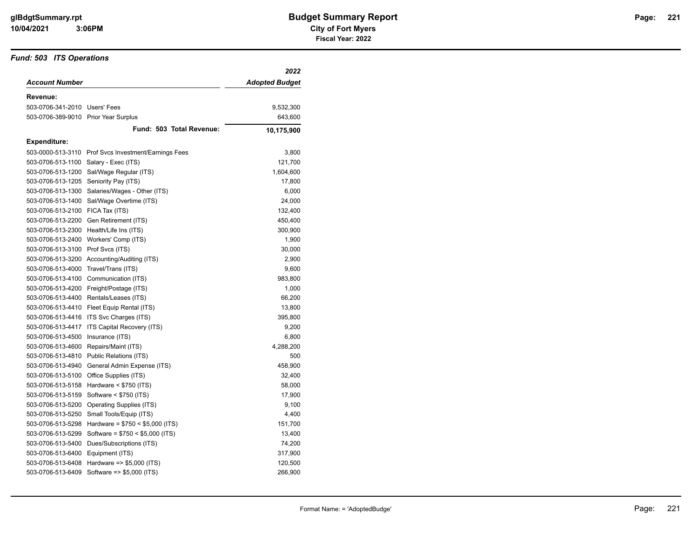### *Fund: 503 ITS Operations*

|                                      |                                                      | 2022                  |
|--------------------------------------|------------------------------------------------------|-----------------------|
| <b>Account Number</b>                |                                                      | <b>Adopted Budget</b> |
| Revenue:                             |                                                      |                       |
| 503-0706-341-2010 Users' Fees        |                                                      | 9,532,300             |
| 503-0706-389-9010 Prior Year Surplus |                                                      | 643,600               |
|                                      | Fund: 503 Total Revenue:                             | 10,175,900            |
| <b>Expenditure:</b>                  |                                                      |                       |
|                                      | 503-0000-513-3110 Prof Svcs Investment/Earnings Fees | 3,800                 |
| 503-0706-513-1100                    | Salary - Exec (ITS)                                  | 121,700               |
| 503-0706-513-1200                    | Sal/Wage Regular (ITS)                               | 1,604,600             |
| 503-0706-513-1205                    | Seniority Pay (ITS)                                  | 17,800                |
| 503-0706-513-1300                    | Salaries/Wages - Other (ITS)                         | 6,000                 |
| 503-0706-513-1400                    | Sal/Wage Overtime (ITS)                              | 24,000                |
| 503-0706-513-2100                    | FICA Tax (ITS)                                       | 132,400               |
| 503-0706-513-2200                    | Gen Retirement (ITS)                                 | 450,400               |
| 503-0706-513-2300                    | Health/Life Ins (ITS)                                | 300,900               |
| 503-0706-513-2400                    | Workers' Comp (ITS)                                  | 1,900                 |
| 503-0706-513-3100                    | Prof Svcs (ITS)                                      | 30,000                |
| 503-0706-513-3200                    | Accounting/Auditing (ITS)                            | 2,900                 |
| 503-0706-513-4000                    | Travel/Trans (ITS)                                   | 9,600                 |
|                                      | 503-0706-513-4100 Communication (ITS)                | 983,800               |
|                                      | 503-0706-513-4200 Freight/Postage (ITS)              | 1,000                 |
|                                      | 503-0706-513-4400 Rentals/Leases (ITS)               | 66,200                |
| 503-0706-513-4410                    | Fleet Equip Rental (ITS)                             | 13,800                |
| 503-0706-513-4416                    | ITS Svc Charges (ITS)                                | 395,800               |
| 503-0706-513-4417                    | ITS Capital Recovery (ITS)                           | 9,200                 |
| 503-0706-513-4500                    | Insurance (ITS)                                      | 6,800                 |
| 503-0706-513-4600                    | Repairs/Maint (ITS)                                  | 4,288,200             |
| 503-0706-513-4810                    | Public Relations (ITS)                               | 500                   |
| 503-0706-513-4940                    | General Admin Expense (ITS)                          | 458,900               |
| 503-0706-513-5100                    | Office Supplies (ITS)                                | 32,400                |
| 503-0706-513-5158                    | Hardware $<$ \$750 (ITS)                             | 58,000                |
| 503-0706-513-5159                    | Software < \$750 (ITS)                               | 17,900                |
|                                      | 503-0706-513-5200 Operating Supplies (ITS)           | 9,100                 |
| 503-0706-513-5250                    | Small Tools/Equip (ITS)                              | 4,400                 |
| 503-0706-513-5298                    | Hardware = $$750 < $5,000$ (ITS)                     | 151,700               |
| 503-0706-513-5299                    | Software = $$750 < $5,000$ (ITS)                     | 13,400                |
| 503-0706-513-5400                    | Dues/Subscriptions (ITS)                             | 74,200                |
| 503-0706-513-6400                    | Equipment (ITS)                                      | 317,900               |
| 503-0706-513-6408                    | Hardware $\approx$ \$5,000 (ITS)                     | 120,500               |
| 503-0706-513-6409                    | Software => \$5,000 (ITS)                            | 266,900               |
|                                      |                                                      |                       |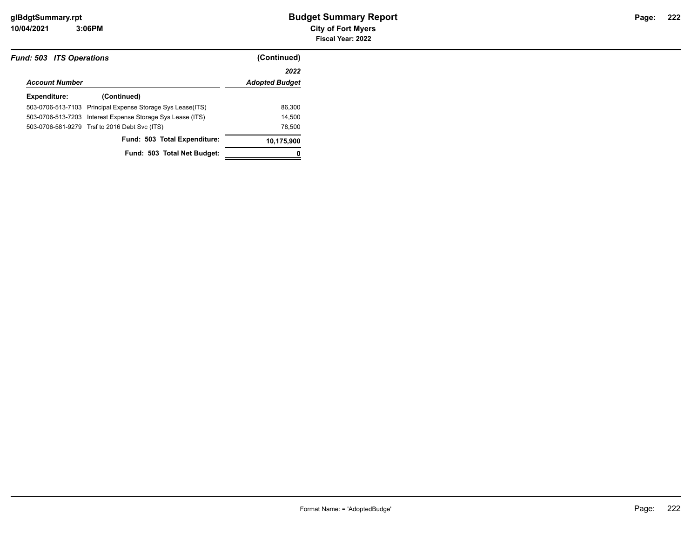**10/04/2021 City of Fort Myers 3:06PM**

| <b>Fund: 503 ITS Operations</b> |                                                            | (Continued)           |
|---------------------------------|------------------------------------------------------------|-----------------------|
|                                 |                                                            | 2022                  |
| <b>Account Number</b>           |                                                            | <b>Adopted Budget</b> |
| Expenditure:                    | (Continued)                                                |                       |
|                                 | 503-0706-513-7103 Principal Expense Storage Sys Lease(ITS) | 86.300                |
|                                 | 503-0706-513-7203 Interest Expense Storage Sys Lease (ITS) | 14.500                |
|                                 | 503-0706-581-9279 Trsf to 2016 Debt Svc (ITS)              | 78,500                |
|                                 | Fund: 503 Total Expenditure:                               | 10,175,900            |
|                                 | Fund: 503 Total Net Budget:                                |                       |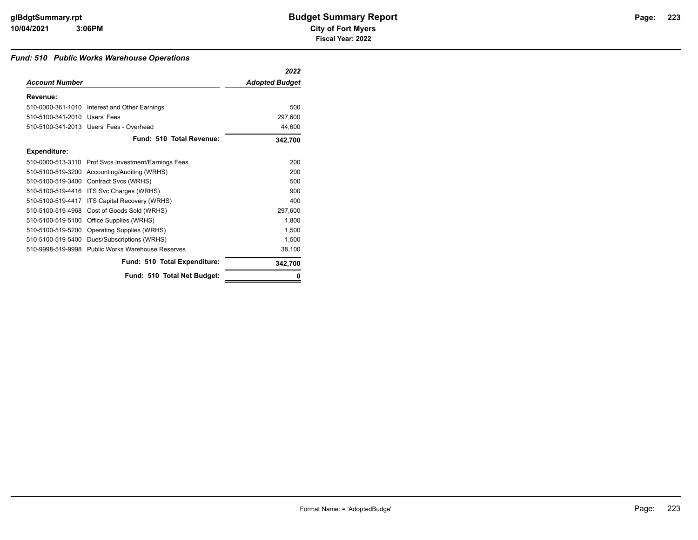### *Fund: 510 Public Works Warehouse Operations*

|                               |                                                      | 2022                  |
|-------------------------------|------------------------------------------------------|-----------------------|
| <b>Account Number</b>         |                                                      | <b>Adopted Budget</b> |
| Revenue:                      |                                                      |                       |
|                               | 510-0000-361-1010 Interest and Other Earnings        | 500                   |
| 510-5100-341-2010 Users' Fees |                                                      | 297,600               |
|                               | 510-5100-341-2013 Users' Fees - Overhead             | 44,600                |
|                               | Fund: 510 Total Revenue:                             | 342,700               |
| Expenditure:                  |                                                      |                       |
|                               | 510-0000-513-3110 Prof Svcs Investment/Earnings Fees | 200                   |
|                               | 510-5100-519-3200 Accounting/Auditing (WRHS)         | 200                   |
|                               | 510-5100-519-3400 Contract Svcs (WRHS)               | 500                   |
| 510-5100-519-4416             | ITS Svc Charges (WRHS)                               | 900                   |
| 510-5100-519-4417             | ITS Capital Recovery (WRHS)                          | 400                   |
| 510-5100-519-4968             | Cost of Goods Sold (WRHS)                            | 297,600               |
| 510-5100-519-5100             | Office Supplies (WRHS)                               | 1,800                 |
| 510-5100-519-5200             | Operating Supplies (WRHS)                            | 1,500                 |
| 510-5100-519-5400             | Dues/Subscriptions (WRHS)                            | 1,500                 |
|                               | 510-9998-519-9998 Public Works Warehouse Reserves    | 38,100                |
|                               | Fund: 510 Total Expenditure:                         | 342,700               |
|                               | Fund: 510 Total Net Budget:                          |                       |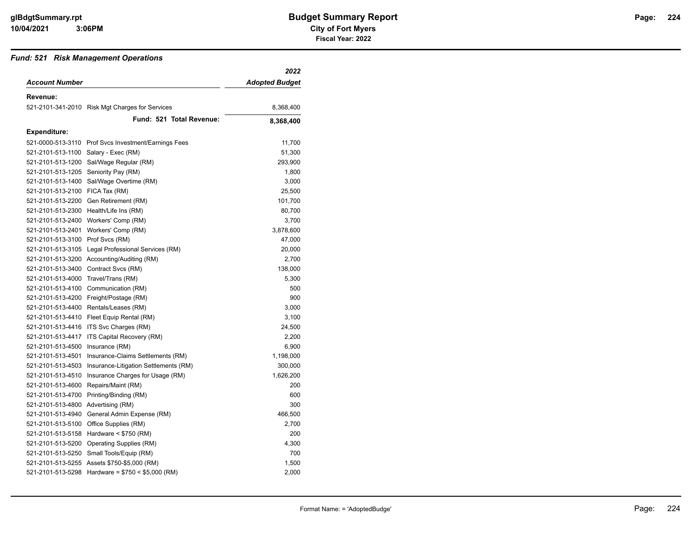### *Fund: 521 Risk Management Operations*

|                                      |                                                      | 2022                  |
|--------------------------------------|------------------------------------------------------|-----------------------|
| <b>Account Number</b>                |                                                      | <b>Adopted Budget</b> |
| Revenue:                             |                                                      |                       |
|                                      | 521-2101-341-2010 Risk Mgt Charges for Services      | 8,368,400             |
|                                      | Fund: 521 Total Revenue:                             | 8,368,400             |
| <b>Expenditure:</b>                  |                                                      |                       |
|                                      | 521-0000-513-3110 Prof Svcs Investment/Earnings Fees | 11,700                |
| 521-2101-513-1100 Salary - Exec (RM) |                                                      | 51,300                |
| 521-2101-513-1200                    | Sal/Wage Regular (RM)                                | 293,900               |
| 521-2101-513-1205                    | Seniority Pay (RM)                                   | 1,800                 |
| 521-2101-513-1400                    | Sal/Wage Overtime (RM)                               | 3,000                 |
| 521-2101-513-2100 FICA Tax (RM)      |                                                      | 25,500                |
|                                      | 521-2101-513-2200 Gen Retirement (RM)                | 101,700               |
|                                      | 521-2101-513-2300 Health/Life Ins (RM)               | 80,700                |
|                                      | 521-2101-513-2400 Workers' Comp (RM)                 | 3,700                 |
| 521-2101-513-2401                    | Workers' Comp (RM)                                   | 3,878,600             |
| 521-2101-513-3100 Prof Svcs (RM)     |                                                      | 47,000                |
| 521-2101-513-3105                    | Legal Professional Services (RM)                     | 20,000                |
|                                      | 521-2101-513-3200 Accounting/Auditing (RM)           | 2,700                 |
|                                      | 521-2101-513-3400 Contract Svcs (RM)                 | 138,000               |
| 521-2101-513-4000                    | Travel/Trans (RM)                                    | 5,300                 |
| 521-2101-513-4100                    | Communication (RM)                                   | 500                   |
|                                      | 521-2101-513-4200 Freight/Postage (RM)               | 900                   |
|                                      | 521-2101-513-4400 Rentals/Leases (RM)                | 3,000                 |
| 521-2101-513-4410                    | Fleet Equip Rental (RM)                              | 3,100                 |
| 521-2101-513-4416                    | ITS Svc Charges (RM)                                 | 24,500                |
| 521-2101-513-4417                    | ITS Capital Recovery (RM)                            | 2,200                 |
| 521-2101-513-4500                    | Insurance (RM)                                       | 6,900                 |
| 521-2101-513-4501                    | Insurance-Claims Settlements (RM)                    | 1,198,000             |
| 521-2101-513-4503                    | Insurance-Litigation Settlements (RM)                | 300,000               |
| 521-2101-513-4510                    | Insurance Charges for Usage (RM)                     | 1,626,200             |
| 521-2101-513-4600                    | Repairs/Maint (RM)                                   | 200                   |
| 521-2101-513-4700                    | Printing/Binding (RM)                                | 600                   |
| 521-2101-513-4800 Advertising (RM)   |                                                      | 300                   |
| 521-2101-513-4940                    | General Admin Expense (RM)                           | 466,500               |
|                                      | 521-2101-513-5100 Office Supplies (RM)               | 2,700                 |
|                                      | 521-2101-513-5158 Hardware < \$750 (RM)              | 200                   |
|                                      | 521-2101-513-5200 Operating Supplies (RM)            | 4,300                 |
|                                      | 521-2101-513-5250 Small Tools/Equip (RM)             | 700                   |
|                                      | 521-2101-513-5255 Assets \$750-\$5,000 (RM)          | 1,500                 |
|                                      | 521-2101-513-5298 Hardware = $$750 < $5,000$ (RM)    | 2,000                 |
|                                      |                                                      |                       |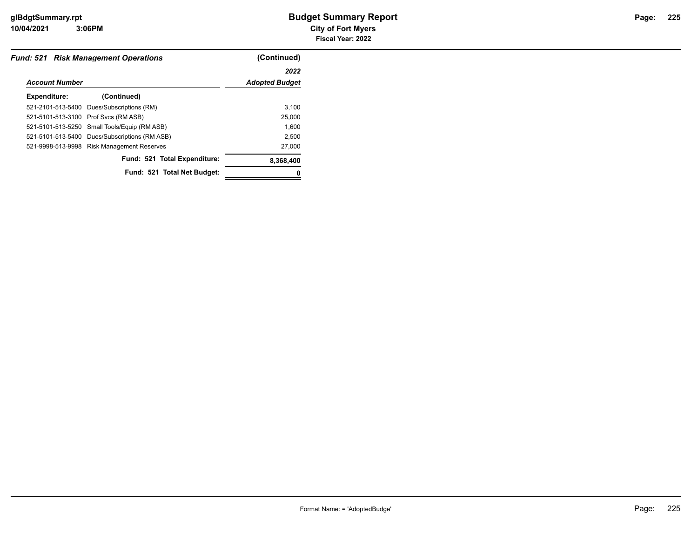**10/04/2021 City of Fort Myers 3:06PM**

|                       | <b>Fund: 521 Risk Management Operations</b>   | (Continued)           |
|-----------------------|-----------------------------------------------|-----------------------|
|                       |                                               | 2022                  |
| <b>Account Number</b> |                                               | <b>Adopted Budget</b> |
| <b>Expenditure:</b>   | (Continued)                                   |                       |
|                       | 521-2101-513-5400 Dues/Subscriptions (RM)     | 3,100                 |
|                       | 521-5101-513-3100 Prof Svcs (RM ASB)          | 25,000                |
|                       | 521-5101-513-5250 Small Tools/Equip (RM ASB)  | 1.600                 |
|                       | 521-5101-513-5400 Dues/Subscriptions (RM ASB) | 2.500                 |
|                       | 521-9998-513-9998 Risk Management Reserves    | 27,000                |
|                       | Fund: 521 Total Expenditure:                  | 8,368,400             |
|                       | Fund: 521 Total Net Budget:                   |                       |
|                       |                                               |                       |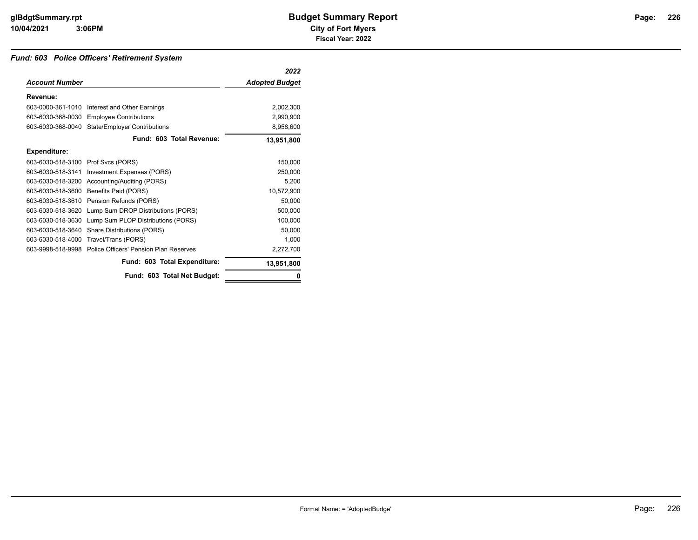### *Fund: 603 Police Officers' Retirement System*

|                       |                                        | 2022                  |
|-----------------------|----------------------------------------|-----------------------|
| <b>Account Number</b> |                                        | <b>Adopted Budget</b> |
| Revenue:              |                                        |                       |
| 603-0000-361-1010     | Interest and Other Earnings            | 2,002,300             |
| 603-6030-368-0030     | <b>Employee Contributions</b>          | 2,990,900             |
| 603-6030-368-0040     | <b>State/Employer Contributions</b>    | 8,958,600             |
|                       | Fund: 603 Total Revenue:               | 13,951,800            |
| <b>Expenditure:</b>   |                                        |                       |
| 603-6030-518-3100     | Prof Svcs (PORS)                       | 150,000               |
| 603-6030-518-3141     | Investment Expenses (PORS)             | 250,000               |
| 603-6030-518-3200     | Accounting/Auditing (PORS)             | 5,200                 |
| 603-6030-518-3600     | Benefits Paid (PORS)                   | 10,572,900            |
| 603-6030-518-3610     | Pension Refunds (PORS)                 | 50,000                |
| 603-6030-518-3620     | Lump Sum DROP Distributions (PORS)     | 500,000               |
| 603-6030-518-3630     | Lump Sum PLOP Distributions (PORS)     | 100,000               |
| 603-6030-518-3640     | Share Distributions (PORS)             | 50,000                |
| 603-6030-518-4000     | Travel/Trans (PORS)                    | 1,000                 |
| 603-9998-518-9998     | Police Officers' Pension Plan Reserves | 2,272,700             |
|                       | Fund: 603 Total Expenditure:           | 13,951,800            |
|                       | Fund: 603 Total Net Budget:            |                       |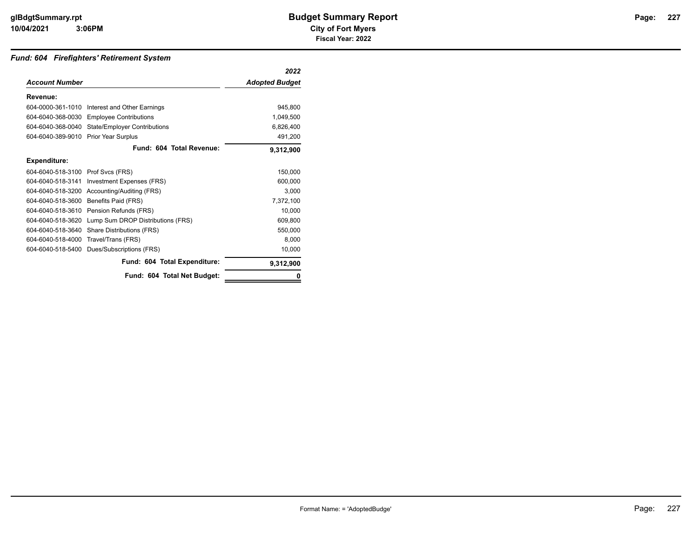### *Fund: 604 Firefighters' Retirement System*

|                       |                                     | 2022                  |
|-----------------------|-------------------------------------|-----------------------|
| <b>Account Number</b> |                                     | <b>Adopted Budget</b> |
| Revenue:              |                                     |                       |
| 604-0000-361-1010     | Interest and Other Earnings         | 945.800               |
| 604-6040-368-0030     | <b>Employee Contributions</b>       | 1,049,500             |
| 604-6040-368-0040     | <b>State/Employer Contributions</b> | 6,826,400             |
| 604-6040-389-9010     | <b>Prior Year Surplus</b>           | 491,200               |
|                       | Fund: 604 Total Revenue:            | 9,312,900             |
| <b>Expenditure:</b>   |                                     |                       |
| 604-6040-518-3100     | Prof Svcs (FRS)                     | 150.000               |
| 604-6040-518-3141     | Investment Expenses (FRS)           | 600.000               |
| 604-6040-518-3200     | Accounting/Auditing (FRS)           | 3,000                 |
| 604-6040-518-3600     | Benefits Paid (FRS)                 | 7,372,100             |
| 604-6040-518-3610     | Pension Refunds (FRS)               | 10.000                |
| 604-6040-518-3620     | Lump Sum DROP Distributions (FRS)   | 609,800               |
| 604-6040-518-3640     | Share Distributions (FRS)           | 550,000               |
| 604-6040-518-4000     | Travel/Trans (FRS)                  | 8,000                 |
| 604-6040-518-5400     | Dues/Subscriptions (FRS)            | 10,000                |
|                       | Fund: 604 Total Expenditure:        | 9,312,900             |
|                       | Fund: 604 Total Net Budget:         |                       |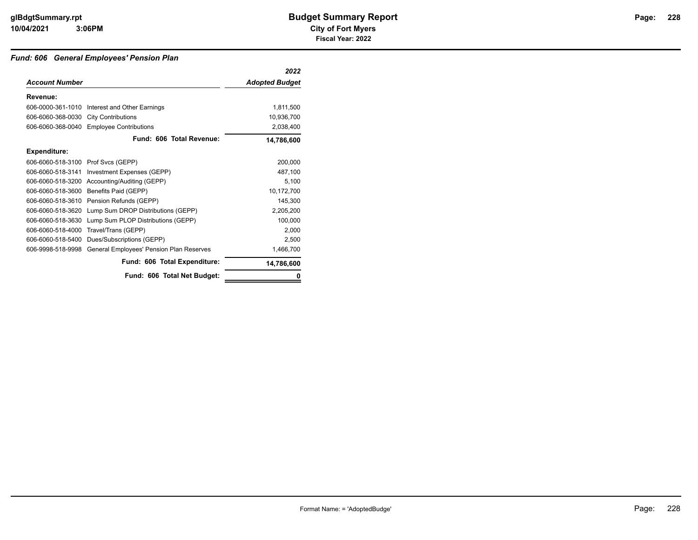### *Fund: 606 General Employees' Pension Plan*

|                                    |                                               | 2022                  |
|------------------------------------|-----------------------------------------------|-----------------------|
| <b>Account Number</b>              |                                               | <b>Adopted Budget</b> |
| Revenue:                           |                                               |                       |
|                                    | 606-0000-361-1010 Interest and Other Earnings | 1,811,500             |
| 606-6060-368-0030                  | <b>City Contributions</b>                     | 10,936,700            |
| 606-6060-368-0040                  | <b>Employee Contributions</b>                 | 2,038,400             |
|                                    | Fund: 606 Total Revenue:                      | 14,786,600            |
| Expenditure:                       |                                               |                       |
| 606-6060-518-3100 Prof Svcs (GEPP) |                                               | 200,000               |
| 606-6060-518-3141                  | Investment Expenses (GEPP)                    | 487,100               |
| 606-6060-518-3200                  | Accounting/Auditing (GEPP)                    | 5,100                 |
| 606-6060-518-3600                  | Benefits Paid (GEPP)                          | 10,172,700            |
| 606-6060-518-3610                  | Pension Refunds (GEPP)                        | 145,300               |
| 606-6060-518-3620                  | Lump Sum DROP Distributions (GEPP)            | 2,205,200             |
| 606-6060-518-3630                  | Lump Sum PLOP Distributions (GEPP)            | 100,000               |
| 606-6060-518-4000                  | Travel/Trans (GEPP)                           | 2,000                 |
| 606-6060-518-5400                  | Dues/Subscriptions (GEPP)                     | 2,500                 |
| 606-9998-518-9998                  | General Employees' Pension Plan Reserves      | 1,466,700             |
|                                    | Fund: 606 Total Expenditure:                  | 14,786,600            |
|                                    | Fund: 606 Total Net Budget:                   | 0                     |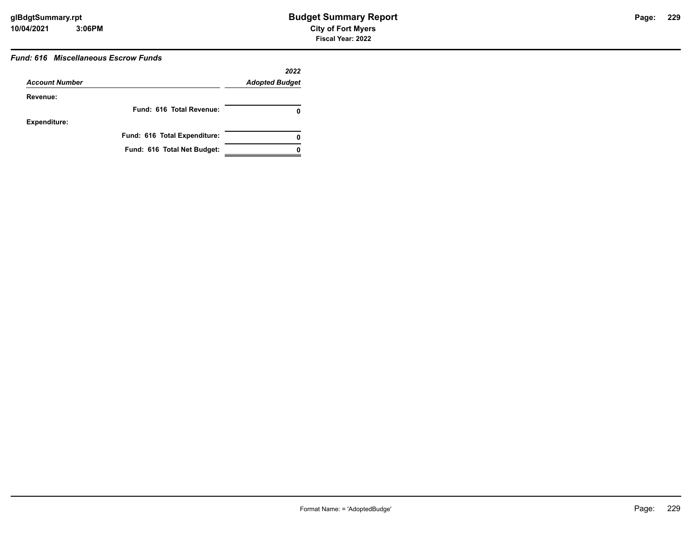# **229**

### *Fund: 616 Miscellaneous Escrow Funds*

|                       |                              | 2022                  |
|-----------------------|------------------------------|-----------------------|
| <b>Account Number</b> |                              | <b>Adopted Budget</b> |
| Revenue:              |                              |                       |
|                       | Fund: 616 Total Revenue:     |                       |
| <b>Expenditure:</b>   |                              |                       |
|                       | Fund: 616 Total Expenditure: | 0                     |
|                       | Fund: 616 Total Net Budget:  |                       |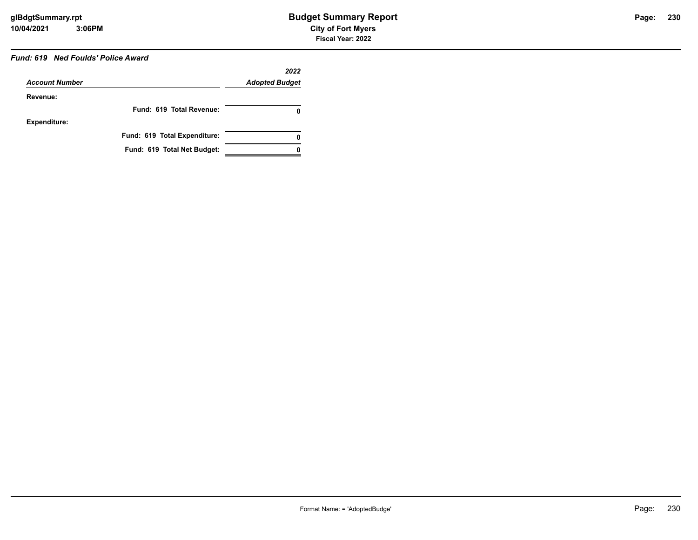## *Fund: 619 Ned Foulds' Police Award*

|                       |                              | 2022                  |
|-----------------------|------------------------------|-----------------------|
| <b>Account Number</b> |                              | <b>Adopted Budget</b> |
| Revenue:              |                              |                       |
|                       | Fund: 619 Total Revenue:     | 0                     |
| <b>Expenditure:</b>   |                              |                       |
|                       | Fund: 619 Total Expenditure: | 0                     |
|                       | Fund: 619 Total Net Budget:  |                       |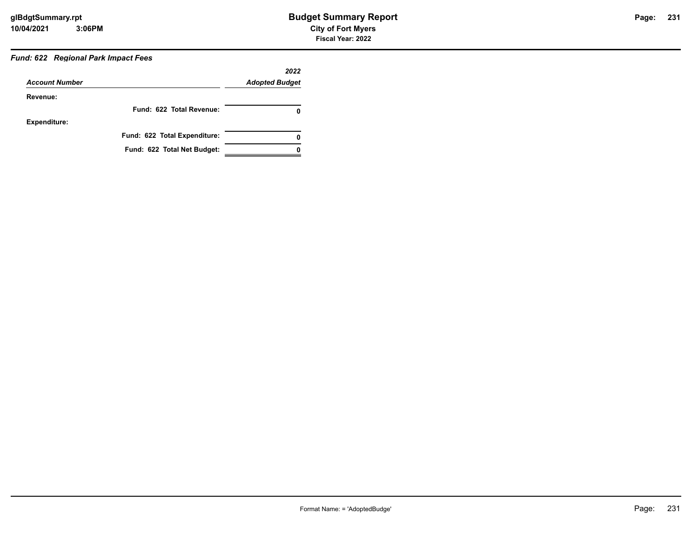# *Fund: 622 Regional Park Impact Fees*

| <b>Account Number</b> |                              | 2022<br><b>Adopted Budget</b> |
|-----------------------|------------------------------|-------------------------------|
|                       |                              |                               |
| Revenue:              |                              |                               |
|                       | Fund: 622 Total Revenue:     | 0                             |
| <b>Expenditure:</b>   |                              |                               |
|                       | Fund: 622 Total Expenditure: | 0                             |
|                       | Fund: 622 Total Net Budget:  |                               |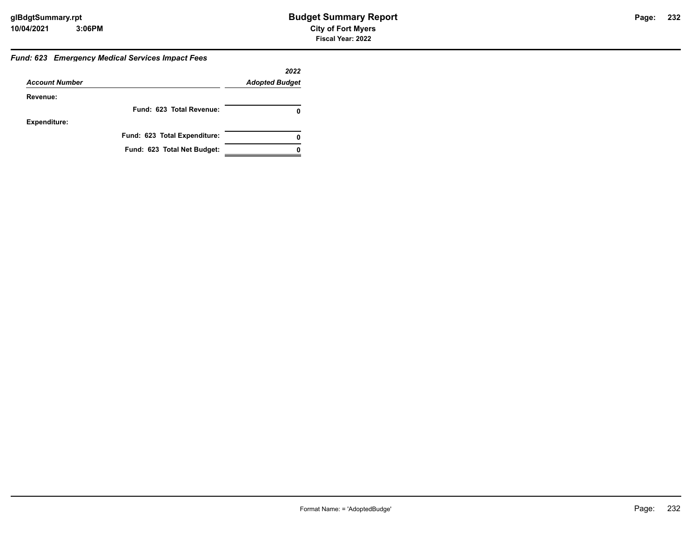### *Fund: 623 Emergency Medical Services Impact Fees*

|                       |                              | 2022                  |
|-----------------------|------------------------------|-----------------------|
| <b>Account Number</b> |                              | <b>Adopted Budget</b> |
| Revenue:              |                              |                       |
|                       | Fund: 623 Total Revenue:     | 0                     |
| <b>Expenditure:</b>   |                              |                       |
|                       | Fund: 623 Total Expenditure: | 0                     |
|                       | Fund: 623 Total Net Budget:  |                       |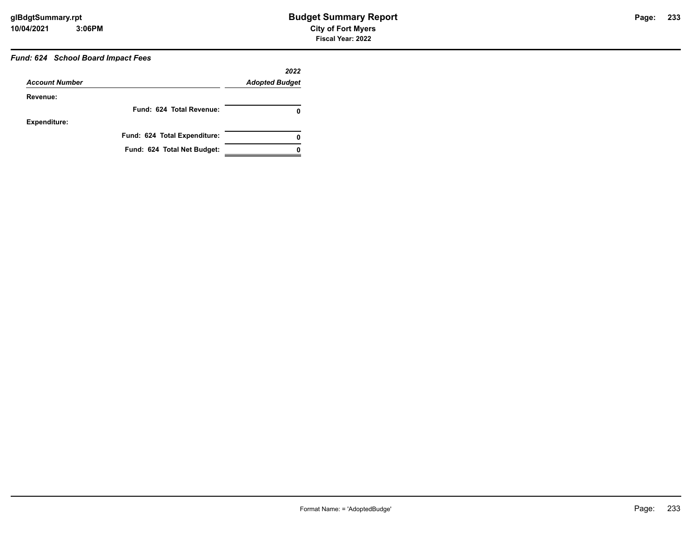# *Fund: 624 School Board Impact Fees*

| <b>Account Number</b> |                              | 2022<br><b>Adopted Budget</b> |
|-----------------------|------------------------------|-------------------------------|
| Revenue:              |                              |                               |
|                       | Fund: 624 Total Revenue:     | 0                             |
| <b>Expenditure:</b>   |                              |                               |
|                       | Fund: 624 Total Expenditure: | 0                             |
|                       | Fund: 624 Total Net Budget:  |                               |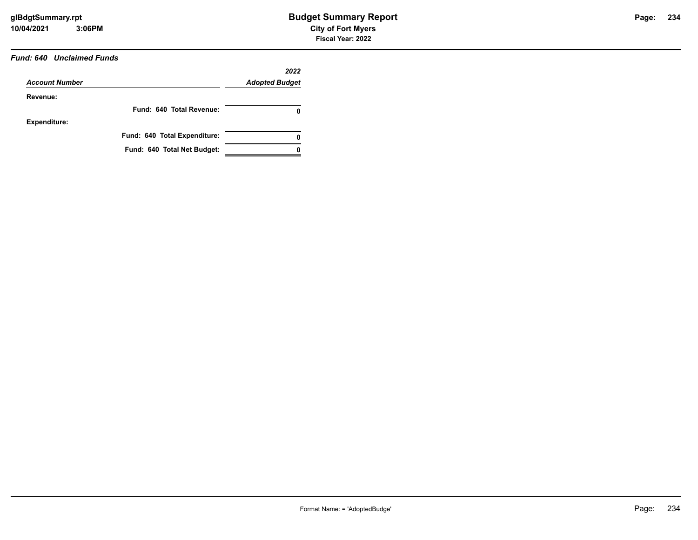### *Fund: 640 Unclaimed Funds*

| <b>Account Number</b> |                              | 2022<br><b>Adopted Budget</b> |
|-----------------------|------------------------------|-------------------------------|
| Revenue:              |                              |                               |
|                       | Fund: 640 Total Revenue:     | 0                             |
| <b>Expenditure:</b>   |                              |                               |
|                       | Fund: 640 Total Expenditure: | 0                             |
|                       | Fund: 640 Total Net Budget:  |                               |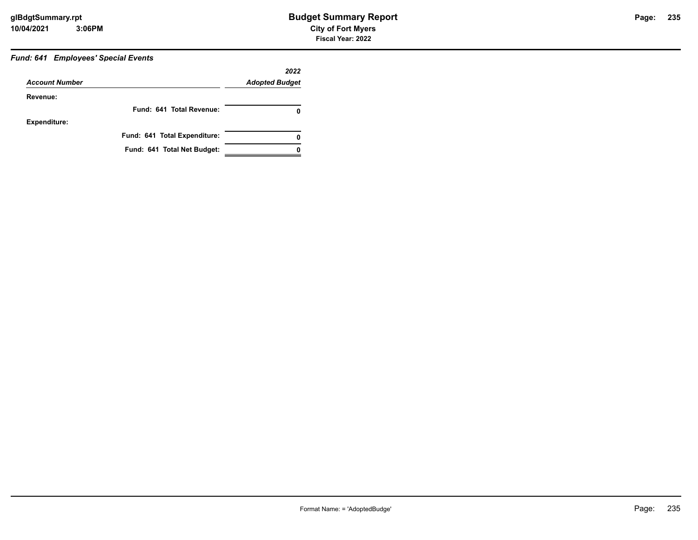## *Fund: 641 Employees' Special Events*

| <b>Account Number</b> |                              | 2022                  |  |
|-----------------------|------------------------------|-----------------------|--|
|                       |                              | <b>Adopted Budget</b> |  |
| Revenue:              |                              |                       |  |
|                       | Fund: 641 Total Revenue:     | 0                     |  |
| <b>Expenditure:</b>   |                              |                       |  |
|                       | Fund: 641 Total Expenditure: | 0                     |  |
|                       | Fund: 641 Total Net Budget:  |                       |  |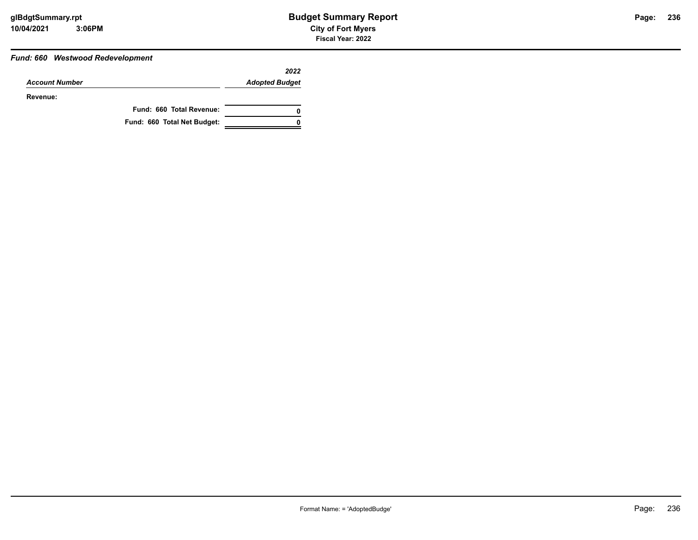### *Fund: 660 Westwood Redevelopment*

|                       |                             | 2022                  |
|-----------------------|-----------------------------|-----------------------|
| <b>Account Number</b> |                             | <b>Adopted Budget</b> |
| Revenue:              |                             |                       |
|                       | Fund: 660 Total Revenue:    |                       |
|                       | Fund: 660 Total Net Budget: |                       |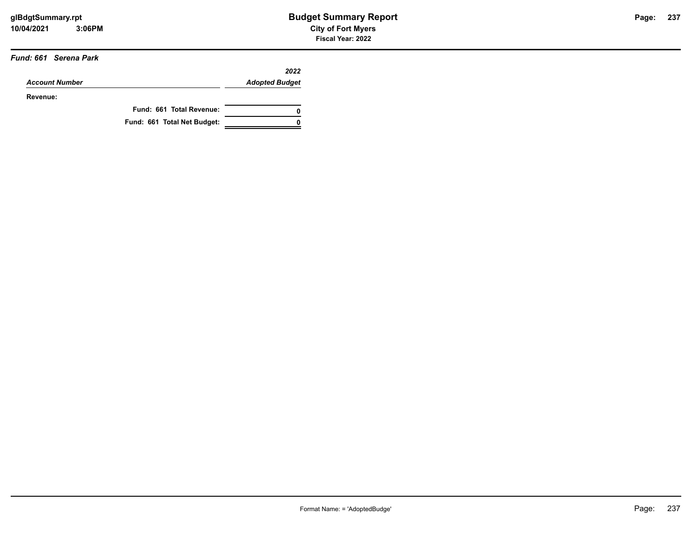#### *Fund: 661 Serena Park*

|                       |                             | 2022                  |
|-----------------------|-----------------------------|-----------------------|
| <b>Account Number</b> |                             | <b>Adopted Budget</b> |
| Revenue:              |                             |                       |
|                       | Fund: 661 Total Revenue:    |                       |
|                       | Fund: 661 Total Net Budget: |                       |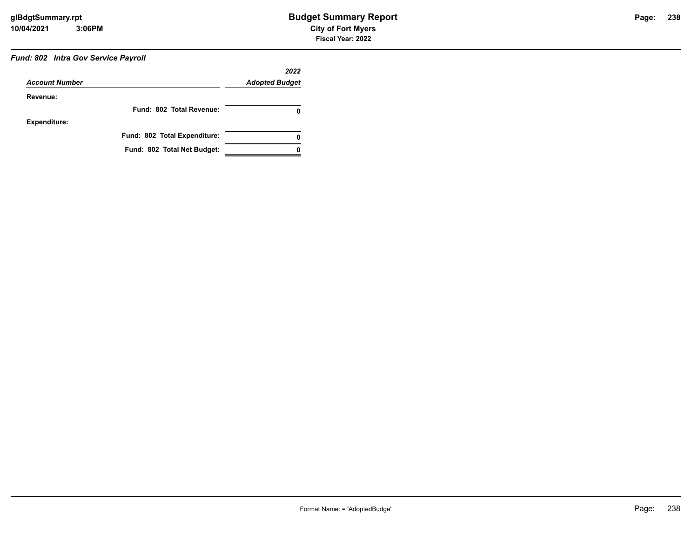# *Fund: 802 Intra Gov Service Payroll*

| <b>Account Number</b> |                              | 2022<br><b>Adopted Budget</b> |
|-----------------------|------------------------------|-------------------------------|
|                       |                              |                               |
|                       | Fund: 802 Total Revenue:     | 0                             |
| <b>Expenditure:</b>   |                              |                               |
|                       | Fund: 802 Total Expenditure: | 0                             |
|                       | Fund: 802 Total Net Budget:  |                               |